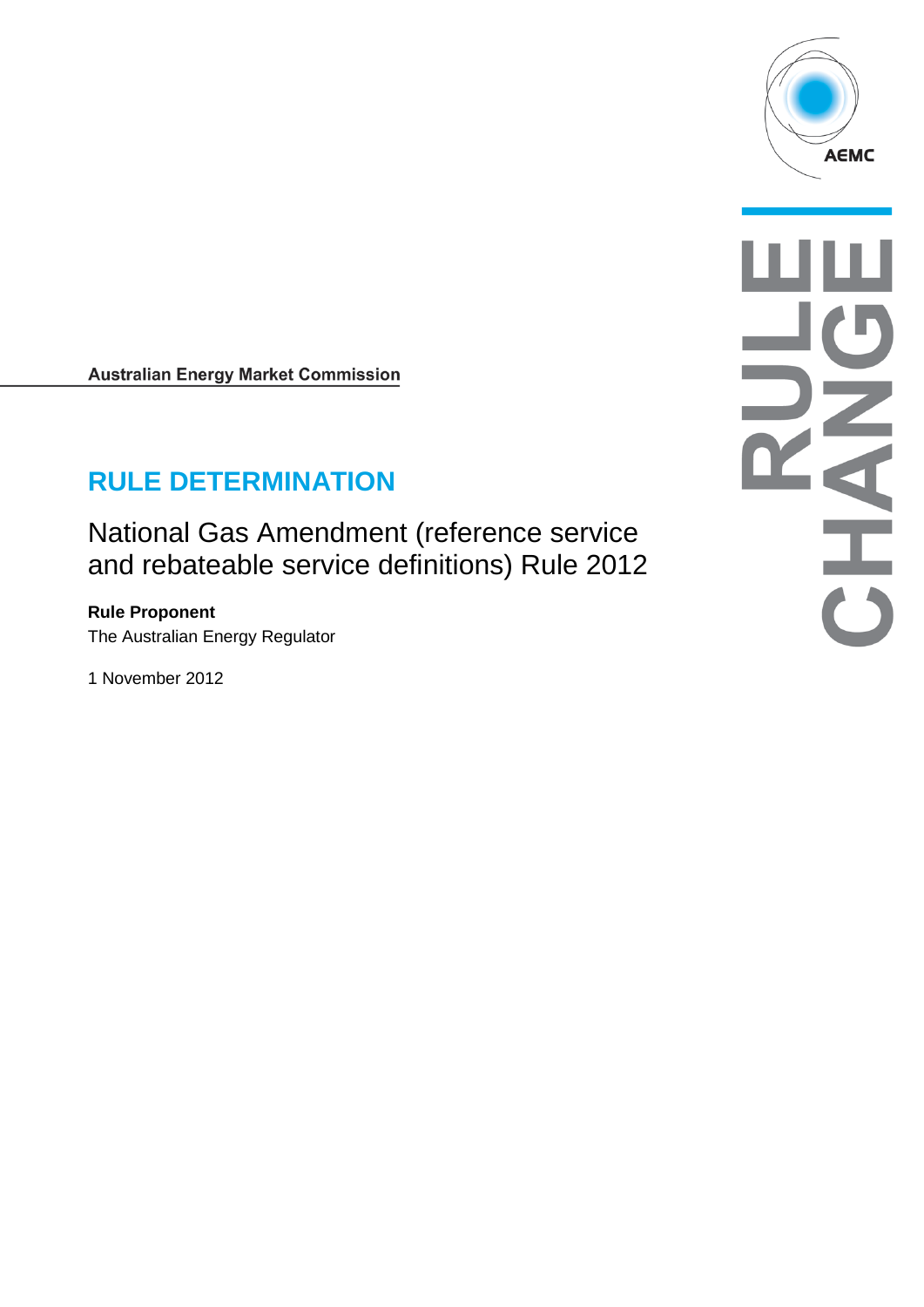

**Australian Energy Market Commission** 

# **RULE DETERMINATION**

National Gas Amendment (reference service and rebateable service definitions) Rule 2012

**Rule Proponent** The Australian Energy Regulator

1 November 2012

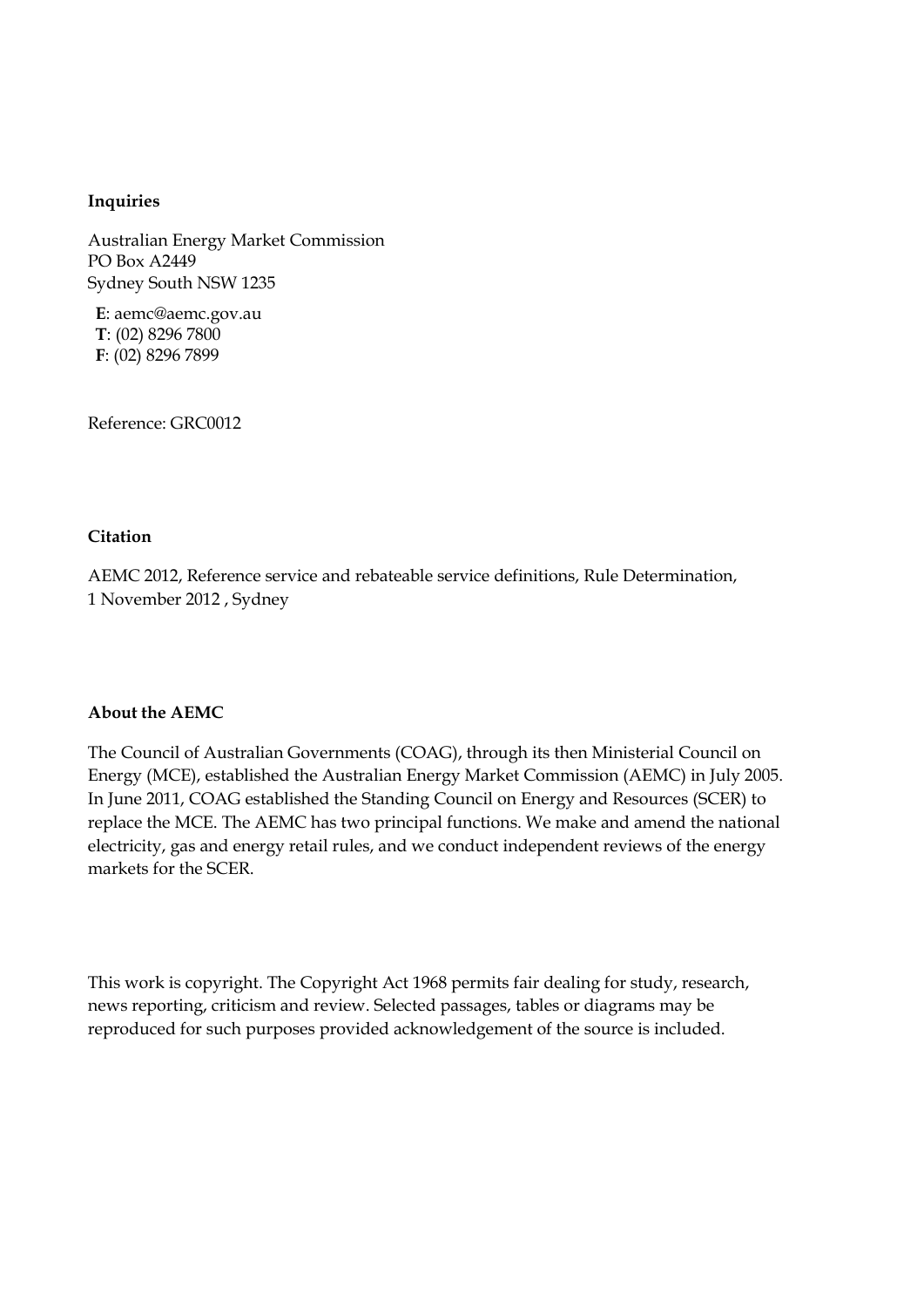#### **Inquiries**

Australian Energy Market Commission PO Box A2449 Sydney South NSW 1235

**E**: aemc@aemc.gov.au **T**: (02) 8296 7800 **F**: (02) 8296 7899

Reference: GRC0012

#### **Citation**

AEMC 2012, Reference service and rebateable service definitions, Rule Determination, 1 November 2012 , Sydney

#### **About the AEMC**

The Council of Australian Governments (COAG), through its then Ministerial Council on Energy (MCE), established the Australian Energy Market Commission (AEMC) in July 2005. In June 2011, COAG established the Standing Council on Energy and Resources (SCER) to replace the MCE. The AEMC has two principal functions. We make and amend the national electricity, gas and energy retail rules, and we conduct independent reviews of the energy markets for the SCER.

This work is copyright. The Copyright Act 1968 permits fair dealing for study, research, news reporting, criticism and review. Selected passages, tables or diagrams may be reproduced for such purposes provided acknowledgement of the source is included.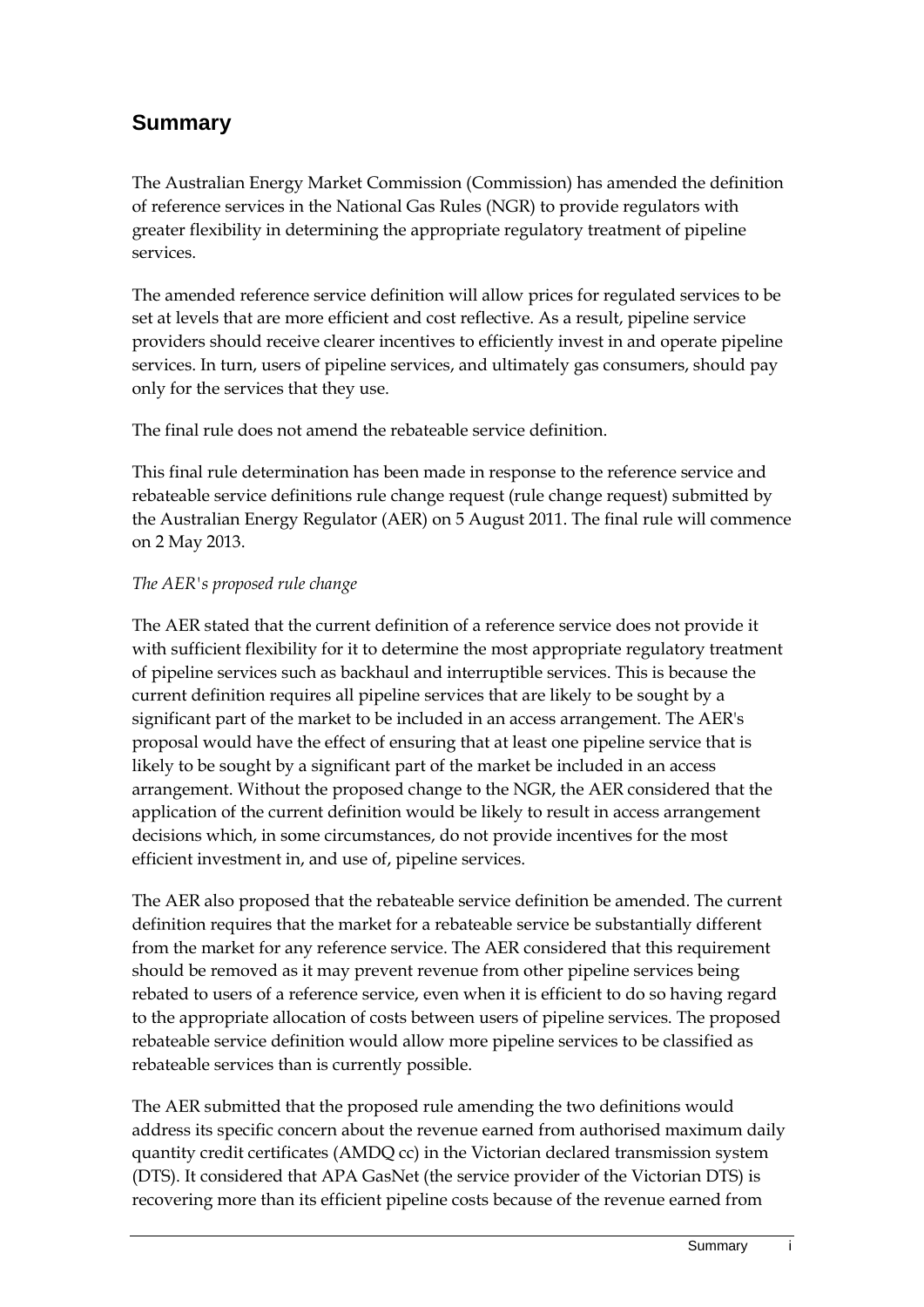## **Summary**

The Australian Energy Market Commission (Commission) has amended the definition of reference services in the National Gas Rules (NGR) to provide regulators with greater flexibility in determining the appropriate regulatory treatment of pipeline services.

The amended reference service definition will allow prices for regulated services to be set at levels that are more efficient and cost reflective. As a result, pipeline service providers should receive clearer incentives to efficiently invest in and operate pipeline services. In turn, users of pipeline services, and ultimately gas consumers, should pay only for the services that they use.

The final rule does not amend the rebateable service definition.

This final rule determination has been made in response to the reference service and rebateable service definitions rule change request (rule change request) submitted by the Australian Energy Regulator (AER) on 5 August 2011. The final rule will commence on 2 May 2013.

#### *The AER's proposed rule change*

The AER stated that the current definition of a reference service does not provide it with sufficient flexibility for it to determine the most appropriate regulatory treatment of pipeline services such as backhaul and interruptible services. This is because the current definition requires all pipeline services that are likely to be sought by a significant part of the market to be included in an access arrangement. The AER's proposal would have the effect of ensuring that at least one pipeline service that is likely to be sought by a significant part of the market be included in an access arrangement. Without the proposed change to the NGR, the AER considered that the application of the current definition would be likely to result in access arrangement decisions which, in some circumstances, do not provide incentives for the most efficient investment in, and use of, pipeline services.

The AER also proposed that the rebateable service definition be amended. The current definition requires that the market for a rebateable service be substantially different from the market for any reference service. The AER considered that this requirement should be removed as it may prevent revenue from other pipeline services being rebated to users of a reference service, even when it is efficient to do so having regard to the appropriate allocation of costs between users of pipeline services. The proposed rebateable service definition would allow more pipeline services to be classified as rebateable services than is currently possible.

The AER submitted that the proposed rule amending the two definitions would address its specific concern about the revenue earned from authorised maximum daily quantity credit certificates (AMDQ cc) in the Victorian declared transmission system (DTS). It considered that APA GasNet (the service provider of the Victorian DTS) is recovering more than its efficient pipeline costs because of the revenue earned from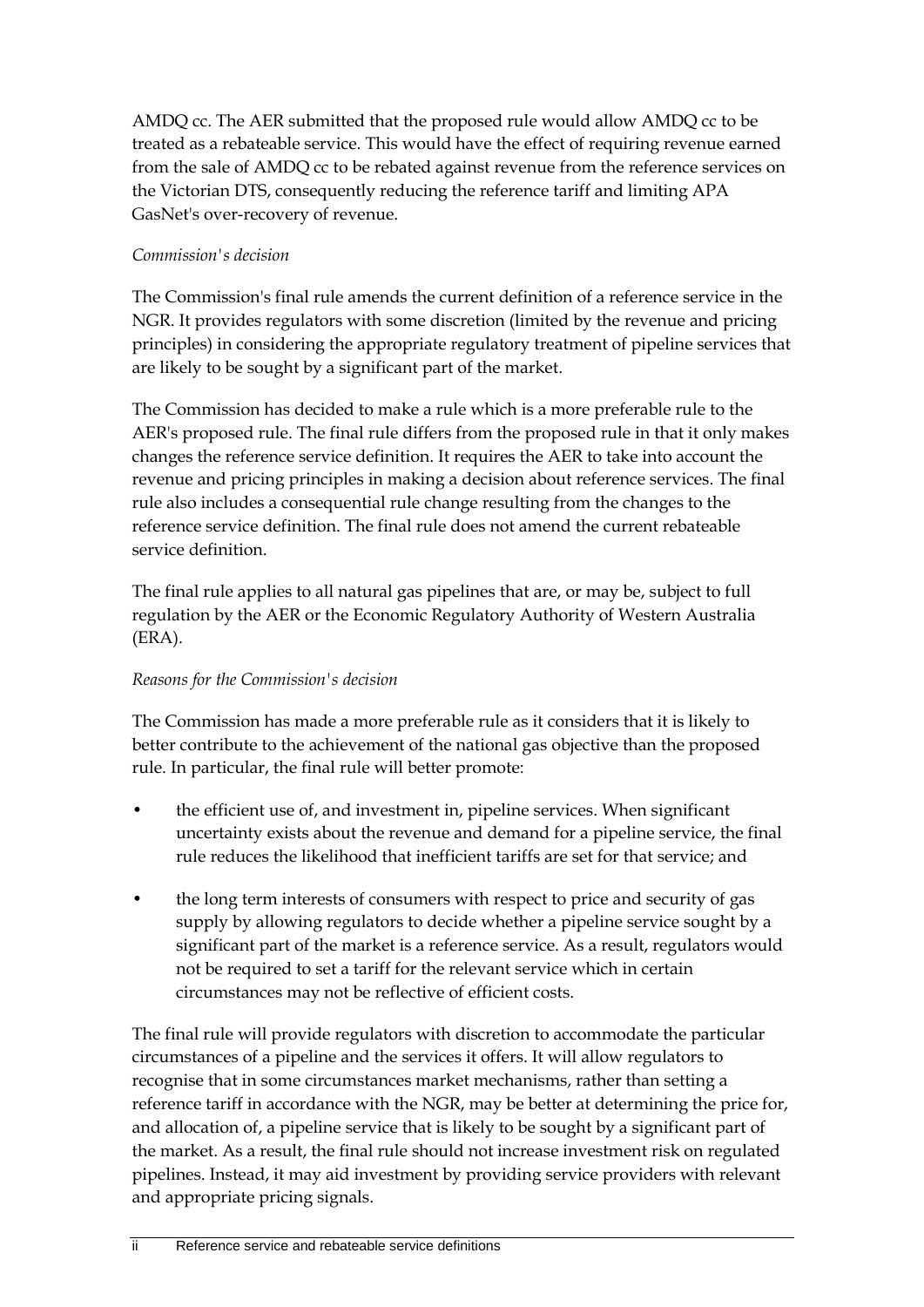AMDQ cc. The AER submitted that the proposed rule would allow AMDQ cc to be treated as a rebateable service. This would have the effect of requiring revenue earned from the sale of AMDQ cc to be rebated against revenue from the reference services on the Victorian DTS, consequently reducing the reference tariff and limiting APA GasNet's over-recovery of revenue.

#### *Commission's decision*

The Commission's final rule amends the current definition of a reference service in the NGR. It provides regulators with some discretion (limited by the revenue and pricing principles) in considering the appropriate regulatory treatment of pipeline services that are likely to be sought by a significant part of the market.

The Commission has decided to make a rule which is a more preferable rule to the AER's proposed rule. The final rule differs from the proposed rule in that it only makes changes the reference service definition. It requires the AER to take into account the revenue and pricing principles in making a decision about reference services. The final rule also includes a consequential rule change resulting from the changes to the reference service definition. The final rule does not amend the current rebateable service definition.

The final rule applies to all natural gas pipelines that are, or may be, subject to full regulation by the AER or the Economic Regulatory Authority of Western Australia (ERA).

#### *Reasons for the Commission's decision*

The Commission has made a more preferable rule as it considers that it is likely to better contribute to the achievement of the national gas objective than the proposed rule. In particular, the final rule will better promote:

- the efficient use of, and investment in, pipeline services. When significant uncertainty exists about the revenue and demand for a pipeline service, the final rule reduces the likelihood that inefficient tariffs are set for that service; and
- the long term interests of consumers with respect to price and security of gas supply by allowing regulators to decide whether a pipeline service sought by a significant part of the market is a reference service. As a result, regulators would not be required to set a tariff for the relevant service which in certain circumstances may not be reflective of efficient costs.

The final rule will provide regulators with discretion to accommodate the particular circumstances of a pipeline and the services it offers. It will allow regulators to recognise that in some circumstances market mechanisms, rather than setting a reference tariff in accordance with the NGR, may be better at determining the price for, and allocation of, a pipeline service that is likely to be sought by a significant part of the market. As a result, the final rule should not increase investment risk on regulated pipelines. Instead, it may aid investment by providing service providers with relevant and appropriate pricing signals.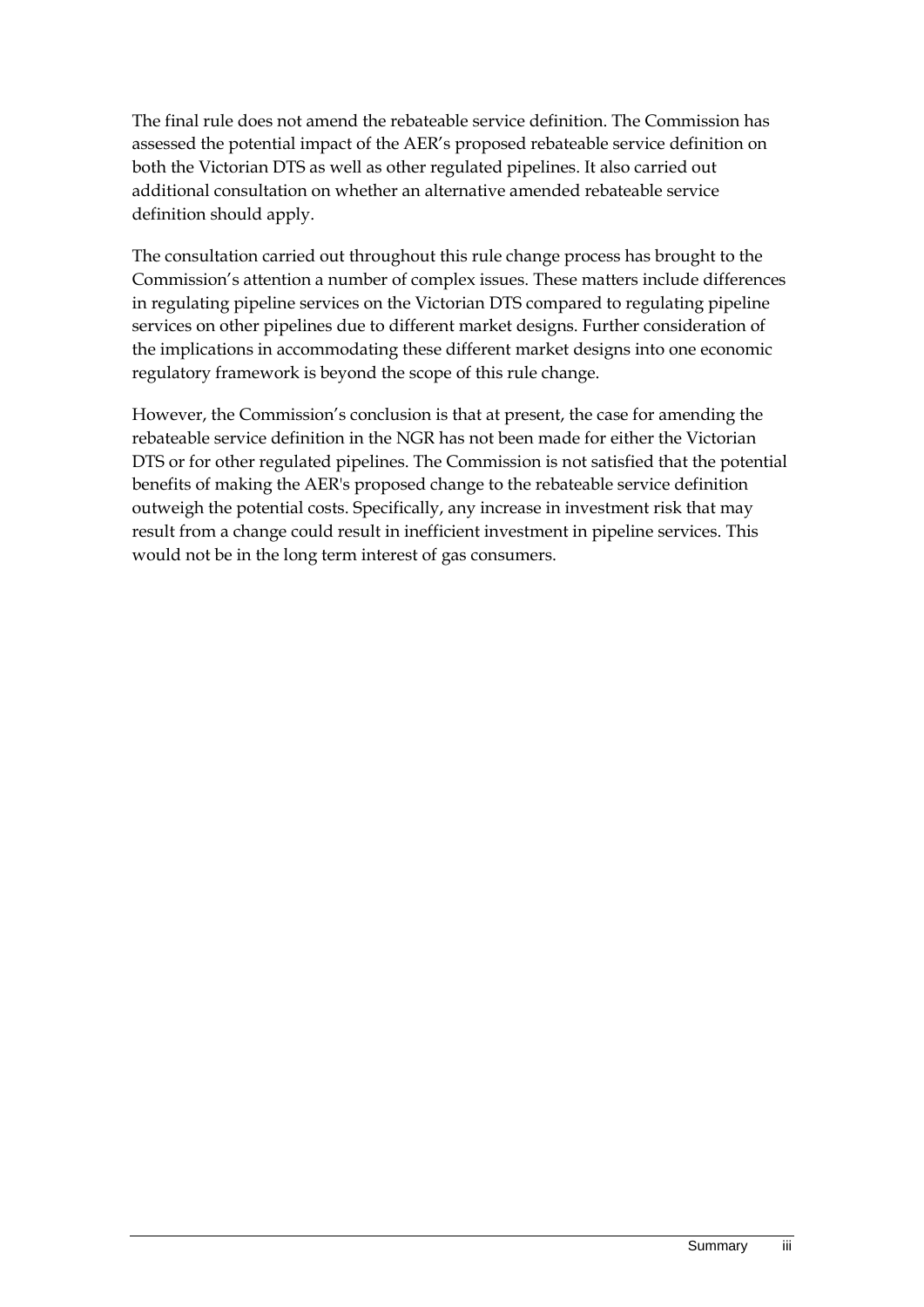The final rule does not amend the rebateable service definition. The Commission has assessed the potential impact of the AER's proposed rebateable service definition on both the Victorian DTS as well as other regulated pipelines. It also carried out additional consultation on whether an alternative amended rebateable service definition should apply.

The consultation carried out throughout this rule change process has brought to the Commission's attention a number of complex issues. These matters include differences in regulating pipeline services on the Victorian DTS compared to regulating pipeline services on other pipelines due to different market designs. Further consideration of the implications in accommodating these different market designs into one economic regulatory framework is beyond the scope of this rule change.

However, the Commission's conclusion is that at present, the case for amending the rebateable service definition in the NGR has not been made for either the Victorian DTS or for other regulated pipelines. The Commission is not satisfied that the potential benefits of making the AER's proposed change to the rebateable service definition outweigh the potential costs. Specifically, any increase in investment risk that may result from a change could result in inefficient investment in pipeline services. This would not be in the long term interest of gas consumers.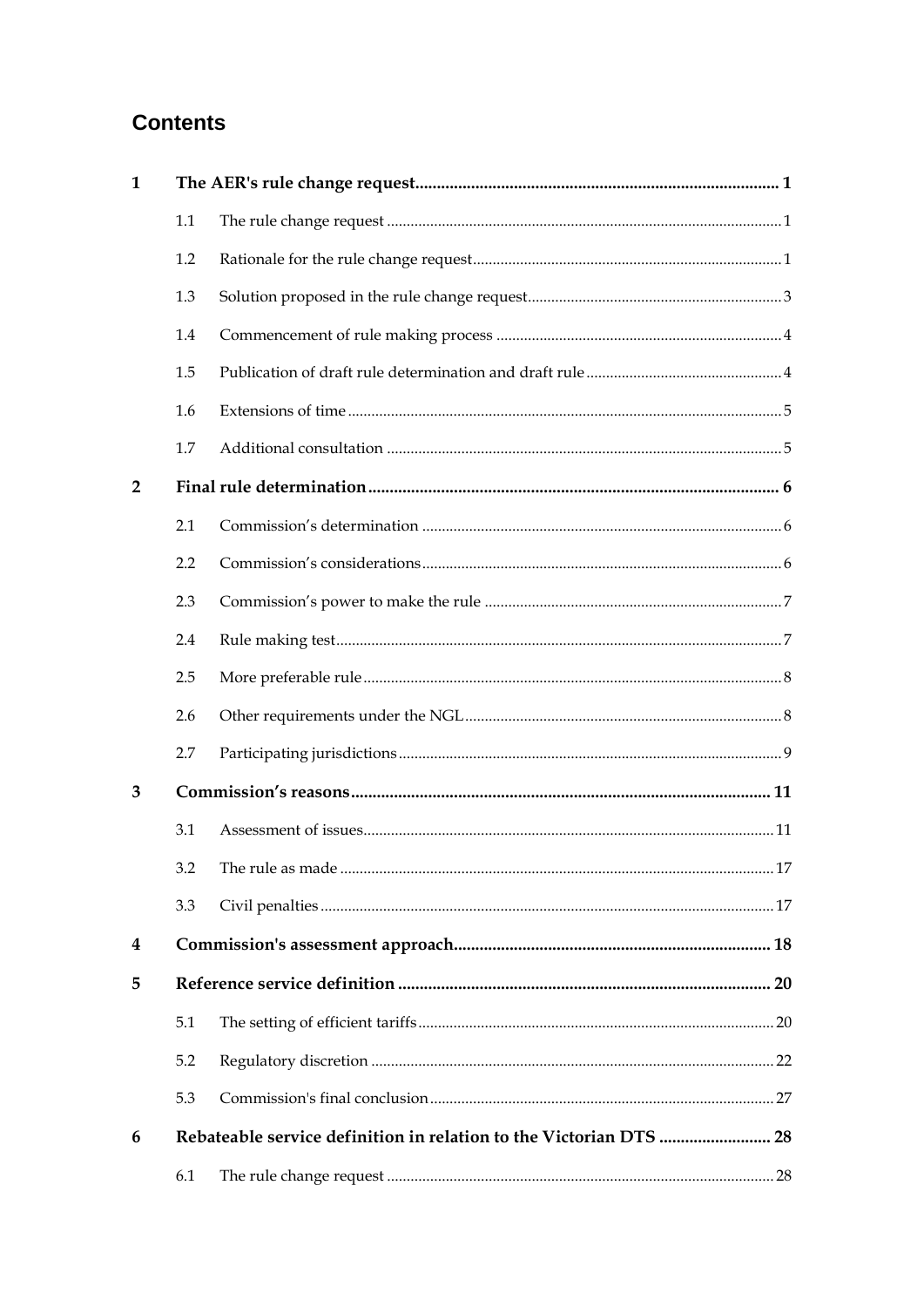## **Contents**

| $\mathbf{1}$   |     |                                                                    |
|----------------|-----|--------------------------------------------------------------------|
|                | 1.1 |                                                                    |
|                | 1.2 |                                                                    |
|                | 1.3 |                                                                    |
|                | 1.4 |                                                                    |
|                | 1.5 |                                                                    |
|                | 1.6 |                                                                    |
|                | 1.7 |                                                                    |
| $\overline{2}$ |     |                                                                    |
|                | 2.1 |                                                                    |
|                | 2.2 |                                                                    |
|                | 2.3 |                                                                    |
|                | 2.4 |                                                                    |
|                | 2.5 |                                                                    |
|                | 2.6 |                                                                    |
|                | 2.7 |                                                                    |
| 3              |     |                                                                    |
|                | 3.1 |                                                                    |
|                |     |                                                                    |
|                | 3.3 |                                                                    |
| 4              |     |                                                                    |
| 5              |     |                                                                    |
|                | 5.1 |                                                                    |
|                | 5.2 |                                                                    |
|                | 5.3 |                                                                    |
| 6              |     | Rebateable service definition in relation to the Victorian DTS  28 |
|                | 6.1 |                                                                    |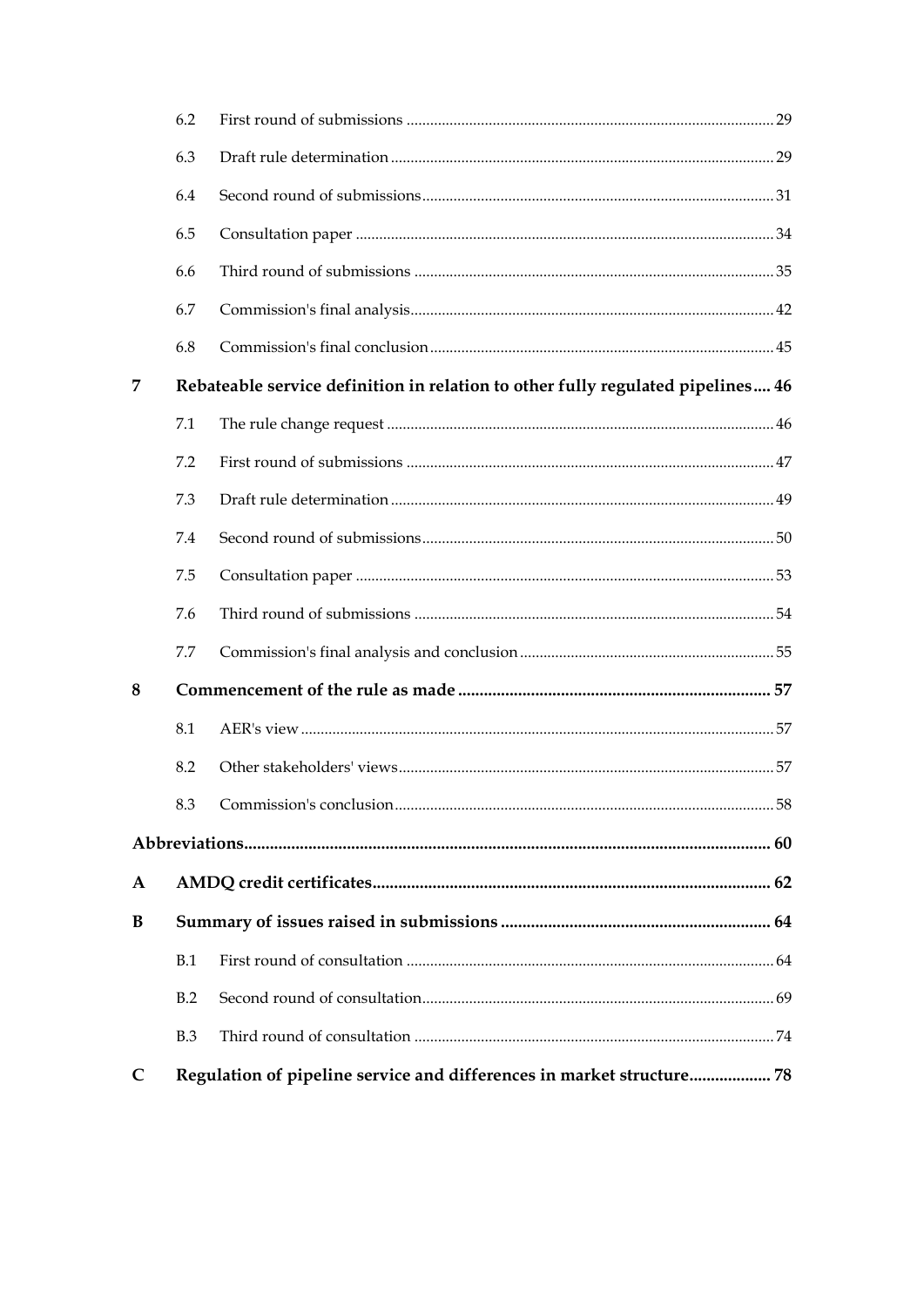|   | 6.2 |                                                                                 |  |  |
|---|-----|---------------------------------------------------------------------------------|--|--|
|   | 6.3 |                                                                                 |  |  |
|   | 6.4 |                                                                                 |  |  |
|   | 6.5 |                                                                                 |  |  |
|   | 6.6 |                                                                                 |  |  |
|   | 6.7 |                                                                                 |  |  |
|   | 6.8 |                                                                                 |  |  |
| 7 |     | Rebateable service definition in relation to other fully regulated pipelines 46 |  |  |
|   | 7.1 |                                                                                 |  |  |
|   | 7.2 |                                                                                 |  |  |
|   | 7.3 |                                                                                 |  |  |
|   | 7.4 |                                                                                 |  |  |
|   | 7.5 |                                                                                 |  |  |
|   | 7.6 |                                                                                 |  |  |
|   | 7.7 |                                                                                 |  |  |
| 8 |     |                                                                                 |  |  |
|   | 8.1 |                                                                                 |  |  |
|   | 8.2 |                                                                                 |  |  |
|   |     |                                                                                 |  |  |
|   |     |                                                                                 |  |  |
| A |     |                                                                                 |  |  |
| B |     |                                                                                 |  |  |
|   | B.1 |                                                                                 |  |  |
|   | B.2 |                                                                                 |  |  |
|   | B.3 |                                                                                 |  |  |
| C |     | Regulation of pipeline service and differences in market structure 78           |  |  |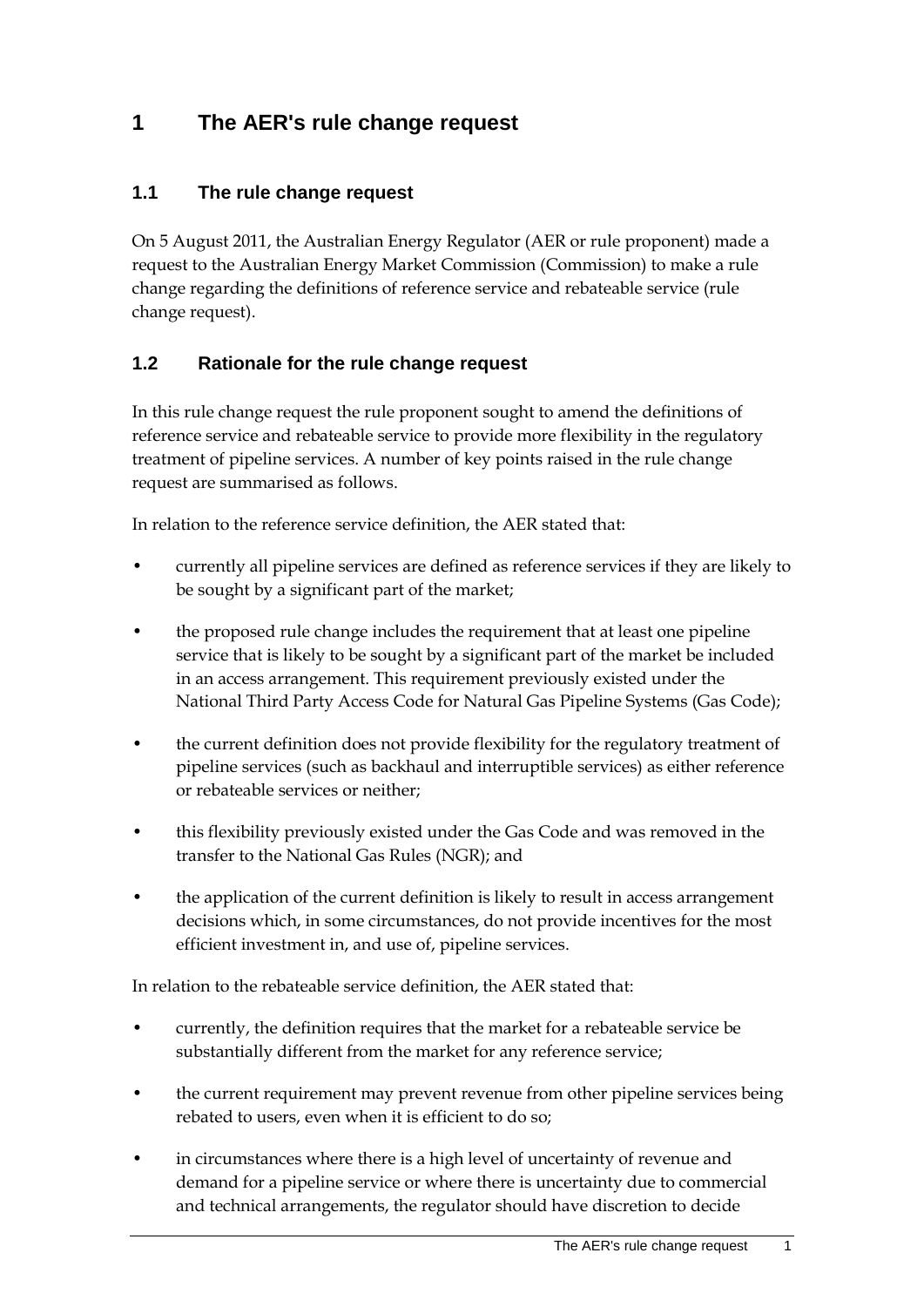## <span id="page-8-0"></span>**1 The AER's rule change request**

## <span id="page-8-1"></span>**1.1 The rule change request**

On 5 August 2011, the Australian Energy Regulator (AER or rule proponent) made a request to the Australian Energy Market Commission (Commission) to make a rule change regarding the definitions of reference service and rebateable service (rule change request).

## <span id="page-8-2"></span>**1.2 Rationale for the rule change request**

In this rule change request the rule proponent sought to amend the definitions of reference service and rebateable service to provide more flexibility in the regulatory treatment of pipeline services. A number of key points raised in the rule change request are summarised as follows.

In relation to the reference service definition, the AER stated that:

- currently all pipeline services are defined as reference services if they are likely to be sought by a significant part of the market;
- the proposed rule change includes the requirement that at least one pipeline service that is likely to be sought by a significant part of the market be included in an access arrangement. This requirement previously existed under the National Third Party Access Code for Natural Gas Pipeline Systems (Gas Code);
- the current definition does not provide flexibility for the regulatory treatment of pipeline services (such as backhaul and interruptible services) as either reference or rebateable services or neither;
- this flexibility previously existed under the Gas Code and was removed in the transfer to the National Gas Rules (NGR); and
- the application of the current definition is likely to result in access arrangement decisions which, in some circumstances, do not provide incentives for the most efficient investment in, and use of, pipeline services.

In relation to the rebateable service definition, the AER stated that:

- currently, the definition requires that the market for a rebateable service be substantially different from the market for any reference service;
- the current requirement may prevent revenue from other pipeline services being rebated to users, even when it is efficient to do so;
- in circumstances where there is a high level of uncertainty of revenue and demand for a pipeline service or where there is uncertainty due to commercial and technical arrangements, the regulator should have discretion to decide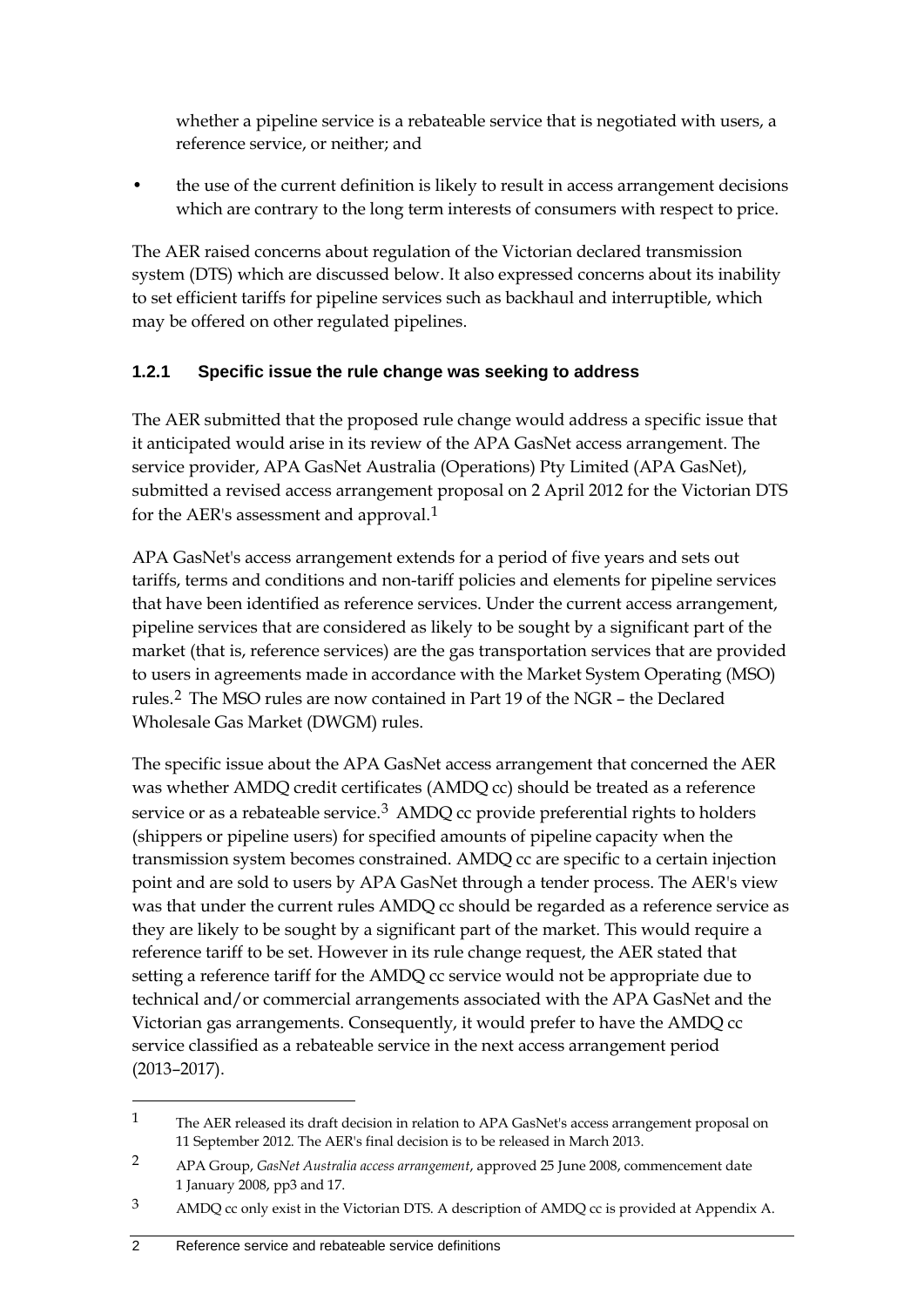whether a pipeline service is a rebateable service that is negotiated with users, a reference service, or neither; and

• the use of the current definition is likely to result in access arrangement decisions which are contrary to the long term interests of consumers with respect to price.

The AER raised concerns about regulation of the Victorian declared transmission system (DTS) which are discussed below. It also expressed concerns about its inability to set efficient tariffs for pipeline services such as backhaul and interruptible, which may be offered on other regulated pipelines.

## **1.2.1 Specific issue the rule change was seeking to address**

The AER submitted that the proposed rule change would address a specific issue that it anticipated would arise in its review of the APA GasNet access arrangement. The service provider, APA GasNet Australia (Operations) Pty Limited (APA GasNet), submitted a revised access arrangement proposal on 2 April 2012 for the Victorian DTS for the AER's assessment and approval.[1](#page-9-0)

APA GasNet's access arrangement extends for a period of five years and sets out tariffs, terms and conditions and non-tariff policies and elements for pipeline services that have been identified as reference services. Under the current access arrangement, pipeline services that are considered as likely to be sought by a significant part of the market (that is, reference services) are the gas transportation services that are provided to users in agreements made in accordance with the Market System Operating (MSO) rules.[2](#page-9-1) The MSO rules are now contained in Part 19 of the NGR – the Declared Wholesale Gas Market (DWGM) rules.

The specific issue about the APA GasNet access arrangement that concerned the AER was whether AMDQ credit certificates (AMDQ cc) should be treated as a reference service or as a rebateable service.<sup>[3](#page-9-2)</sup> AMDQ cc provide preferential rights to holders (shippers or pipeline users) for specified amounts of pipeline capacity when the transmission system becomes constrained. AMDQ cc are specific to a certain injection point and are sold to users by APA GasNet through a tender process. The AER's view was that under the current rules AMDQ cc should be regarded as a reference service as they are likely to be sought by a significant part of the market. This would require a reference tariff to be set. However in its rule change request, the AER stated that setting a reference tariff for the AMDQ cc service would not be appropriate due to technical and/or commercial arrangements associated with the APA GasNet and the Victorian gas arrangements. Consequently, it would prefer to have the AMDQ cc service classified as a rebateable service in the next access arrangement period (2013–2017).

<span id="page-9-0"></span><sup>&</sup>lt;sup>1</sup> The AER released its draft decision in relation to APA GasNet's access arrangement proposal on 11 September 2012. The AER's final decision is to be released in March 2013.

<span id="page-9-1"></span><sup>2</sup> APA Group, *GasNet Australia access arrangement*, approved 25 June 2008, commencement date 1 January 2008, pp3 and 17.

<span id="page-9-2"></span><sup>3</sup> AMDQ cc only exist in the Victorian DTS. A description of AMDQ cc is provided at Appendix A.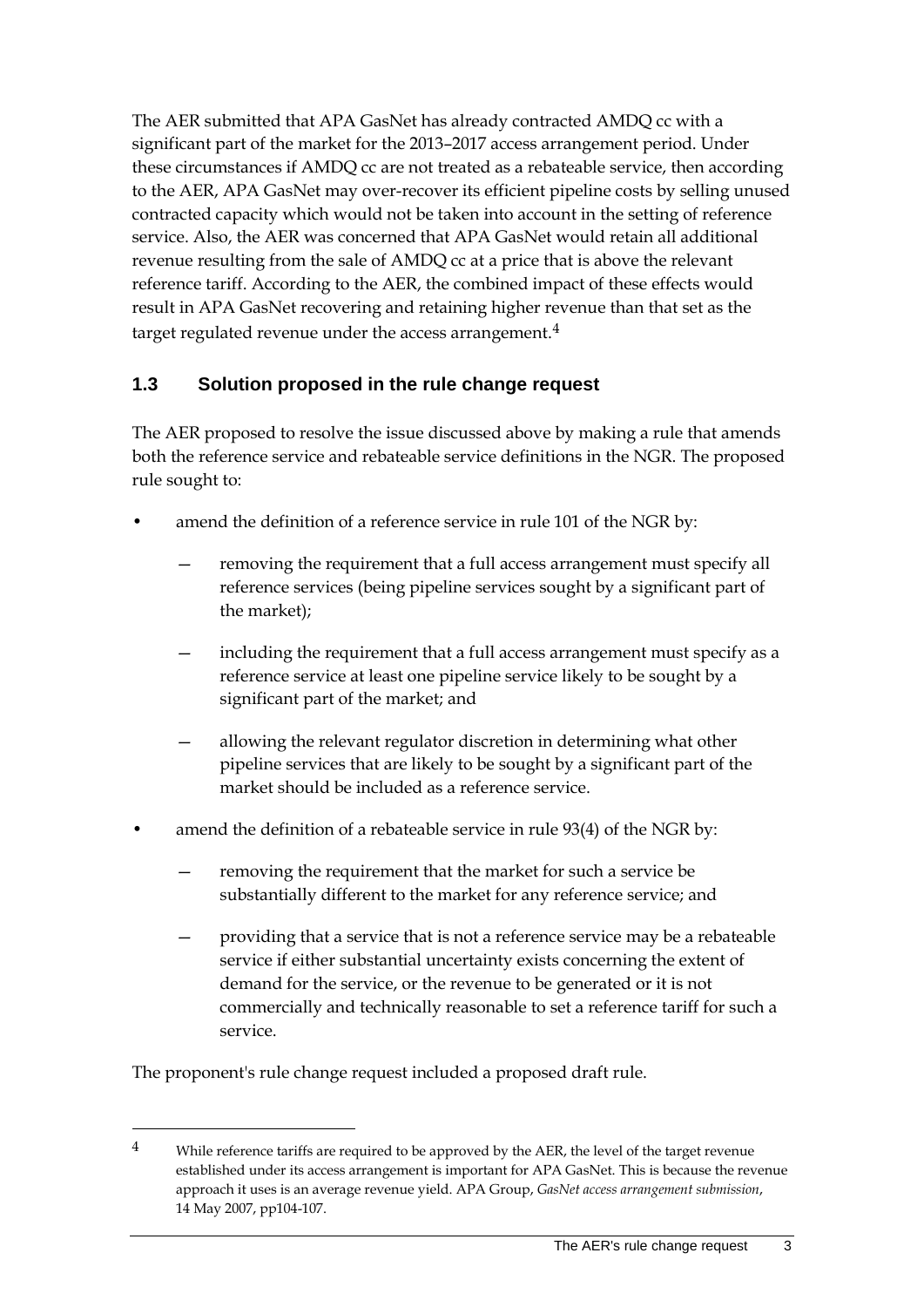The AER submitted that APA GasNet has already contracted AMDQ cc with a significant part of the market for the 2013–2017 access arrangement period. Under these circumstances if AMDQ cc are not treated as a rebateable service, then according to the AER, APA GasNet may over-recover its efficient pipeline costs by selling unused contracted capacity which would not be taken into account in the setting of reference service. Also, the AER was concerned that APA GasNet would retain all additional revenue resulting from the sale of AMDQ cc at a price that is above the relevant reference tariff. According to the AER, the combined impact of these effects would result in APA GasNet recovering and retaining higher revenue than that set as the target regulated revenue under the access arrangement.<sup>[4](#page-10-1)</sup>

### <span id="page-10-0"></span>**1.3 Solution proposed in the rule change request**

The AER proposed to resolve the issue discussed above by making a rule that amends both the reference service and rebateable service definitions in the NGR. The proposed rule sought to:

- amend the definition of a reference service in rule 101 of the NGR by:
	- removing the requirement that a full access arrangement must specify all reference services (being pipeline services sought by a significant part of the market);
	- including the requirement that a full access arrangement must specify as a reference service at least one pipeline service likely to be sought by a significant part of the market; and
	- allowing the relevant regulator discretion in determining what other pipeline services that are likely to be sought by a significant part of the market should be included as a reference service.
- amend the definition of a rebateable service in rule 93(4) of the NGR by:
	- removing the requirement that the market for such a service be substantially different to the market for any reference service; and
	- providing that a service that is not a reference service may be a rebateable service if either substantial uncertainty exists concerning the extent of demand for the service, or the revenue to be generated or it is not commercially and technically reasonable to set a reference tariff for such a service.

The proponent's rule change request included a proposed draft rule.

<span id="page-10-1"></span><sup>&</sup>lt;sup>4</sup> While reference tariffs are required to be approved by the AER, the level of the target revenue established under its access arrangement is important for APA GasNet. This is because the revenue approach it uses is an average revenue yield. APA Group, *GasNet access arrangement submission*, 14 May 2007, pp104-107.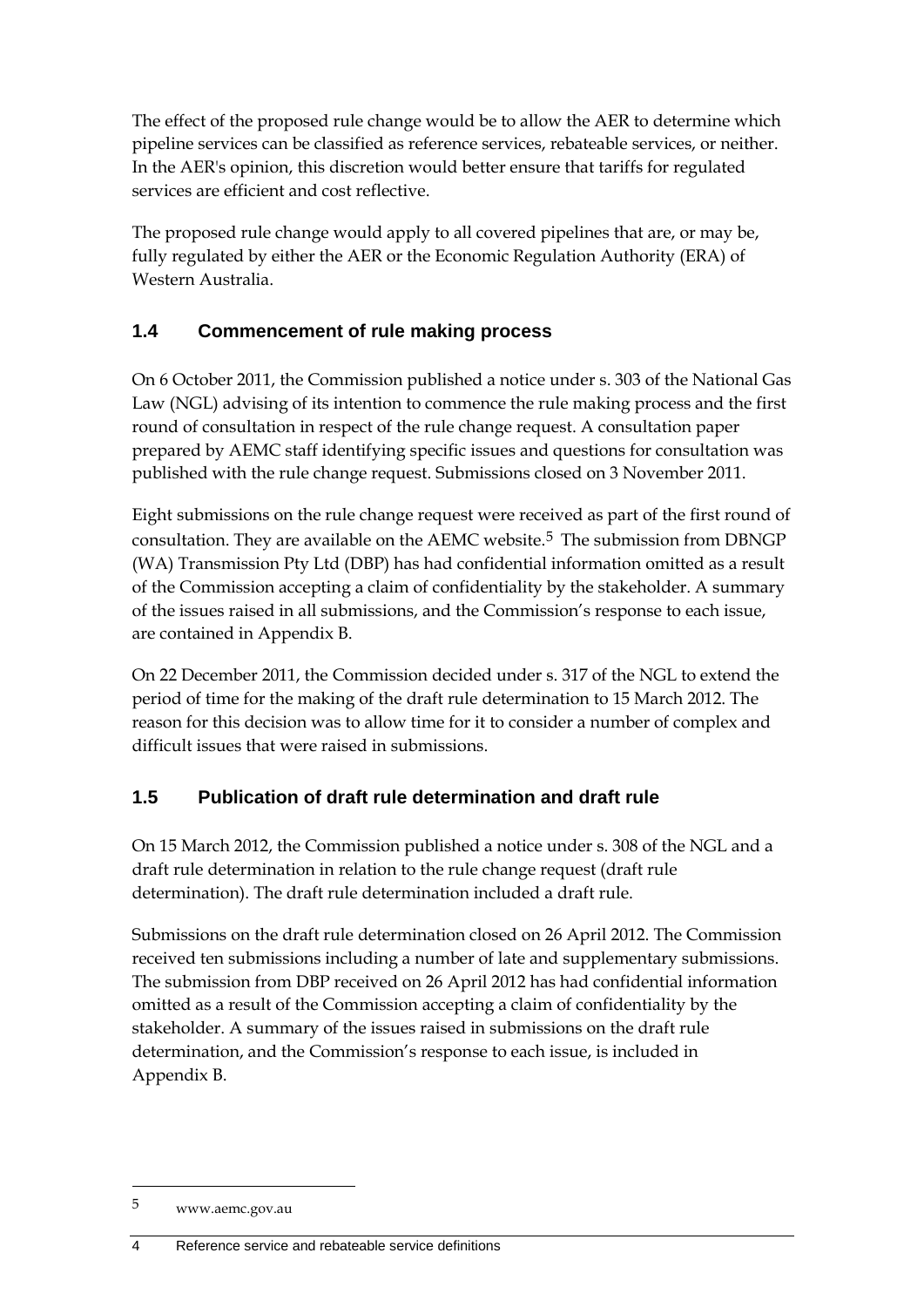The effect of the proposed rule change would be to allow the AER to determine which pipeline services can be classified as reference services, rebateable services, or neither. In the AER's opinion, this discretion would better ensure that tariffs for regulated services are efficient and cost reflective.

The proposed rule change would apply to all covered pipelines that are, or may be, fully regulated by either the AER or the Economic Regulation Authority (ERA) of Western Australia.

## <span id="page-11-0"></span>**1.4 Commencement of rule making process**

On 6 October 2011, the Commission published a notice under s. 303 of the National Gas Law (NGL) advising of its intention to commence the rule making process and the first round of consultation in respect of the rule change request. A consultation paper prepared by AEMC staff identifying specific issues and questions for consultation was published with the rule change request. Submissions closed on 3 November 2011.

Eight submissions on the rule change request were received as part of the first round of consultation. They are available on the AEMC website.<sup>[5](#page-11-2)</sup> The submission from DBNGP (WA) Transmission Pty Ltd (DBP) has had confidential information omitted as a result of the Commission accepting a claim of confidentiality by the stakeholder. A summary of the issues raised in all submissions, and the Commission's response to each issue, are contained in Appendix B.

On 22 December 2011, the Commission decided under s. 317 of the NGL to extend the period of time for the making of the draft rule determination to 15 March 2012. The reason for this decision was to allow time for it to consider a number of complex and difficult issues that were raised in submissions.

## <span id="page-11-1"></span>**1.5 Publication of draft rule determination and draft rule**

On 15 March 2012, the Commission published a notice under s. 308 of the NGL and a draft rule determination in relation to the rule change request (draft rule determination). The draft rule determination included a draft rule.

Submissions on the draft rule determination closed on 26 April 2012. The Commission received ten submissions including a number of late and supplementary submissions. The submission from DBP received on 26 April 2012 has had confidential information omitted as a result of the Commission accepting a claim of confidentiality by the stakeholder. A summary of the issues raised in submissions on the draft rule determination, and the Commission's response to each issue, is included in Appendix B.

<span id="page-11-2"></span><sup>5</sup> www.aemc.gov.au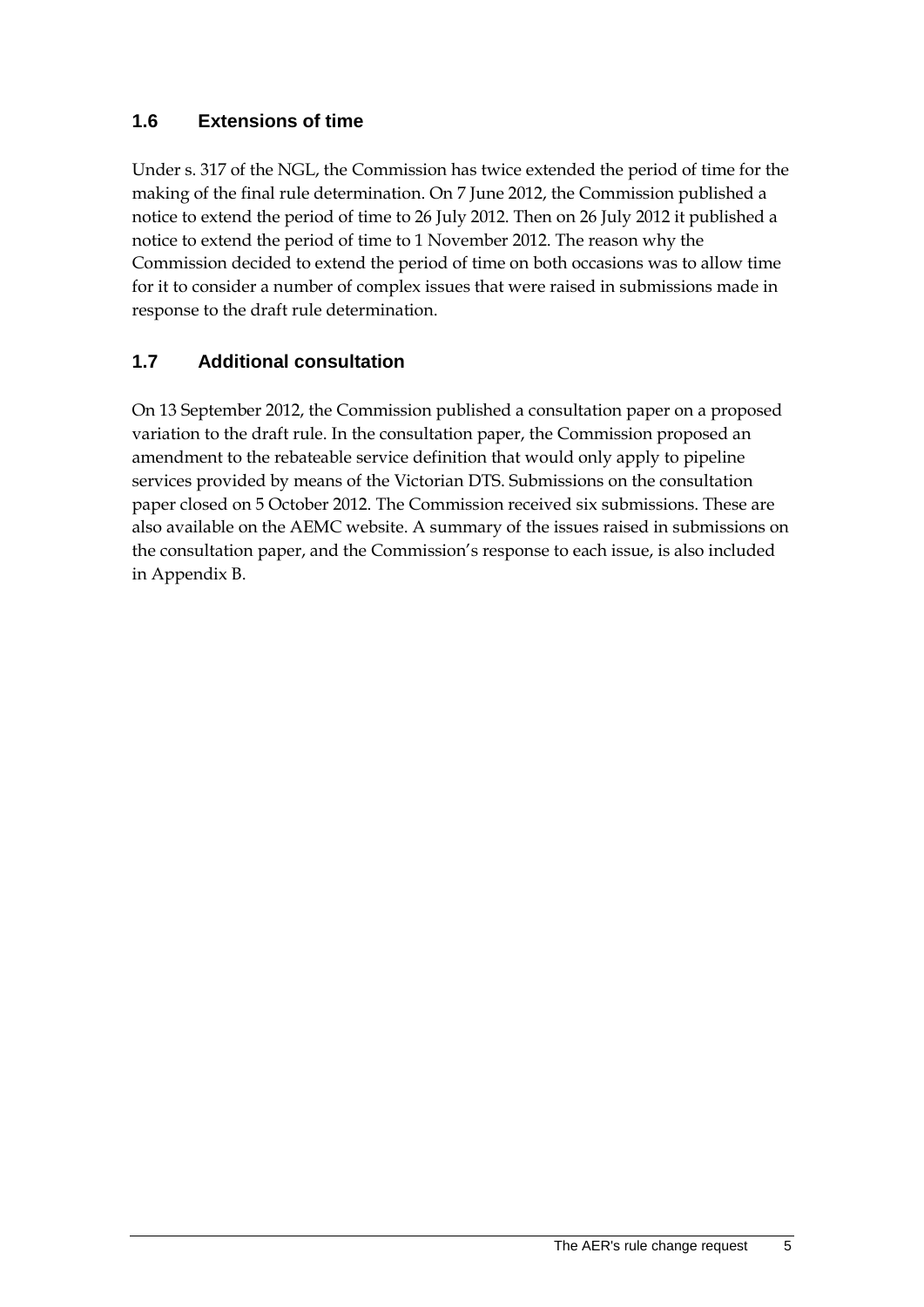## <span id="page-12-0"></span>**1.6 Extensions of time**

Under s. 317 of the NGL, the Commission has twice extended the period of time for the making of the final rule determination. On 7 June 2012, the Commission published a notice to extend the period of time to 26 July 2012. Then on 26 July 2012 it published a notice to extend the period of time to 1 November 2012. The reason why the Commission decided to extend the period of time on both occasions was to allow time for it to consider a number of complex issues that were raised in submissions made in response to the draft rule determination.

## <span id="page-12-1"></span>**1.7 Additional consultation**

On 13 September 2012, the Commission published a consultation paper on a proposed variation to the draft rule. In the consultation paper, the Commission proposed an amendment to the rebateable service definition that would only apply to pipeline services provided by means of the Victorian DTS. Submissions on the consultation paper closed on 5 October 2012. The Commission received six submissions. These are also available on the AEMC website. A summary of the issues raised in submissions on the consultation paper, and the Commission's response to each issue, is also included in Appendix B.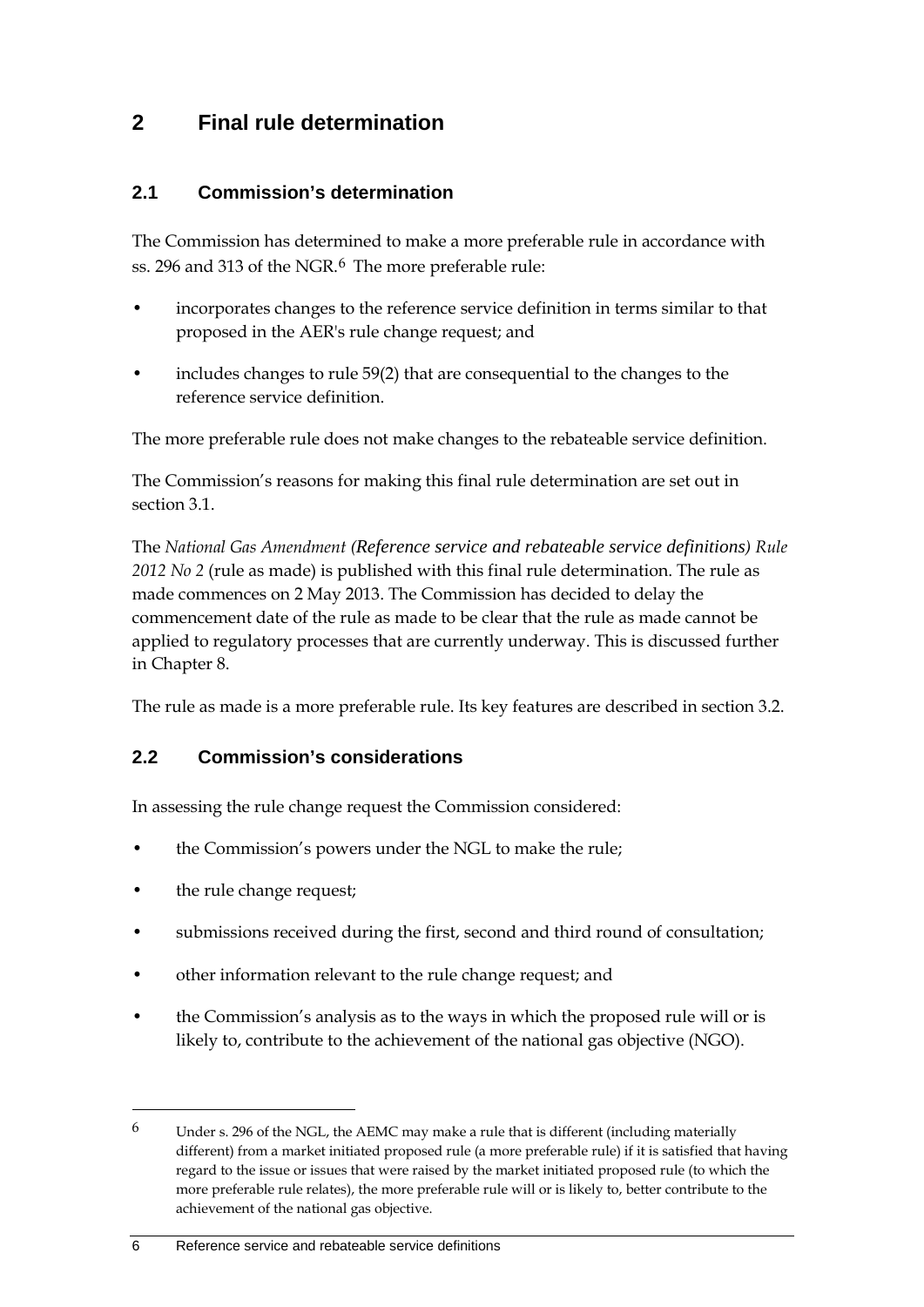## <span id="page-13-0"></span>**2 Final rule determination**

#### <span id="page-13-1"></span>**2.1 Commission's determination**

The Commission has determined to make a more preferable rule in accordance with ss. 29[6](#page-13-3) and 313 of the NGR.<sup>6</sup> The more preferable rule:

- incorporates changes to the reference service definition in terms similar to that proposed in the AER's rule change request; and
- includes changes to rule 59(2) that are consequential to the changes to the reference service definition.

The more preferable rule does not make changes to the rebateable service definition.

The Commission's reasons for making this final rule determination are set out in section 3.1.

The *National Gas Amendment (Reference service and rebateable service definitions) Rule 2012 No 2* (rule as made) is published with this final rule determination. The rule as made commences on 2 May 2013. The Commission has decided to delay the commencement date of the rule as made to be clear that the rule as made cannot be applied to regulatory processes that are currently underway. This is discussed further in Chapter 8.

The rule as made is a more preferable rule. Its key features are described in section 3.2.

#### <span id="page-13-2"></span>**2.2 Commission's considerations**

In assessing the rule change request the Commission considered:

- the Commission's powers under the NGL to make the rule;
- the rule change request;

- submissions received during the first, second and third round of consultation;
- other information relevant to the rule change request; and
- the Commission's analysis as to the ways in which the proposed rule will or is likely to, contribute to the achievement of the national gas objective (NGO).

<span id="page-13-3"></span> $6$  Under s. 296 of the NGL, the AEMC may make a rule that is different (including materially different) from a market initiated proposed rule (a more preferable rule) if it is satisfied that having regard to the issue or issues that were raised by the market initiated proposed rule (to which the more preferable rule relates), the more preferable rule will or is likely to, better contribute to the achievement of the national gas objective.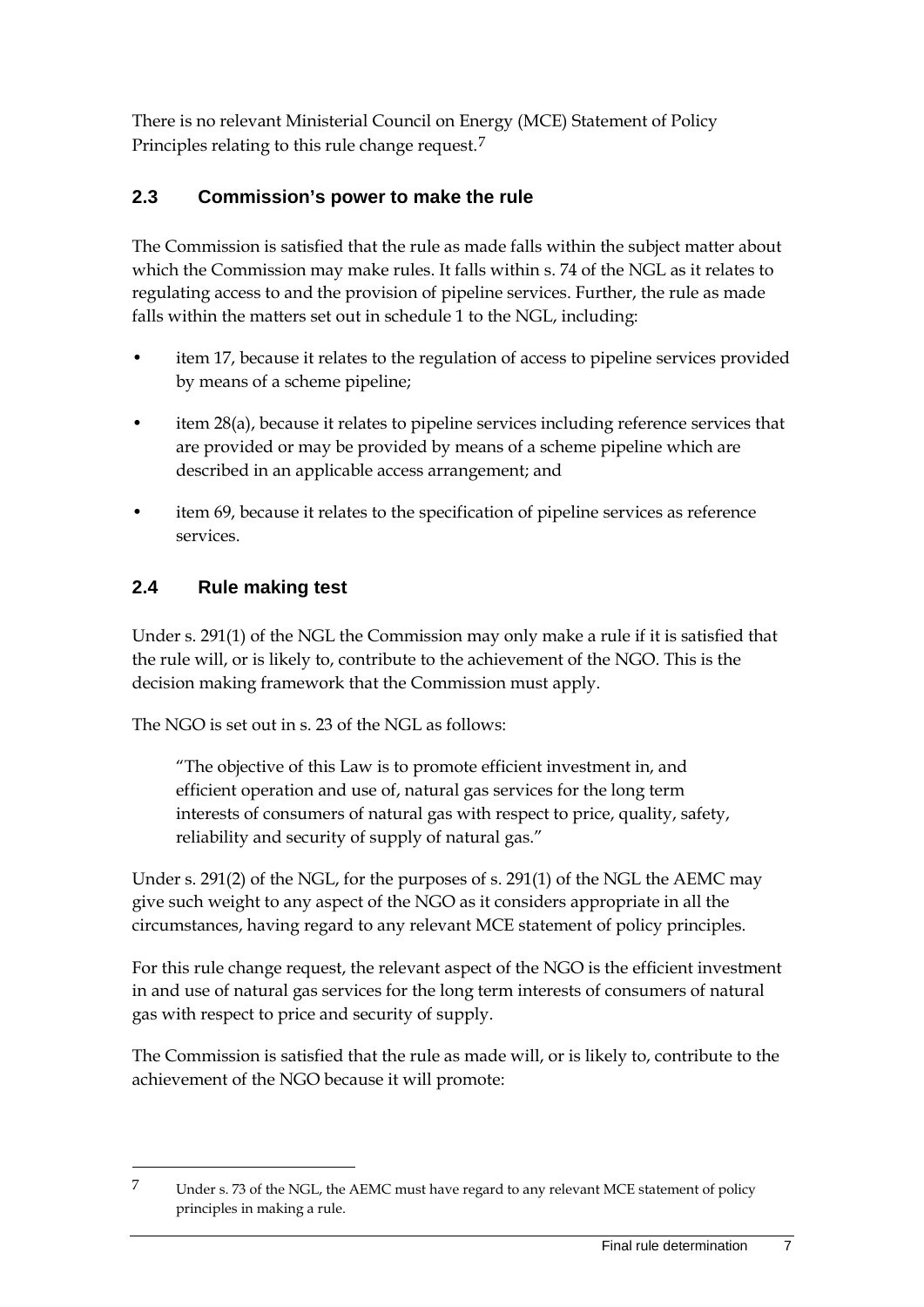There is no relevant Ministerial Council on Energy (MCE) Statement of Policy Principles relating to this rule change request.[7](#page-14-2)

## <span id="page-14-0"></span>**2.3 Commission's power to make the rule**

The Commission is satisfied that the rule as made falls within the subject matter about which the Commission may make rules. It falls within s. 74 of the NGL as it relates to regulating access to and the provision of pipeline services. Further, the rule as made falls within the matters set out in schedule 1 to the NGL, including:

- item 17, because it relates to the regulation of access to pipeline services provided by means of a scheme pipeline;
- item 28(a), because it relates to pipeline services including reference services that are provided or may be provided by means of a scheme pipeline which are described in an applicable access arrangement; and
- item 69, because it relates to the specification of pipeline services as reference services.

## <span id="page-14-1"></span>**2.4 Rule making test**

-

Under s. 291(1) of the NGL the Commission may only make a rule if it is satisfied that the rule will, or is likely to, contribute to the achievement of the NGO. This is the decision making framework that the Commission must apply.

The NGO is set out in s. 23 of the NGL as follows:

"The objective of this Law is to promote efficient investment in, and efficient operation and use of, natural gas services for the long term interests of consumers of natural gas with respect to price, quality, safety, reliability and security of supply of natural gas."

Under s. 291(2) of the NGL, for the purposes of s. 291(1) of the NGL the AEMC may give such weight to any aspect of the NGO as it considers appropriate in all the circumstances, having regard to any relevant MCE statement of policy principles.

For this rule change request, the relevant aspect of the NGO is the efficient investment in and use of natural gas services for the long term interests of consumers of natural gas with respect to price and security of supply.

The Commission is satisfied that the rule as made will, or is likely to, contribute to the achievement of the NGO because it will promote:

<span id="page-14-2"></span><sup>7</sup> Under s. 73 of the NGL, the AEMC must have regard to any relevant MCE statement of policy principles in making a rule.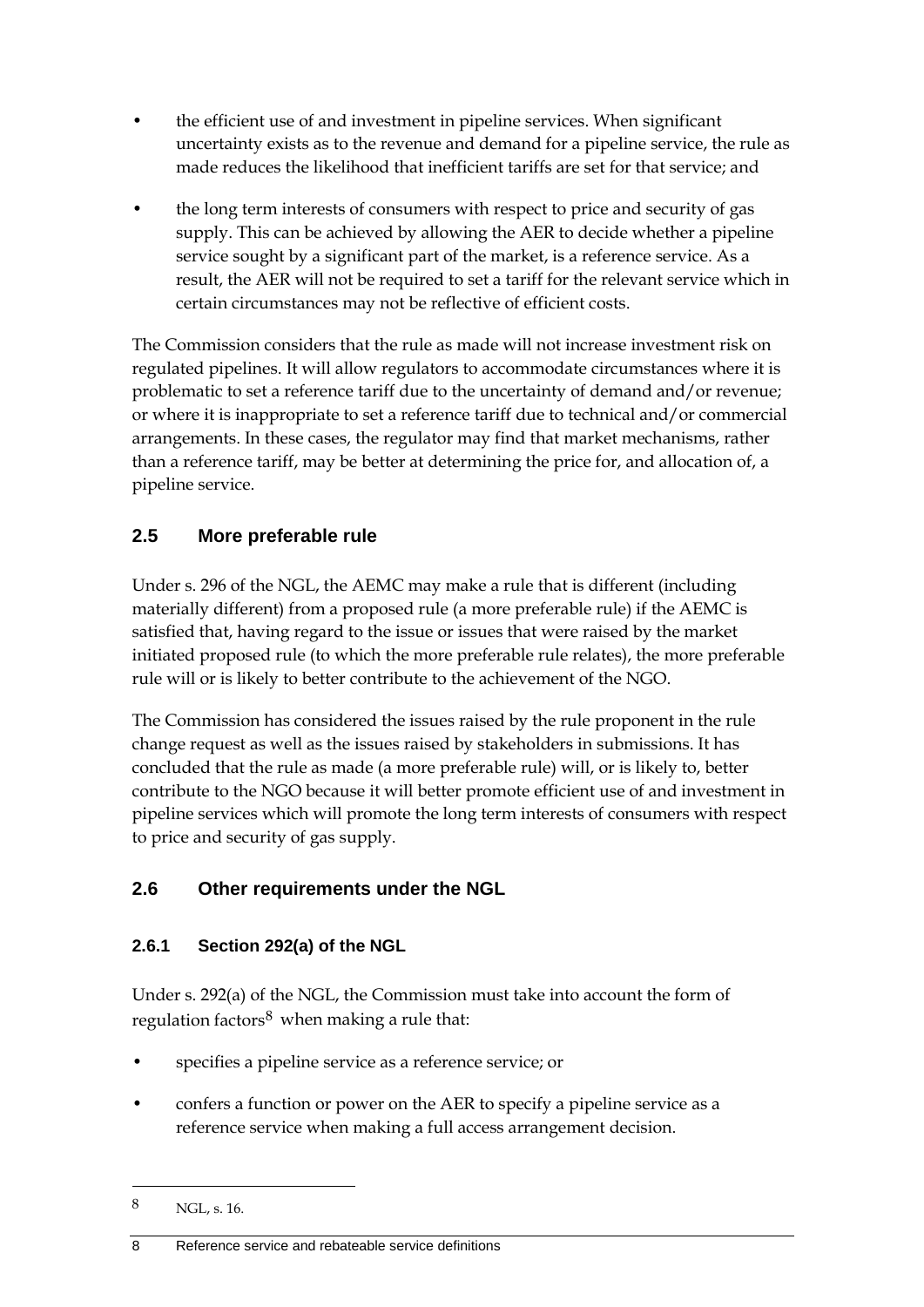- the efficient use of and investment in pipeline services. When significant uncertainty exists as to the revenue and demand for a pipeline service, the rule as made reduces the likelihood that inefficient tariffs are set for that service; and
- the long term interests of consumers with respect to price and security of gas supply. This can be achieved by allowing the AER to decide whether a pipeline service sought by a significant part of the market, is a reference service. As a result, the AER will not be required to set a tariff for the relevant service which in certain circumstances may not be reflective of efficient costs.

The Commission considers that the rule as made will not increase investment risk on regulated pipelines. It will allow regulators to accommodate circumstances where it is problematic to set a reference tariff due to the uncertainty of demand and/or revenue; or where it is inappropriate to set a reference tariff due to technical and/or commercial arrangements. In these cases, the regulator may find that market mechanisms, rather than a reference tariff, may be better at determining the price for, and allocation of, a pipeline service.

## <span id="page-15-0"></span>**2.5 More preferable rule**

Under s. 296 of the NGL, the AEMC may make a rule that is different (including materially different) from a proposed rule (a more preferable rule) if the AEMC is satisfied that, having regard to the issue or issues that were raised by the market initiated proposed rule (to which the more preferable rule relates), the more preferable rule will or is likely to better contribute to the achievement of the NGO.

The Commission has considered the issues raised by the rule proponent in the rule change request as well as the issues raised by stakeholders in submissions. It has concluded that the rule as made (a more preferable rule) will, or is likely to, better contribute to the NGO because it will better promote efficient use of and investment in pipeline services which will promote the long term interests of consumers with respect to price and security of gas supply.

## <span id="page-15-1"></span>**2.6 Other requirements under the NGL**

## **2.6.1 Section 292(a) of the NGL**

Under s. 292(a) of the NGL, the Commission must take into account the form of regulation factors $8$  when making a rule that:

- specifies a pipeline service as a reference service; or
- confers a function or power on the AER to specify a pipeline service as a reference service when making a full access arrangement decision.

<span id="page-15-2"></span><sup>8</sup> NGL, s. 16.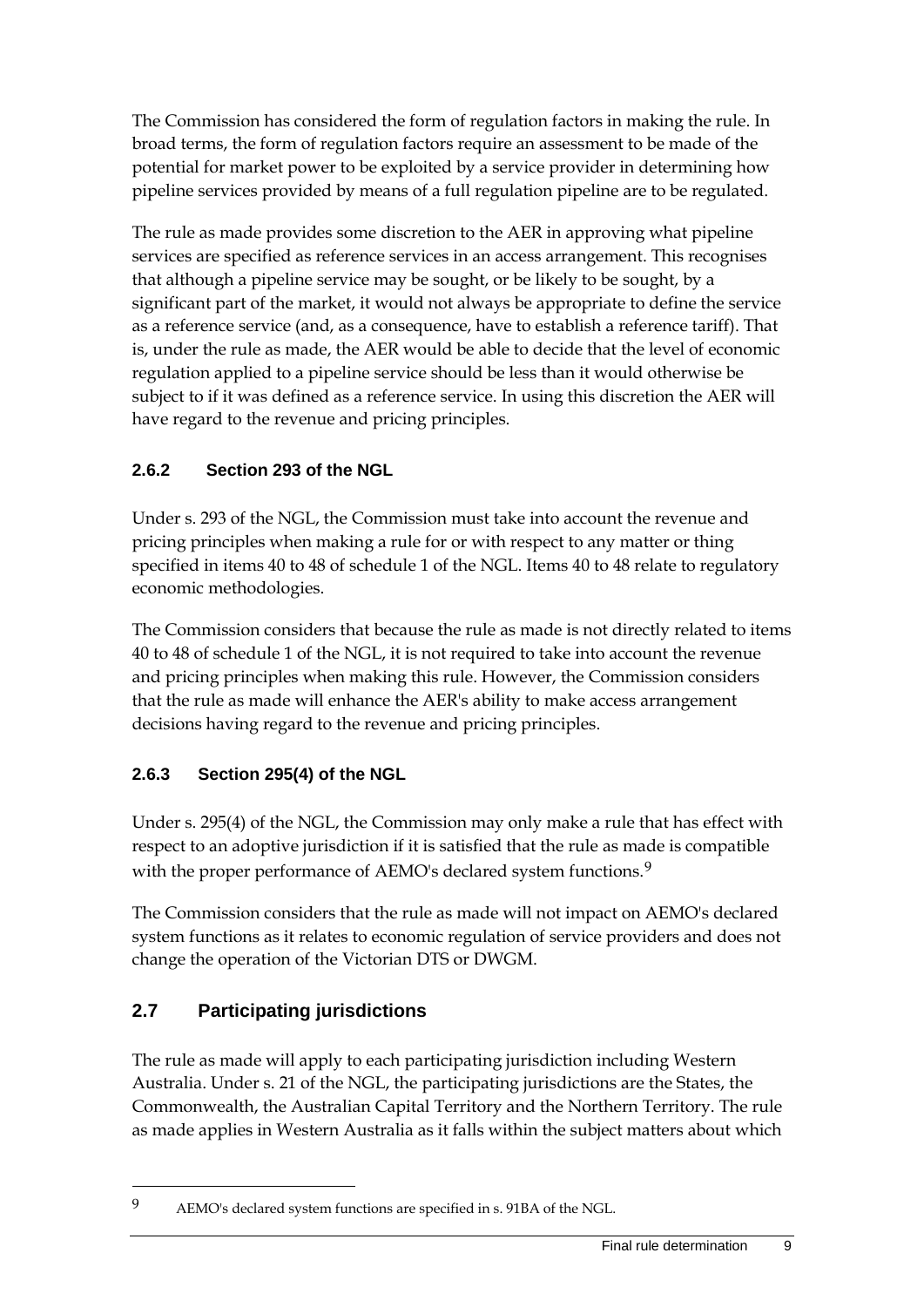The Commission has considered the form of regulation factors in making the rule. In broad terms, the form of regulation factors require an assessment to be made of the potential for market power to be exploited by a service provider in determining how pipeline services provided by means of a full regulation pipeline are to be regulated.

The rule as made provides some discretion to the AER in approving what pipeline services are specified as reference services in an access arrangement. This recognises that although a pipeline service may be sought, or be likely to be sought, by a significant part of the market, it would not always be appropriate to define the service as a reference service (and, as a consequence, have to establish a reference tariff). That is, under the rule as made, the AER would be able to decide that the level of economic regulation applied to a pipeline service should be less than it would otherwise be subject to if it was defined as a reference service. In using this discretion the AER will have regard to the revenue and pricing principles.

## **2.6.2 Section 293 of the NGL**

Under s. 293 of the NGL, the Commission must take into account the revenue and pricing principles when making a rule for or with respect to any matter or thing specified in items 40 to 48 of schedule 1 of the NGL. Items 40 to 48 relate to regulatory economic methodologies.

The Commission considers that because the rule as made is not directly related to items 40 to 48 of schedule 1 of the NGL, it is not required to take into account the revenue and pricing principles when making this rule. However, the Commission considers that the rule as made will enhance the AER's ability to make access arrangement decisions having regard to the revenue and pricing principles.

## **2.6.3 Section 295(4) of the NGL**

Under s. 295(4) of the NGL, the Commission may only make a rule that has effect with respect to an adoptive jurisdiction if it is satisfied that the rule as made is compatible with the proper performance of AEMO's declared system functions.<sup>[9](#page-16-1)</sup>

The Commission considers that the rule as made will not impact on AEMO's declared system functions as it relates to economic regulation of service providers and does not change the operation of the Victorian DTS or DWGM.

## <span id="page-16-0"></span>**2.7 Participating jurisdictions**

-

The rule as made will apply to each participating jurisdiction including Western Australia. Under s. 21 of the NGL, the participating jurisdictions are the States, the Commonwealth, the Australian Capital Territory and the Northern Territory. The rule as made applies in Western Australia as it falls within the subject matters about which

<span id="page-16-1"></span><sup>9</sup> AEMO's declared system functions are specified in s. 91BA of the NGL.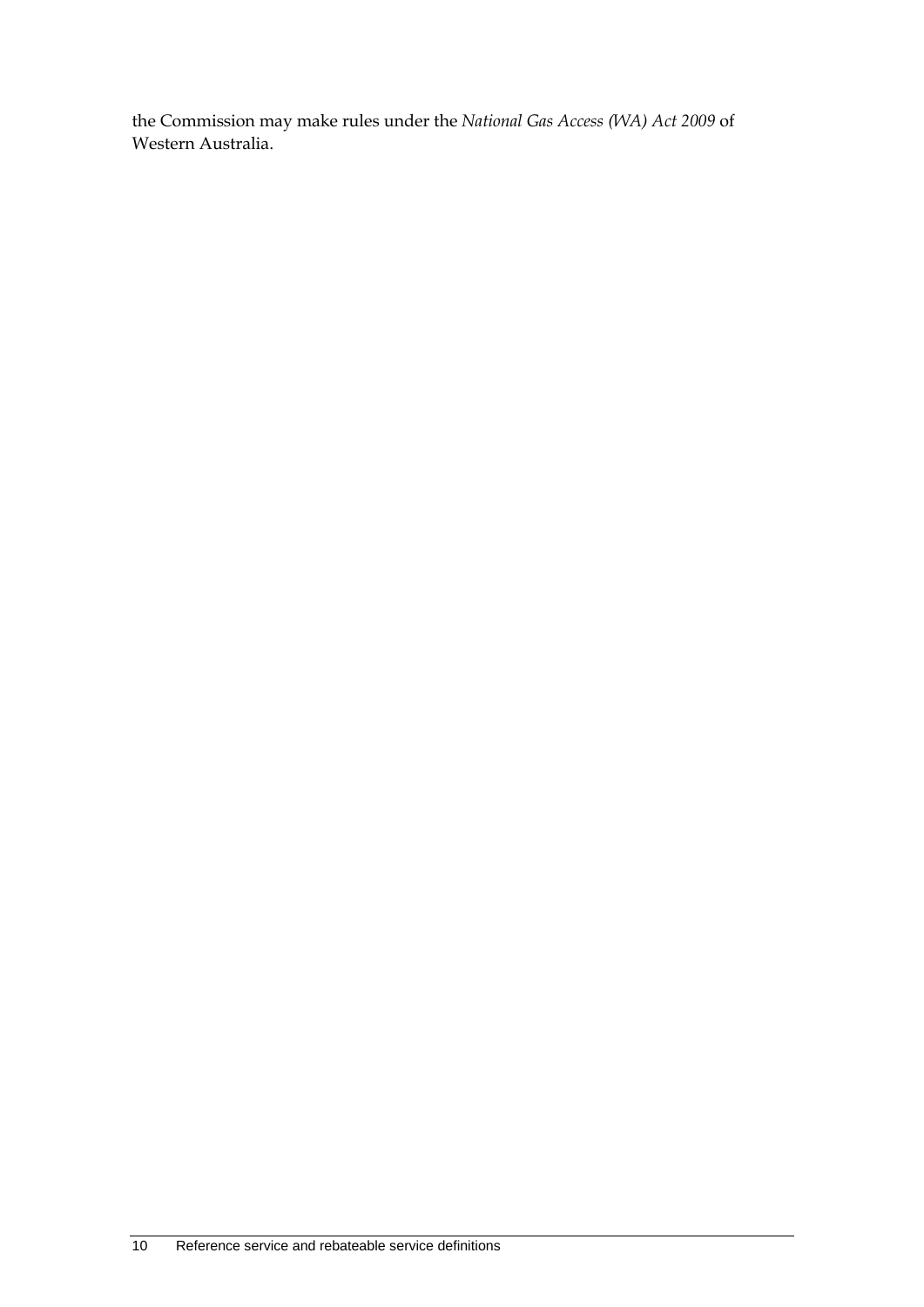the Commission may make rules under the *National Gas Access (WA) Act 2009* of Western Australia.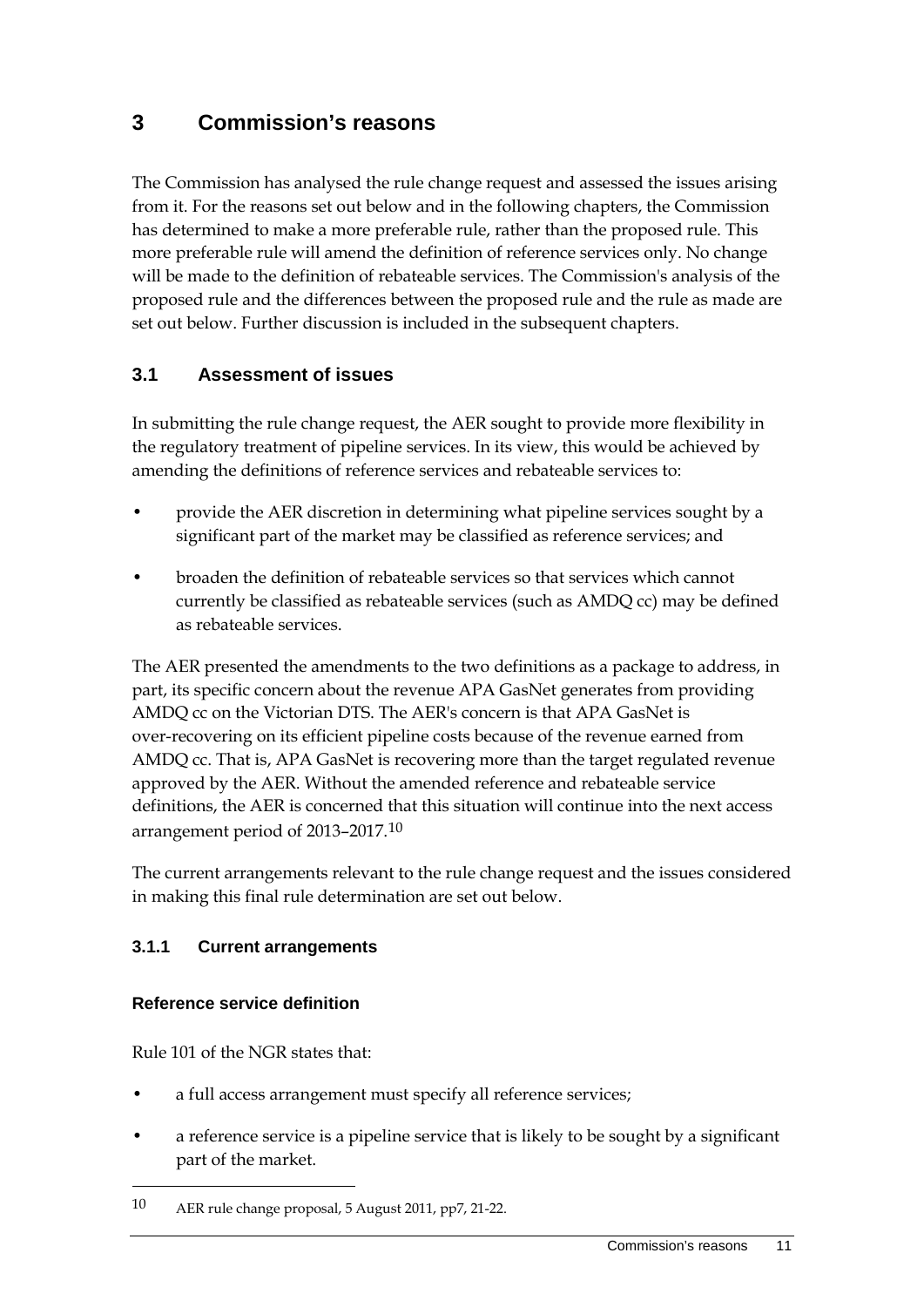## <span id="page-18-0"></span>**3 Commission's reasons**

The Commission has analysed the rule change request and assessed the issues arising from it. For the reasons set out below and in the following chapters, the Commission has determined to make a more preferable rule, rather than the proposed rule. This more preferable rule will amend the definition of reference services only. No change will be made to the definition of rebateable services. The Commission's analysis of the proposed rule and the differences between the proposed rule and the rule as made are set out below. Further discussion is included in the subsequent chapters.

## <span id="page-18-1"></span>**3.1 Assessment of issues**

In submitting the rule change request, the AER sought to provide more flexibility in the regulatory treatment of pipeline services. In its view, this would be achieved by amending the definitions of reference services and rebateable services to:

- provide the AER discretion in determining what pipeline services sought by a significant part of the market may be classified as reference services; and
- broaden the definition of rebateable services so that services which cannot currently be classified as rebateable services (such as AMDQ cc) may be defined as rebateable services.

The AER presented the amendments to the two definitions as a package to address, in part, its specific concern about the revenue APA GasNet generates from providing AMDQ cc on the Victorian DTS. The AER's concern is that APA GasNet is over-recovering on its efficient pipeline costs because of the revenue earned from AMDQ cc. That is, APA GasNet is recovering more than the target regulated revenue approved by the AER. Without the amended reference and rebateable service definitions, the AER is concerned that this situation will continue into the next access arrangement period of 2013–2017.<sup>[10](#page-18-2)</sup>

The current arrangements relevant to the rule change request and the issues considered in making this final rule determination are set out below.

#### **3.1.1 Current arrangements**

#### **Reference service definition**

Rule 101 of the NGR states that:

- a full access arrangement must specify all reference services;
- a reference service is a pipeline service that is likely to be sought by a significant part of the market.

<span id="page-18-2"></span><sup>10</sup> AER rule change proposal, 5 August 2011, pp7, 21-22.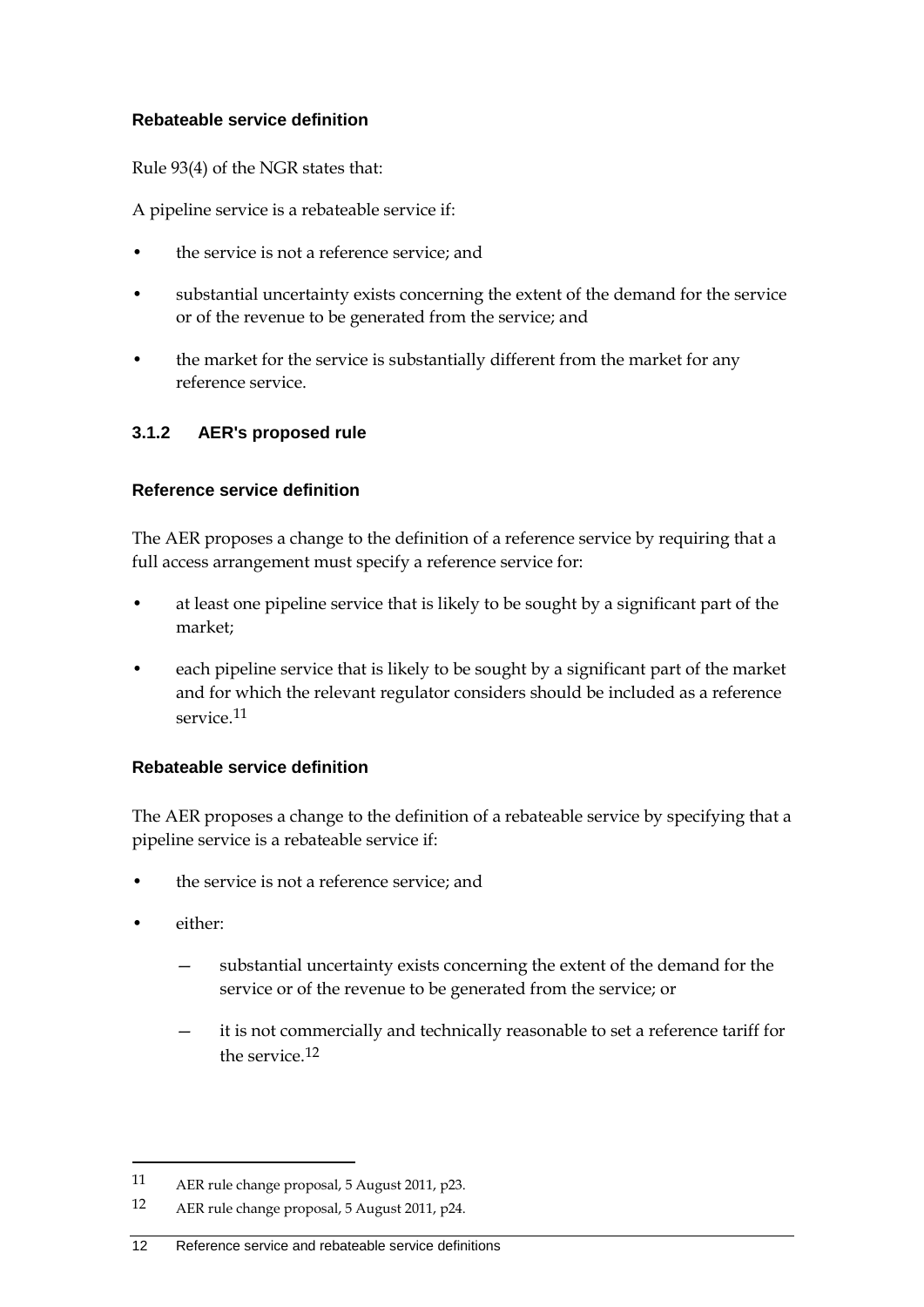#### **Rebateable service definition**

Rule 93(4) of the NGR states that:

A pipeline service is a rebateable service if:

- the service is not a reference service; and
- substantial uncertainty exists concerning the extent of the demand for the service or of the revenue to be generated from the service; and
- the market for the service is substantially different from the market for any reference service.

#### **3.1.2 AER's proposed rule**

#### **Reference service definition**

The AER proposes a change to the definition of a reference service by requiring that a full access arrangement must specify a reference service for:

- at least one pipeline service that is likely to be sought by a significant part of the market;
- each pipeline service that is likely to be sought by a significant part of the market and for which the relevant regulator considers should be included as a reference service.<sup>[11](#page-19-0)</sup>

#### **Rebateable service definition**

The AER proposes a change to the definition of a rebateable service by specifying that a pipeline service is a rebateable service if:

- the service is not a reference service; and
- either:

- substantial uncertainty exists concerning the extent of the demand for the service or of the revenue to be generated from the service; or
- it is not commercially and technically reasonable to set a reference tariff for the service [12](#page-19-1)

<span id="page-19-0"></span><sup>11</sup> AER rule change proposal, 5 August 2011, p23.

<span id="page-19-1"></span><sup>12</sup> AER rule change proposal, 5 August 2011, p24.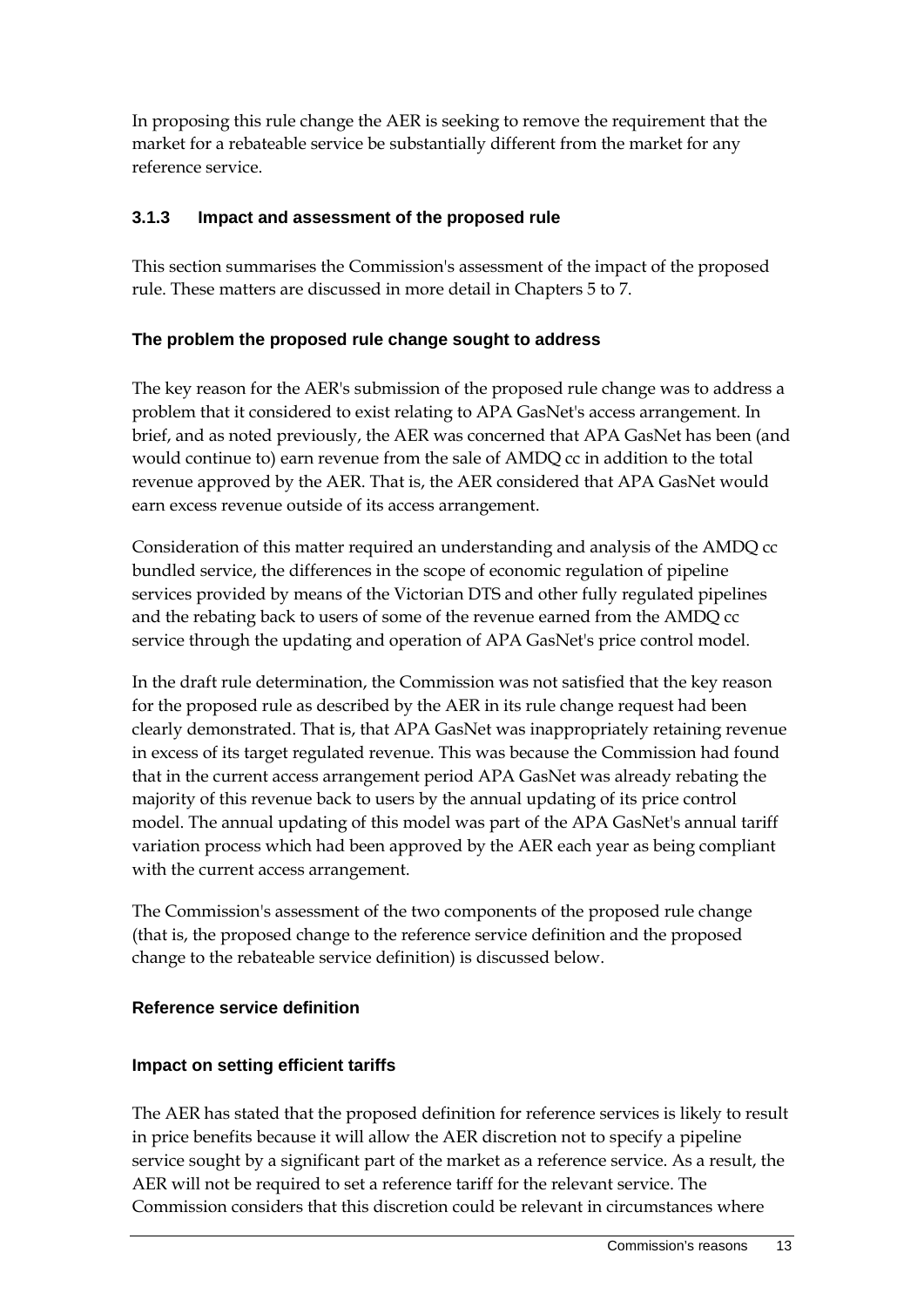In proposing this rule change the AER is seeking to remove the requirement that the market for a rebateable service be substantially different from the market for any reference service.

#### **3.1.3 Impact and assessment of the proposed rule**

This section summarises the Commission's assessment of the impact of the proposed rule. These matters are discussed in more detail in Chapters 5 to 7.

#### **The problem the proposed rule change sought to address**

The key reason for the AER's submission of the proposed rule change was to address a problem that it considered to exist relating to APA GasNet's access arrangement. In brief, and as noted previously, the AER was concerned that APA GasNet has been (and would continue to) earn revenue from the sale of AMDQ cc in addition to the total revenue approved by the AER. That is, the AER considered that APA GasNet would earn excess revenue outside of its access arrangement.

Consideration of this matter required an understanding and analysis of the AMDQ cc bundled service, the differences in the scope of economic regulation of pipeline services provided by means of the Victorian DTS and other fully regulated pipelines and the rebating back to users of some of the revenue earned from the AMDQ cc service through the updating and operation of APA GasNet's price control model.

In the draft rule determination, the Commission was not satisfied that the key reason for the proposed rule as described by the AER in its rule change request had been clearly demonstrated. That is, that APA GasNet was inappropriately retaining revenue in excess of its target regulated revenue. This was because the Commission had found that in the current access arrangement period APA GasNet was already rebating the majority of this revenue back to users by the annual updating of its price control model. The annual updating of this model was part of the APA GasNet's annual tariff variation process which had been approved by the AER each year as being compliant with the current access arrangement.

The Commission's assessment of the two components of the proposed rule change (that is, the proposed change to the reference service definition and the proposed change to the rebateable service definition) is discussed below.

#### **Reference service definition**

#### **Impact on setting efficient tariffs**

The AER has stated that the proposed definition for reference services is likely to result in price benefits because it will allow the AER discretion not to specify a pipeline service sought by a significant part of the market as a reference service. As a result, the AER will not be required to set a reference tariff for the relevant service. The Commission considers that this discretion could be relevant in circumstances where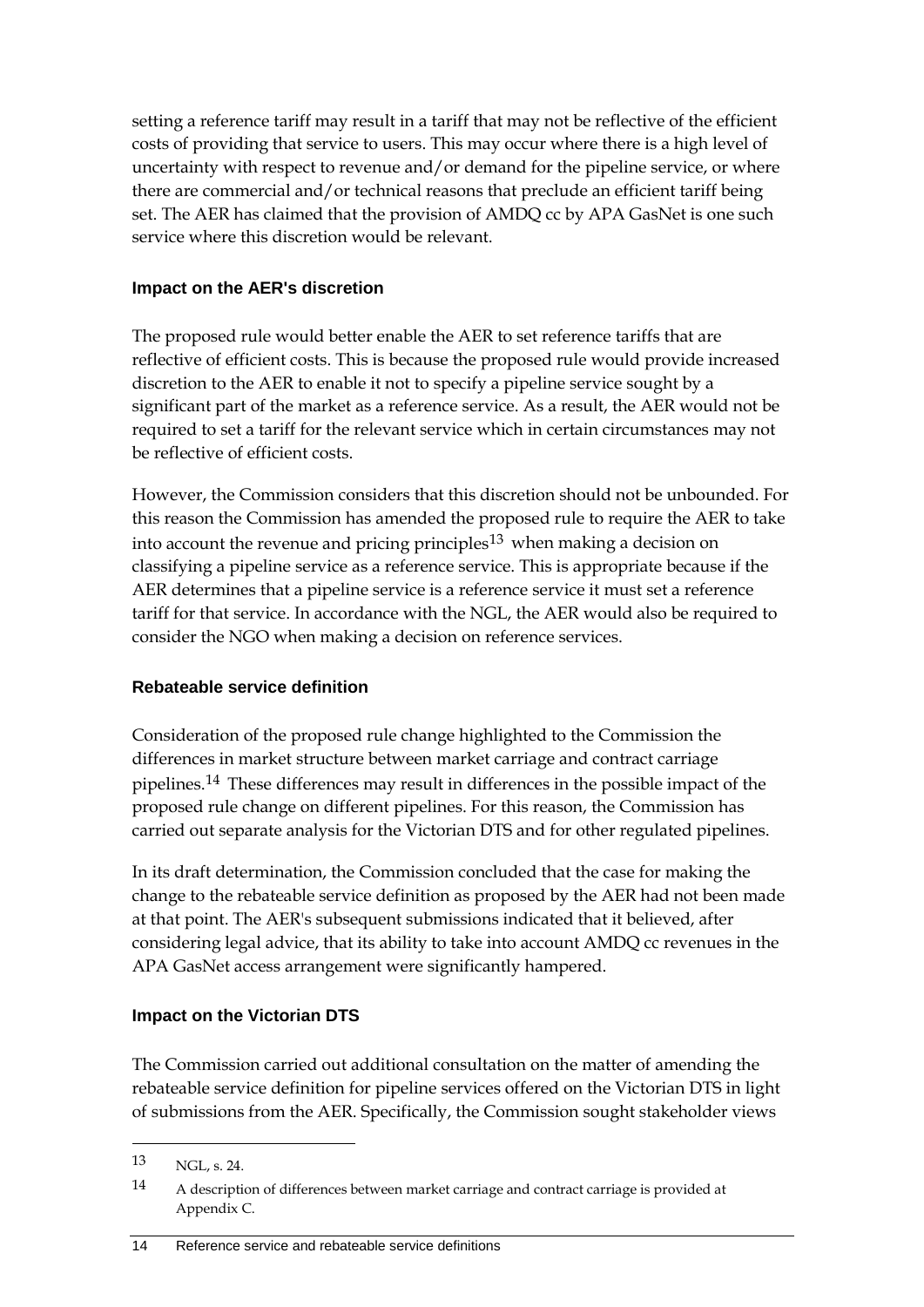setting a reference tariff may result in a tariff that may not be reflective of the efficient costs of providing that service to users. This may occur where there is a high level of uncertainty with respect to revenue and/or demand for the pipeline service, or where there are commercial and/or technical reasons that preclude an efficient tariff being set. The AER has claimed that the provision of AMDQ cc by APA GasNet is one such service where this discretion would be relevant.

#### **Impact on the AER's discretion**

The proposed rule would better enable the AER to set reference tariffs that are reflective of efficient costs. This is because the proposed rule would provide increased discretion to the AER to enable it not to specify a pipeline service sought by a significant part of the market as a reference service. As a result, the AER would not be required to set a tariff for the relevant service which in certain circumstances may not be reflective of efficient costs.

However, the Commission considers that this discretion should not be unbounded. For this reason the Commission has amended the proposed rule to require the AER to take into account the revenue and pricing principles<sup>[13](#page-21-0)</sup> when making a decision on classifying a pipeline service as a reference service. This is appropriate because if the AER determines that a pipeline service is a reference service it must set a reference tariff for that service. In accordance with the NGL, the AER would also be required to consider the NGO when making a decision on reference services.

#### **Rebateable service definition**

Consideration of the proposed rule change highlighted to the Commission the differences in market structure between market carriage and contract carriage pipelines.[14](#page-21-1) These differences may result in differences in the possible impact of the proposed rule change on different pipelines. For this reason, the Commission has carried out separate analysis for the Victorian DTS and for other regulated pipelines.

In its draft determination, the Commission concluded that the case for making the change to the rebateable service definition as proposed by the AER had not been made at that point. The AER's subsequent submissions indicated that it believed, after considering legal advice, that its ability to take into account AMDQ cc revenues in the APA GasNet access arrangement were significantly hampered.

#### **Impact on the Victorian DTS**

The Commission carried out additional consultation on the matter of amending the rebateable service definition for pipeline services offered on the Victorian DTS in light of submissions from the AER. Specifically, the Commission sought stakeholder views

<span id="page-21-0"></span><sup>13</sup> NGL, s. 24.

<span id="page-21-1"></span><sup>14</sup> A description of differences between market carriage and contract carriage is provided at Appendix C.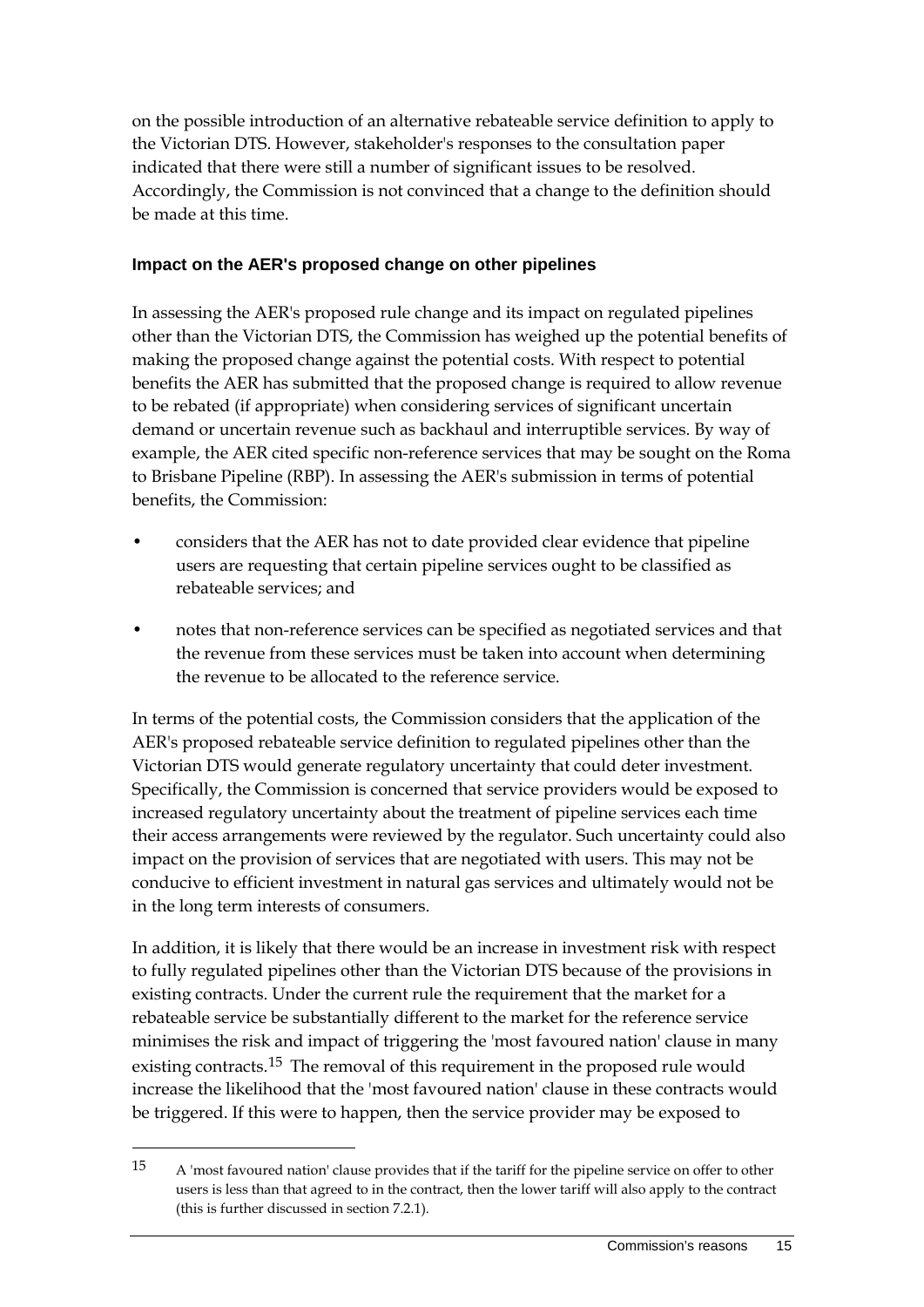on the possible introduction of an alternative rebateable service definition to apply to the Victorian DTS. However, stakeholder's responses to the consultation paper indicated that there were still a number of significant issues to be resolved. Accordingly, the Commission is not convinced that a change to the definition should be made at this time.

#### **Impact on the AER's proposed change on other pipelines**

In assessing the AER's proposed rule change and its impact on regulated pipelines other than the Victorian DTS, the Commission has weighed up the potential benefits of making the proposed change against the potential costs. With respect to potential benefits the AER has submitted that the proposed change is required to allow revenue to be rebated (if appropriate) when considering services of significant uncertain demand or uncertain revenue such as backhaul and interruptible services. By way of example, the AER cited specific non-reference services that may be sought on the Roma to Brisbane Pipeline (RBP). In assessing the AER's submission in terms of potential benefits, the Commission:

- considers that the AER has not to date provided clear evidence that pipeline users are requesting that certain pipeline services ought to be classified as rebateable services; and
- notes that non-reference services can be specified as negotiated services and that the revenue from these services must be taken into account when determining the revenue to be allocated to the reference service.

In terms of the potential costs, the Commission considers that the application of the AER's proposed rebateable service definition to regulated pipelines other than the Victorian DTS would generate regulatory uncertainty that could deter investment. Specifically, the Commission is concerned that service providers would be exposed to increased regulatory uncertainty about the treatment of pipeline services each time their access arrangements were reviewed by the regulator. Such uncertainty could also impact on the provision of services that are negotiated with users. This may not be conducive to efficient investment in natural gas services and ultimately would not be in the long term interests of consumers.

In addition, it is likely that there would be an increase in investment risk with respect to fully regulated pipelines other than the Victorian DTS because of the provisions in existing contracts. Under the current rule the requirement that the market for a rebateable service be substantially different to the market for the reference service minimises the risk and impact of triggering the 'most favoured nation' clause in many existing contracts.<sup>[15](#page-22-0)</sup> The removal of this requirement in the proposed rule would increase the likelihood that the 'most favoured nation' clause in these contracts would be triggered. If this were to happen, then the service provider may be exposed to

<span id="page-22-0"></span><sup>15</sup> A 'most favoured nation' clause provides that if the tariff for the pipeline service on offer to other users is less than that agreed to in the contract, then the lower tariff will also apply to the contract (this is further discussed in section 7.2.1).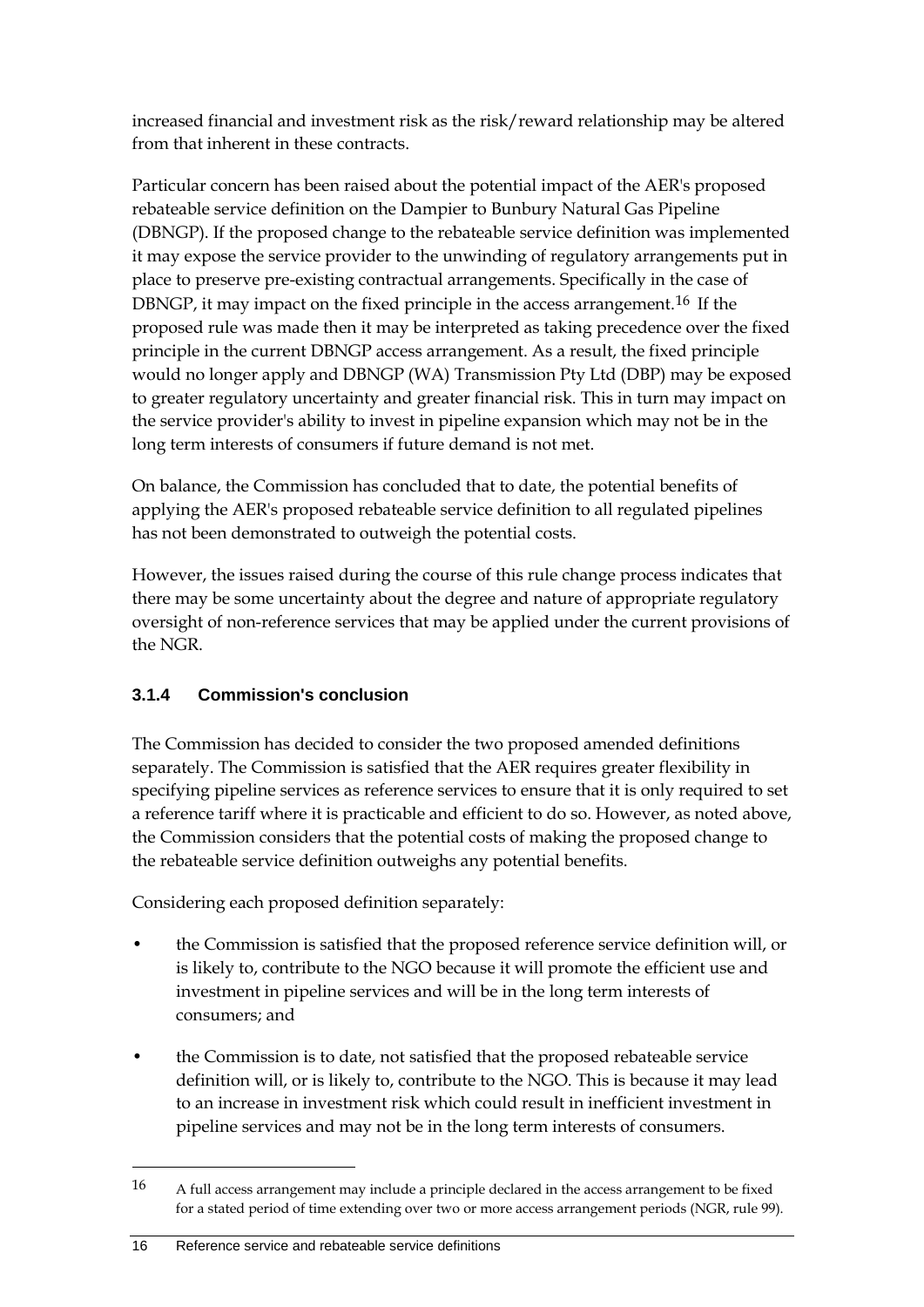increased financial and investment risk as the risk/reward relationship may be altered from that inherent in these contracts.

Particular concern has been raised about the potential impact of the AER's proposed rebateable service definition on the Dampier to Bunbury Natural Gas Pipeline (DBNGP). If the proposed change to the rebateable service definition was implemented it may expose the service provider to the unwinding of regulatory arrangements put in place to preserve pre-existing contractual arrangements. Specifically in the case of DBNGP, it may impact on the fixed principle in the access arrangement.[16](#page-23-0) If the proposed rule was made then it may be interpreted as taking precedence over the fixed principle in the current DBNGP access arrangement. As a result, the fixed principle would no longer apply and DBNGP (WA) Transmission Pty Ltd (DBP) may be exposed to greater regulatory uncertainty and greater financial risk. This in turn may impact on the service provider's ability to invest in pipeline expansion which may not be in the long term interests of consumers if future demand is not met.

On balance, the Commission has concluded that to date, the potential benefits of applying the AER's proposed rebateable service definition to all regulated pipelines has not been demonstrated to outweigh the potential costs.

However, the issues raised during the course of this rule change process indicates that there may be some uncertainty about the degree and nature of appropriate regulatory oversight of non-reference services that may be applied under the current provisions of the NGR.

## **3.1.4 Commission's conclusion**

The Commission has decided to consider the two proposed amended definitions separately. The Commission is satisfied that the AER requires greater flexibility in specifying pipeline services as reference services to ensure that it is only required to set a reference tariff where it is practicable and efficient to do so. However, as noted above, the Commission considers that the potential costs of making the proposed change to the rebateable service definition outweighs any potential benefits.

Considering each proposed definition separately:

- the Commission is satisfied that the proposed reference service definition will, or is likely to, contribute to the NGO because it will promote the efficient use and investment in pipeline services and will be in the long term interests of consumers; and
- the Commission is to date, not satisfied that the proposed rebateable service definition will, or is likely to, contribute to the NGO. This is because it may lead to an increase in investment risk which could result in inefficient investment in pipeline services and may not be in the long term interests of consumers.

<span id="page-23-0"></span><sup>16</sup> A full access arrangement may include a principle declared in the access arrangement to be fixed for a stated period of time extending over two or more access arrangement periods (NGR, rule 99).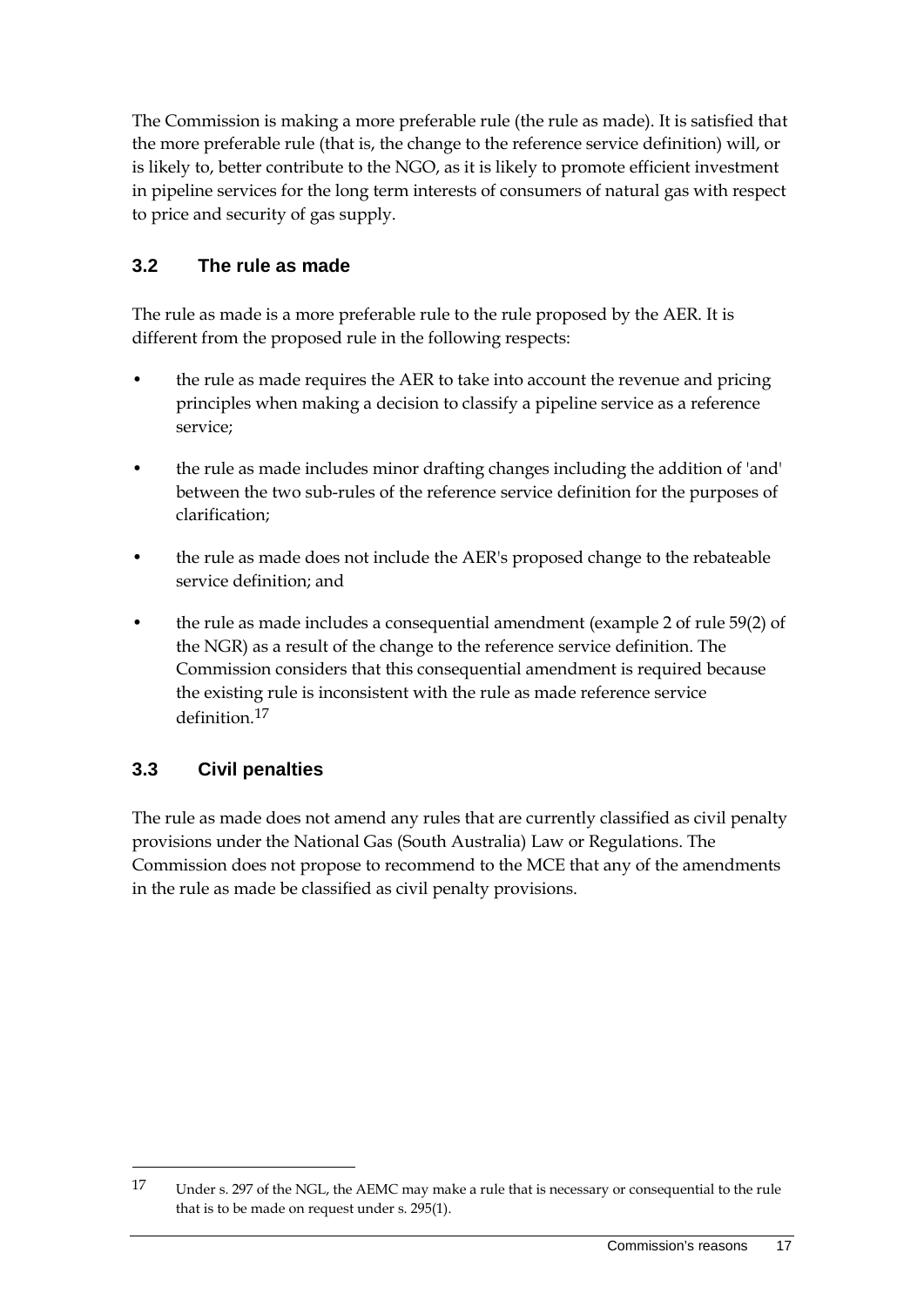The Commission is making a more preferable rule (the rule as made). It is satisfied that the more preferable rule (that is, the change to the reference service definition) will, or is likely to, better contribute to the NGO, as it is likely to promote efficient investment in pipeline services for the long term interests of consumers of natural gas with respect to price and security of gas supply.

## <span id="page-24-0"></span>**3.2 The rule as made**

The rule as made is a more preferable rule to the rule proposed by the AER. It is different from the proposed rule in the following respects:

- the rule as made requires the AER to take into account the revenue and pricing principles when making a decision to classify a pipeline service as a reference service;
- the rule as made includes minor drafting changes including the addition of 'and' between the two sub-rules of the reference service definition for the purposes of clarification;
- the rule as made does not include the AER's proposed change to the rebateable service definition; and
- the rule as made includes a consequential amendment (example 2 of rule 59(2) of the NGR) as a result of the change to the reference service definition. The Commission considers that this consequential amendment is required because the existing rule is inconsistent with the rule as made reference service definition.[17](#page-24-2)

## <span id="page-24-1"></span>**3.3 Civil penalties**

-

The rule as made does not amend any rules that are currently classified as civil penalty provisions under the National Gas (South Australia) Law or Regulations. The Commission does not propose to recommend to the MCE that any of the amendments in the rule as made be classified as civil penalty provisions.

<span id="page-24-2"></span><sup>17</sup> Under s. 297 of the NGL, the AEMC may make a rule that is necessary or consequential to the rule that is to be made on request under s. 295(1).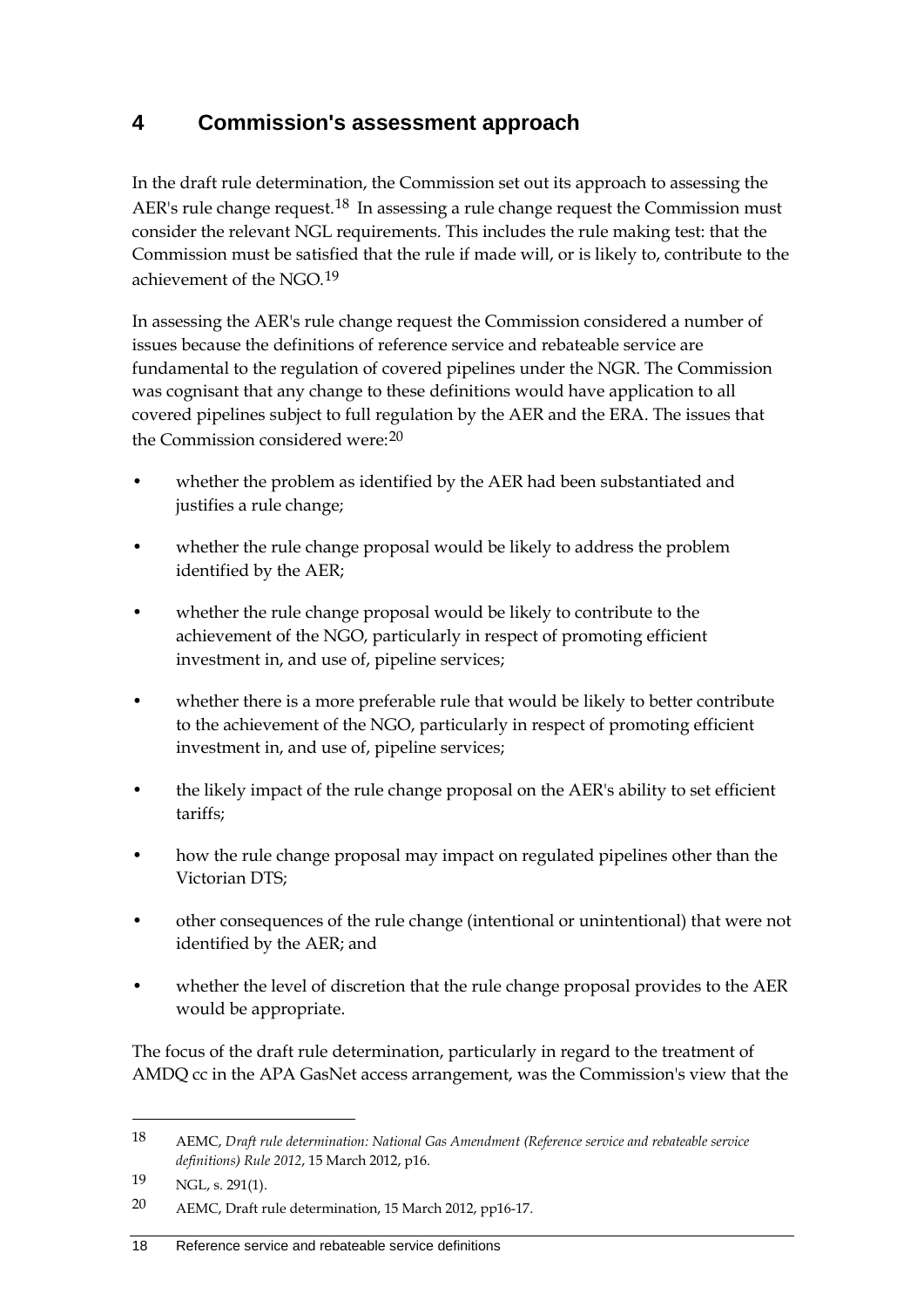## <span id="page-25-0"></span>**4 Commission's assessment approach**

In the draft rule determination, the Commission set out its approach to assessing the AER's rule change request.<sup>[18](#page-25-1)</sup> In assessing a rule change request the Commission must consider the relevant NGL requirements. This includes the rule making test: that the Commission must be satisfied that the rule if made will, or is likely to, contribute to the achievement of the NGO.<sup>[19](#page-25-2)</sup>

In assessing the AER's rule change request the Commission considered a number of issues because the definitions of reference service and rebateable service are fundamental to the regulation of covered pipelines under the NGR. The Commission was cognisant that any change to these definitions would have application to all covered pipelines subject to full regulation by the AER and the ERA. The issues that the Commission considered were:[20](#page-25-3)

- whether the problem as identified by the AER had been substantiated and justifies a rule change;
- whether the rule change proposal would be likely to address the problem identified by the AER;
- whether the rule change proposal would be likely to contribute to the achievement of the NGO, particularly in respect of promoting efficient investment in, and use of, pipeline services;
- whether there is a more preferable rule that would be likely to better contribute to the achievement of the NGO, particularly in respect of promoting efficient investment in, and use of, pipeline services;
- the likely impact of the rule change proposal on the AER's ability to set efficient tariffs;
- how the rule change proposal may impact on regulated pipelines other than the Victorian DTS;
- other consequences of the rule change (intentional or unintentional) that were not identified by the AER; and
- whether the level of discretion that the rule change proposal provides to the AER would be appropriate.

The focus of the draft rule determination, particularly in regard to the treatment of AMDQ cc in the APA GasNet access arrangement, was the Commission's view that the

<span id="page-25-1"></span><sup>18</sup> AEMC, *Draft rule determination: National Gas Amendment (Reference service and rebateable service definitions) Rule 2012*, 15 March 2012, p16.

<span id="page-25-2"></span><sup>19</sup> NGL, s. 291(1).

<span id="page-25-3"></span><sup>20</sup> AEMC, Draft rule determination, 15 March 2012, pp16-17.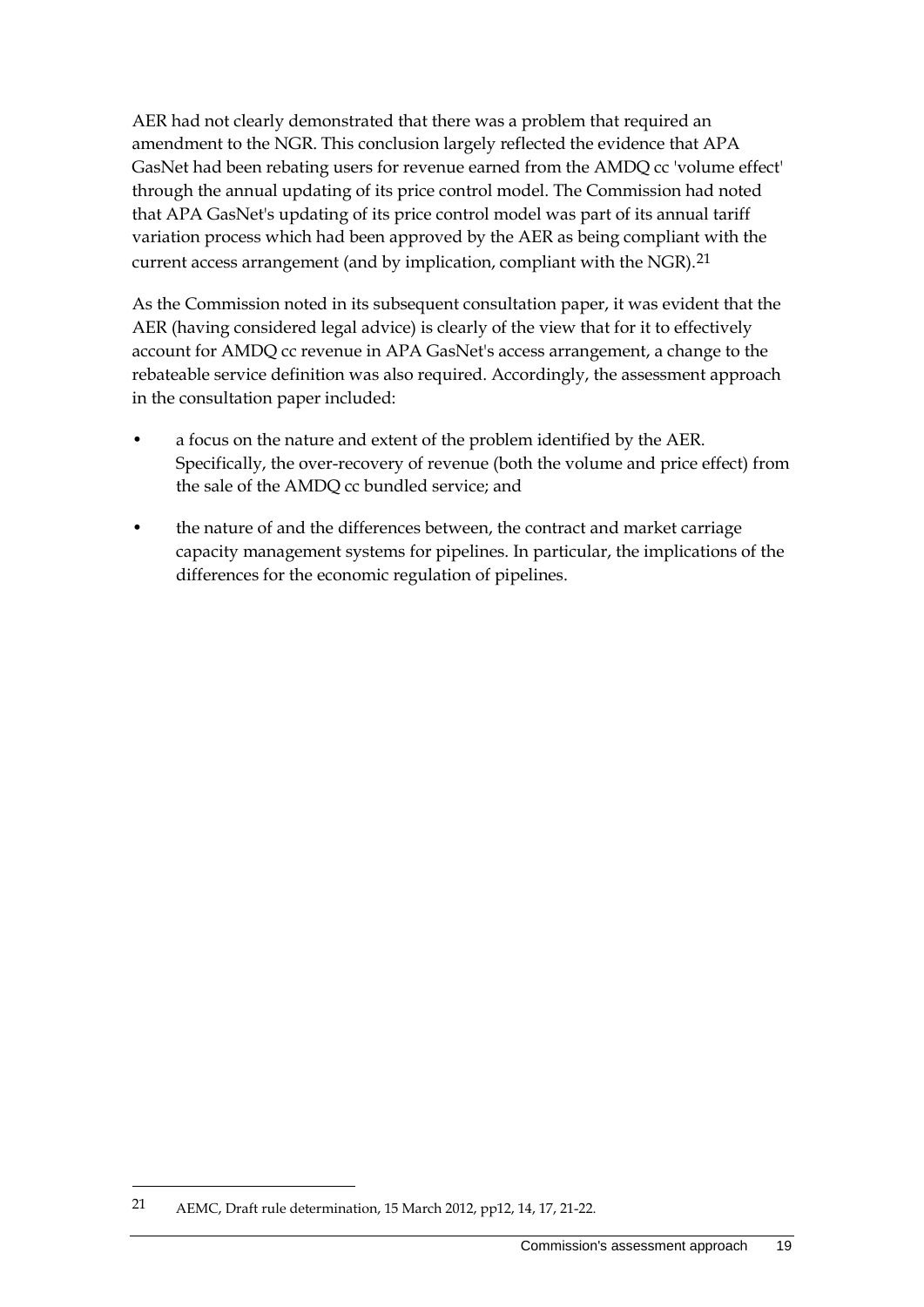AER had not clearly demonstrated that there was a problem that required an amendment to the NGR. This conclusion largely reflected the evidence that APA GasNet had been rebating users for revenue earned from the AMDQ cc 'volume effect' through the annual updating of its price control model. The Commission had noted that APA GasNet's updating of its price control model was part of its annual tariff variation process which had been approved by the AER as being compliant with the current access arrangement (and by implication, compliant with the NGR).<sup>[21](#page-26-0)</sup>

As the Commission noted in its subsequent consultation paper, it was evident that the AER (having considered legal advice) is clearly of the view that for it to effectively account for AMDQ cc revenue in APA GasNet's access arrangement, a change to the rebateable service definition was also required. Accordingly, the assessment approach in the consultation paper included:

- a focus on the nature and extent of the problem identified by the AER. Specifically, the over-recovery of revenue (both the volume and price effect) from the sale of the AMDQ cc bundled service; and
- the nature of and the differences between, the contract and market carriage capacity management systems for pipelines. In particular, the implications of the differences for the economic regulation of pipelines.

<span id="page-26-0"></span><sup>21</sup> AEMC, Draft rule determination, 15 March 2012, pp12, 14, 17, 21-22.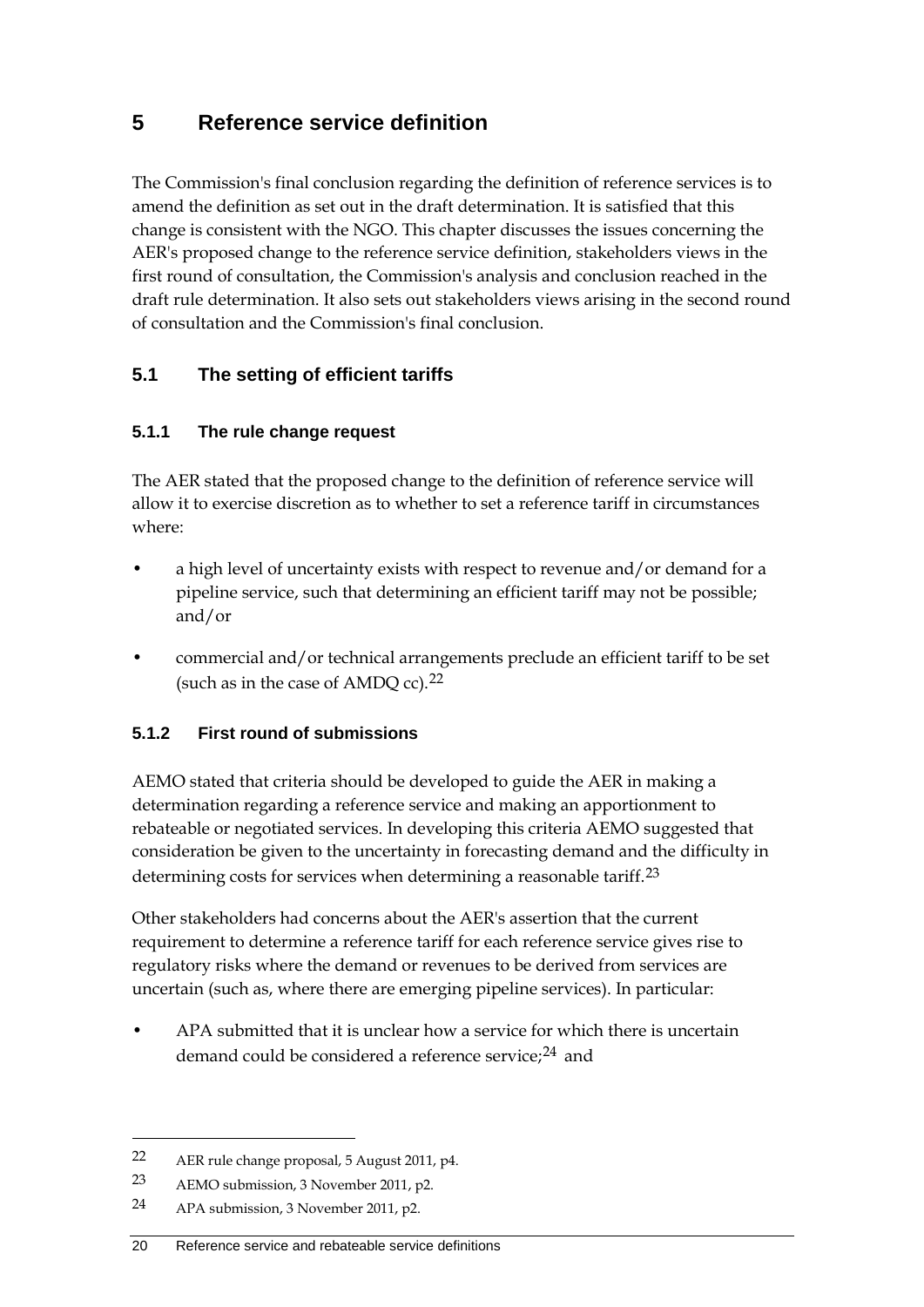## <span id="page-27-0"></span>**5 Reference service definition**

The Commission's final conclusion regarding the definition of reference services is to amend the definition as set out in the draft determination. It is satisfied that this change is consistent with the NGO. This chapter discusses the issues concerning the AER's proposed change to the reference service definition, stakeholders views in the first round of consultation, the Commission's analysis and conclusion reached in the draft rule determination. It also sets out stakeholders views arising in the second round of consultation and the Commission's final conclusion.

## <span id="page-27-1"></span>**5.1 The setting of efficient tariffs**

### **5.1.1 The rule change request**

The AER stated that the proposed change to the definition of reference service will allow it to exercise discretion as to whether to set a reference tariff in circumstances where:

- a high level of uncertainty exists with respect to revenue and/or demand for a pipeline service, such that determining an efficient tariff may not be possible; and/or
- commercial and/or technical arrangements preclude an efficient tariff to be set (such as in the case of AMDQ cc).[22](#page-27-2)

## **5.1.2 First round of submissions**

AEMO stated that criteria should be developed to guide the AER in making a determination regarding a reference service and making an apportionment to rebateable or negotiated services. In developing this criteria AEMO suggested that consideration be given to the uncertainty in forecasting demand and the difficulty in determining costs for services when determining a reasonable tariff.<sup>[23](#page-27-3)</sup>

Other stakeholders had concerns about the AER's assertion that the current requirement to determine a reference tariff for each reference service gives rise to regulatory risks where the demand or revenues to be derived from services are uncertain (such as, where there are emerging pipeline services). In particular:

• APA submitted that it is unclear how a service for which there is uncertain demand could be considered a reference service;<sup>[24](#page-27-4)</sup> and

<span id="page-27-2"></span><sup>22</sup> AER rule change proposal, 5 August 2011, p4.

<span id="page-27-3"></span><sup>23</sup> AEMO submission, 3 November 2011, p2.

<span id="page-27-4"></span><sup>24</sup> APA submission, 3 November 2011, p2.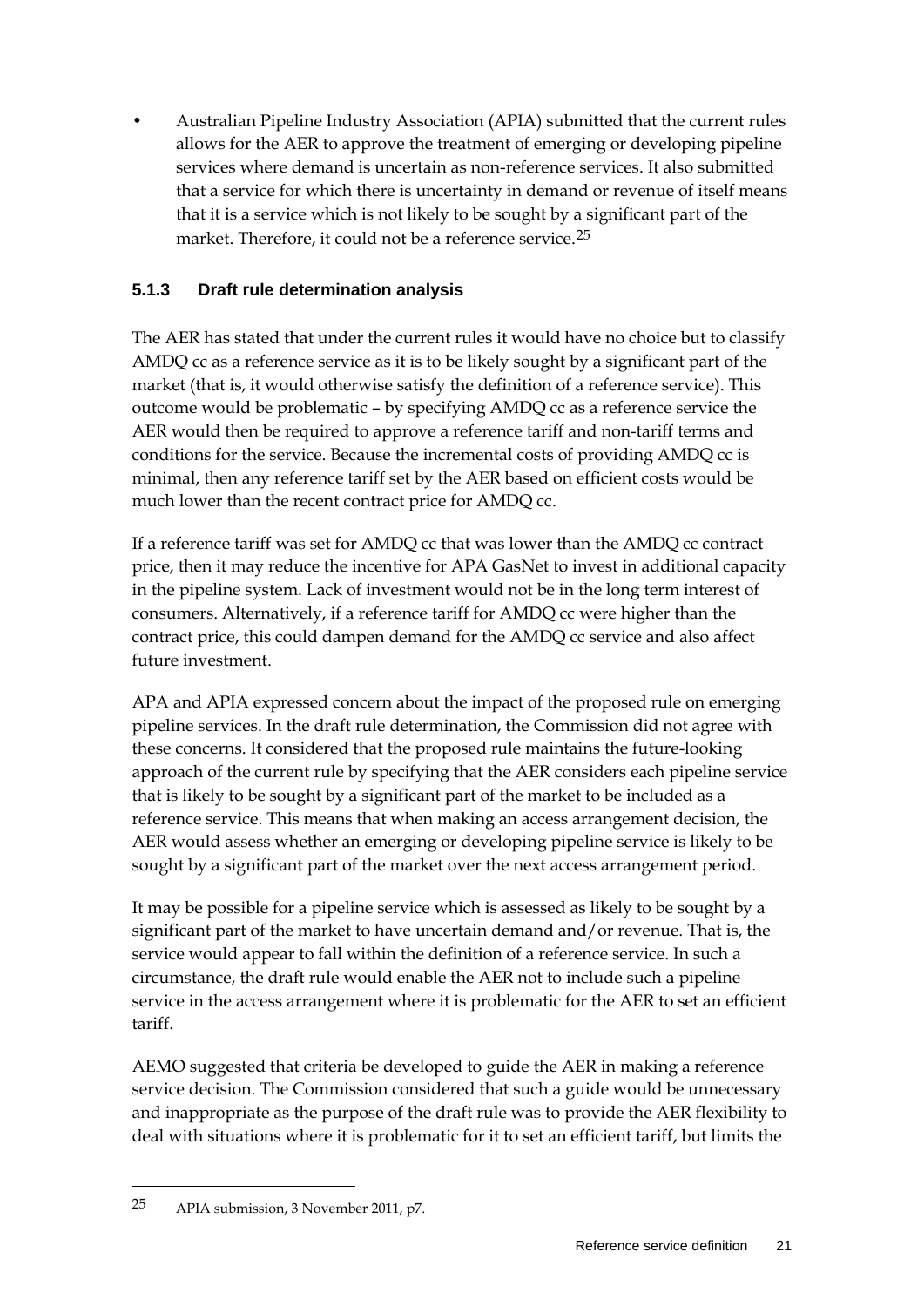• Australian Pipeline Industry Association (APIA) submitted that the current rules allows for the AER to approve the treatment of emerging or developing pipeline services where demand is uncertain as non-reference services. It also submitted that a service for which there is uncertainty in demand or revenue of itself means that it is a service which is not likely to be sought by a significant part of the market. Therefore, it could not be a reference service.<sup>[25](#page-28-0)</sup>

### **5.1.3 Draft rule determination analysis**

The AER has stated that under the current rules it would have no choice but to classify AMDQ cc as a reference service as it is to be likely sought by a significant part of the market (that is, it would otherwise satisfy the definition of a reference service). This outcome would be problematic – by specifying AMDQ cc as a reference service the AER would then be required to approve a reference tariff and non-tariff terms and conditions for the service. Because the incremental costs of providing AMDQ cc is minimal, then any reference tariff set by the AER based on efficient costs would be much lower than the recent contract price for AMDQ cc.

If a reference tariff was set for AMDQ cc that was lower than the AMDQ cc contract price, then it may reduce the incentive for APA GasNet to invest in additional capacity in the pipeline system. Lack of investment would not be in the long term interest of consumers. Alternatively, if a reference tariff for AMDQ cc were higher than the contract price, this could dampen demand for the AMDQ cc service and also affect future investment.

APA and APIA expressed concern about the impact of the proposed rule on emerging pipeline services. In the draft rule determination, the Commission did not agree with these concerns. It considered that the proposed rule maintains the future-looking approach of the current rule by specifying that the AER considers each pipeline service that is likely to be sought by a significant part of the market to be included as a reference service. This means that when making an access arrangement decision, the AER would assess whether an emerging or developing pipeline service is likely to be sought by a significant part of the market over the next access arrangement period.

It may be possible for a pipeline service which is assessed as likely to be sought by a significant part of the market to have uncertain demand and/or revenue. That is, the service would appear to fall within the definition of a reference service. In such a circumstance, the draft rule would enable the AER not to include such a pipeline service in the access arrangement where it is problematic for the AER to set an efficient tariff.

AEMO suggested that criteria be developed to guide the AER in making a reference service decision. The Commission considered that such a guide would be unnecessary and inappropriate as the purpose of the draft rule was to provide the AER flexibility to deal with situations where it is problematic for it to set an efficient tariff, but limits the

<span id="page-28-0"></span><sup>25</sup> APIA submission, 3 November 2011, p7.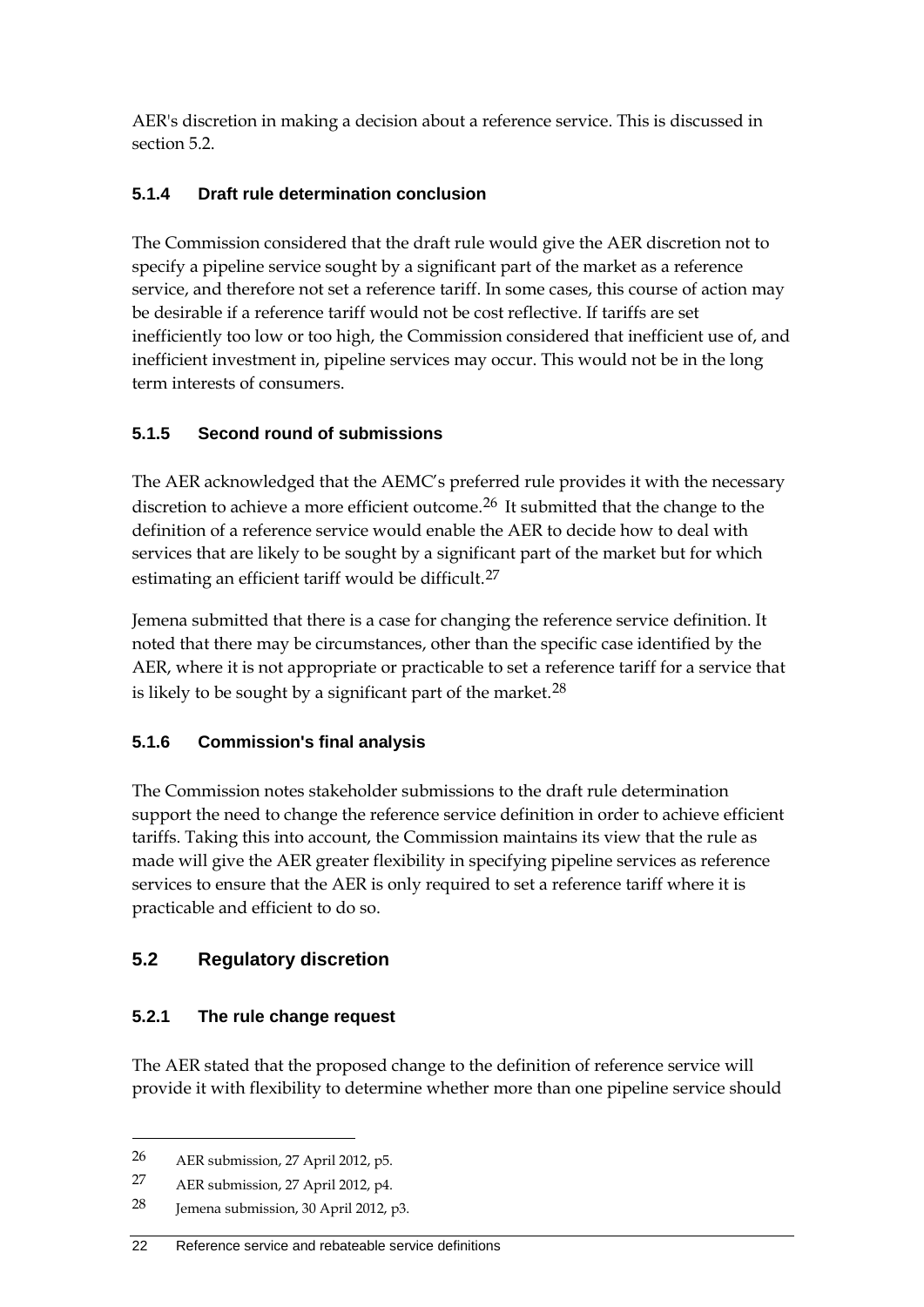AER's discretion in making a decision about a reference service. This is discussed in section 5.2.

## **5.1.4 Draft rule determination conclusion**

The Commission considered that the draft rule would give the AER discretion not to specify a pipeline service sought by a significant part of the market as a reference service, and therefore not set a reference tariff. In some cases, this course of action may be desirable if a reference tariff would not be cost reflective. If tariffs are set inefficiently too low or too high, the Commission considered that inefficient use of, and inefficient investment in, pipeline services may occur. This would not be in the long term interests of consumers.

## **5.1.5 Second round of submissions**

The AER acknowledged that the AEMC's preferred rule provides it with the necessary discretion to achieve a more efficient outcome.<sup>[26](#page-29-1)</sup> It submitted that the change to the definition of a reference service would enable the AER to decide how to deal with services that are likely to be sought by a significant part of the market but for which estimating an efficient tariff would be difficult.<sup>[27](#page-29-2)</sup>

Jemena submitted that there is a case for changing the reference service definition. It noted that there may be circumstances, other than the specific case identified by the AER, where it is not appropriate or practicable to set a reference tariff for a service that is likely to be sought by a significant part of the market. $28$ 

## **5.1.6 Commission's final analysis**

The Commission notes stakeholder submissions to the draft rule determination support the need to change the reference service definition in order to achieve efficient tariffs. Taking this into account, the Commission maintains its view that the rule as made will give the AER greater flexibility in specifying pipeline services as reference services to ensure that the AER is only required to set a reference tariff where it is practicable and efficient to do so.

## <span id="page-29-0"></span>**5.2 Regulatory discretion**

## **5.2.1 The rule change request**

The AER stated that the proposed change to the definition of reference service will provide it with flexibility to determine whether more than one pipeline service should

<span id="page-29-1"></span><sup>26</sup> AER submission, 27 April 2012, p5.

<span id="page-29-2"></span><sup>27</sup> AER submission, 27 April 2012, p4.

<span id="page-29-3"></span><sup>28</sup> Jemena submission, 30 April 2012, p3.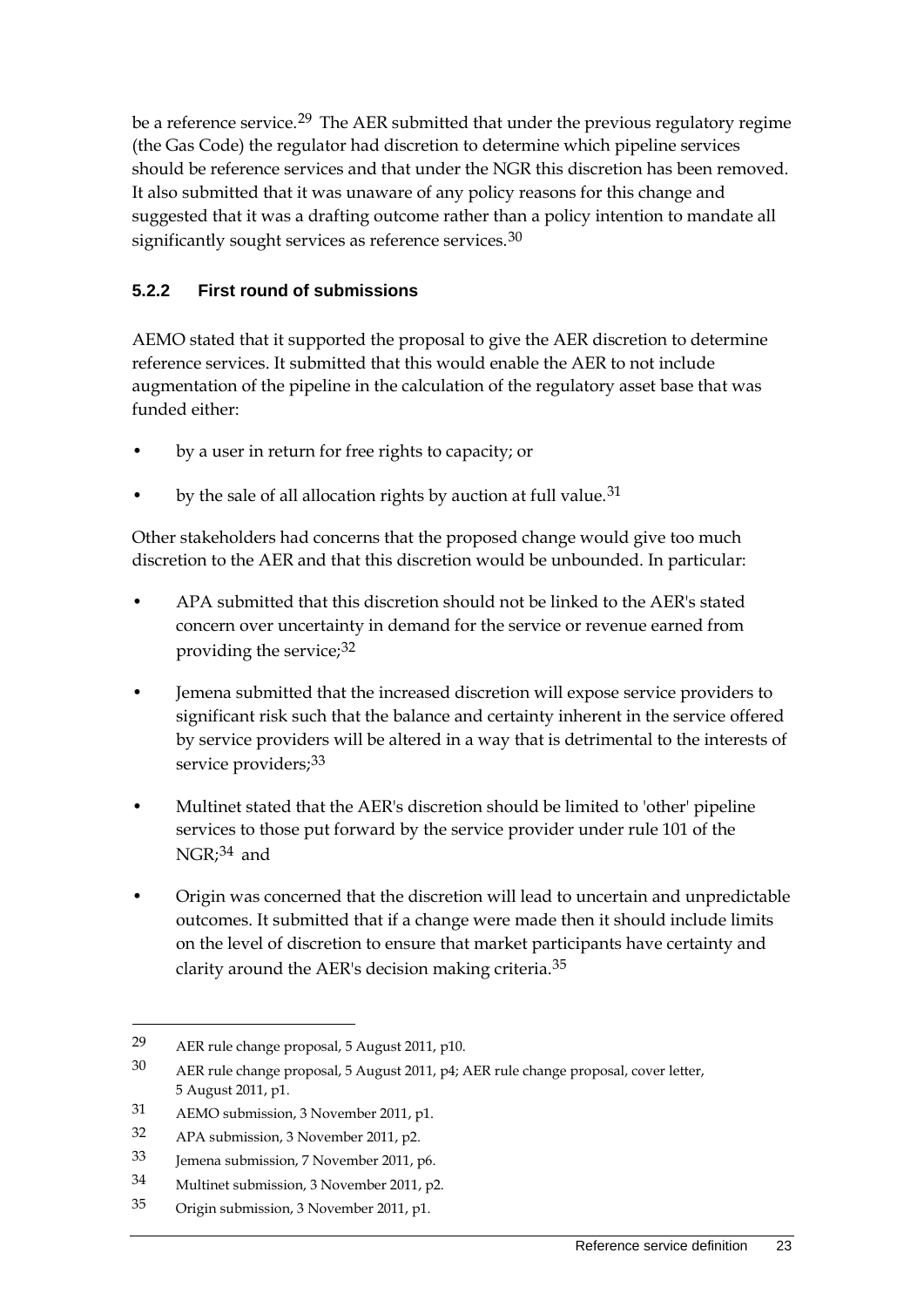be a reference service.<sup>[29](#page-30-0)</sup> The AER submitted that under the previous regulatory regime (the Gas Code) the regulator had discretion to determine which pipeline services should be reference services and that under the NGR this discretion has been removed. It also submitted that it was unaware of any policy reasons for this change and suggested that it was a drafting outcome rather than a policy intention to mandate all significantly sought services as reference services.<sup>[30](#page-30-1)</sup>

### **5.2.2 First round of submissions**

AEMO stated that it supported the proposal to give the AER discretion to determine reference services. It submitted that this would enable the AER to not include augmentation of the pipeline in the calculation of the regulatory asset base that was funded either:

- by a user in return for free rights to capacity; or
- by the sale of all allocation rights by auction at full value.<sup>[31](#page-30-2)</sup>

Other stakeholders had concerns that the proposed change would give too much discretion to the AER and that this discretion would be unbounded. In particular:

- APA submitted that this discretion should not be linked to the AER's stated concern over uncertainty in demand for the service or revenue earned from providing the service;[32](#page-30-3)
- Jemena submitted that the increased discretion will expose service providers to significant risk such that the balance and certainty inherent in the service offered by service providers will be altered in a way that is detrimental to the interests of service providers;<sup>[33](#page-30-4)</sup>
- Multinet stated that the AER's discretion should be limited to 'other' pipeline services to those put forward by the service provider under rule 101 of the NGR;<sup>[34](#page-30-5)</sup> and
- Origin was concerned that the discretion will lead to uncertain and unpredictable outcomes. It submitted that if a change were made then it should include limits on the level of discretion to ensure that market participants have certainty and clarity around the AER's decision making criteria.[35](#page-30-6)

<span id="page-30-0"></span><sup>29</sup> AER rule change proposal, 5 August 2011, p10.

<span id="page-30-1"></span><sup>30</sup> AER rule change proposal, 5 August 2011, p4; AER rule change proposal, cover letter, 5 August 2011, p1.

<span id="page-30-2"></span><sup>31</sup> AEMO submission, 3 November 2011, p1.

<span id="page-30-3"></span><sup>32</sup> APA submission, 3 November 2011, p2.

<span id="page-30-4"></span><sup>33</sup> Jemena submission, 7 November 2011, p6.

<span id="page-30-5"></span><sup>34</sup> Multinet submission, 3 November 2011, p2.

<span id="page-30-6"></span><sup>35</sup> Origin submission, 3 November 2011, p1.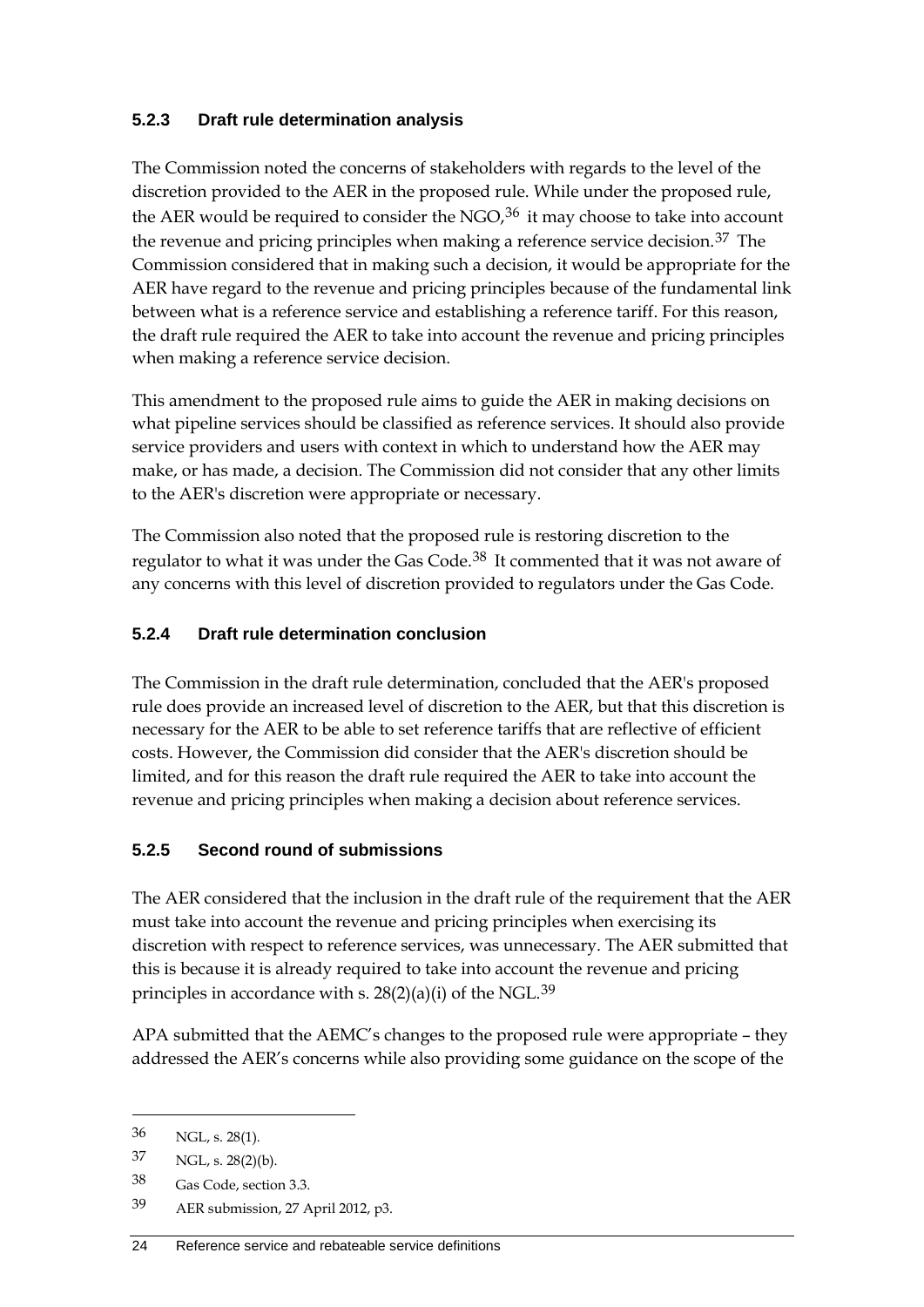#### **5.2.3 Draft rule determination analysis**

The Commission noted the concerns of stakeholders with regards to the level of the discretion provided to the AER in the proposed rule. While under the proposed rule, the AER would be required to consider the NGO,  $36$  it may choose to take into account the revenue and pricing principles when making a reference service decision.<sup>[37](#page-31-1)</sup> The Commission considered that in making such a decision, it would be appropriate for the AER have regard to the revenue and pricing principles because of the fundamental link between what is a reference service and establishing a reference tariff. For this reason, the draft rule required the AER to take into account the revenue and pricing principles when making a reference service decision.

This amendment to the proposed rule aims to guide the AER in making decisions on what pipeline services should be classified as reference services. It should also provide service providers and users with context in which to understand how the AER may make, or has made, a decision. The Commission did not consider that any other limits to the AER's discretion were appropriate or necessary.

The Commission also noted that the proposed rule is restoring discretion to the regulator to what it was under the Gas Code.[38](#page-31-2) It commented that it was not aware of any concerns with this level of discretion provided to regulators under the Gas Code.

### **5.2.4 Draft rule determination conclusion**

The Commission in the draft rule determination, concluded that the AER's proposed rule does provide an increased level of discretion to the AER, but that this discretion is necessary for the AER to be able to set reference tariffs that are reflective of efficient costs. However, the Commission did consider that the AER's discretion should be limited, and for this reason the draft rule required the AER to take into account the revenue and pricing principles when making a decision about reference services.

#### **5.2.5 Second round of submissions**

The AER considered that the inclusion in the draft rule of the requirement that the AER must take into account the revenue and pricing principles when exercising its discretion with respect to reference services, was unnecessary. The AER submitted that this is because it is already required to take into account the revenue and pricing principles in accordance with s.  $28(2)(a)(i)$  of the NGL.<sup>[39](#page-31-3)</sup>

APA submitted that the AEMC's changes to the proposed rule were appropriate – they addressed the AER's concerns while also providing some guidance on the scope of the

<span id="page-31-0"></span><sup>36</sup> NGL, s. 28(1).

<span id="page-31-1"></span><sup>37</sup> NGL, s. 28(2)(b).

<span id="page-31-2"></span><sup>38</sup> Gas Code, section 3.3.

<span id="page-31-3"></span><sup>39</sup> AER submission, 27 April 2012, p3.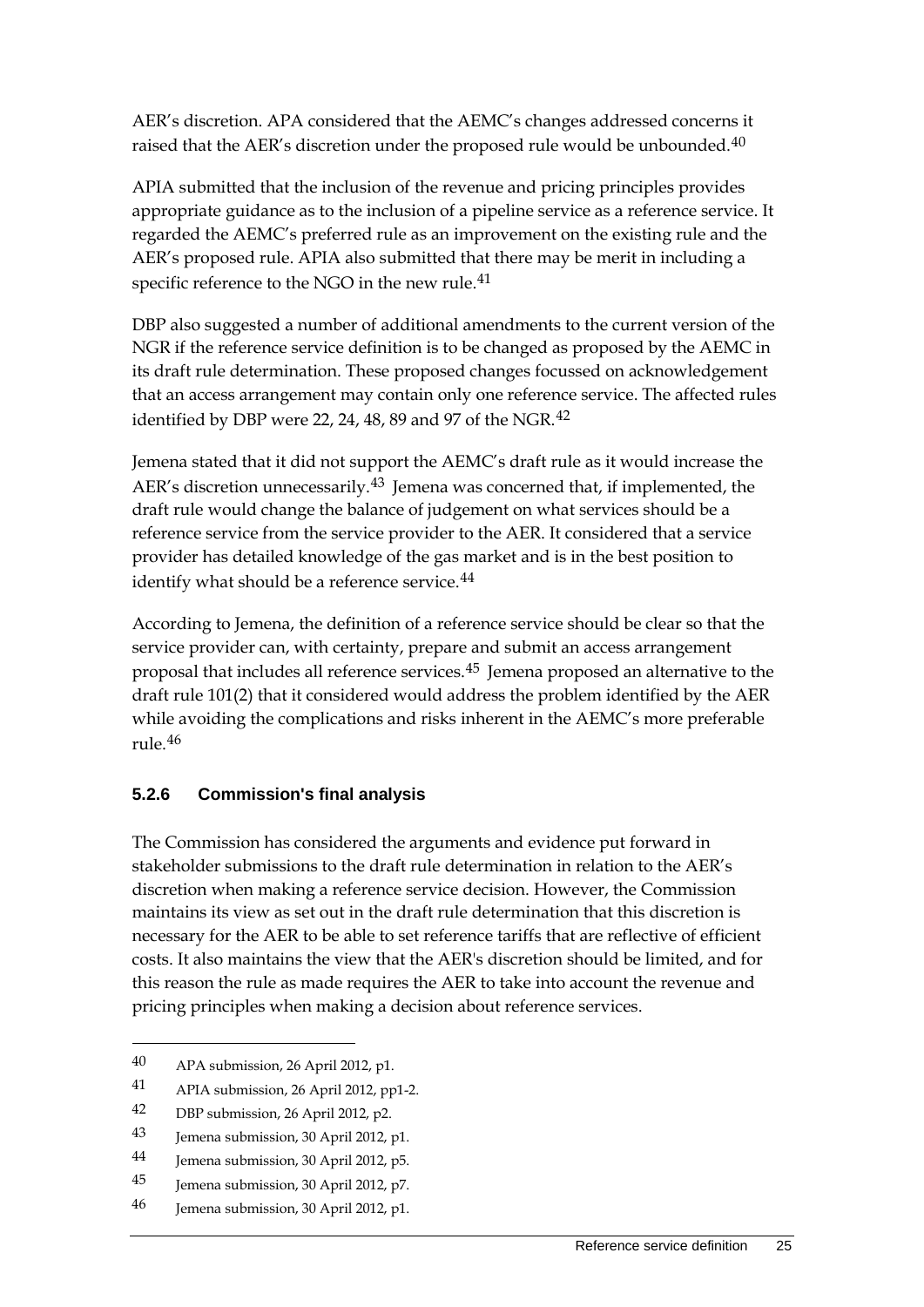AER's discretion. APA considered that the AEMC's changes addressed concerns it raised that the AER's discretion under the proposed rule would be unbounded.<sup>[40](#page-32-0)</sup>

APIA submitted that the inclusion of the revenue and pricing principles provides appropriate guidance as to the inclusion of a pipeline service as a reference service. It regarded the AEMC's preferred rule as an improvement on the existing rule and the AER's proposed rule. APIA also submitted that there may be merit in including a specific reference to the NGO in the new rule.<sup>[41](#page-32-1)</sup>

DBP also suggested a number of additional amendments to the current version of the NGR if the reference service definition is to be changed as proposed by the AEMC in its draft rule determination. These proposed changes focussed on acknowledgement that an access arrangement may contain only one reference service. The affected rules identified by DBP were 22, 24, 48, 89 and 97 of the NGR.<sup>[42](#page-32-2)</sup>

Jemena stated that it did not support the AEMC's draft rule as it would increase the AER's discretion unnecessarily.<sup>[43](#page-32-3)</sup> Jemena was concerned that, if implemented, the draft rule would change the balance of judgement on what services should be a reference service from the service provider to the AER. It considered that a service provider has detailed knowledge of the gas market and is in the best position to identify what should be a reference service.<sup>[44](#page-32-4)</sup>

According to Jemena, the definition of a reference service should be clear so that the service provider can, with certainty, prepare and submit an access arrangement proposal that includes all reference services.[45](#page-32-5) Jemena proposed an alternative to the draft rule 101(2) that it considered would address the problem identified by the AER while avoiding the complications and risks inherent in the AEMC's more preferable rule.[46](#page-32-6)

## **5.2.6 Commission's final analysis**

The Commission has considered the arguments and evidence put forward in stakeholder submissions to the draft rule determination in relation to the AER's discretion when making a reference service decision. However, the Commission maintains its view as set out in the draft rule determination that this discretion is necessary for the AER to be able to set reference tariffs that are reflective of efficient costs. It also maintains the view that the AER's discretion should be limited, and for this reason the rule as made requires the AER to take into account the revenue and pricing principles when making a decision about reference services.

-

<span id="page-32-2"></span>42 DBP submission, 26 April 2012, p2.

<span id="page-32-0"></span><sup>40</sup> APA submission, 26 April 2012, p1.

<span id="page-32-1"></span><sup>41</sup> APIA submission, 26 April 2012, pp1-2.

<span id="page-32-3"></span><sup>43</sup> Jemena submission, 30 April 2012, p1.

<span id="page-32-4"></span><sup>44</sup> Jemena submission, 30 April 2012, p5.

<span id="page-32-5"></span><sup>45</sup> Jemena submission, 30 April 2012, p7.

<span id="page-32-6"></span><sup>46</sup> Jemena submission, 30 April 2012, p1.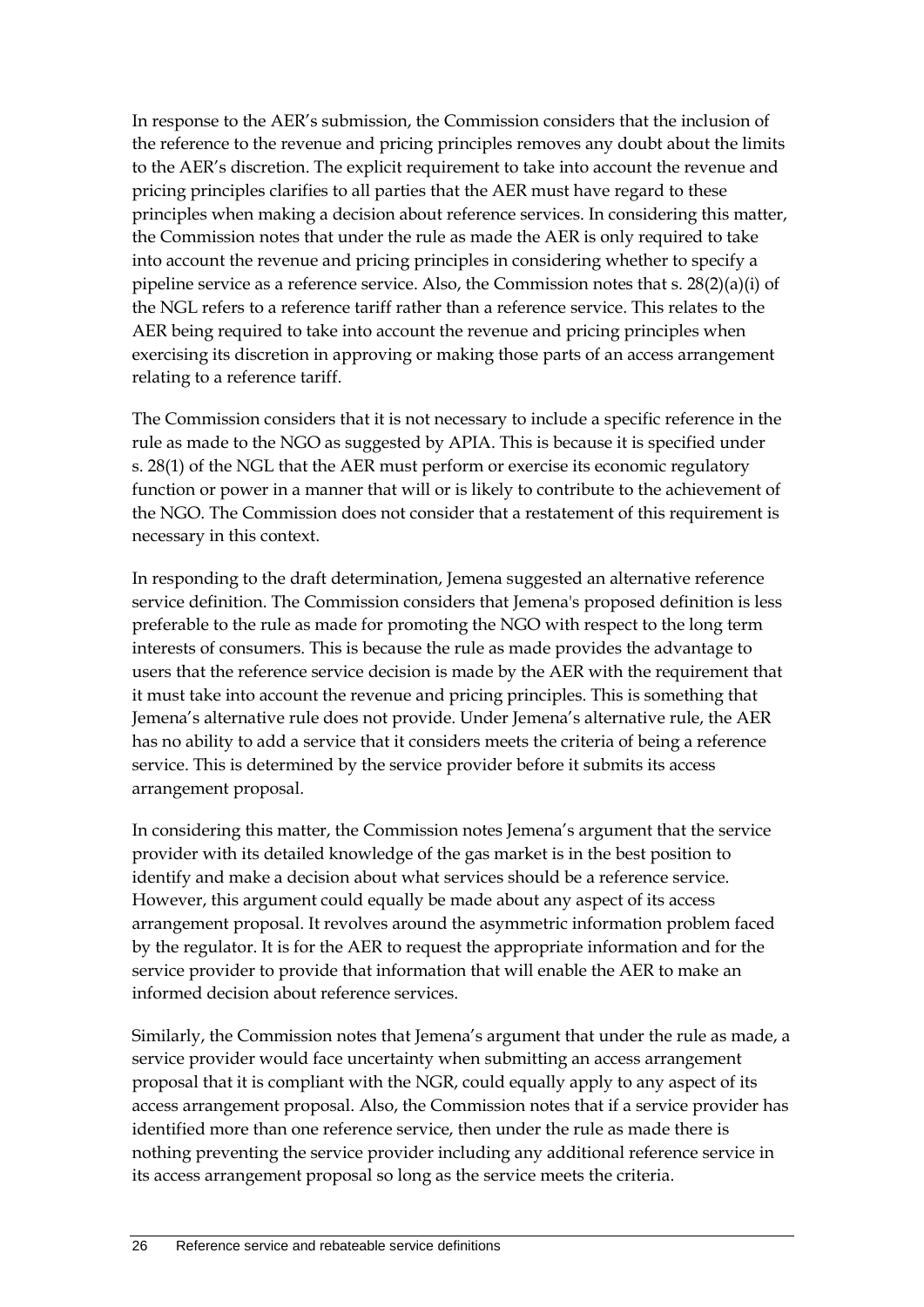In response to the AER's submission, the Commission considers that the inclusion of the reference to the revenue and pricing principles removes any doubt about the limits to the AER's discretion. The explicit requirement to take into account the revenue and pricing principles clarifies to all parties that the AER must have regard to these principles when making a decision about reference services. In considering this matter, the Commission notes that under the rule as made the AER is only required to take into account the revenue and pricing principles in considering whether to specify a pipeline service as a reference service. Also, the Commission notes that s. 28(2)(a)(i) of the NGL refers to a reference tariff rather than a reference service. This relates to the AER being required to take into account the revenue and pricing principles when exercising its discretion in approving or making those parts of an access arrangement relating to a reference tariff.

The Commission considers that it is not necessary to include a specific reference in the rule as made to the NGO as suggested by APIA. This is because it is specified under s. 28(1) of the NGL that the AER must perform or exercise its economic regulatory function or power in a manner that will or is likely to contribute to the achievement of the NGO. The Commission does not consider that a restatement of this requirement is necessary in this context.

In responding to the draft determination, Jemena suggested an alternative reference service definition. The Commission considers that Jemena's proposed definition is less preferable to the rule as made for promoting the NGO with respect to the long term interests of consumers. This is because the rule as made provides the advantage to users that the reference service decision is made by the AER with the requirement that it must take into account the revenue and pricing principles. This is something that Jemena's alternative rule does not provide. Under Jemena's alternative rule, the AER has no ability to add a service that it considers meets the criteria of being a reference service. This is determined by the service provider before it submits its access arrangement proposal.

In considering this matter, the Commission notes Jemena's argument that the service provider with its detailed knowledge of the gas market is in the best position to identify and make a decision about what services should be a reference service. However, this argument could equally be made about any aspect of its access arrangement proposal. It revolves around the asymmetric information problem faced by the regulator. It is for the AER to request the appropriate information and for the service provider to provide that information that will enable the AER to make an informed decision about reference services.

Similarly, the Commission notes that Jemena's argument that under the rule as made, a service provider would face uncertainty when submitting an access arrangement proposal that it is compliant with the NGR, could equally apply to any aspect of its access arrangement proposal. Also, the Commission notes that if a service provider has identified more than one reference service, then under the rule as made there is nothing preventing the service provider including any additional reference service in its access arrangement proposal so long as the service meets the criteria.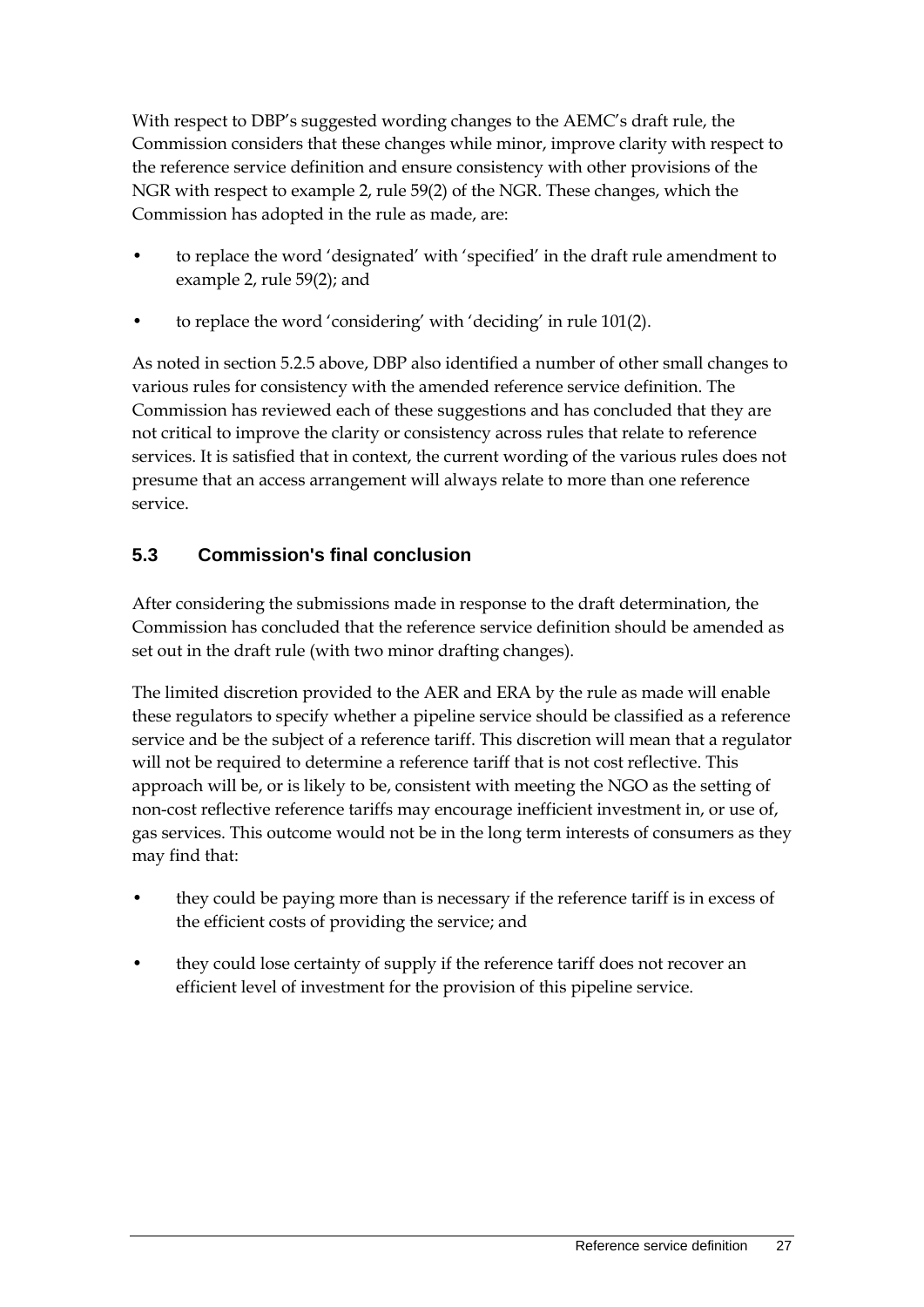With respect to DBP's suggested wording changes to the AEMC's draft rule, the Commission considers that these changes while minor, improve clarity with respect to the reference service definition and ensure consistency with other provisions of the NGR with respect to example 2, rule 59(2) of the NGR. These changes, which the Commission has adopted in the rule as made, are:

- to replace the word 'designated' with 'specified' in the draft rule amendment to example 2, rule 59(2); and
- to replace the word 'considering' with 'deciding' in rule 101(2).

As noted in section 5.2.5 above, DBP also identified a number of other small changes to various rules for consistency with the amended reference service definition. The Commission has reviewed each of these suggestions and has concluded that they are not critical to improve the clarity or consistency across rules that relate to reference services. It is satisfied that in context, the current wording of the various rules does not presume that an access arrangement will always relate to more than one reference service.

## <span id="page-34-0"></span>**5.3 Commission's final conclusion**

After considering the submissions made in response to the draft determination, the Commission has concluded that the reference service definition should be amended as set out in the draft rule (with two minor drafting changes).

The limited discretion provided to the AER and ERA by the rule as made will enable these regulators to specify whether a pipeline service should be classified as a reference service and be the subject of a reference tariff. This discretion will mean that a regulator will not be required to determine a reference tariff that is not cost reflective. This approach will be, or is likely to be, consistent with meeting the NGO as the setting of non-cost reflective reference tariffs may encourage inefficient investment in, or use of, gas services. This outcome would not be in the long term interests of consumers as they may find that:

- they could be paying more than is necessary if the reference tariff is in excess of the efficient costs of providing the service; and
- they could lose certainty of supply if the reference tariff does not recover an efficient level of investment for the provision of this pipeline service.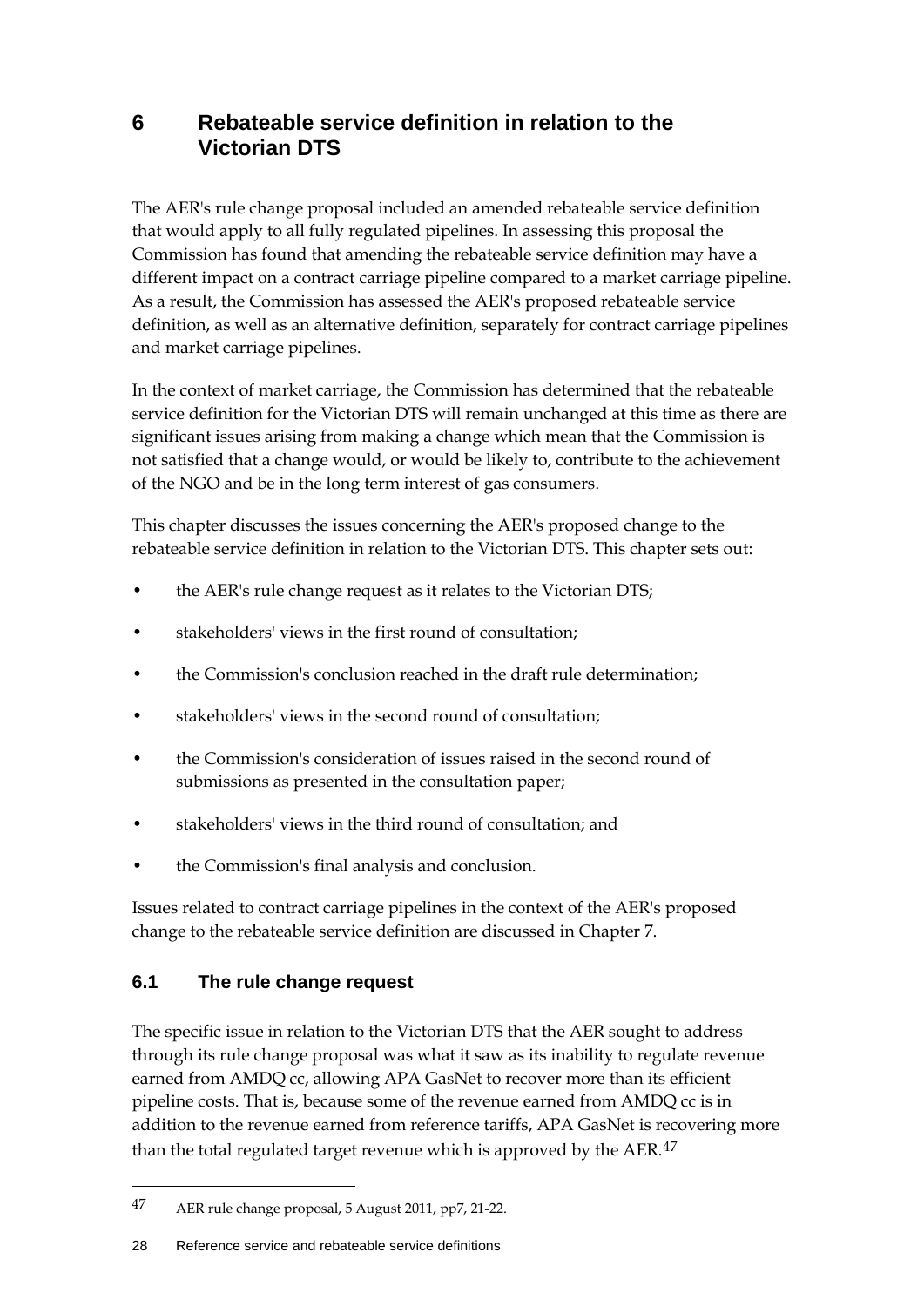## <span id="page-35-0"></span>**6 Rebateable service definition in relation to the Victorian DTS**

The AER's rule change proposal included an amended rebateable service definition that would apply to all fully regulated pipelines. In assessing this proposal the Commission has found that amending the rebateable service definition may have a different impact on a contract carriage pipeline compared to a market carriage pipeline. As a result, the Commission has assessed the AER's proposed rebateable service definition, as well as an alternative definition, separately for contract carriage pipelines and market carriage pipelines.

In the context of market carriage, the Commission has determined that the rebateable service definition for the Victorian DTS will remain unchanged at this time as there are significant issues arising from making a change which mean that the Commission is not satisfied that a change would, or would be likely to, contribute to the achievement of the NGO and be in the long term interest of gas consumers.

This chapter discusses the issues concerning the AER's proposed change to the rebateable service definition in relation to the Victorian DTS. This chapter sets out:

- the AER's rule change request as it relates to the Victorian DTS;
- stakeholders' views in the first round of consultation;
- the Commission's conclusion reached in the draft rule determination;
- stakeholders' views in the second round of consultation;
- the Commission's consideration of issues raised in the second round of submissions as presented in the consultation paper;
- stakeholders' views in the third round of consultation; and
- the Commission's final analysis and conclusion.

Issues related to contract carriage pipelines in the context of the AER's proposed change to the rebateable service definition are discussed in Chapter 7.

## <span id="page-35-1"></span>**6.1 The rule change request**

-

The specific issue in relation to the Victorian DTS that the AER sought to address through its rule change proposal was what it saw as its inability to regulate revenue earned from AMDQ cc, allowing APA GasNet to recover more than its efficient pipeline costs. That is, because some of the revenue earned from AMDQ cc is in addition to the revenue earned from reference tariffs, APA GasNet is recovering more than the total regulated target revenue which is approved by the AER. $47$ 

<span id="page-35-2"></span><sup>47</sup> AER rule change proposal, 5 August 2011, pp7, 21-22.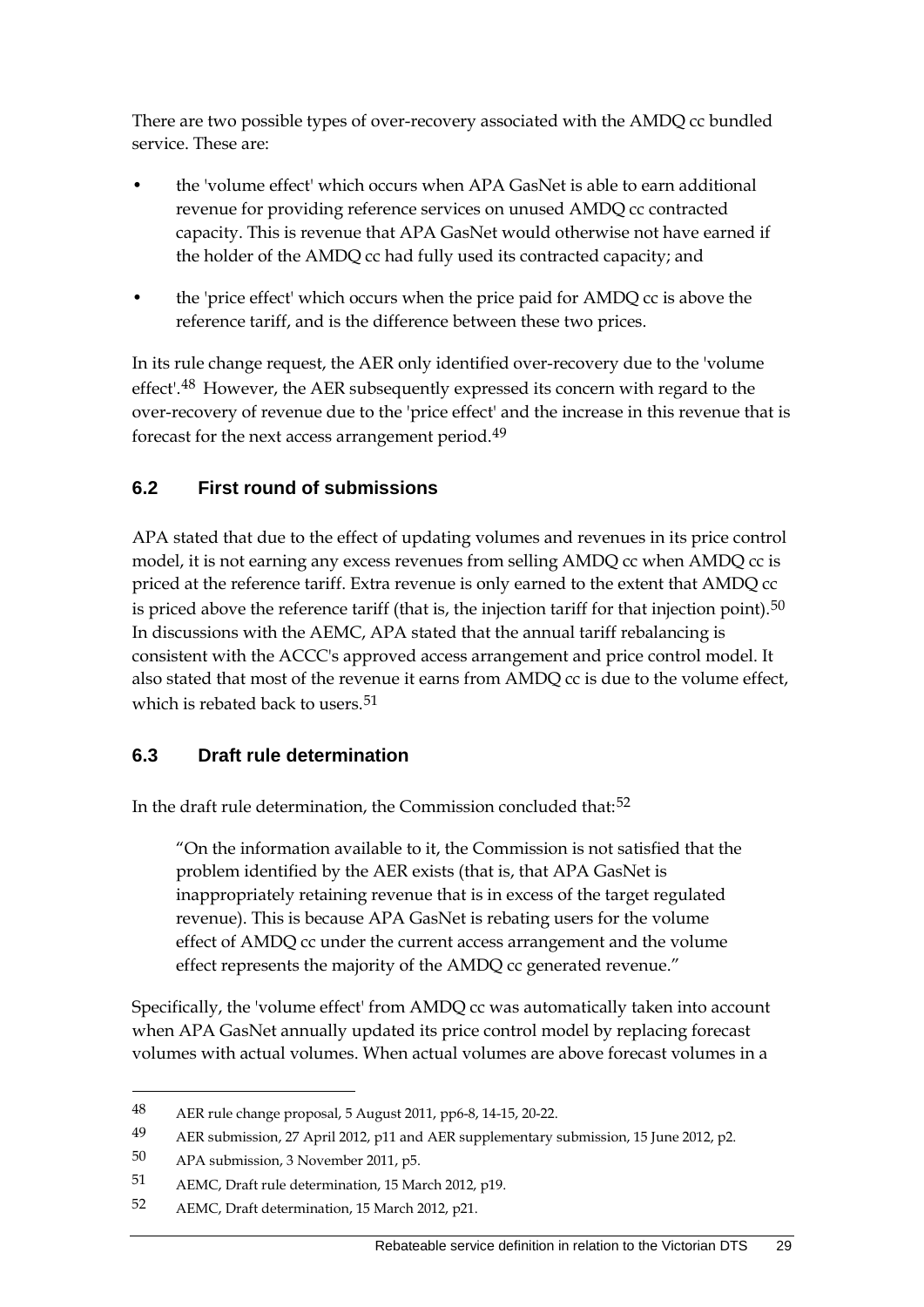There are two possible types of over-recovery associated with the AMDQ cc bundled service. These are:

- the 'volume effect' which occurs when APA GasNet is able to earn additional revenue for providing reference services on unused AMDQ cc contracted capacity. This is revenue that APA GasNet would otherwise not have earned if the holder of the AMDQ cc had fully used its contracted capacity; and
- the 'price effect' which occurs when the price paid for AMDQ cc is above the reference tariff, and is the difference between these two prices.

In its rule change request, the AER only identified over-recovery due to the 'volume effect'.<sup>[48](#page-36-0)</sup> However, the AER subsequently expressed its concern with regard to the over-recovery of revenue due to the 'price effect' and the increase in this revenue that is forecast for the next access arrangement period.[49](#page-36-1)

## **6.2 First round of submissions**

APA stated that due to the effect of updating volumes and revenues in its price control model, it is not earning any excess revenues from selling AMDQ cc when AMDQ cc is priced at the reference tariff. Extra revenue is only earned to the extent that AMDQ cc is priced above the reference tariff (that is, the injection tariff for that injection point).<sup>[50](#page-36-2)</sup> In discussions with the AEMC, APA stated that the annual tariff rebalancing is consistent with the ACCC's approved access arrangement and price control model. It also stated that most of the revenue it earns from AMDQ cc is due to the volume effect, which is rebated back to users.<sup>[51](#page-36-3)</sup>

#### **6.3 Draft rule determination**

In the draft rule determination, the Commission concluded that:<sup>[52](#page-36-4)</sup>

"On the information available to it, the Commission is not satisfied that the problem identified by the AER exists (that is, that APA GasNet is inappropriately retaining revenue that is in excess of the target regulated revenue). This is because APA GasNet is rebating users for the volume effect of AMDQ cc under the current access arrangement and the volume effect represents the majority of the AMDQ cc generated revenue."

Specifically, the 'volume effect' from AMDQ cc was automatically taken into account when APA GasNet annually updated its price control model by replacing forecast volumes with actual volumes. When actual volumes are above forecast volumes in a

<span id="page-36-0"></span><sup>48</sup> AER rule change proposal, 5 August 2011, pp6-8, 14-15, 20-22.

<span id="page-36-1"></span><sup>49</sup> AER submission, 27 April 2012, p11 and AER supplementary submission, 15 June 2012, p2.

<span id="page-36-2"></span><sup>50</sup> APA submission, 3 November 2011, p5.

<span id="page-36-3"></span><sup>51</sup> AEMC, Draft rule determination, 15 March 2012, p19.

<span id="page-36-4"></span><sup>52</sup> AEMC, Draft determination, 15 March 2012, p21.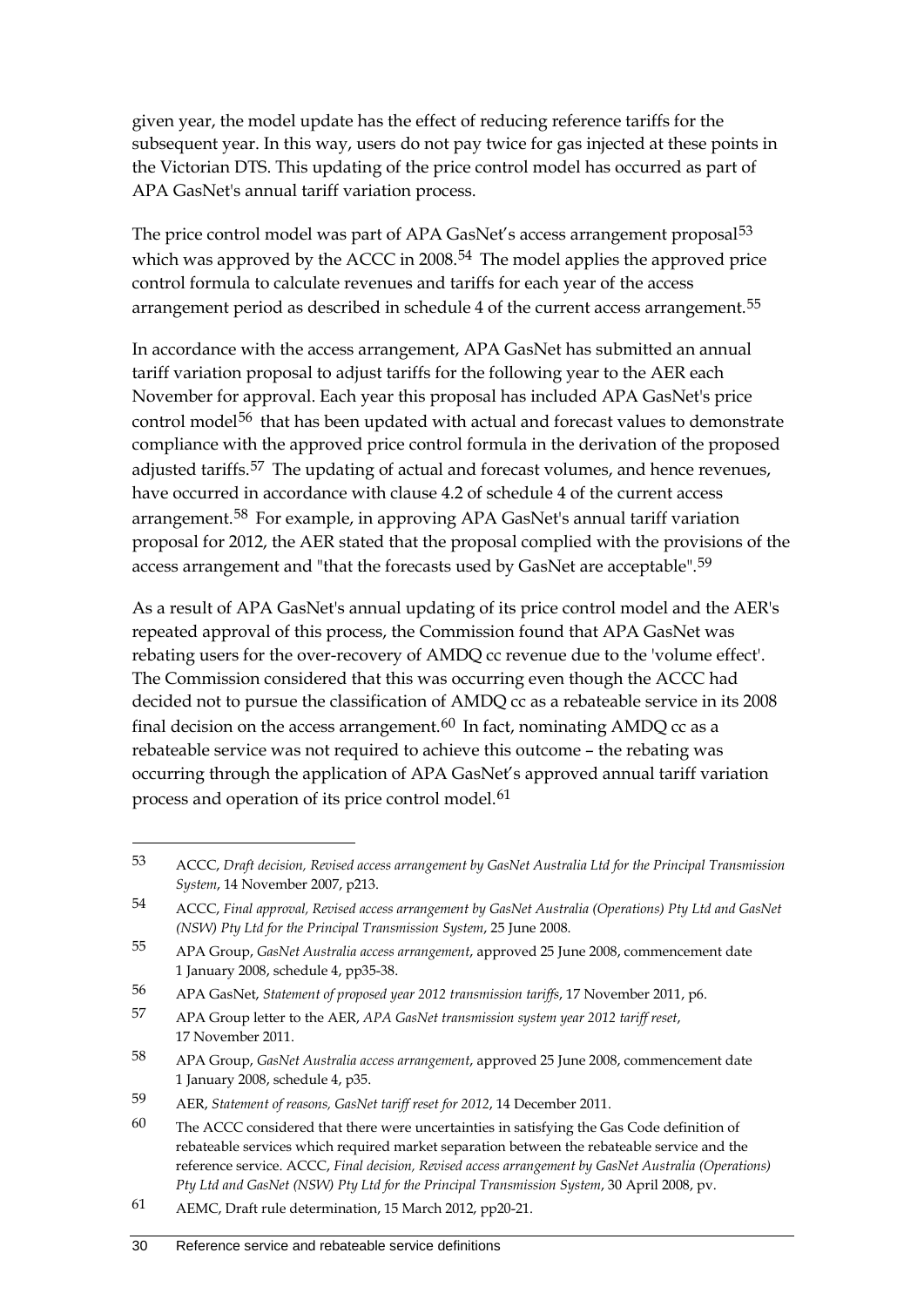given year, the model update has the effect of reducing reference tariffs for the subsequent year. In this way, users do not pay twice for gas injected at these points in the Victorian DTS. This updating of the price control model has occurred as part of APA GasNet's annual tariff variation process.

The price control model was part of APA GasNet's access arrangement proposal<sup>[53](#page-37-0)</sup> which was approved by the ACCC in 2008.<sup>[54](#page-37-1)</sup> The model applies the approved price control formula to calculate revenues and tariffs for each year of the access arrangement period as described in schedule 4 of the current access arrangement.<sup>[55](#page-37-2)</sup>

In accordance with the access arrangement, APA GasNet has submitted an annual tariff variation proposal to adjust tariffs for the following year to the AER each November for approval. Each year this proposal has included APA GasNet's price control model<sup>[56](#page-37-3)</sup> that has been updated with actual and forecast values to demonstrate compliance with the approved price control formula in the derivation of the proposed adjusted tariffs.<sup>[57](#page-37-4)</sup> The updating of actual and forecast volumes, and hence revenues, have occurred in accordance with clause 4.2 of schedule 4 of the current access arrangement.<sup>[58](#page-37-5)</sup> For example, in approving APA GasNet's annual tariff variation proposal for 2012, the AER stated that the proposal complied with the provisions of the access arrangement and "that the forecasts used by GasNet are acceptable".<sup>[59](#page-37-6)</sup>

As a result of APA GasNet's annual updating of its price control model and the AER's repeated approval of this process, the Commission found that APA GasNet was rebating users for the over-recovery of AMDQ cc revenue due to the 'volume effect'. The Commission considered that this was occurring even though the ACCC had decided not to pursue the classification of AMDQ cc as a rebateable service in its 2008 final decision on the access arrangement.<sup>[60](#page-37-7)</sup> In fact, nominating AMDO cc as a rebateable service was not required to achieve this outcome – the rebating was occurring through the application of APA GasNet's approved annual tariff variation process and operation of its price control model.<sup>[61](#page-37-8)</sup>

<span id="page-37-0"></span><sup>53</sup> ACCC, *Draft decision, Revised access arrangement by GasNet Australia Ltd for the Principal Transmission System*, 14 November 2007, p213.

<span id="page-37-1"></span><sup>54</sup> ACCC, *Final approval, Revised access arrangement by GasNet Australia (Operations) Pty Ltd and GasNet (NSW) Pty Ltd for the Principal Transmission System*, 25 June 2008.

<span id="page-37-2"></span><sup>55</sup> APA Group, *GasNet Australia access arrangement*, approved 25 June 2008, commencement date 1 January 2008, schedule 4, pp35-38.

<span id="page-37-3"></span><sup>56</sup> APA GasNet, *Statement of proposed year 2012 transmission tariffs*, 17 November 2011, p6.

<span id="page-37-4"></span><sup>57</sup> APA Group letter to the AER, *APA GasNet transmission system year 2012 tariff reset*, 17 November 2011.

<span id="page-37-5"></span><sup>58</sup> APA Group, *GasNet Australia access arrangement*, approved 25 June 2008, commencement date 1 January 2008, schedule 4, p35.

<span id="page-37-6"></span><sup>59</sup> AER, *Statement of reasons, GasNet tariff reset for 2012*, 14 December 2011.

<span id="page-37-7"></span><sup>60</sup> The ACCC considered that there were uncertainties in satisfying the Gas Code definition of rebateable services which required market separation between the rebateable service and the reference service. ACCC, *Final decision, Revised access arrangement by GasNet Australia (Operations) Pty Ltd and GasNet (NSW) Pty Ltd for the Principal Transmission System*, 30 April 2008, pv.

<span id="page-37-8"></span><sup>61</sup> AEMC, Draft rule determination, 15 March 2012, pp20-21.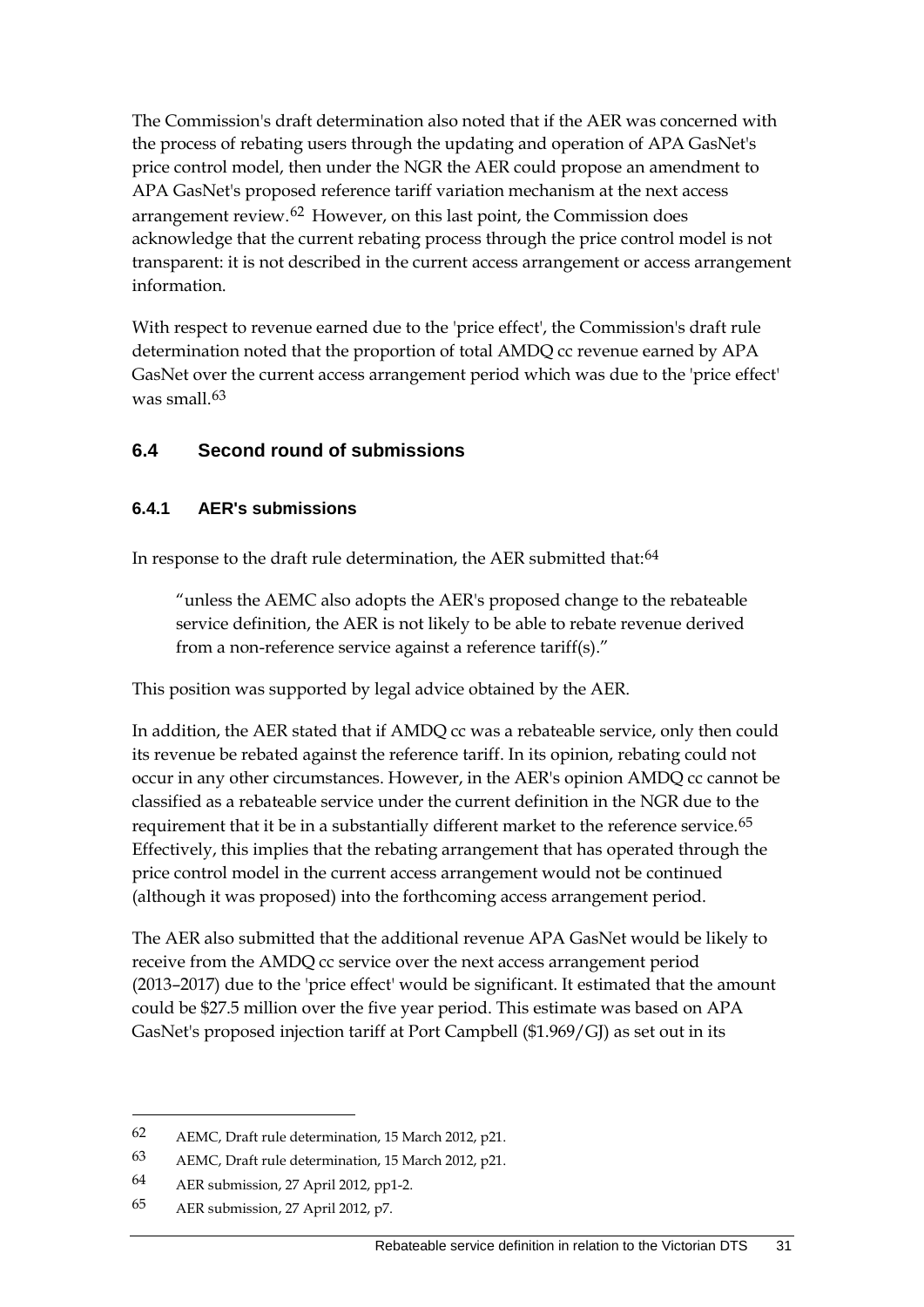The Commission's draft determination also noted that if the AER was concerned with the process of rebating users through the updating and operation of APA GasNet's price control model, then under the NGR the AER could propose an amendment to APA GasNet's proposed reference tariff variation mechanism at the next access arrangement review.[62](#page-38-0) However, on this last point, the Commission does acknowledge that the current rebating process through the price control model is not transparent: it is not described in the current access arrangement or access arrangement information.

With respect to revenue earned due to the 'price effect', the Commission's draft rule determination noted that the proportion of total AMDQ cc revenue earned by APA GasNet over the current access arrangement period which was due to the 'price effect' was small.<sup>[63](#page-38-1)</sup>

#### **6.4 Second round of submissions**

#### **6.4.1 AER's submissions**

In response to the draft rule determination, the AER submitted that:<sup>[64](#page-38-2)</sup>

"unless the AEMC also adopts the AER's proposed change to the rebateable service definition, the AER is not likely to be able to rebate revenue derived from a non-reference service against a reference tariff(s)."

This position was supported by legal advice obtained by the AER.

In addition, the AER stated that if AMDQ cc was a rebateable service, only then could its revenue be rebated against the reference tariff. In its opinion, rebating could not occur in any other circumstances. However, in the AER's opinion AMDQ cc cannot be classified as a rebateable service under the current definition in the NGR due to the requirement that it be in a substantially different market to the reference service.<sup>[65](#page-38-3)</sup> Effectively, this implies that the rebating arrangement that has operated through the price control model in the current access arrangement would not be continued (although it was proposed) into the forthcoming access arrangement period.

The AER also submitted that the additional revenue APA GasNet would be likely to receive from the AMDQ cc service over the next access arrangement period (2013–2017) due to the 'price effect' would be significant. It estimated that the amount could be \$27.5 million over the five year period. This estimate was based on APA GasNet's proposed injection tariff at Port Campbell (\$1.969/GJ) as set out in its

<span id="page-38-0"></span><sup>62</sup> AEMC, Draft rule determination, 15 March 2012, p21.

<span id="page-38-1"></span><sup>63</sup> AEMC, Draft rule determination, 15 March 2012, p21.

<span id="page-38-2"></span><sup>64</sup> AER submission, 27 April 2012, pp1-2.

<span id="page-38-3"></span><sup>65</sup> AER submission, 27 April 2012, p7.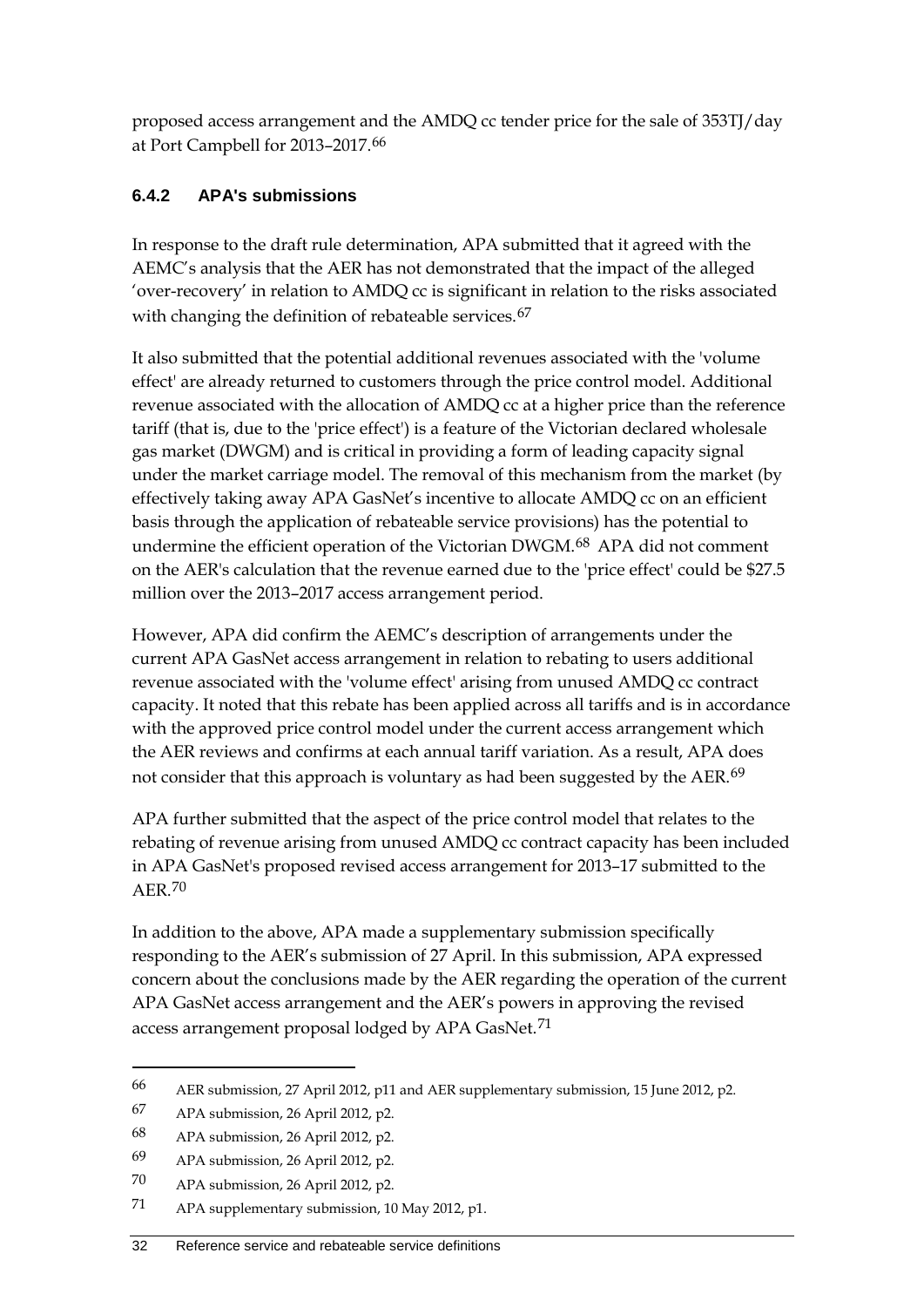proposed access arrangement and the AMDQ cc tender price for the sale of 353TJ/day at Port Campbell for 2013–2017.[66](#page-39-0)

## **6.4.2 APA's submissions**

In response to the draft rule determination, APA submitted that it agreed with the AEMC's analysis that the AER has not demonstrated that the impact of the alleged 'over-recovery' in relation to AMDQ cc is significant in relation to the risks associated with changing the definition of rebateable services.<sup>[67](#page-39-1)</sup>

It also submitted that the potential additional revenues associated with the 'volume effect' are already returned to customers through the price control model. Additional revenue associated with the allocation of AMDQ cc at a higher price than the reference tariff (that is, due to the 'price effect') is a feature of the Victorian declared wholesale gas market (DWGM) and is critical in providing a form of leading capacity signal under the market carriage model. The removal of this mechanism from the market (by effectively taking away APA GasNet's incentive to allocate AMDQ cc on an efficient basis through the application of rebateable service provisions) has the potential to undermine the efficient operation of the Victorian DWGM.[68](#page-39-2) APA did not comment on the AER's calculation that the revenue earned due to the 'price effect' could be \$27.5 million over the 2013–2017 access arrangement period.

However, APA did confirm the AEMC's description of arrangements under the current APA GasNet access arrangement in relation to rebating to users additional revenue associated with the 'volume effect' arising from unused AMDQ cc contract capacity. It noted that this rebate has been applied across all tariffs and is in accordance with the approved price control model under the current access arrangement which the AER reviews and confirms at each annual tariff variation. As a result, APA does not consider that this approach is voluntary as had been suggested by the AER.<sup>[69](#page-39-3)</sup>

APA further submitted that the aspect of the price control model that relates to the rebating of revenue arising from unused AMDQ cc contract capacity has been included in APA GasNet's proposed revised access arrangement for 2013–17 submitted to the AER.[70](#page-39-4)

In addition to the above, APA made a supplementary submission specifically responding to the AER's submission of 27 April. In this submission, APA expressed concern about the conclusions made by the AER regarding the operation of the current APA GasNet access arrangement and the AER's powers in approving the revised access arrangement proposal lodged by APA GasNet.<sup>[71](#page-39-5)</sup>

<span id="page-39-0"></span><sup>66</sup> AER submission, 27 April 2012, p11 and AER supplementary submission, 15 June 2012, p2.

<span id="page-39-1"></span><sup>67</sup> APA submission, 26 April 2012, p2.

<span id="page-39-2"></span><sup>68</sup> APA submission, 26 April 2012, p2.

<span id="page-39-3"></span><sup>69</sup> APA submission, 26 April 2012, p2.

<span id="page-39-4"></span><sup>70</sup> APA submission, 26 April 2012, p2.

<span id="page-39-5"></span><sup>71</sup> APA supplementary submission, 10 May 2012, p1.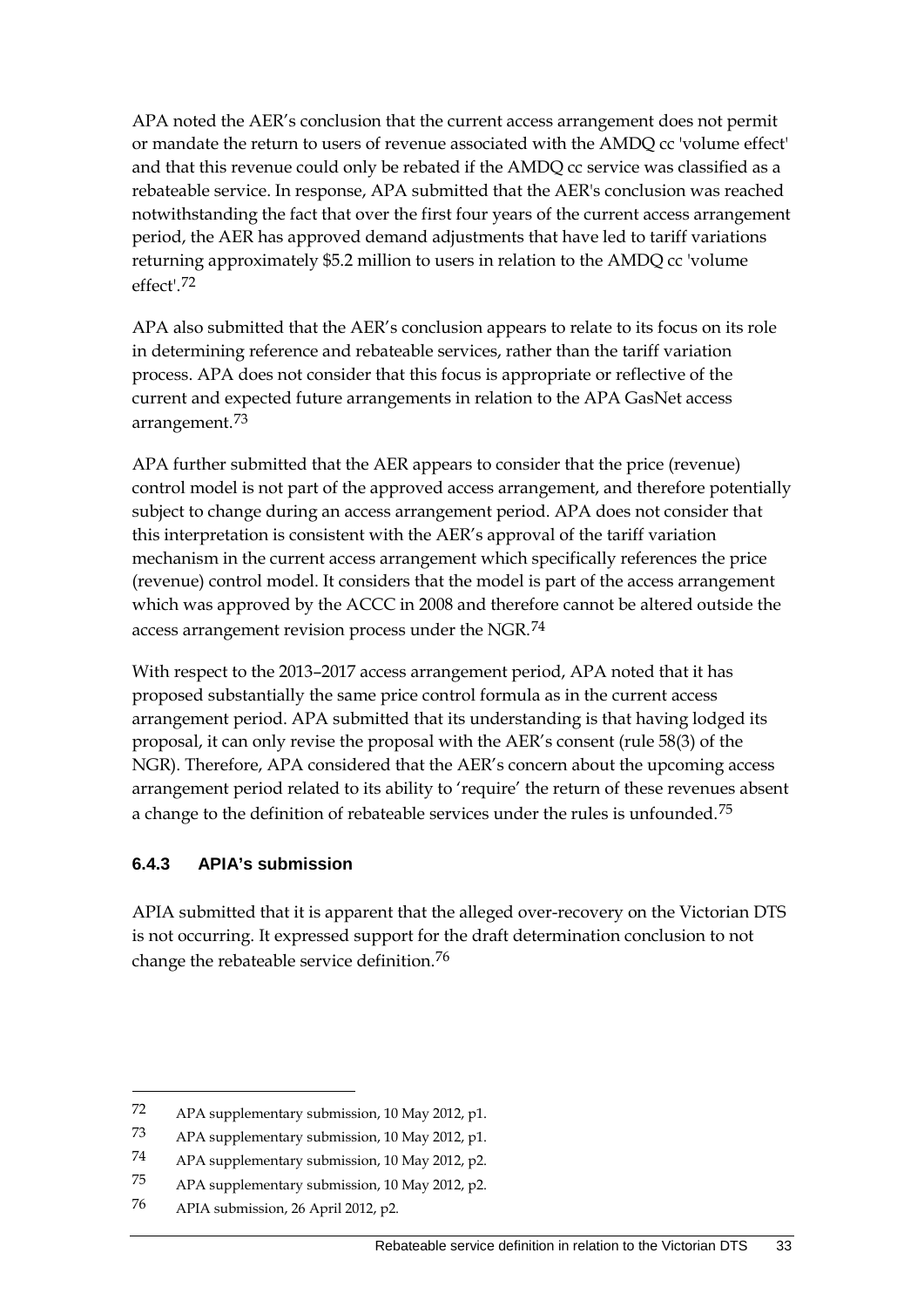APA noted the AER's conclusion that the current access arrangement does not permit or mandate the return to users of revenue associated with the AMDQ cc 'volume effect' and that this revenue could only be rebated if the AMDQ cc service was classified as a rebateable service. In response, APA submitted that the AER's conclusion was reached notwithstanding the fact that over the first four years of the current access arrangement period, the AER has approved demand adjustments that have led to tariff variations returning approximately \$5.2 million to users in relation to the AMDQ cc 'volume effect'.[72](#page-40-0)

APA also submitted that the AER's conclusion appears to relate to its focus on its role in determining reference and rebateable services, rather than the tariff variation process. APA does not consider that this focus is appropriate or reflective of the current and expected future arrangements in relation to the APA GasNet access arrangement.[73](#page-40-1)

APA further submitted that the AER appears to consider that the price (revenue) control model is not part of the approved access arrangement, and therefore potentially subject to change during an access arrangement period. APA does not consider that this interpretation is consistent with the AER's approval of the tariff variation mechanism in the current access arrangement which specifically references the price (revenue) control model. It considers that the model is part of the access arrangement which was approved by the ACCC in 2008 and therefore cannot be altered outside the access arrangement revision process under the NGR.<sup>[74](#page-40-2)</sup>

With respect to the 2013–2017 access arrangement period, APA noted that it has proposed substantially the same price control formula as in the current access arrangement period. APA submitted that its understanding is that having lodged its proposal, it can only revise the proposal with the AER's consent (rule 58(3) of the NGR). Therefore, APA considered that the AER's concern about the upcoming access arrangement period related to its ability to 'require' the return of these revenues absent a change to the definition of rebateable services under the rules is unfounded.<sup>[75](#page-40-3)</sup>

#### **6.4.3 APIA's submission**

APIA submitted that it is apparent that the alleged over-recovery on the Victorian DTS is not occurring. It expressed support for the draft determination conclusion to not change the rebateable service definition.[76](#page-40-4)

<span id="page-40-0"></span><sup>72</sup> APA supplementary submission, 10 May 2012, p1.

<span id="page-40-1"></span><sup>73</sup> APA supplementary submission, 10 May 2012, p1.

<span id="page-40-2"></span><sup>74</sup> APA supplementary submission, 10 May 2012, p2.

<span id="page-40-3"></span><sup>75</sup> APA supplementary submission, 10 May 2012, p2.

<span id="page-40-4"></span><sup>76</sup> APIA submission, 26 April 2012, p2.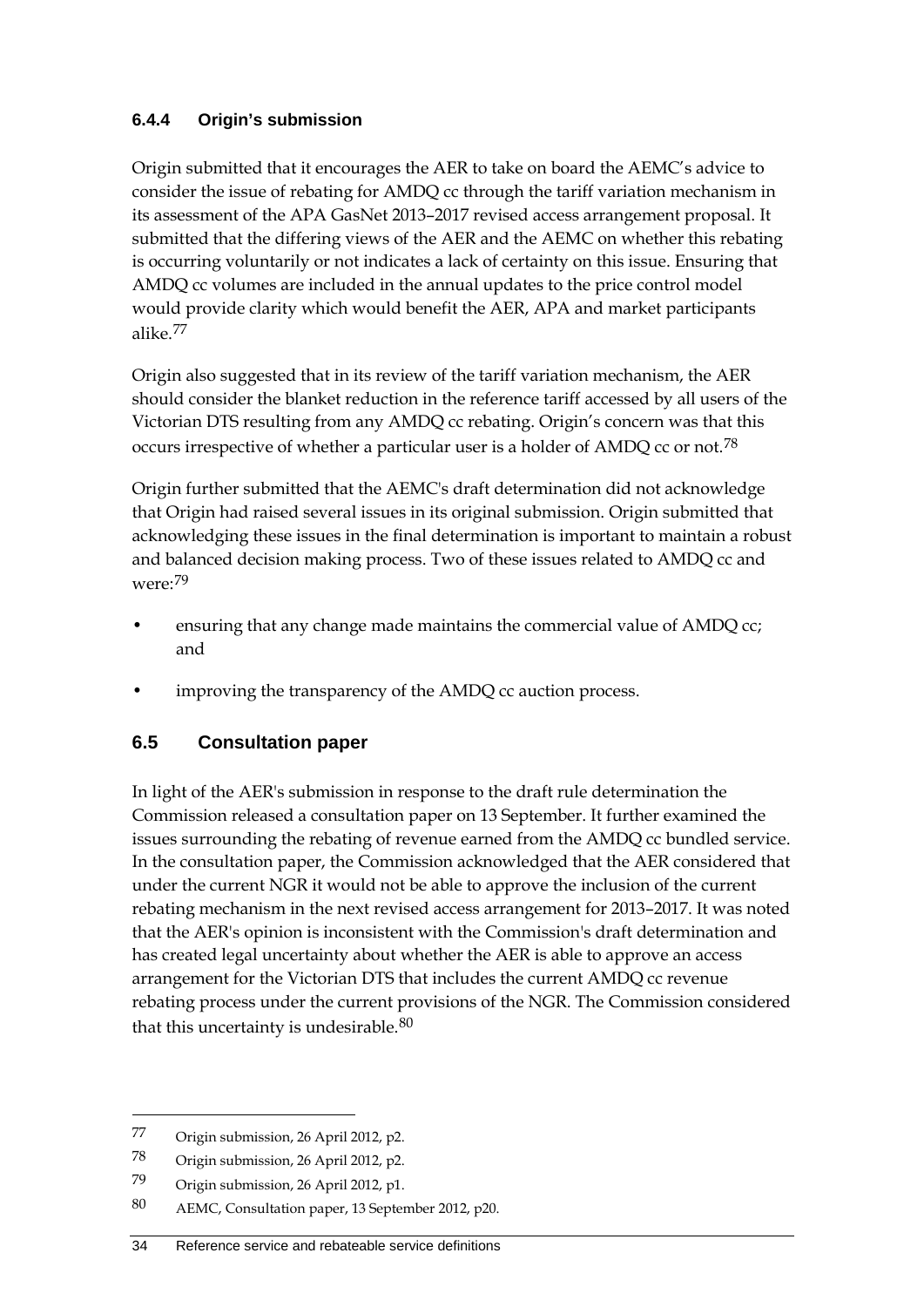#### **6.4.4 Origin's submission**

Origin submitted that it encourages the AER to take on board the AEMC's advice to consider the issue of rebating for AMDQ cc through the tariff variation mechanism in its assessment of the APA GasNet 2013–2017 revised access arrangement proposal. It submitted that the differing views of the AER and the AEMC on whether this rebating is occurring voluntarily or not indicates a lack of certainty on this issue. Ensuring that AMDQ cc volumes are included in the annual updates to the price control model would provide clarity which would benefit the AER, APA and market participants alike.[77](#page-41-0)

Origin also suggested that in its review of the tariff variation mechanism, the AER should consider the blanket reduction in the reference tariff accessed by all users of the Victorian DTS resulting from any AMDQ cc rebating. Origin's concern was that this occurs irrespective of whether a particular user is a holder of AMDQ cc or not.<sup>[78](#page-41-1)</sup>

Origin further submitted that the AEMC's draft determination did not acknowledge that Origin had raised several issues in its original submission. Origin submitted that acknowledging these issues in the final determination is important to maintain a robust and balanced decision making process. Two of these issues related to AMDQ cc and were:[79](#page-41-2)

- ensuring that any change made maintains the commercial value of AMDQ cc; and
- improving the transparency of the AMDQ cc auction process.

## **6.5 Consultation paper**

In light of the AER's submission in response to the draft rule determination the Commission released a consultation paper on 13 September. It further examined the issues surrounding the rebating of revenue earned from the AMDQ cc bundled service. In the consultation paper, the Commission acknowledged that the AER considered that under the current NGR it would not be able to approve the inclusion of the current rebating mechanism in the next revised access arrangement for 2013–2017. It was noted that the AER's opinion is inconsistent with the Commission's draft determination and has created legal uncertainty about whether the AER is able to approve an access arrangement for the Victorian DTS that includes the current AMDQ cc revenue rebating process under the current provisions of the NGR. The Commission considered that this uncertainty is undesirable.<sup>[80](#page-41-3)</sup>

<span id="page-41-0"></span><sup>77</sup> Origin submission, 26 April 2012, p2.

<span id="page-41-1"></span><sup>78</sup> Origin submission, 26 April 2012, p2.

<span id="page-41-2"></span><sup>79</sup> Origin submission, 26 April 2012, p1.

<span id="page-41-3"></span><sup>80</sup> AEMC, Consultation paper, 13 September 2012, p20.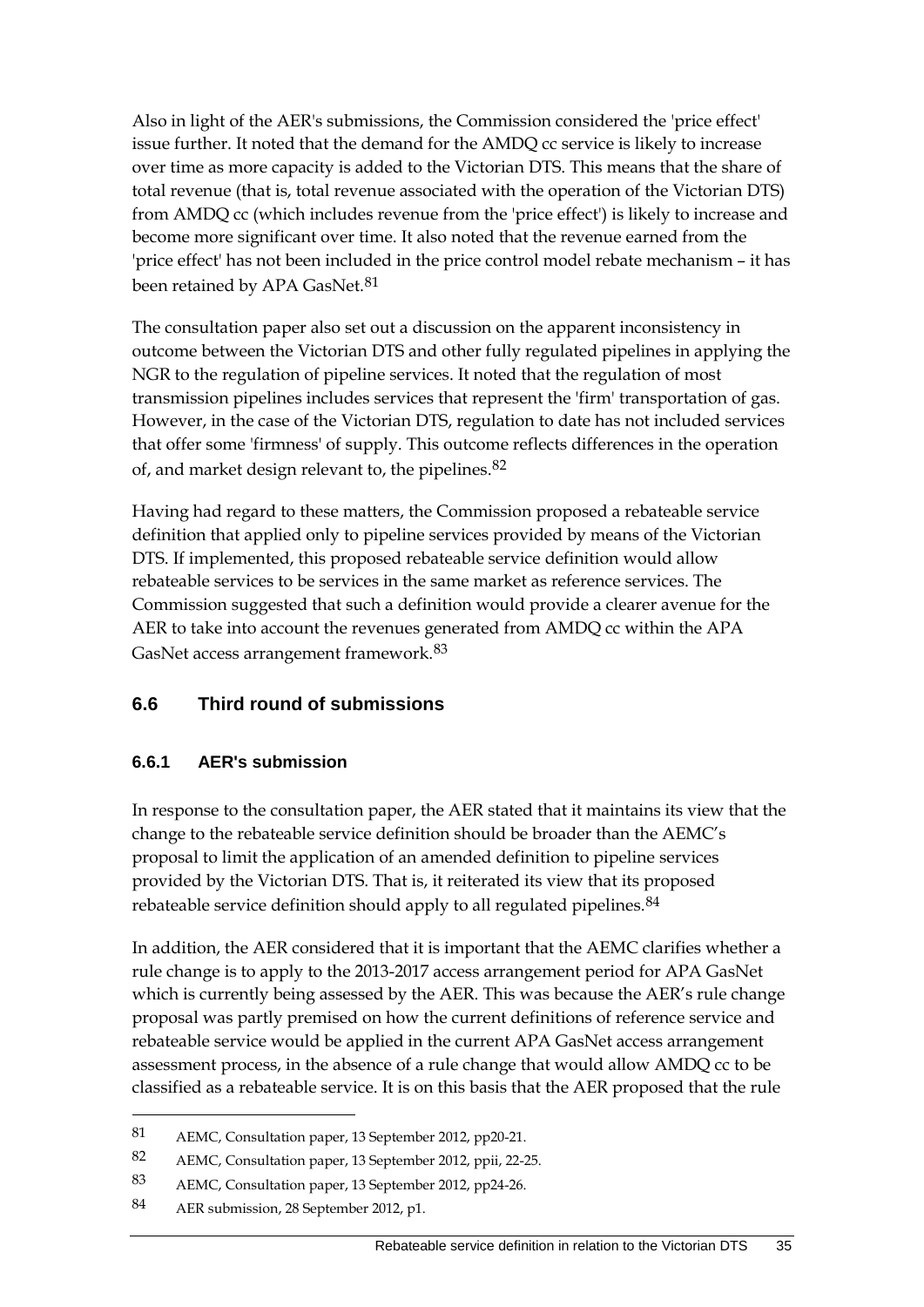Also in light of the AER's submissions, the Commission considered the 'price effect' issue further. It noted that the demand for the AMDQ cc service is likely to increase over time as more capacity is added to the Victorian DTS. This means that the share of total revenue (that is, total revenue associated with the operation of the Victorian DTS) from AMDQ cc (which includes revenue from the 'price effect') is likely to increase and become more significant over time. It also noted that the revenue earned from the 'price effect' has not been included in the price control model rebate mechanism – it has been retained by APA GasNet.<sup>[81](#page-42-0)</sup>

The consultation paper also set out a discussion on the apparent inconsistency in outcome between the Victorian DTS and other fully regulated pipelines in applying the NGR to the regulation of pipeline services. It noted that the regulation of most transmission pipelines includes services that represent the 'firm' transportation of gas. However, in the case of the Victorian DTS, regulation to date has not included services that offer some 'firmness' of supply. This outcome reflects differences in the operation of, and market design relevant to, the pipelines.[82](#page-42-1)

Having had regard to these matters, the Commission proposed a rebateable service definition that applied only to pipeline services provided by means of the Victorian DTS. If implemented, this proposed rebateable service definition would allow rebateable services to be services in the same market as reference services. The Commission suggested that such a definition would provide a clearer avenue for the AER to take into account the revenues generated from AMDQ cc within the APA GasNet access arrangement framework.[83](#page-42-2)

## **6.6 Third round of submissions**

#### **6.6.1 AER's submission**

In response to the consultation paper, the AER stated that it maintains its view that the change to the rebateable service definition should be broader than the AEMC's proposal to limit the application of an amended definition to pipeline services provided by the Victorian DTS. That is, it reiterated its view that its proposed rebateable service definition should apply to all regulated pipelines.<sup>[84](#page-42-3)</sup>

In addition, the AER considered that it is important that the AEMC clarifies whether a rule change is to apply to the 2013-2017 access arrangement period for APA GasNet which is currently being assessed by the AER. This was because the AER's rule change proposal was partly premised on how the current definitions of reference service and rebateable service would be applied in the current APA GasNet access arrangement assessment process, in the absence of a rule change that would allow AMDQ cc to be classified as a rebateable service. It is on this basis that the AER proposed that the rule

<span id="page-42-0"></span><sup>81</sup> AEMC, Consultation paper, 13 September 2012, pp20-21.

<span id="page-42-1"></span><sup>82</sup> AEMC, Consultation paper, 13 September 2012, ppii, 22-25.

<span id="page-42-2"></span><sup>83</sup> AEMC, Consultation paper, 13 September 2012, pp24-26.

<span id="page-42-3"></span><sup>84</sup> AER submission, 28 September 2012, p1.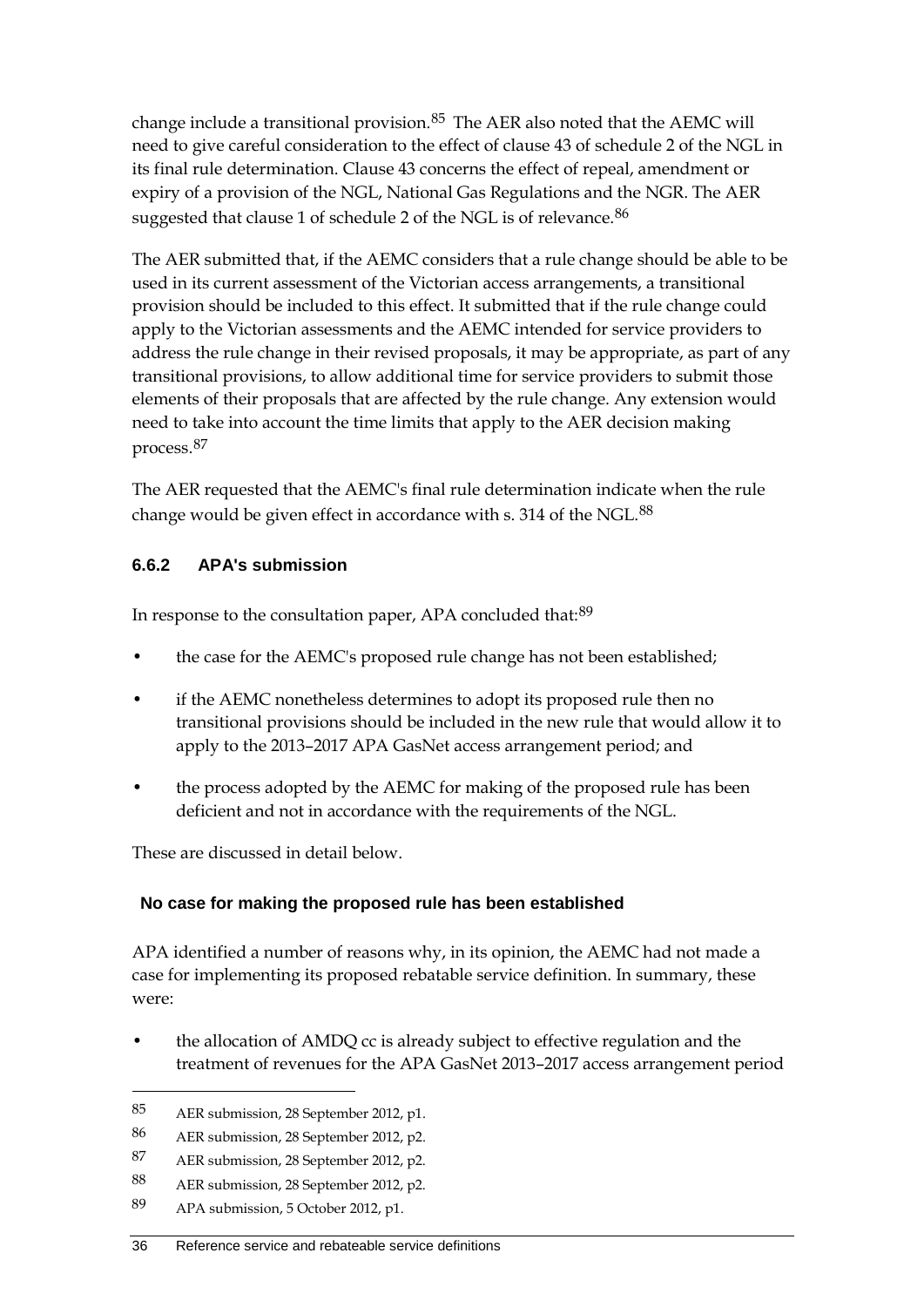change include a transitional provision.<sup>[85](#page-43-0)</sup> The AER also noted that the AEMC will need to give careful consideration to the effect of clause 43 of schedule 2 of the NGL in its final rule determination. Clause 43 concerns the effect of repeal, amendment or expiry of a provision of the NGL, National Gas Regulations and the NGR. The AER suggested that clause 1 of schedule 2 of the NGL is of relevance.<sup>[86](#page-43-1)</sup>

The AER submitted that, if the AEMC considers that a rule change should be able to be used in its current assessment of the Victorian access arrangements, a transitional provision should be included to this effect. It submitted that if the rule change could apply to the Victorian assessments and the AEMC intended for service providers to address the rule change in their revised proposals, it may be appropriate, as part of any transitional provisions, to allow additional time for service providers to submit those elements of their proposals that are affected by the rule change. Any extension would need to take into account the time limits that apply to the AER decision making process.[87](#page-43-2)

The AER requested that the AEMC's final rule determination indicate when the rule change would be given effect in accordance with s. 314 of the NGL.<sup>[88](#page-43-3)</sup>

#### **6.6.2 APA's submission**

In response to the consultation paper, APA concluded that:<sup>[89](#page-43-4)</sup>

- the case for the AEMC's proposed rule change has not been established;
- if the AEMC nonetheless determines to adopt its proposed rule then no transitional provisions should be included in the new rule that would allow it to apply to the 2013–2017 APA GasNet access arrangement period; and
- the process adopted by the AEMC for making of the proposed rule has been deficient and not in accordance with the requirements of the NGL.

These are discussed in detail below.

#### **No case for making the proposed rule has been established**

APA identified a number of reasons why, in its opinion, the AEMC had not made a case for implementing its proposed rebatable service definition. In summary, these were:

• the allocation of AMDQ cc is already subject to effective regulation and the treatment of revenues for the APA GasNet 2013–2017 access arrangement period

<span id="page-43-0"></span><sup>85</sup> AER submission, 28 September 2012, p1.

<span id="page-43-1"></span><sup>86</sup> AER submission, 28 September 2012, p2.

<span id="page-43-2"></span><sup>87</sup> AER submission, 28 September 2012, p2.

<span id="page-43-3"></span><sup>88</sup> AER submission, 28 September 2012, p2.

<span id="page-43-4"></span><sup>89</sup> APA submission, 5 October 2012, p1.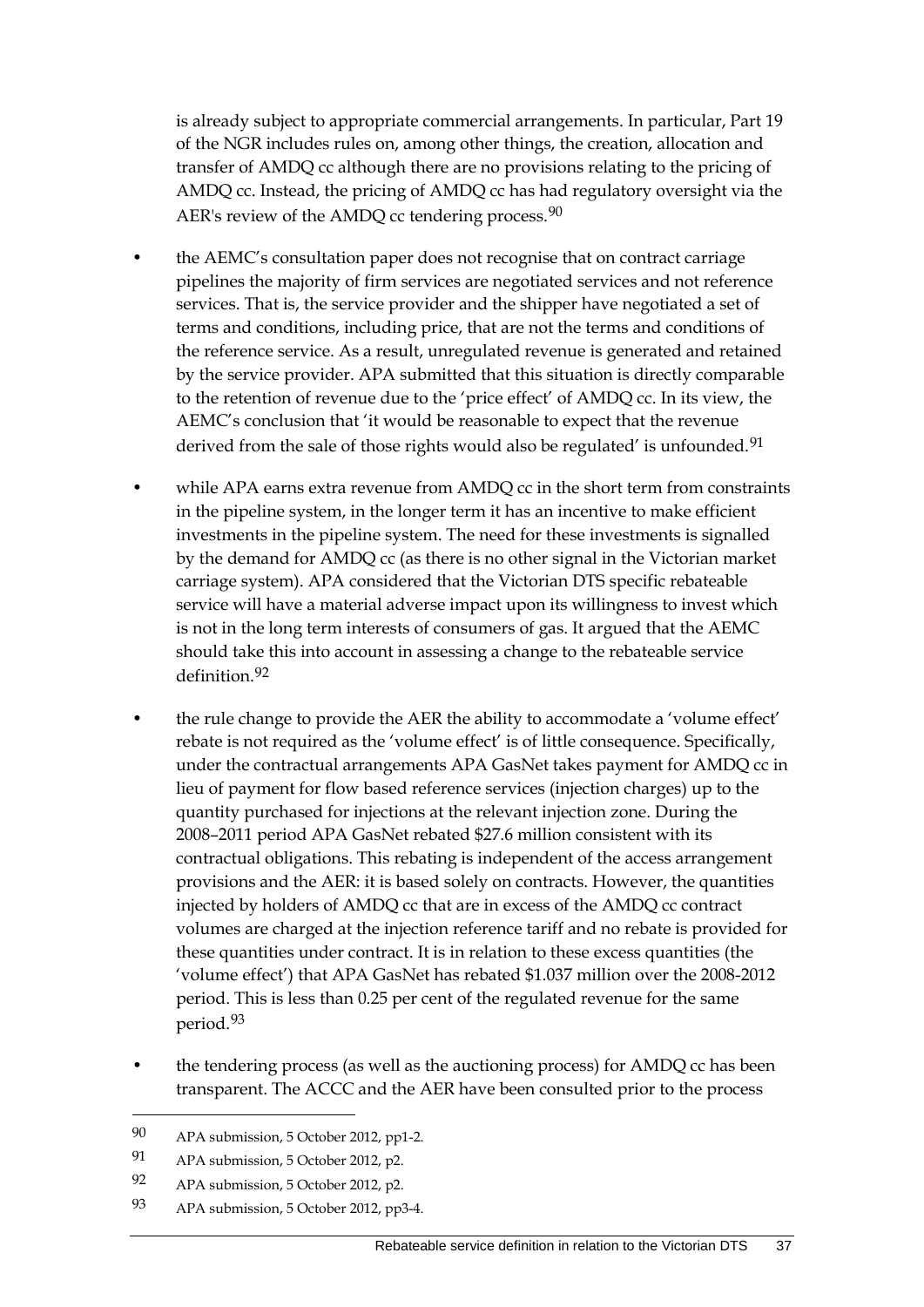is already subject to appropriate commercial arrangements. In particular, Part 19 of the NGR includes rules on, among other things, the creation, allocation and transfer of AMDQ cc although there are no provisions relating to the pricing of AMDQ cc. Instead, the pricing of AMDQ cc has had regulatory oversight via the AER's review of the AMDQ cc tendering process.<sup>[90](#page-44-0)</sup>

- the AEMC's consultation paper does not recognise that on contract carriage pipelines the majority of firm services are negotiated services and not reference services. That is, the service provider and the shipper have negotiated a set of terms and conditions, including price, that are not the terms and conditions of the reference service. As a result, unregulated revenue is generated and retained by the service provider. APA submitted that this situation is directly comparable to the retention of revenue due to the 'price effect' of AMDQ cc. In its view, the AEMC's conclusion that 'it would be reasonable to expect that the revenue derived from the sale of those rights would also be regulated' is unfounded.<sup>[91](#page-44-1)</sup>
- while APA earns extra revenue from AMDQ cc in the short term from constraints in the pipeline system, in the longer term it has an incentive to make efficient investments in the pipeline system. The need for these investments is signalled by the demand for AMDQ cc (as there is no other signal in the Victorian market carriage system). APA considered that the Victorian DTS specific rebateable service will have a material adverse impact upon its willingness to invest which is not in the long term interests of consumers of gas. It argued that the AEMC should take this into account in assessing a change to the rebateable service definition.[92](#page-44-2)
- the rule change to provide the AER the ability to accommodate a 'volume effect' rebate is not required as the 'volume effect' is of little consequence. Specifically, under the contractual arrangements APA GasNet takes payment for AMDQ cc in lieu of payment for flow based reference services (injection charges) up to the quantity purchased for injections at the relevant injection zone. During the 2008–2011 period APA GasNet rebated \$27.6 million consistent with its contractual obligations. This rebating is independent of the access arrangement provisions and the AER: it is based solely on contracts. However, the quantities injected by holders of AMDQ cc that are in excess of the AMDQ cc contract volumes are charged at the injection reference tariff and no rebate is provided for these quantities under contract. It is in relation to these excess quantities (the 'volume effect') that APA GasNet has rebated \$1.037 million over the 2008-2012 period. This is less than 0.25 per cent of the regulated revenue for the same period.[93](#page-44-3)
- the tendering process (as well as the auctioning process) for AMDQ cc has been transparent. The ACCC and the AER have been consulted prior to the process

<span id="page-44-0"></span><sup>90</sup> APA submission, 5 October 2012, pp1-2.

<span id="page-44-1"></span><sup>91</sup> APA submission, 5 October 2012, p2.

<span id="page-44-2"></span><sup>92</sup> APA submission, 5 October 2012, p2.

<span id="page-44-3"></span><sup>93</sup> APA submission, 5 October 2012, pp3-4.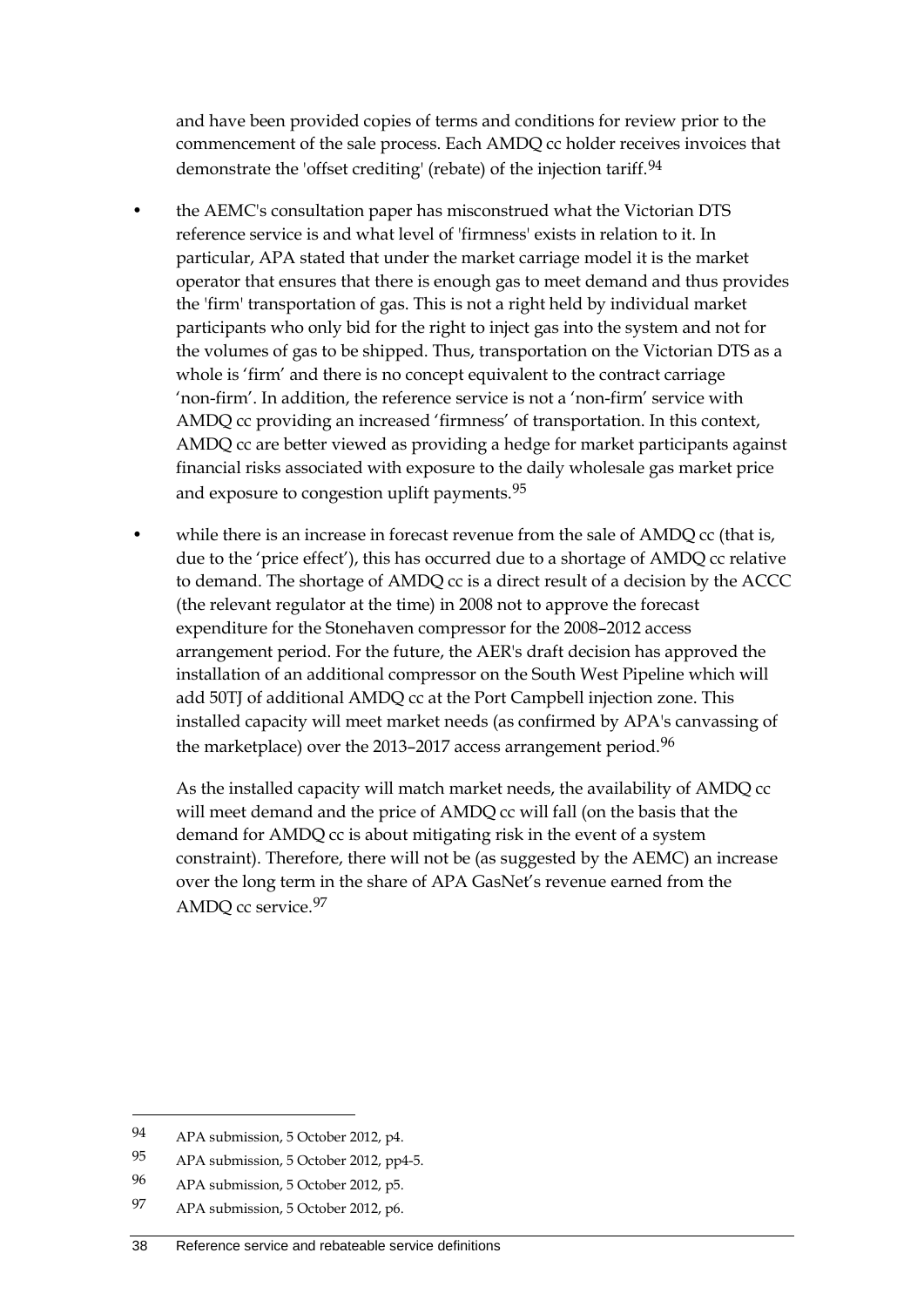and have been provided copies of terms and conditions for review prior to the commencement of the sale process. Each AMDQ cc holder receives invoices that demonstrate the 'offset crediting' (rebate) of the injection tariff.[94](#page-45-0)

- the AEMC's consultation paper has misconstrued what the Victorian DTS reference service is and what level of 'firmness' exists in relation to it. In particular, APA stated that under the market carriage model it is the market operator that ensures that there is enough gas to meet demand and thus provides the 'firm' transportation of gas. This is not a right held by individual market participants who only bid for the right to inject gas into the system and not for the volumes of gas to be shipped. Thus, transportation on the Victorian DTS as a whole is 'firm' and there is no concept equivalent to the contract carriage 'non-firm'. In addition, the reference service is not a 'non-firm' service with AMDQ cc providing an increased 'firmness' of transportation. In this context, AMDQ cc are better viewed as providing a hedge for market participants against financial risks associated with exposure to the daily wholesale gas market price and exposure to congestion uplift payments.[95](#page-45-1)
- while there is an increase in forecast revenue from the sale of AMDQ cc (that is, due to the 'price effect'), this has occurred due to a shortage of AMDQ cc relative to demand. The shortage of AMDQ cc is a direct result of a decision by the ACCC (the relevant regulator at the time) in 2008 not to approve the forecast expenditure for the Stonehaven compressor for the 2008–2012 access arrangement period. For the future, the AER's draft decision has approved the installation of an additional compressor on the South West Pipeline which will add 50TJ of additional AMDQ cc at the Port Campbell injection zone. This installed capacity will meet market needs (as confirmed by APA's canvassing of the marketplace) over the 2013–2017 access arrangement period.<sup>[96](#page-45-2)</sup>

As the installed capacity will match market needs, the availability of AMDQ cc will meet demand and the price of AMDQ cc will fall (on the basis that the demand for AMDQ cc is about mitigating risk in the event of a system constraint). Therefore, there will not be (as suggested by the AEMC) an increase over the long term in the share of APA GasNet's revenue earned from the AMDQ cc service.[97](#page-45-3)

<span id="page-45-0"></span><sup>94</sup> APA submission, 5 October 2012, p4.

<span id="page-45-1"></span><sup>95</sup> APA submission, 5 October 2012, pp4-5.

<span id="page-45-2"></span><sup>96</sup> APA submission, 5 October 2012, p5.

<span id="page-45-3"></span><sup>97</sup> APA submission, 5 October 2012, p6.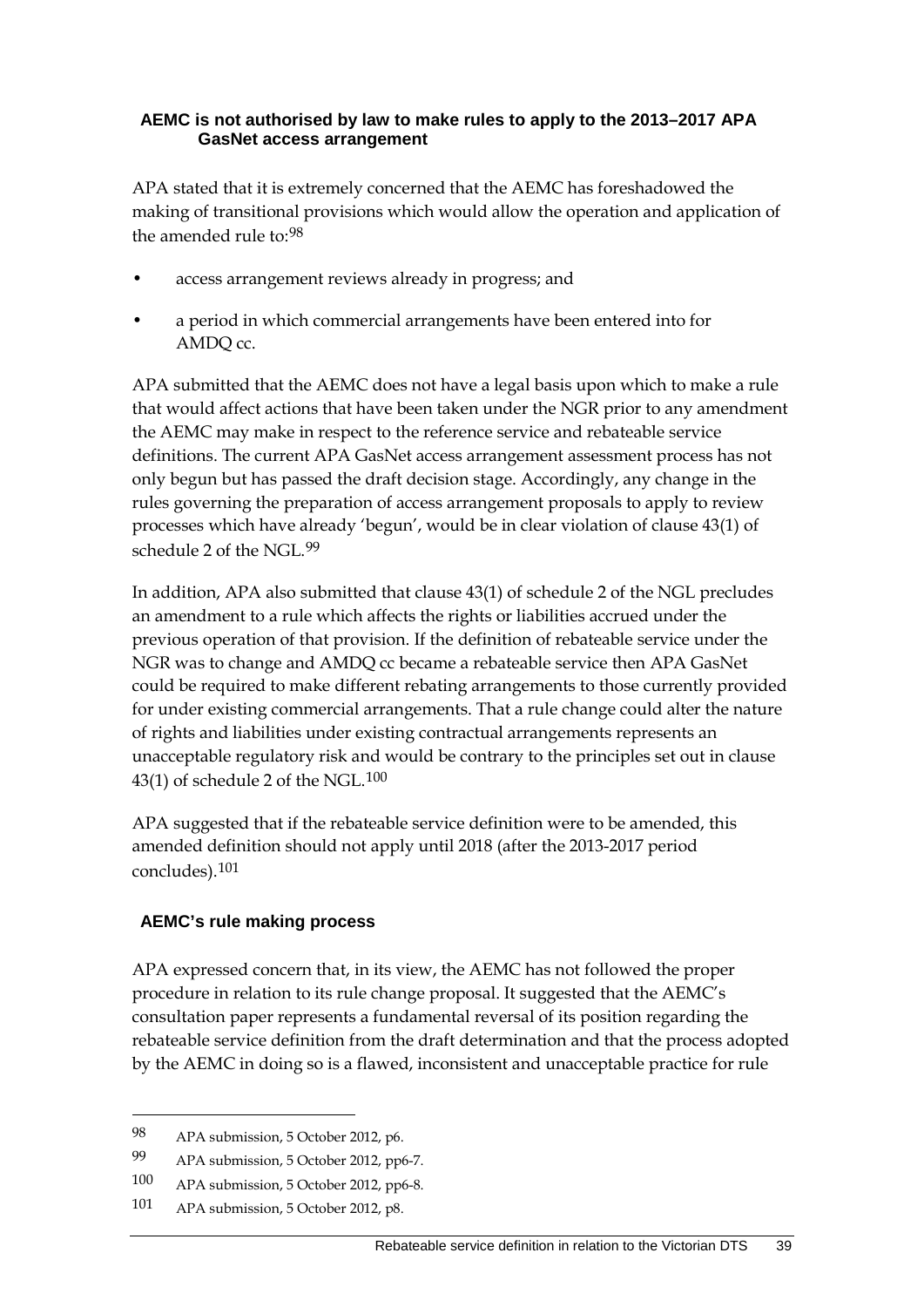#### **AEMC is not authorised by law to make rules to apply to the 2013–2017 APA GasNet access arrangement**

APA stated that it is extremely concerned that the AEMC has foreshadowed the making of transitional provisions which would allow the operation and application of the amended rule to:<sup>[98](#page-46-0)</sup>

- access arrangement reviews already in progress; and
- a period in which commercial arrangements have been entered into for AMDQ cc.

APA submitted that the AEMC does not have a legal basis upon which to make a rule that would affect actions that have been taken under the NGR prior to any amendment the AEMC may make in respect to the reference service and rebateable service definitions. The current APA GasNet access arrangement assessment process has not only begun but has passed the draft decision stage. Accordingly, any change in the rules governing the preparation of access arrangement proposals to apply to review processes which have already 'begun', would be in clear violation of clause 43(1) of schedule 2 of the NGL.[99](#page-46-1)

In addition, APA also submitted that clause 43(1) of schedule 2 of the NGL precludes an amendment to a rule which affects the rights or liabilities accrued under the previous operation of that provision. If the definition of rebateable service under the NGR was to change and AMDQ cc became a rebateable service then APA GasNet could be required to make different rebating arrangements to those currently provided for under existing commercial arrangements. That a rule change could alter the nature of rights and liabilities under existing contractual arrangements represents an unacceptable regulatory risk and would be contrary to the principles set out in clause  $43(1)$  of schedule 2 of the NGL.<sup>[100](#page-46-2)</sup>

APA suggested that if the rebateable service definition were to be amended, this amended definition should not apply until 2018 (after the 2013-2017 period concludes).[101](#page-46-3)

#### **AEMC's rule making process**

APA expressed concern that, in its view, the AEMC has not followed the proper procedure in relation to its rule change proposal. It suggested that the AEMC's consultation paper represents a fundamental reversal of its position regarding the rebateable service definition from the draft determination and that the process adopted by the AEMC in doing so is a flawed, inconsistent and unacceptable practice for rule

<span id="page-46-0"></span><sup>98</sup> APA submission, 5 October 2012, p6.

<span id="page-46-1"></span><sup>99</sup> APA submission, 5 October 2012, pp6-7.

<span id="page-46-2"></span><sup>100</sup> APA submission, 5 October 2012, pp6-8.

<span id="page-46-3"></span><sup>101</sup> APA submission, 5 October 2012, p8.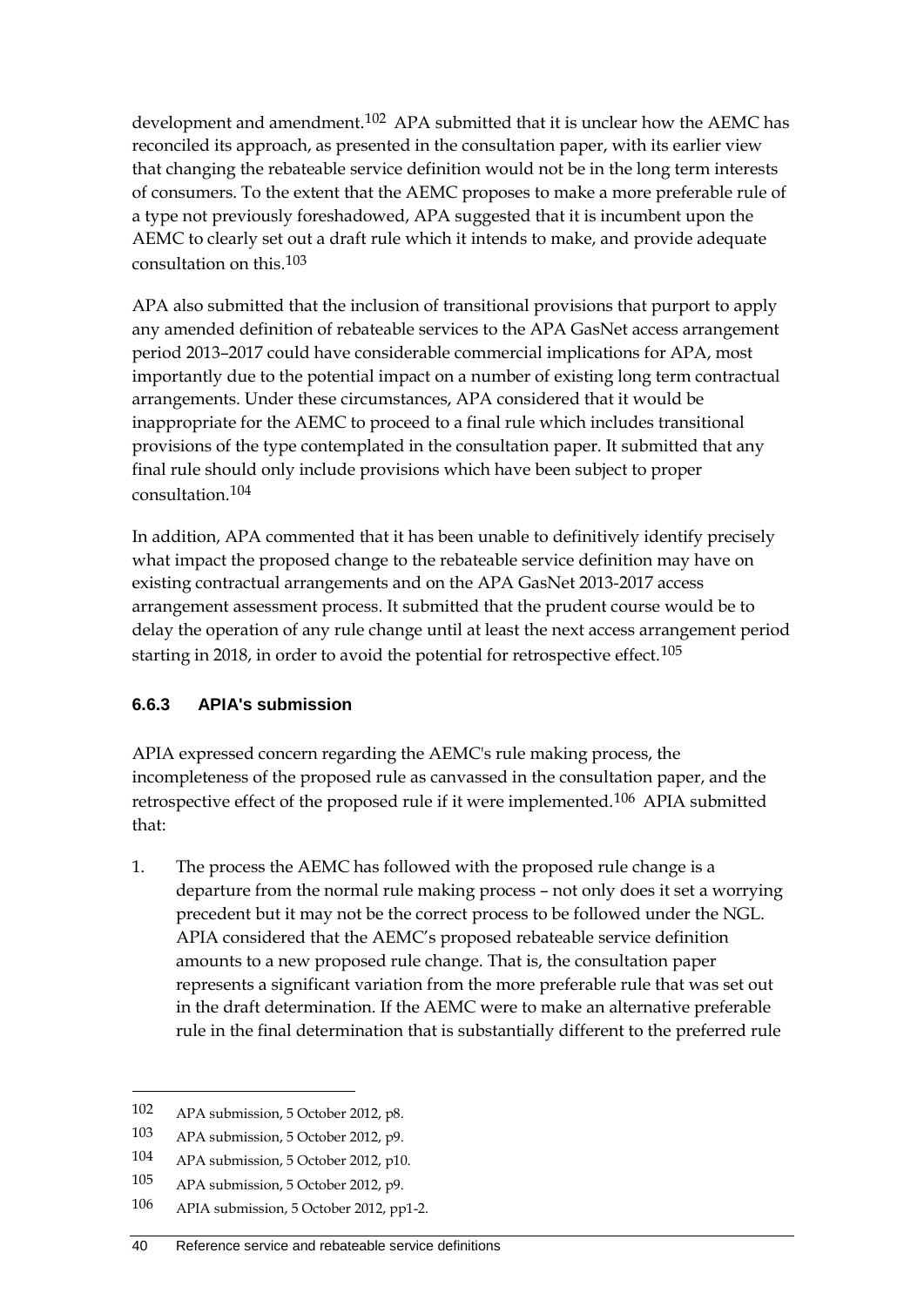development and amendment.<sup>[102](#page-47-0)</sup> APA submitted that it is unclear how the AEMC has reconciled its approach, as presented in the consultation paper, with its earlier view that changing the rebateable service definition would not be in the long term interests of consumers. To the extent that the AEMC proposes to make a more preferable rule of a type not previously foreshadowed, APA suggested that it is incumbent upon the AEMC to clearly set out a draft rule which it intends to make, and provide adequate consultation on this.[103](#page-47-1)

APA also submitted that the inclusion of transitional provisions that purport to apply any amended definition of rebateable services to the APA GasNet access arrangement period 2013–2017 could have considerable commercial implications for APA, most importantly due to the potential impact on a number of existing long term contractual arrangements. Under these circumstances, APA considered that it would be inappropriate for the AEMC to proceed to a final rule which includes transitional provisions of the type contemplated in the consultation paper. It submitted that any final rule should only include provisions which have been subject to proper consultation.[104](#page-47-2)

In addition, APA commented that it has been unable to definitively identify precisely what impact the proposed change to the rebateable service definition may have on existing contractual arrangements and on the APA GasNet 2013-2017 access arrangement assessment process. It submitted that the prudent course would be to delay the operation of any rule change until at least the next access arrangement period starting in 2018, in order to avoid the potential for retrospective effect.<sup>[105](#page-47-3)</sup>

#### **6.6.3 APIA's submission**

APIA expressed concern regarding the AEMC's rule making process, the incompleteness of the proposed rule as canvassed in the consultation paper, and the retrospective effect of the proposed rule if it were implemented.[106](#page-47-4) APIA submitted that:

1. The process the AEMC has followed with the proposed rule change is a departure from the normal rule making process – not only does it set a worrying precedent but it may not be the correct process to be followed under the NGL. APIA considered that the AEMC's proposed rebateable service definition amounts to a new proposed rule change. That is, the consultation paper represents a significant variation from the more preferable rule that was set out in the draft determination. If the AEMC were to make an alternative preferable rule in the final determination that is substantially different to the preferred rule

<span id="page-47-0"></span><sup>102</sup> APA submission, 5 October 2012, p8.

<span id="page-47-1"></span><sup>103</sup> APA submission, 5 October 2012, p9.

<span id="page-47-2"></span><sup>104</sup> APA submission, 5 October 2012, p10.

<span id="page-47-3"></span><sup>105</sup> APA submission, 5 October 2012, p9.

<span id="page-47-4"></span><sup>106</sup> APIA submission, 5 October 2012, pp1-2.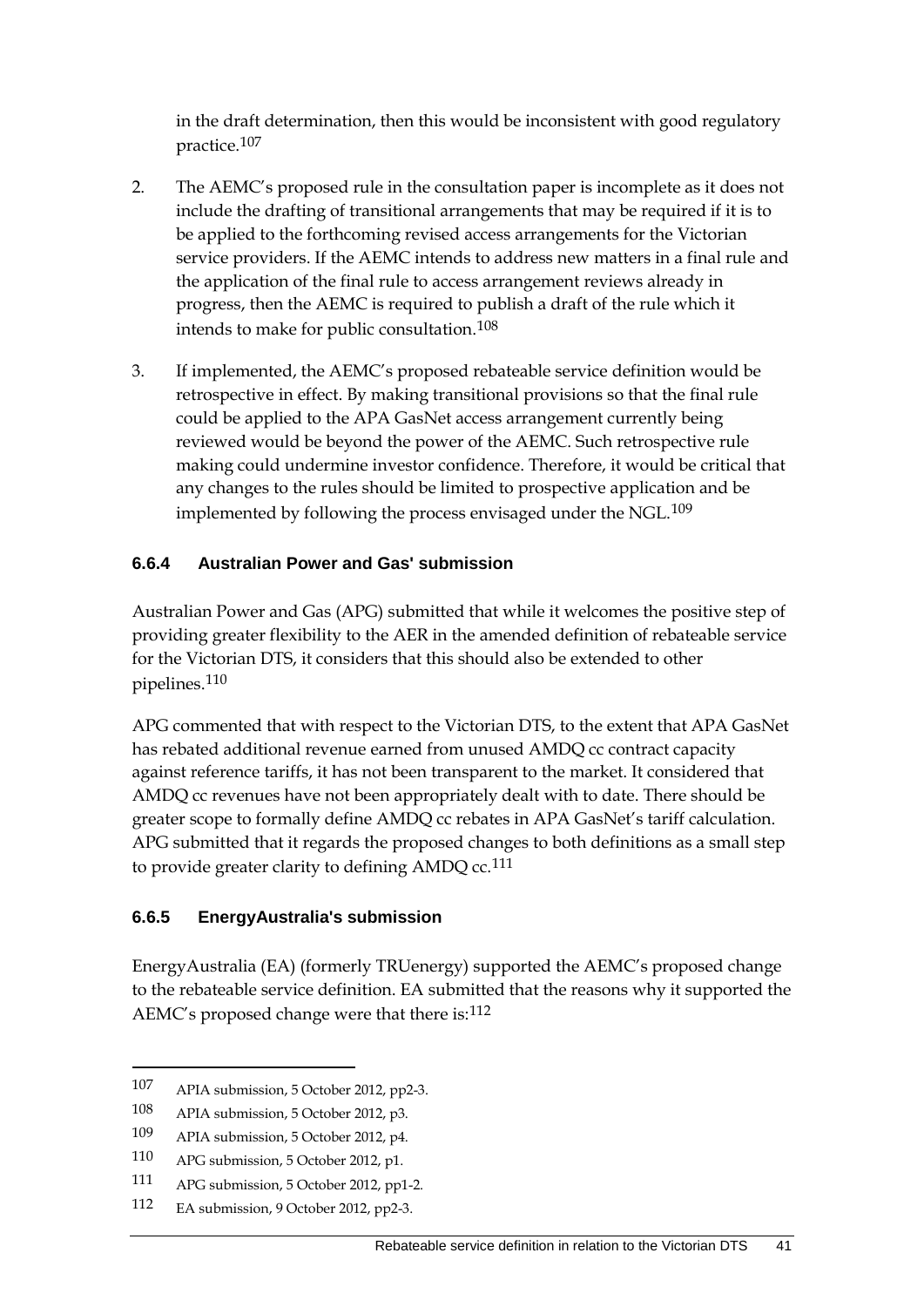in the draft determination, then this would be inconsistent with good regulatory practice.[107](#page-48-0)

- 2. The AEMC's proposed rule in the consultation paper is incomplete as it does not include the drafting of transitional arrangements that may be required if it is to be applied to the forthcoming revised access arrangements for the Victorian service providers. If the AEMC intends to address new matters in a final rule and the application of the final rule to access arrangement reviews already in progress, then the AEMC is required to publish a draft of the rule which it intends to make for public consultation.[108](#page-48-1)
- 3. If implemented, the AEMC's proposed rebateable service definition would be retrospective in effect. By making transitional provisions so that the final rule could be applied to the APA GasNet access arrangement currently being reviewed would be beyond the power of the AEMC. Such retrospective rule making could undermine investor confidence. Therefore, it would be critical that any changes to the rules should be limited to prospective application and be implemented by following the process envisaged under the NGL.<sup>[109](#page-48-2)</sup>

#### **6.6.4 Australian Power and Gas' submission**

Australian Power and Gas (APG) submitted that while it welcomes the positive step of providing greater flexibility to the AER in the amended definition of rebateable service for the Victorian DTS, it considers that this should also be extended to other pipelines.[110](#page-48-3)

APG commented that with respect to the Victorian DTS, to the extent that APA GasNet has rebated additional revenue earned from unused AMDQ cc contract capacity against reference tariffs, it has not been transparent to the market. It considered that AMDQ cc revenues have not been appropriately dealt with to date. There should be greater scope to formally define AMDQ cc rebates in APA GasNet's tariff calculation. APG submitted that it regards the proposed changes to both definitions as a small step to provide greater clarity to defining  $AMDQ$  cc.<sup>[111](#page-48-4)</sup>

#### **6.6.5 EnergyAustralia's submission**

EnergyAustralia (EA) (formerly TRUenergy) supported the AEMC's proposed change to the rebateable service definition. EA submitted that the reasons why it supported the AEMC's proposed change were that there is:[112](#page-48-5)

<span id="page-48-0"></span><sup>107</sup> APIA submission, 5 October 2012, pp2-3.

<span id="page-48-1"></span><sup>108</sup> APIA submission, 5 October 2012, p3.

<span id="page-48-2"></span><sup>109</sup> APIA submission, 5 October 2012, p4.

<span id="page-48-3"></span><sup>110</sup> APG submission, 5 October 2012, p1.

<span id="page-48-4"></span><sup>111</sup> APG submission, 5 October 2012, pp1-2.

<span id="page-48-5"></span><sup>112</sup> EA submission, 9 October 2012, pp2-3.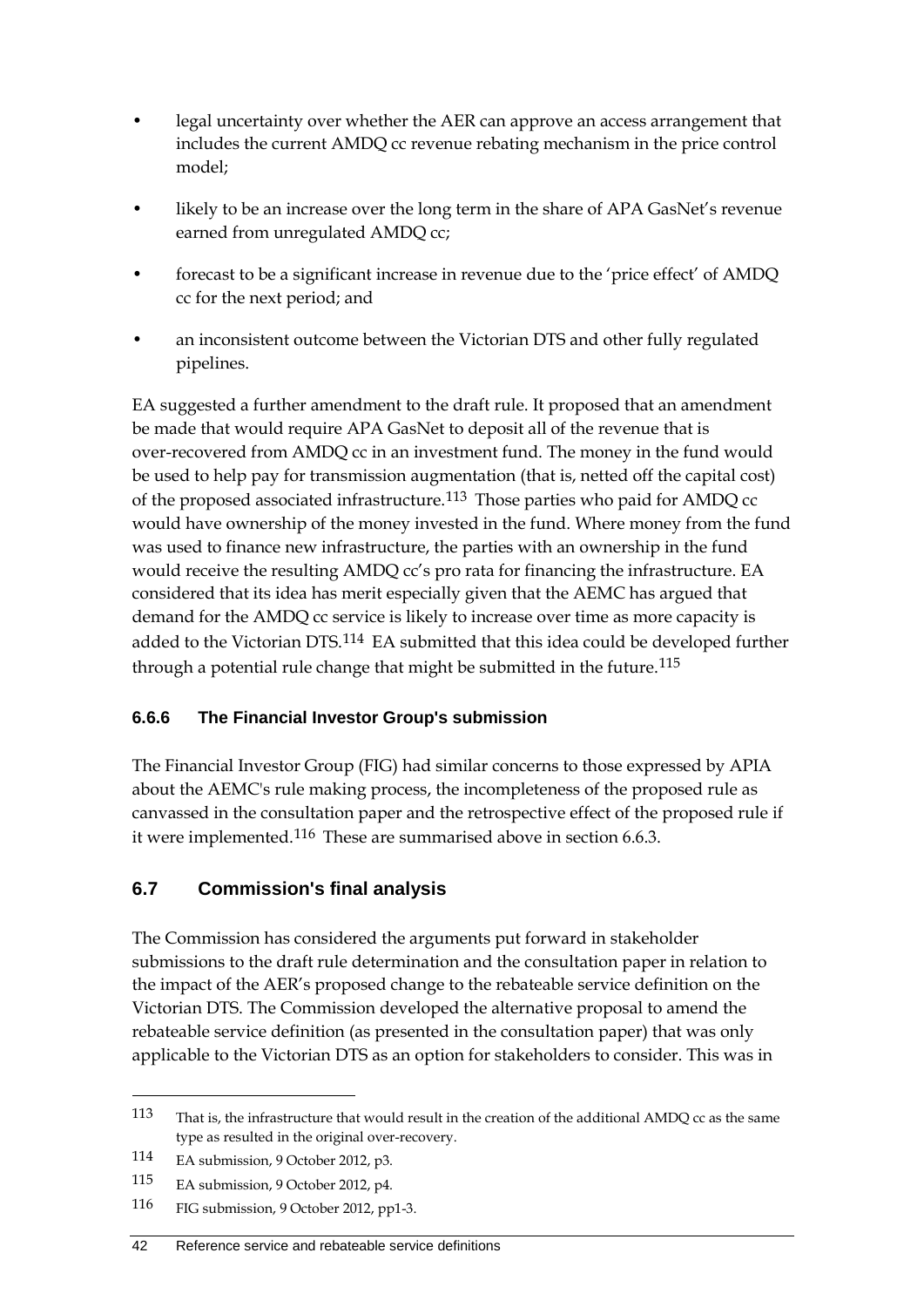- legal uncertainty over whether the AER can approve an access arrangement that includes the current AMDQ cc revenue rebating mechanism in the price control model;
- likely to be an increase over the long term in the share of APA GasNet's revenue earned from unregulated AMDQ cc;
- forecast to be a significant increase in revenue due to the 'price effect' of AMDQ cc for the next period; and
- an inconsistent outcome between the Victorian DTS and other fully regulated pipelines.

EA suggested a further amendment to the draft rule. It proposed that an amendment be made that would require APA GasNet to deposit all of the revenue that is over-recovered from AMDQ cc in an investment fund. The money in the fund would be used to help pay for transmission augmentation (that is, netted off the capital cost) of the proposed associated infrastructure.[113](#page-49-0) Those parties who paid for AMDQ cc would have ownership of the money invested in the fund. Where money from the fund was used to finance new infrastructure, the parties with an ownership in the fund would receive the resulting AMDQ cc's pro rata for financing the infrastructure. EA considered that its idea has merit especially given that the AEMC has argued that demand for the AMDQ cc service is likely to increase over time as more capacity is added to the Victorian DTS.<sup>[114](#page-49-1)</sup> EA submitted that this idea could be developed further through a potential rule change that might be submitted in the future.<sup>[115](#page-49-2)</sup>

## **6.6.6 The Financial Investor Group's submission**

The Financial Investor Group (FIG) had similar concerns to those expressed by APIA about the AEMC's rule making process, the incompleteness of the proposed rule as canvassed in the consultation paper and the retrospective effect of the proposed rule if it were implemented.[116](#page-49-3) These are summarised above in section 6.6.3.

## **6.7 Commission's final analysis**

The Commission has considered the arguments put forward in stakeholder submissions to the draft rule determination and the consultation paper in relation to the impact of the AER's proposed change to the rebateable service definition on the Victorian DTS. The Commission developed the alternative proposal to amend the rebateable service definition (as presented in the consultation paper) that was only applicable to the Victorian DTS as an option for stakeholders to consider. This was in

<span id="page-49-0"></span><sup>113</sup> That is, the infrastructure that would result in the creation of the additional AMDQ cc as the same type as resulted in the original over-recovery.

<span id="page-49-1"></span><sup>114</sup> EA submission, 9 October 2012, p3.

<span id="page-49-2"></span><sup>115</sup> EA submission, 9 October 2012, p4.

<span id="page-49-3"></span><sup>116</sup> FIG submission, 9 October 2012, pp1-3.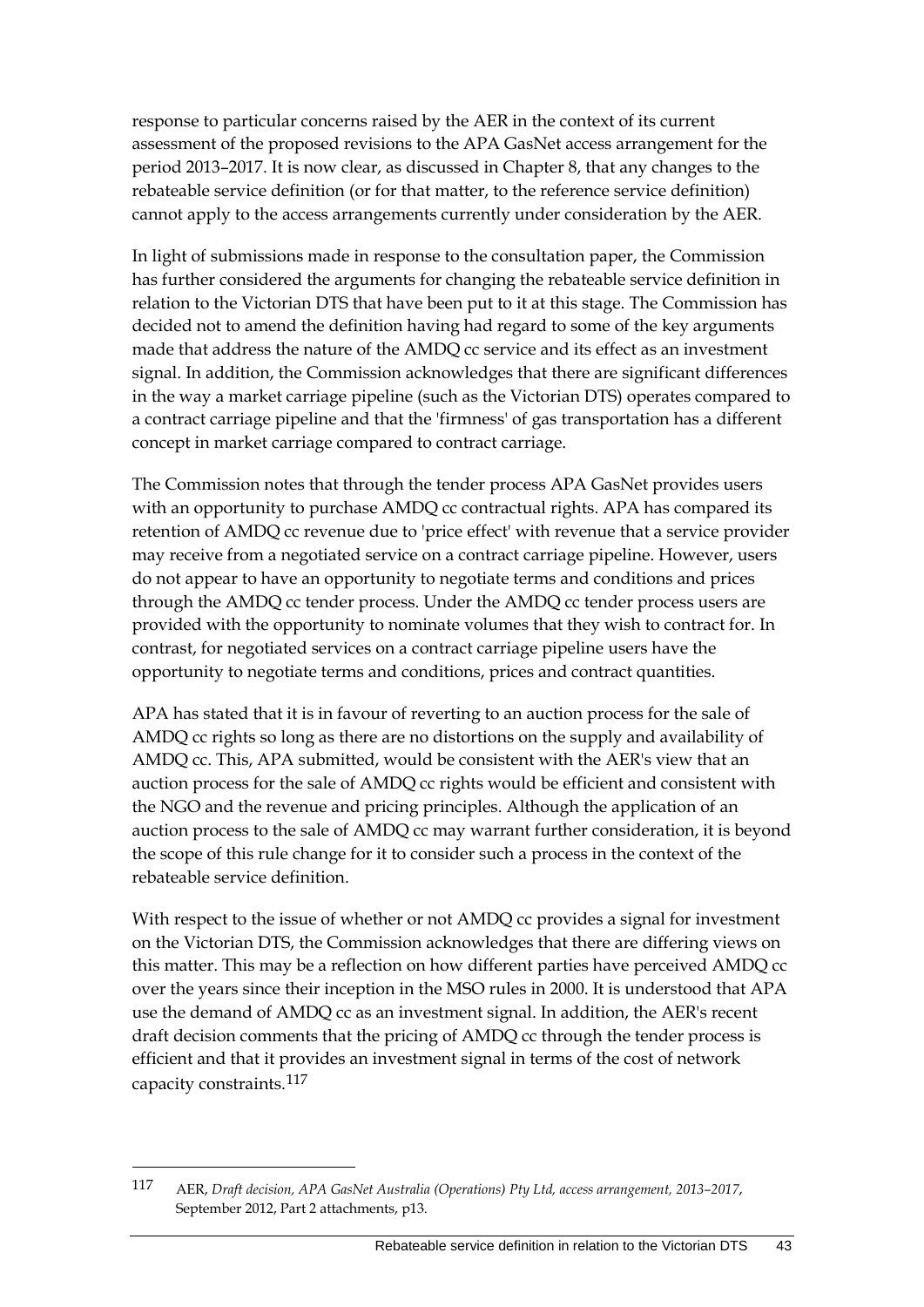response to particular concerns raised by the AER in the context of its current assessment of the proposed revisions to the APA GasNet access arrangement for the period 2013–2017. It is now clear, as discussed in Chapter 8, that any changes to the rebateable service definition (or for that matter, to the reference service definition) cannot apply to the access arrangements currently under consideration by the AER.

In light of submissions made in response to the consultation paper, the Commission has further considered the arguments for changing the rebateable service definition in relation to the Victorian DTS that have been put to it at this stage. The Commission has decided not to amend the definition having had regard to some of the key arguments made that address the nature of the AMDQ cc service and its effect as an investment signal. In addition, the Commission acknowledges that there are significant differences in the way a market carriage pipeline (such as the Victorian DTS) operates compared to a contract carriage pipeline and that the 'firmness' of gas transportation has a different concept in market carriage compared to contract carriage.

The Commission notes that through the tender process APA GasNet provides users with an opportunity to purchase AMDQ cc contractual rights. APA has compared its retention of AMDQ cc revenue due to 'price effect' with revenue that a service provider may receive from a negotiated service on a contract carriage pipeline. However, users do not appear to have an opportunity to negotiate terms and conditions and prices through the AMDQ cc tender process. Under the AMDQ cc tender process users are provided with the opportunity to nominate volumes that they wish to contract for. In contrast, for negotiated services on a contract carriage pipeline users have the opportunity to negotiate terms and conditions, prices and contract quantities.

APA has stated that it is in favour of reverting to an auction process for the sale of AMDQ cc rights so long as there are no distortions on the supply and availability of AMDQ cc. This, APA submitted, would be consistent with the AER's view that an auction process for the sale of AMDQ cc rights would be efficient and consistent with the NGO and the revenue and pricing principles. Although the application of an auction process to the sale of AMDQ cc may warrant further consideration, it is beyond the scope of this rule change for it to consider such a process in the context of the rebateable service definition.

With respect to the issue of whether or not AMDQ cc provides a signal for investment on the Victorian DTS, the Commission acknowledges that there are differing views on this matter. This may be a reflection on how different parties have perceived AMDQ cc over the years since their inception in the MSO rules in 2000. It is understood that APA use the demand of AMDQ cc as an investment signal. In addition, the AER's recent draft decision comments that the pricing of AMDQ cc through the tender process is efficient and that it provides an investment signal in terms of the cost of network capacity constraints.[117](#page-50-0)

<span id="page-50-0"></span><sup>117</sup> AER, *Draft decision, APA GasNet Australia (Operations) Pty Ltd, access arrangement, 2013–2017*, September 2012, Part 2 attachments, p13.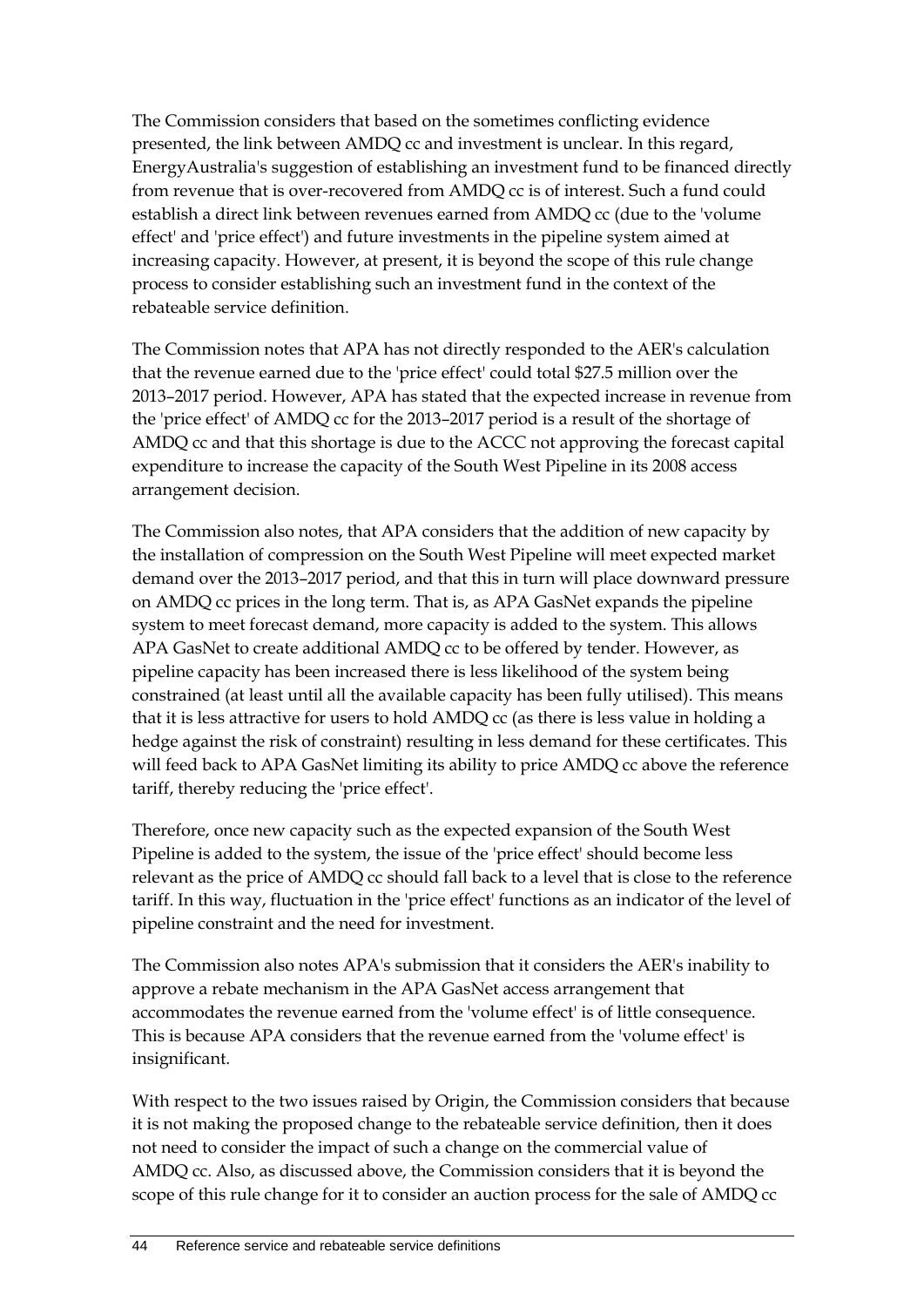The Commission considers that based on the sometimes conflicting evidence presented, the link between AMDQ cc and investment is unclear. In this regard, EnergyAustralia's suggestion of establishing an investment fund to be financed directly from revenue that is over-recovered from AMDQ cc is of interest. Such a fund could establish a direct link between revenues earned from AMDQ cc (due to the 'volume effect' and 'price effect') and future investments in the pipeline system aimed at increasing capacity. However, at present, it is beyond the scope of this rule change process to consider establishing such an investment fund in the context of the rebateable service definition.

The Commission notes that APA has not directly responded to the AER's calculation that the revenue earned due to the 'price effect' could total \$27.5 million over the 2013–2017 period. However, APA has stated that the expected increase in revenue from the 'price effect' of AMDQ cc for the 2013–2017 period is a result of the shortage of AMDQ cc and that this shortage is due to the ACCC not approving the forecast capital expenditure to increase the capacity of the South West Pipeline in its 2008 access arrangement decision.

The Commission also notes, that APA considers that the addition of new capacity by the installation of compression on the South West Pipeline will meet expected market demand over the 2013–2017 period, and that this in turn will place downward pressure on AMDQ cc prices in the long term. That is, as APA GasNet expands the pipeline system to meet forecast demand, more capacity is added to the system. This allows APA GasNet to create additional AMDQ cc to be offered by tender. However, as pipeline capacity has been increased there is less likelihood of the system being constrained (at least until all the available capacity has been fully utilised). This means that it is less attractive for users to hold AMDQ cc (as there is less value in holding a hedge against the risk of constraint) resulting in less demand for these certificates. This will feed back to APA GasNet limiting its ability to price AMDQ cc above the reference tariff, thereby reducing the 'price effect'.

Therefore, once new capacity such as the expected expansion of the South West Pipeline is added to the system, the issue of the 'price effect' should become less relevant as the price of AMDQ cc should fall back to a level that is close to the reference tariff. In this way, fluctuation in the 'price effect' functions as an indicator of the level of pipeline constraint and the need for investment.

The Commission also notes APA's submission that it considers the AER's inability to approve a rebate mechanism in the APA GasNet access arrangement that accommodates the revenue earned from the 'volume effect' is of little consequence. This is because APA considers that the revenue earned from the 'volume effect' is insignificant.

With respect to the two issues raised by Origin, the Commission considers that because it is not making the proposed change to the rebateable service definition, then it does not need to consider the impact of such a change on the commercial value of AMDQ cc. Also, as discussed above, the Commission considers that it is beyond the scope of this rule change for it to consider an auction process for the sale of AMDQ cc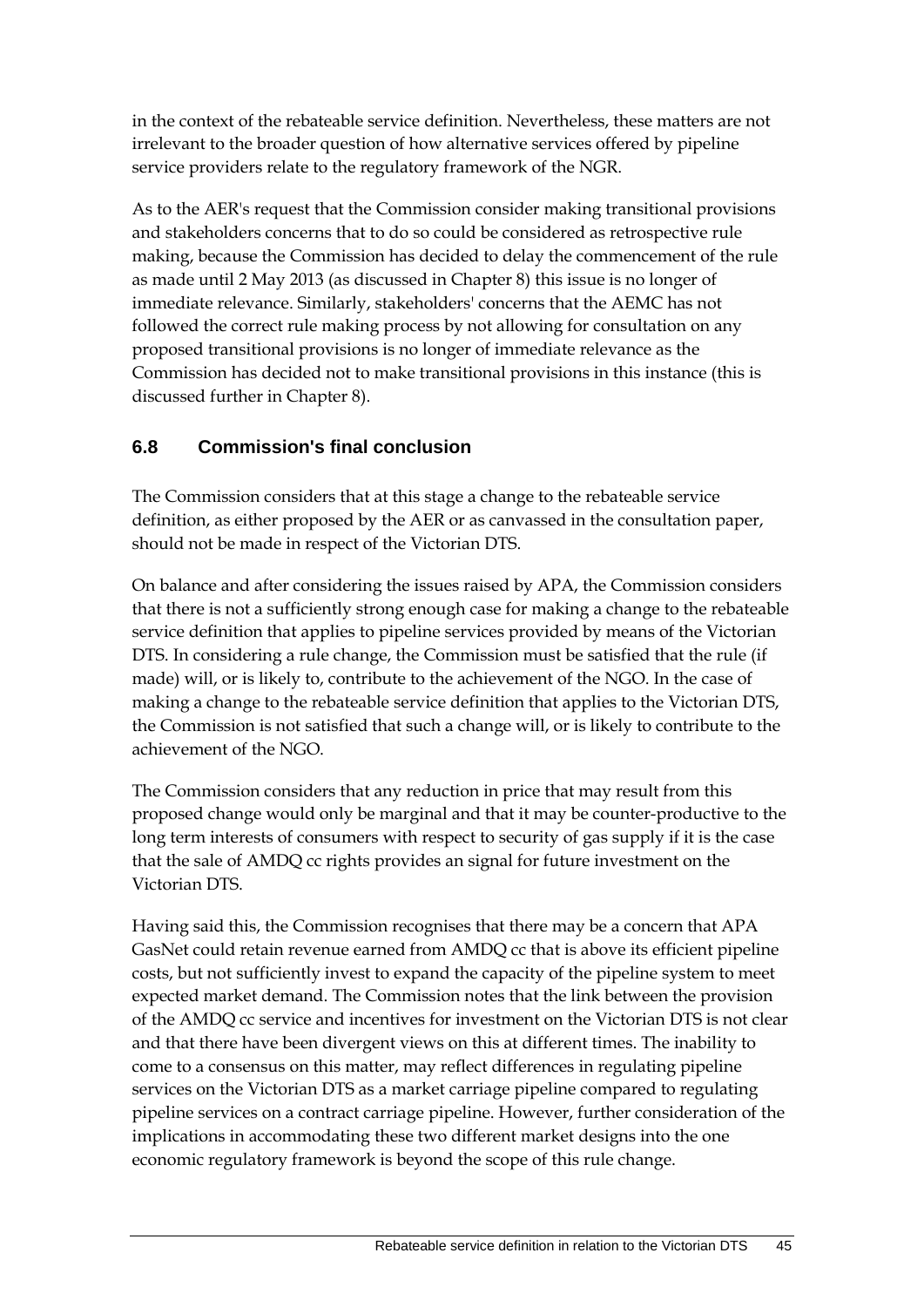in the context of the rebateable service definition. Nevertheless, these matters are not irrelevant to the broader question of how alternative services offered by pipeline service providers relate to the regulatory framework of the NGR.

As to the AER's request that the Commission consider making transitional provisions and stakeholders concerns that to do so could be considered as retrospective rule making, because the Commission has decided to delay the commencement of the rule as made until 2 May 2013 (as discussed in Chapter 8) this issue is no longer of immediate relevance. Similarly, stakeholders' concerns that the AEMC has not followed the correct rule making process by not allowing for consultation on any proposed transitional provisions is no longer of immediate relevance as the Commission has decided not to make transitional provisions in this instance (this is discussed further in Chapter 8).

## **6.8 Commission's final conclusion**

The Commission considers that at this stage a change to the rebateable service definition, as either proposed by the AER or as canvassed in the consultation paper, should not be made in respect of the Victorian DTS.

On balance and after considering the issues raised by APA, the Commission considers that there is not a sufficiently strong enough case for making a change to the rebateable service definition that applies to pipeline services provided by means of the Victorian DTS. In considering a rule change, the Commission must be satisfied that the rule (if made) will, or is likely to, contribute to the achievement of the NGO. In the case of making a change to the rebateable service definition that applies to the Victorian DTS, the Commission is not satisfied that such a change will, or is likely to contribute to the achievement of the NGO.

The Commission considers that any reduction in price that may result from this proposed change would only be marginal and that it may be counter-productive to the long term interests of consumers with respect to security of gas supply if it is the case that the sale of AMDQ cc rights provides an signal for future investment on the Victorian DTS.

Having said this, the Commission recognises that there may be a concern that APA GasNet could retain revenue earned from AMDQ cc that is above its efficient pipeline costs, but not sufficiently invest to expand the capacity of the pipeline system to meet expected market demand. The Commission notes that the link between the provision of the AMDQ cc service and incentives for investment on the Victorian DTS is not clear and that there have been divergent views on this at different times. The inability to come to a consensus on this matter, may reflect differences in regulating pipeline services on the Victorian DTS as a market carriage pipeline compared to regulating pipeline services on a contract carriage pipeline. However, further consideration of the implications in accommodating these two different market designs into the one economic regulatory framework is beyond the scope of this rule change.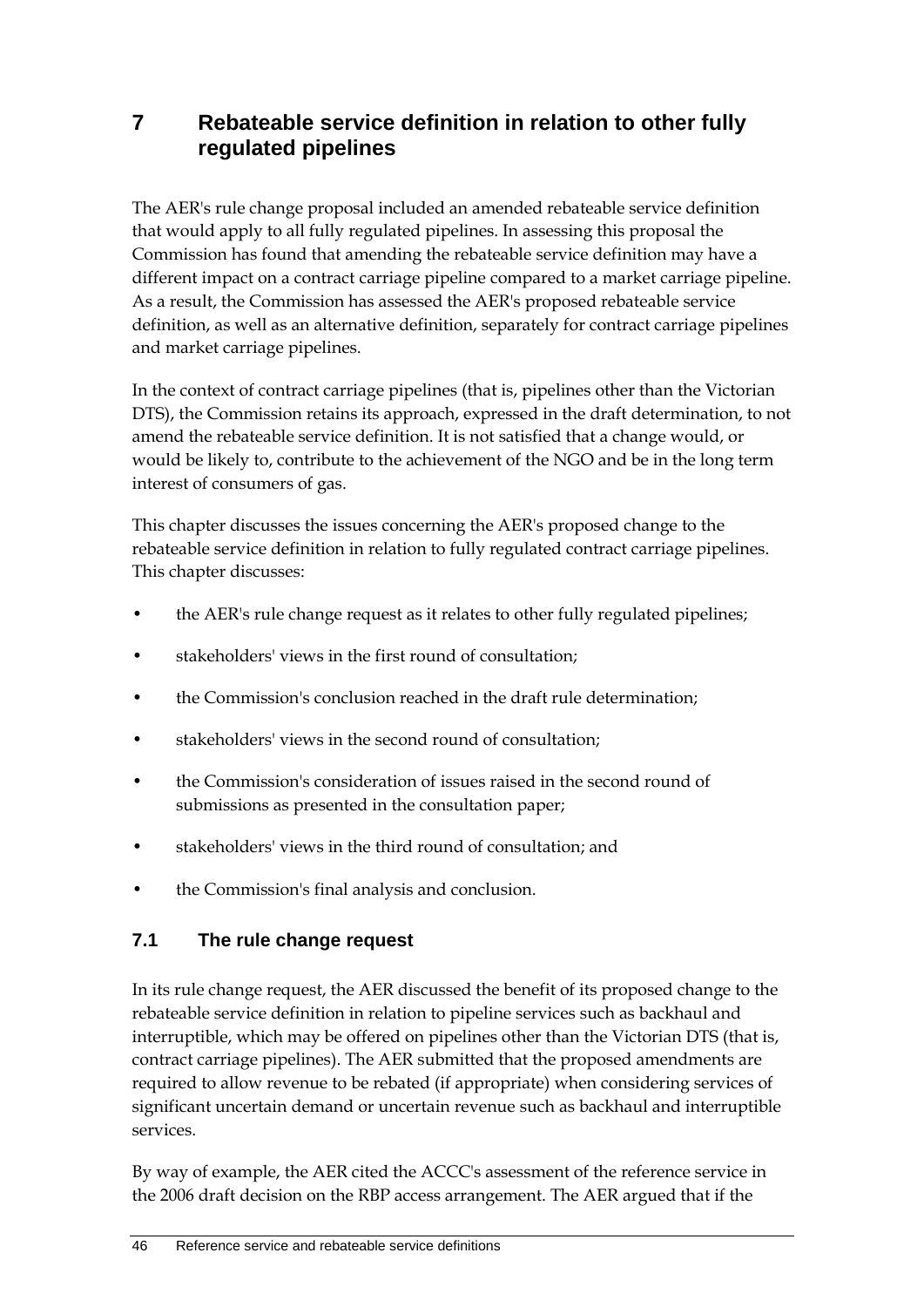## **7 Rebateable service definition in relation to other fully regulated pipelines**

The AER's rule change proposal included an amended rebateable service definition that would apply to all fully regulated pipelines. In assessing this proposal the Commission has found that amending the rebateable service definition may have a different impact on a contract carriage pipeline compared to a market carriage pipeline. As a result, the Commission has assessed the AER's proposed rebateable service definition, as well as an alternative definition, separately for contract carriage pipelines and market carriage pipelines.

In the context of contract carriage pipelines (that is, pipelines other than the Victorian DTS), the Commission retains its approach, expressed in the draft determination, to not amend the rebateable service definition. It is not satisfied that a change would, or would be likely to, contribute to the achievement of the NGO and be in the long term interest of consumers of gas.

This chapter discusses the issues concerning the AER's proposed change to the rebateable service definition in relation to fully regulated contract carriage pipelines. This chapter discusses:

- the AER's rule change request as it relates to other fully regulated pipelines;
- stakeholders' views in the first round of consultation;
- the Commission's conclusion reached in the draft rule determination;
- stakeholders' views in the second round of consultation;
- the Commission's consideration of issues raised in the second round of submissions as presented in the consultation paper;
- stakeholders' views in the third round of consultation; and
- the Commission's final analysis and conclusion.

## **7.1 The rule change request**

In its rule change request, the AER discussed the benefit of its proposed change to the rebateable service definition in relation to pipeline services such as backhaul and interruptible, which may be offered on pipelines other than the Victorian DTS (that is, contract carriage pipelines). The AER submitted that the proposed amendments are required to allow revenue to be rebated (if appropriate) when considering services of significant uncertain demand or uncertain revenue such as backhaul and interruptible services.

By way of example, the AER cited the ACCC's assessment of the reference service in the 2006 draft decision on the RBP access arrangement. The AER argued that if the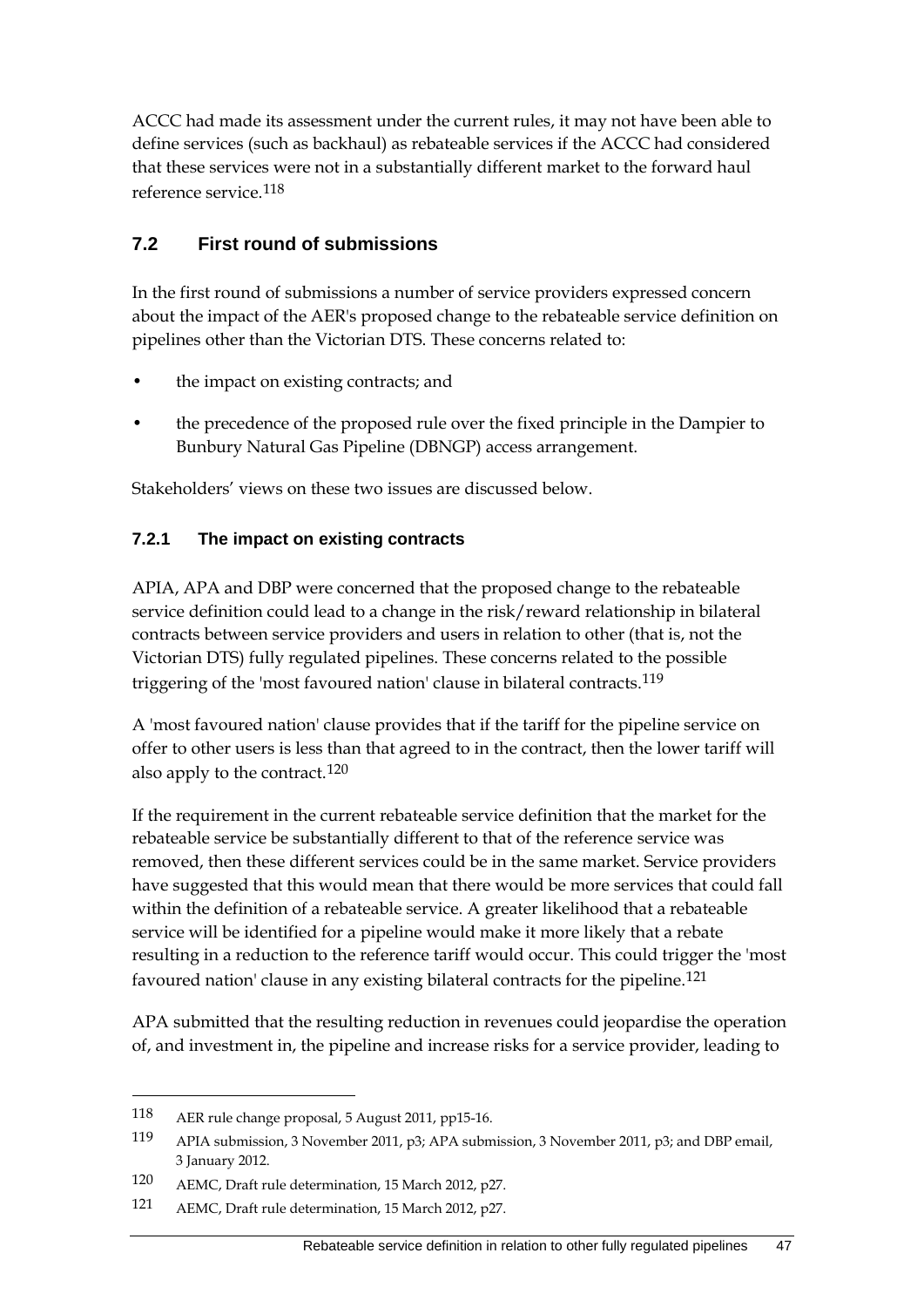ACCC had made its assessment under the current rules, it may not have been able to define services (such as backhaul) as rebateable services if the ACCC had considered that these services were not in a substantially different market to the forward haul reference service.[118](#page-54-0)

#### **7.2 First round of submissions**

In the first round of submissions a number of service providers expressed concern about the impact of the AER's proposed change to the rebateable service definition on pipelines other than the Victorian DTS. These concerns related to:

- the impact on existing contracts; and
- the precedence of the proposed rule over the fixed principle in the Dampier to Bunbury Natural Gas Pipeline (DBNGP) access arrangement.

Stakeholders' views on these two issues are discussed below.

#### **7.2.1 The impact on existing contracts**

APIA, APA and DBP were concerned that the proposed change to the rebateable service definition could lead to a change in the risk/reward relationship in bilateral contracts between service providers and users in relation to other (that is, not the Victorian DTS) fully regulated pipelines. These concerns related to the possible triggering of the 'most favoured nation' clause in bilateral contracts.<sup>[119](#page-54-1)</sup>

A 'most favoured nation' clause provides that if the tariff for the pipeline service on offer to other users is less than that agreed to in the contract, then the lower tariff will also apply to the contract.[120](#page-54-2)

If the requirement in the current rebateable service definition that the market for the rebateable service be substantially different to that of the reference service was removed, then these different services could be in the same market. Service providers have suggested that this would mean that there would be more services that could fall within the definition of a rebateable service. A greater likelihood that a rebateable service will be identified for a pipeline would make it more likely that a rebate resulting in a reduction to the reference tariff would occur. This could trigger the 'most favoured nation' clause in any existing bilateral contracts for the pipeline.[121](#page-54-3)

APA submitted that the resulting reduction in revenues could jeopardise the operation of, and investment in, the pipeline and increase risks for a service provider, leading to

<span id="page-54-0"></span><sup>118</sup> AER rule change proposal, 5 August 2011, pp15-16.

<span id="page-54-1"></span><sup>119</sup> APIA submission, 3 November 2011, p3; APA submission, 3 November 2011, p3; and DBP email, 3 January 2012.

<span id="page-54-2"></span><sup>120</sup> AEMC, Draft rule determination, 15 March 2012, p27.

<span id="page-54-3"></span><sup>121</sup> AEMC, Draft rule determination, 15 March 2012, p27.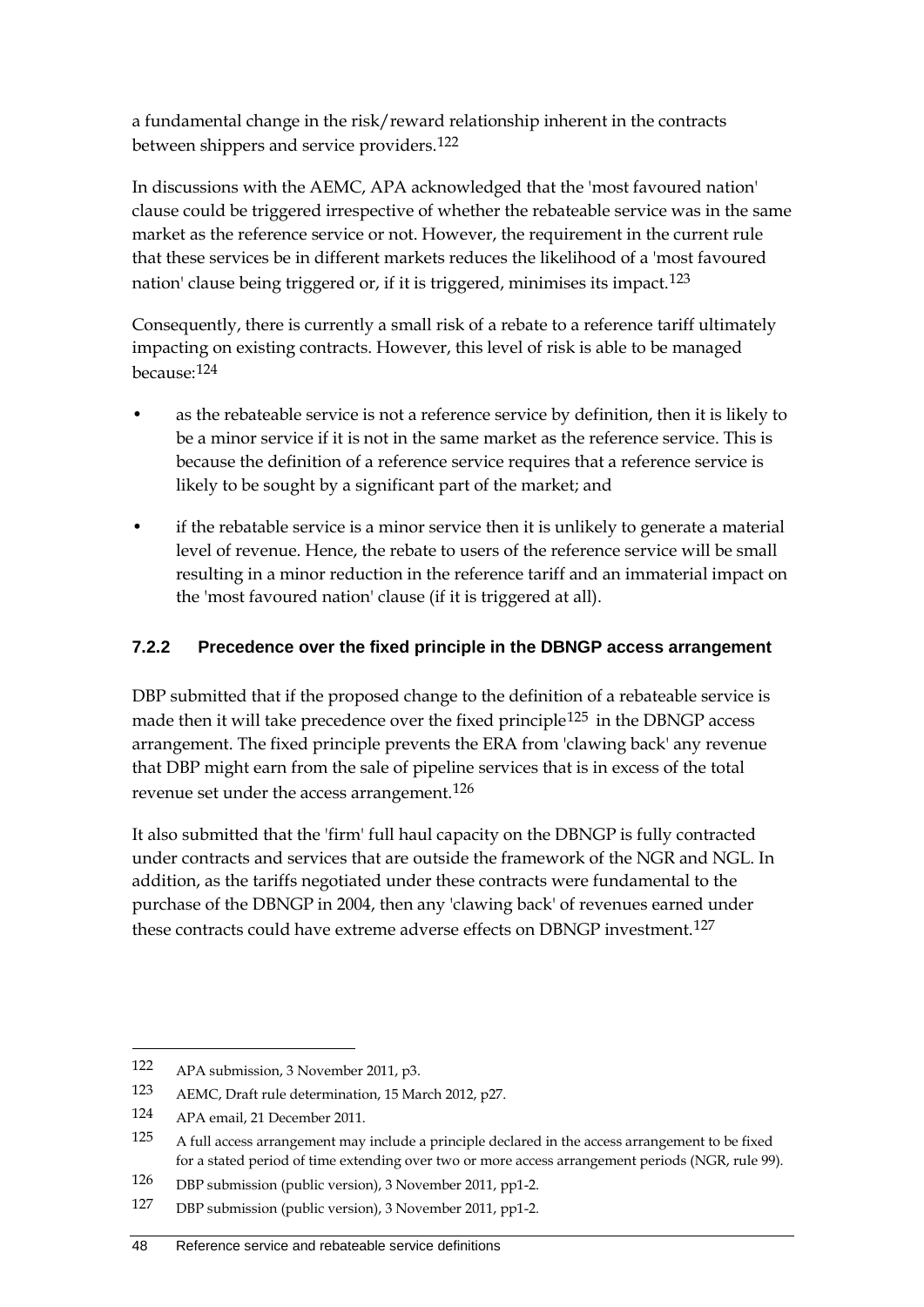a fundamental change in the risk/reward relationship inherent in the contracts between shippers and service providers.[122](#page-55-0)

In discussions with the AEMC, APA acknowledged that the 'most favoured nation' clause could be triggered irrespective of whether the rebateable service was in the same market as the reference service or not. However, the requirement in the current rule that these services be in different markets reduces the likelihood of a 'most favoured nation' clause being triggered or, if it is triggered, minimises its impact.[123](#page-55-1)

Consequently, there is currently a small risk of a rebate to a reference tariff ultimately impacting on existing contracts. However, this level of risk is able to be managed because:[124](#page-55-2)

- as the rebateable service is not a reference service by definition, then it is likely to be a minor service if it is not in the same market as the reference service. This is because the definition of a reference service requires that a reference service is likely to be sought by a significant part of the market; and
- if the rebatable service is a minor service then it is unlikely to generate a material level of revenue. Hence, the rebate to users of the reference service will be small resulting in a minor reduction in the reference tariff and an immaterial impact on the 'most favoured nation' clause (if it is triggered at all).

#### **7.2.2 Precedence over the fixed principle in the DBNGP access arrangement**

DBP submitted that if the proposed change to the definition of a rebateable service is made then it will take precedence over the fixed principle<sup>[125](#page-55-3)</sup> in the DBNGP access arrangement. The fixed principle prevents the ERA from 'clawing back' any revenue that DBP might earn from the sale of pipeline services that is in excess of the total revenue set under the access arrangement.[126](#page-55-4)

It also submitted that the 'firm' full haul capacity on the DBNGP is fully contracted under contracts and services that are outside the framework of the NGR and NGL. In addition, as the tariffs negotiated under these contracts were fundamental to the purchase of the DBNGP in 2004, then any 'clawing back' of revenues earned under these contracts could have extreme adverse effects on DBNGP investment.<sup>[127](#page-55-5)</sup>

<span id="page-55-0"></span><sup>122</sup> APA submission, 3 November 2011, p3.

<span id="page-55-1"></span><sup>123</sup> AEMC, Draft rule determination, 15 March 2012, p27.

<span id="page-55-2"></span><sup>124</sup> APA email, 21 December 2011.

<span id="page-55-3"></span><sup>125</sup> A full access arrangement may include a principle declared in the access arrangement to be fixed for a stated period of time extending over two or more access arrangement periods (NGR, rule 99).

<span id="page-55-4"></span><sup>126</sup> DBP submission (public version), 3 November 2011, pp1-2.

<span id="page-55-5"></span><sup>127</sup> DBP submission (public version), 3 November 2011, pp1-2.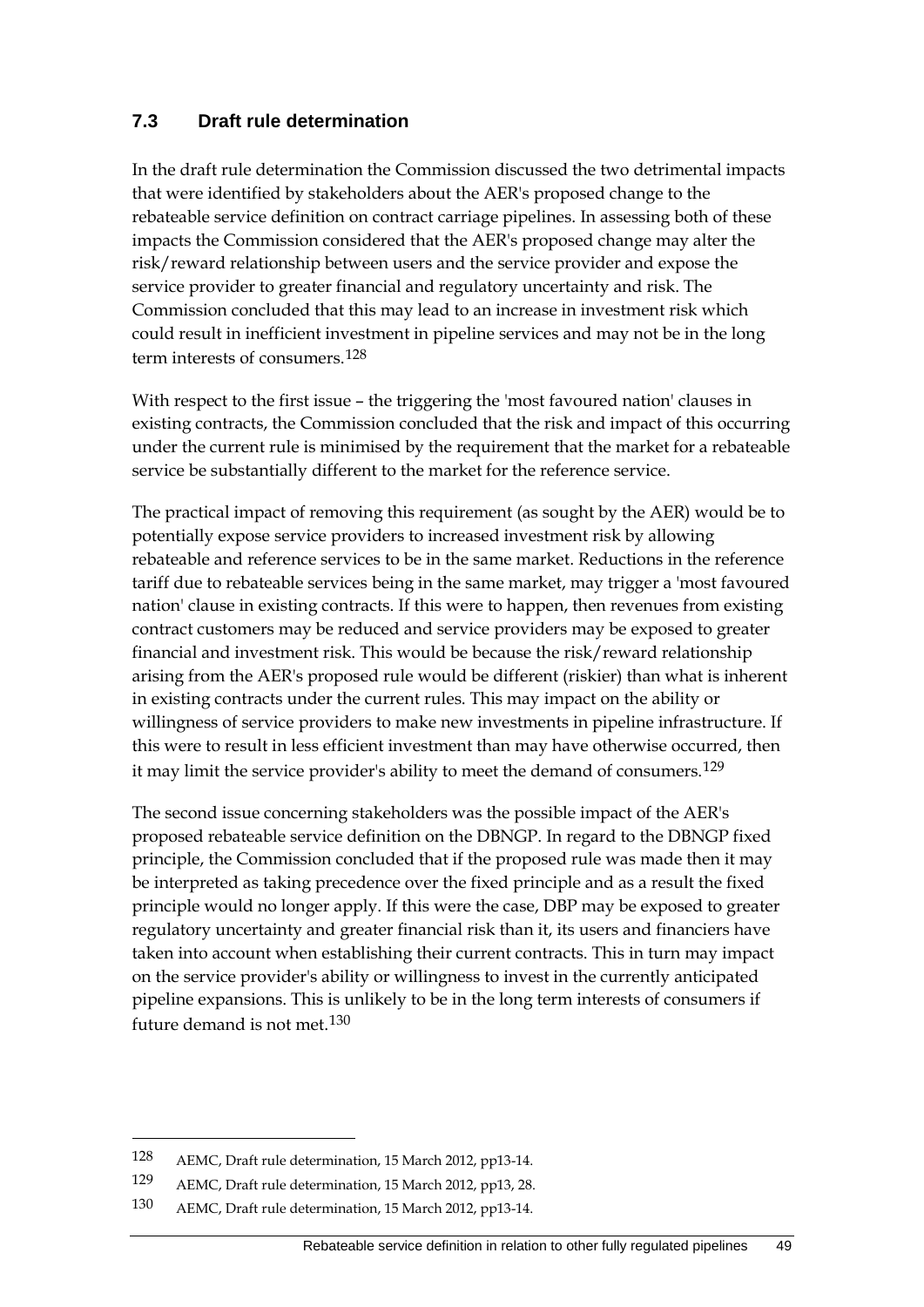#### **7.3 Draft rule determination**

In the draft rule determination the Commission discussed the two detrimental impacts that were identified by stakeholders about the AER's proposed change to the rebateable service definition on contract carriage pipelines. In assessing both of these impacts the Commission considered that the AER's proposed change may alter the risk/reward relationship between users and the service provider and expose the service provider to greater financial and regulatory uncertainty and risk. The Commission concluded that this may lead to an increase in investment risk which could result in inefficient investment in pipeline services and may not be in the long term interests of consumers.<sup>[128](#page-56-0)</sup>

With respect to the first issue – the triggering the 'most favoured nation' clauses in existing contracts, the Commission concluded that the risk and impact of this occurring under the current rule is minimised by the requirement that the market for a rebateable service be substantially different to the market for the reference service.

The practical impact of removing this requirement (as sought by the AER) would be to potentially expose service providers to increased investment risk by allowing rebateable and reference services to be in the same market. Reductions in the reference tariff due to rebateable services being in the same market, may trigger a 'most favoured nation' clause in existing contracts. If this were to happen, then revenues from existing contract customers may be reduced and service providers may be exposed to greater financial and investment risk. This would be because the risk/reward relationship arising from the AER's proposed rule would be different (riskier) than what is inherent in existing contracts under the current rules. This may impact on the ability or willingness of service providers to make new investments in pipeline infrastructure. If this were to result in less efficient investment than may have otherwise occurred, then it may limit the service provider's ability to meet the demand of consumers.<sup>[129](#page-56-1)</sup>

The second issue concerning stakeholders was the possible impact of the AER's proposed rebateable service definition on the DBNGP. In regard to the DBNGP fixed principle, the Commission concluded that if the proposed rule was made then it may be interpreted as taking precedence over the fixed principle and as a result the fixed principle would no longer apply. If this were the case, DBP may be exposed to greater regulatory uncertainty and greater financial risk than it, its users and financiers have taken into account when establishing their current contracts. This in turn may impact on the service provider's ability or willingness to invest in the currently anticipated pipeline expansions. This is unlikely to be in the long term interests of consumers if future demand is not met.[130](#page-56-2)

<span id="page-56-0"></span><sup>128</sup> AEMC, Draft rule determination, 15 March 2012, pp13-14.

<span id="page-56-1"></span><sup>129</sup> AEMC, Draft rule determination, 15 March 2012, pp13, 28.

<span id="page-56-2"></span><sup>130</sup> AEMC, Draft rule determination, 15 March 2012, pp13-14.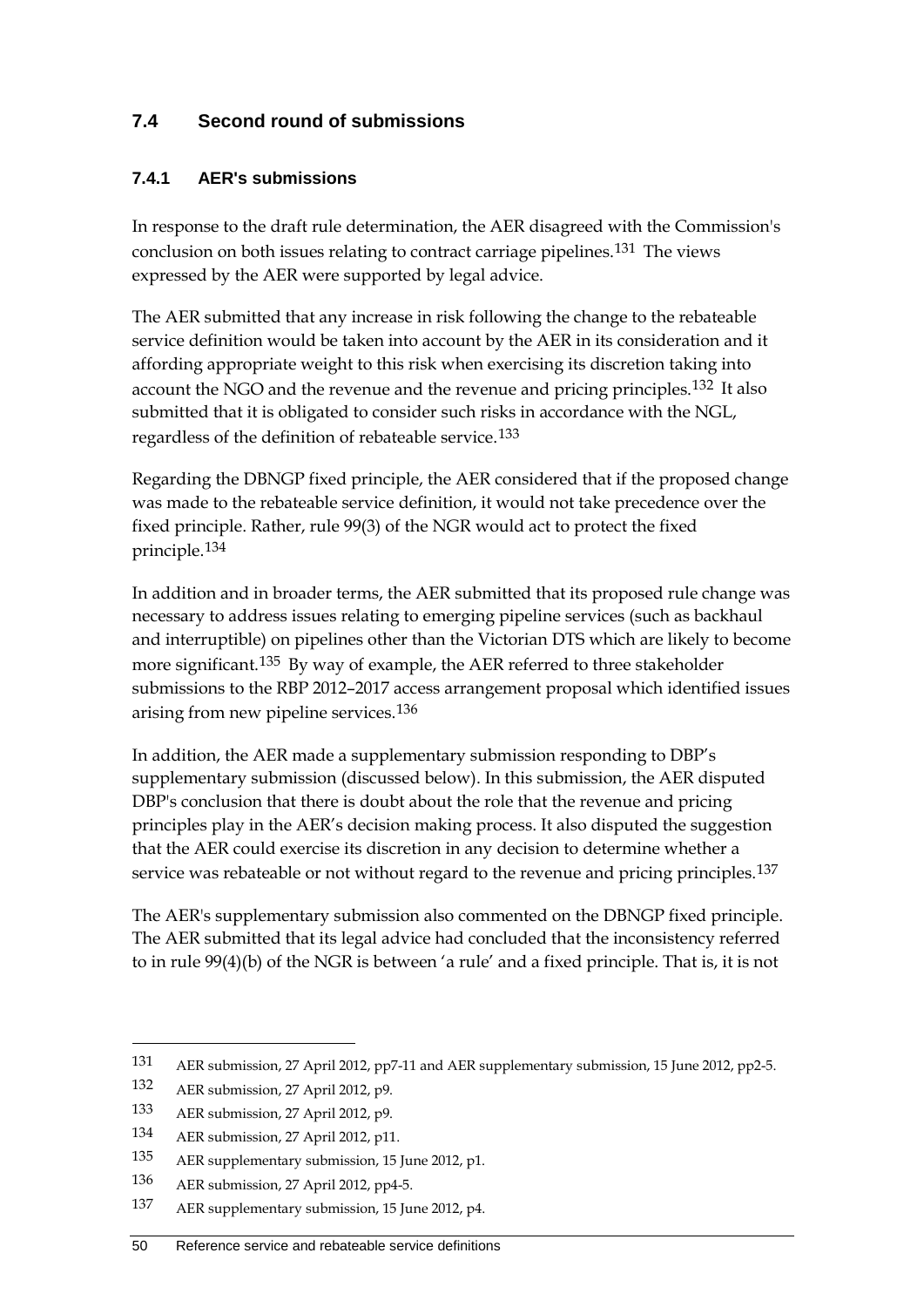## **7.4 Second round of submissions**

#### **7.4.1 AER's submissions**

In response to the draft rule determination, the AER disagreed with the Commission's conclusion on both issues relating to contract carriage pipelines.[131](#page-57-0) The views expressed by the AER were supported by legal advice.

The AER submitted that any increase in risk following the change to the rebateable service definition would be taken into account by the AER in its consideration and it affording appropriate weight to this risk when exercising its discretion taking into account the NGO and the revenue and the revenue and pricing principles.<sup>[132](#page-57-1)</sup> It also submitted that it is obligated to consider such risks in accordance with the NGL, regardless of the definition of rebateable service.[133](#page-57-2)

Regarding the DBNGP fixed principle, the AER considered that if the proposed change was made to the rebateable service definition, it would not take precedence over the fixed principle. Rather, rule 99(3) of the NGR would act to protect the fixed principle.[134](#page-57-3)

In addition and in broader terms, the AER submitted that its proposed rule change was necessary to address issues relating to emerging pipeline services (such as backhaul and interruptible) on pipelines other than the Victorian DTS which are likely to become more significant.<sup>[135](#page-57-4)</sup> By way of example, the AER referred to three stakeholder submissions to the RBP 2012–2017 access arrangement proposal which identified issues arising from new pipeline services.[136](#page-57-5)

In addition, the AER made a supplementary submission responding to DBP's supplementary submission (discussed below). In this submission, the AER disputed DBP's conclusion that there is doubt about the role that the revenue and pricing principles play in the AER's decision making process. It also disputed the suggestion that the AER could exercise its discretion in any decision to determine whether a service was rebateable or not without regard to the revenue and pricing principles.<sup>[137](#page-57-6)</sup>

The AER's supplementary submission also commented on the DBNGP fixed principle. The AER submitted that its legal advice had concluded that the inconsistency referred to in rule 99(4)(b) of the NGR is between 'a rule' and a fixed principle. That is, it is not

<span id="page-57-0"></span><sup>131</sup> AER submission, 27 April 2012, pp7-11 and AER supplementary submission, 15 June 2012, pp2-5.

<span id="page-57-1"></span><sup>132</sup> AER submission, 27 April 2012, p9.

<span id="page-57-2"></span><sup>133</sup> AER submission, 27 April 2012, p9.

<span id="page-57-3"></span><sup>134</sup> AER submission, 27 April 2012, p11.

<span id="page-57-4"></span><sup>135</sup> AER supplementary submission, 15 June 2012, p1.

<span id="page-57-5"></span><sup>136</sup> AER submission, 27 April 2012, pp4-5.

<span id="page-57-6"></span><sup>137</sup> AER supplementary submission, 15 June 2012, p4.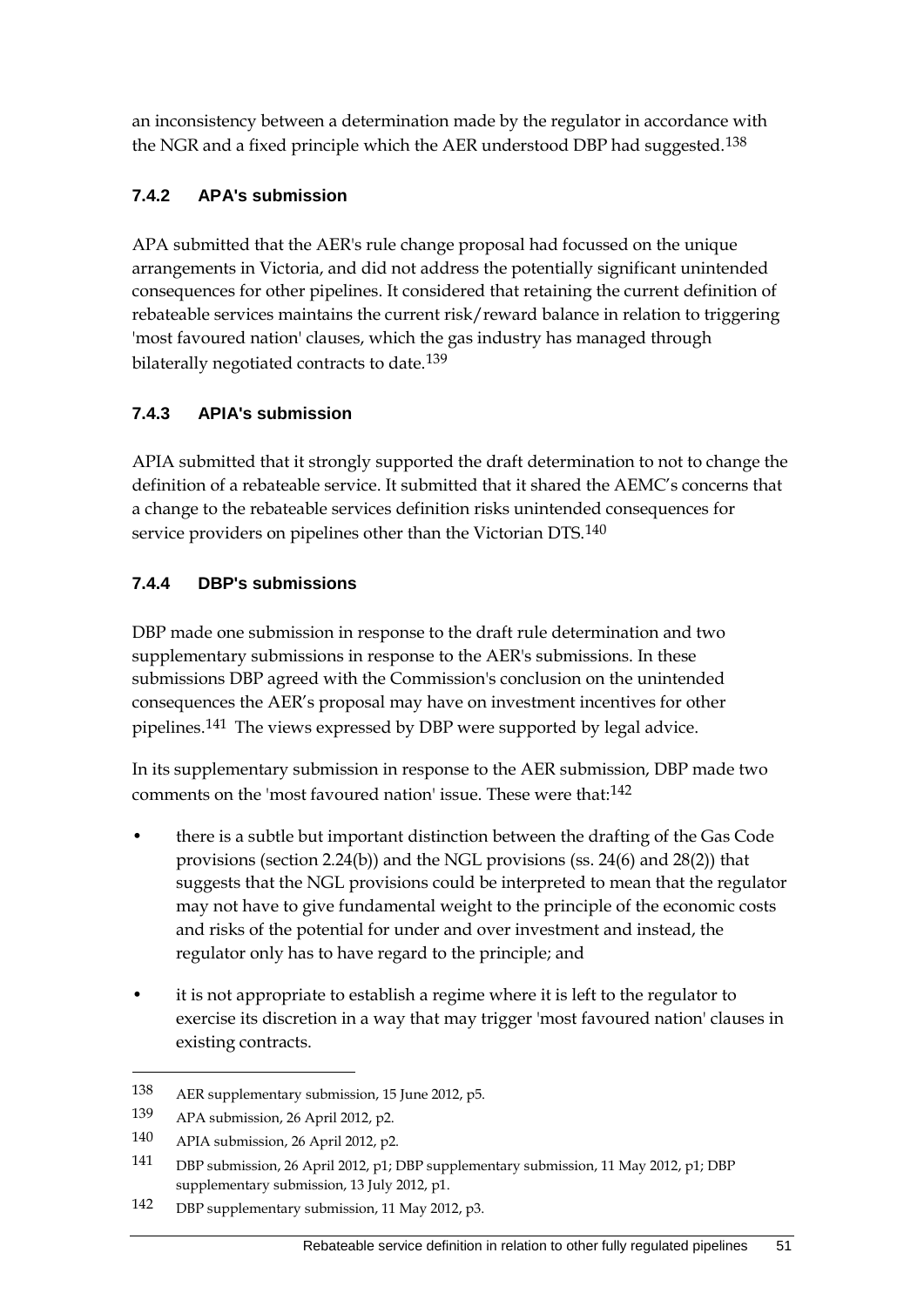an inconsistency between a determination made by the regulator in accordance with the NGR and a fixed principle which the AER understood DBP had suggested.<sup>[138](#page-58-0)</sup>

## **7.4.2 APA's submission**

APA submitted that the AER's rule change proposal had focussed on the unique arrangements in Victoria, and did not address the potentially significant unintended consequences for other pipelines. It considered that retaining the current definition of rebateable services maintains the current risk/reward balance in relation to triggering 'most favoured nation' clauses, which the gas industry has managed through bilaterally negotiated contracts to date.<sup>[139](#page-58-1)</sup>

## **7.4.3 APIA's submission**

APIA submitted that it strongly supported the draft determination to not to change the definition of a rebateable service. It submitted that it shared the AEMC's concerns that a change to the rebateable services definition risks unintended consequences for service providers on pipelines other than the Victorian DTS.<sup>[140](#page-58-2)</sup>

## **7.4.4 DBP's submissions**

DBP made one submission in response to the draft rule determination and two supplementary submissions in response to the AER's submissions. In these submissions DBP agreed with the Commission's conclusion on the unintended consequences the AER's proposal may have on investment incentives for other pipelines.[141](#page-58-3) The views expressed by DBP were supported by legal advice.

In its supplementary submission in response to the AER submission, DBP made two comments on the 'most favoured nation' issue. These were that:[142](#page-58-4)

- there is a subtle but important distinction between the drafting of the Gas Code provisions (section 2.24(b)) and the NGL provisions (ss. 24(6) and 28(2)) that suggests that the NGL provisions could be interpreted to mean that the regulator may not have to give fundamental weight to the principle of the economic costs and risks of the potential for under and over investment and instead, the regulator only has to have regard to the principle; and
- it is not appropriate to establish a regime where it is left to the regulator to exercise its discretion in a way that may trigger 'most favoured nation' clauses in existing contracts.

<span id="page-58-0"></span><sup>138</sup> AER supplementary submission, 15 June 2012, p5.

<span id="page-58-1"></span><sup>139</sup> APA submission, 26 April 2012, p2.

<span id="page-58-2"></span><sup>140</sup> APIA submission, 26 April 2012, p2.

<span id="page-58-3"></span><sup>141</sup> DBP submission, 26 April 2012, p1; DBP supplementary submission, 11 May 2012, p1; DBP supplementary submission, 13 July 2012, p1.

<span id="page-58-4"></span><sup>142</sup> DBP supplementary submission, 11 May 2012, p3.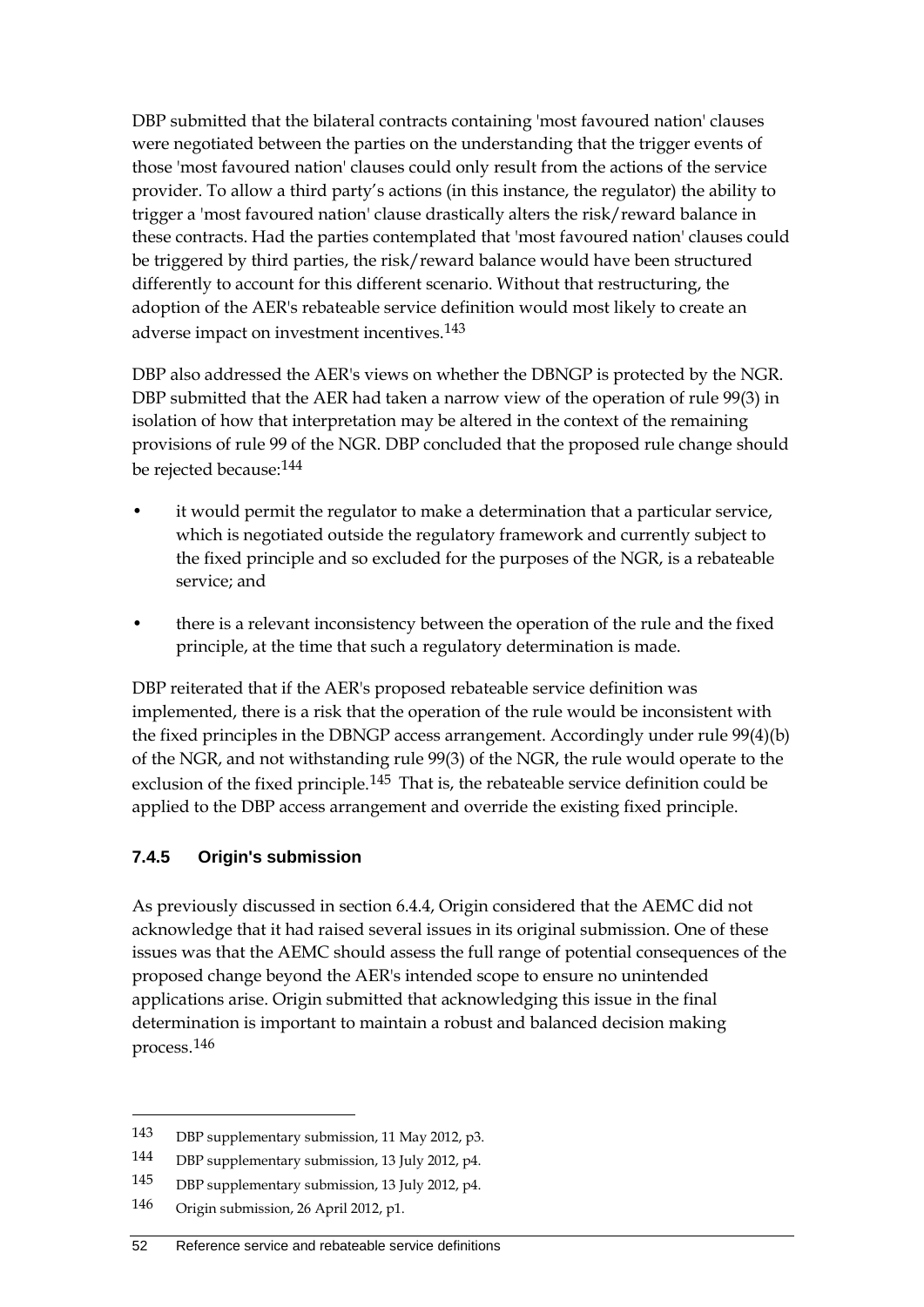DBP submitted that the bilateral contracts containing 'most favoured nation' clauses were negotiated between the parties on the understanding that the trigger events of those 'most favoured nation' clauses could only result from the actions of the service provider. To allow a third party's actions (in this instance, the regulator) the ability to trigger a 'most favoured nation' clause drastically alters the risk/reward balance in these contracts. Had the parties contemplated that 'most favoured nation' clauses could be triggered by third parties, the risk/reward balance would have been structured differently to account for this different scenario. Without that restructuring, the adoption of the AER's rebateable service definition would most likely to create an adverse impact on investment incentives.<sup>[143](#page-59-0)</sup>

DBP also addressed the AER's views on whether the DBNGP is protected by the NGR. DBP submitted that the AER had taken a narrow view of the operation of rule 99(3) in isolation of how that interpretation may be altered in the context of the remaining provisions of rule 99 of the NGR. DBP concluded that the proposed rule change should be rejected because:[144](#page-59-1)

- it would permit the regulator to make a determination that a particular service, which is negotiated outside the regulatory framework and currently subject to the fixed principle and so excluded for the purposes of the NGR, is a rebateable service; and
- there is a relevant inconsistency between the operation of the rule and the fixed principle, at the time that such a regulatory determination is made.

DBP reiterated that if the AER's proposed rebateable service definition was implemented, there is a risk that the operation of the rule would be inconsistent with the fixed principles in the DBNGP access arrangement. Accordingly under rule 99(4)(b) of the NGR, and not withstanding rule 99(3) of the NGR, the rule would operate to the exclusion of the fixed principle.<sup>[145](#page-59-2)</sup> That is, the rebateable service definition could be applied to the DBP access arrangement and override the existing fixed principle.

#### **7.4.5 Origin's submission**

As previously discussed in section 6.4.4, Origin considered that the AEMC did not acknowledge that it had raised several issues in its original submission. One of these issues was that the AEMC should assess the full range of potential consequences of the proposed change beyond the AER's intended scope to ensure no unintended applications arise. Origin submitted that acknowledging this issue in the final determination is important to maintain a robust and balanced decision making process.[146](#page-59-3)

<span id="page-59-0"></span><sup>143</sup> DBP supplementary submission, 11 May 2012, p3.

<span id="page-59-1"></span><sup>144</sup> DBP supplementary submission, 13 July 2012, p4.

<span id="page-59-2"></span><sup>145</sup> DBP supplementary submission, 13 July 2012, p4.

<span id="page-59-3"></span><sup>146</sup> Origin submission, 26 April 2012, p1.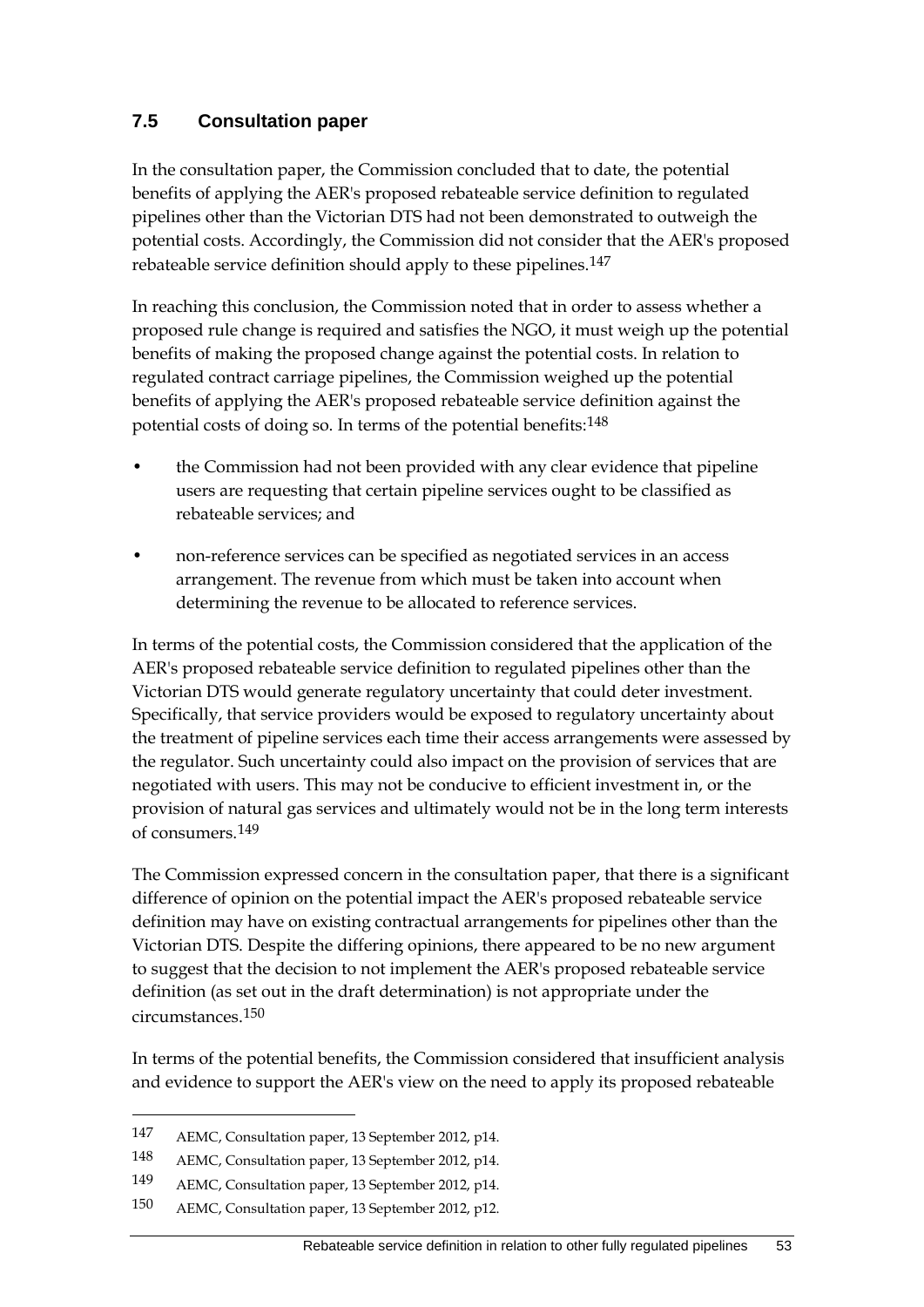## **7.5 Consultation paper**

In the consultation paper, the Commission concluded that to date, the potential benefits of applying the AER's proposed rebateable service definition to regulated pipelines other than the Victorian DTS had not been demonstrated to outweigh the potential costs. Accordingly, the Commission did not consider that the AER's proposed rebateable service definition should apply to these pipelines.[147](#page-60-0)

In reaching this conclusion, the Commission noted that in order to assess whether a proposed rule change is required and satisfies the NGO, it must weigh up the potential benefits of making the proposed change against the potential costs. In relation to regulated contract carriage pipelines, the Commission weighed up the potential benefits of applying the AER's proposed rebateable service definition against the potential costs of doing so. In terms of the potential benefits:[148](#page-60-1)

- the Commission had not been provided with any clear evidence that pipeline users are requesting that certain pipeline services ought to be classified as rebateable services; and
- non-reference services can be specified as negotiated services in an access arrangement. The revenue from which must be taken into account when determining the revenue to be allocated to reference services.

In terms of the potential costs, the Commission considered that the application of the AER's proposed rebateable service definition to regulated pipelines other than the Victorian DTS would generate regulatory uncertainty that could deter investment. Specifically, that service providers would be exposed to regulatory uncertainty about the treatment of pipeline services each time their access arrangements were assessed by the regulator. Such uncertainty could also impact on the provision of services that are negotiated with users. This may not be conducive to efficient investment in, or the provision of natural gas services and ultimately would not be in the long term interests of consumers.[149](#page-60-2)

The Commission expressed concern in the consultation paper, that there is a significant difference of opinion on the potential impact the AER's proposed rebateable service definition may have on existing contractual arrangements for pipelines other than the Victorian DTS. Despite the differing opinions, there appeared to be no new argument to suggest that the decision to not implement the AER's proposed rebateable service definition (as set out in the draft determination) is not appropriate under the circumstances.[150](#page-60-3)

In terms of the potential benefits, the Commission considered that insufficient analysis and evidence to support the AER's view on the need to apply its proposed rebateable

<span id="page-60-0"></span><sup>147</sup> AEMC, Consultation paper, 13 September 2012, p14.

<span id="page-60-1"></span><sup>148</sup> AEMC, Consultation paper, 13 September 2012, p14.

<span id="page-60-2"></span><sup>149</sup> AEMC, Consultation paper, 13 September 2012, p14.

<span id="page-60-3"></span><sup>150</sup> AEMC, Consultation paper, 13 September 2012, p12.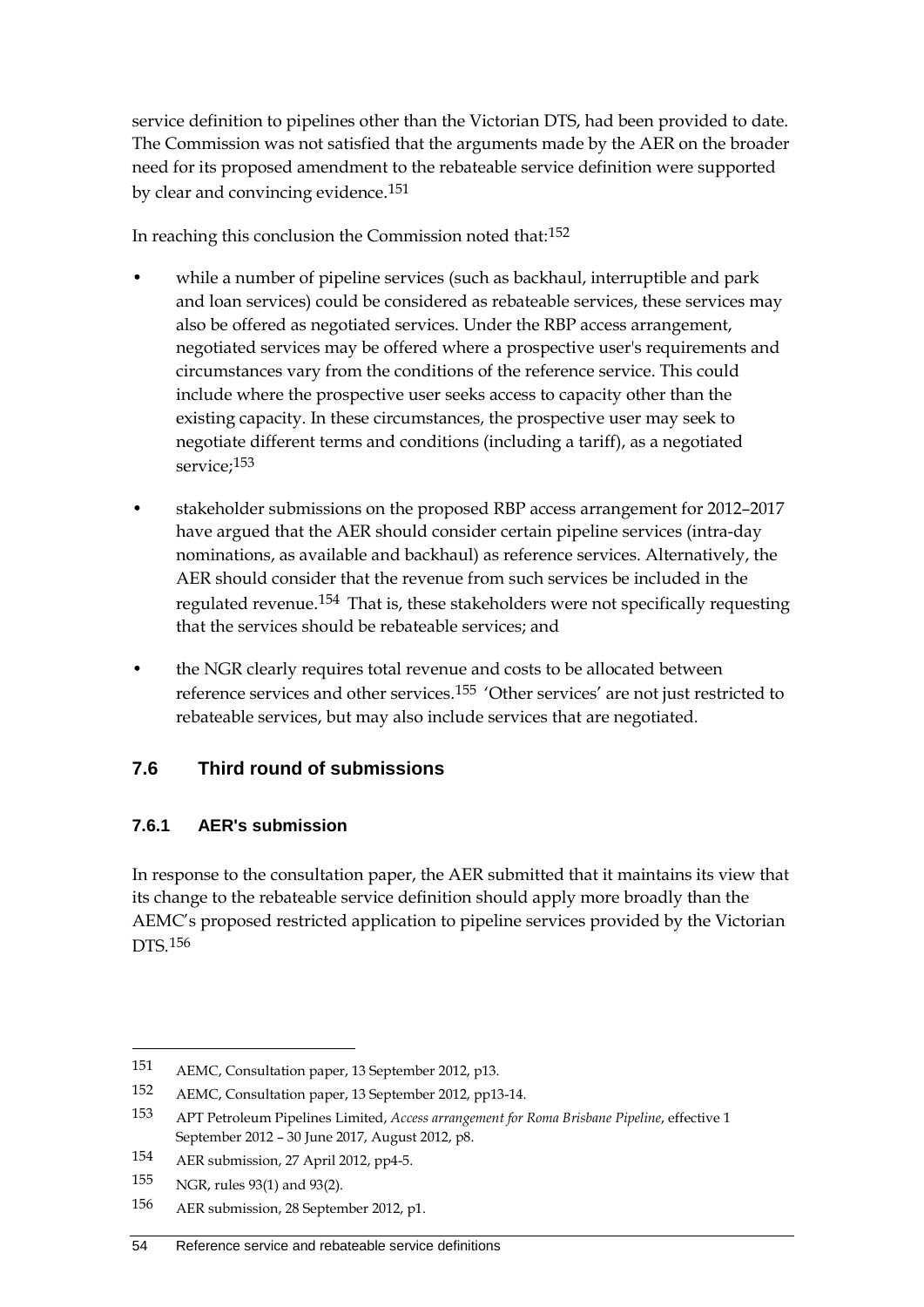service definition to pipelines other than the Victorian DTS, had been provided to date. The Commission was not satisfied that the arguments made by the AER on the broader need for its proposed amendment to the rebateable service definition were supported by clear and convincing evidence.[151](#page-61-0)

In reaching this conclusion the Commission noted that:[152](#page-61-1)

- while a number of pipeline services (such as backhaul, interruptible and park and loan services) could be considered as rebateable services, these services may also be offered as negotiated services. Under the RBP access arrangement, negotiated services may be offered where a prospective user's requirements and circumstances vary from the conditions of the reference service. This could include where the prospective user seeks access to capacity other than the existing capacity. In these circumstances, the prospective user may seek to negotiate different terms and conditions (including a tariff), as a negotiated service;<sup>[153](#page-61-2)</sup>
- stakeholder submissions on the proposed RBP access arrangement for 2012–2017 have argued that the AER should consider certain pipeline services (intra-day nominations, as available and backhaul) as reference services. Alternatively, the AER should consider that the revenue from such services be included in the regulated revenue.[154](#page-61-3) That is, these stakeholders were not specifically requesting that the services should be rebateable services; and
- the NGR clearly requires total revenue and costs to be allocated between reference services and other services.[155](#page-61-4) 'Other services' are not just restricted to rebateable services, but may also include services that are negotiated.

## **7.6 Third round of submissions**

#### **7.6.1 AER's submission**

In response to the consultation paper, the AER submitted that it maintains its view that its change to the rebateable service definition should apply more broadly than the AEMC's proposed restricted application to pipeline services provided by the Victorian DTS.[156](#page-61-5)

<span id="page-61-0"></span><sup>151</sup> AEMC, Consultation paper, 13 September 2012, p13.

<span id="page-61-1"></span><sup>152</sup> AEMC, Consultation paper, 13 September 2012, pp13-14.

<span id="page-61-2"></span><sup>153</sup> APT Petroleum Pipelines Limited, *Access arrangement for Roma Brisbane Pipeline*, effective 1 September 2012 – 30 June 2017, August 2012, p8.

<span id="page-61-3"></span><sup>154</sup> AER submission, 27 April 2012, pp4-5.

<span id="page-61-4"></span><sup>155</sup> NGR, rules 93(1) and 93(2).

<span id="page-61-5"></span><sup>156</sup> AER submission, 28 September 2012, p1.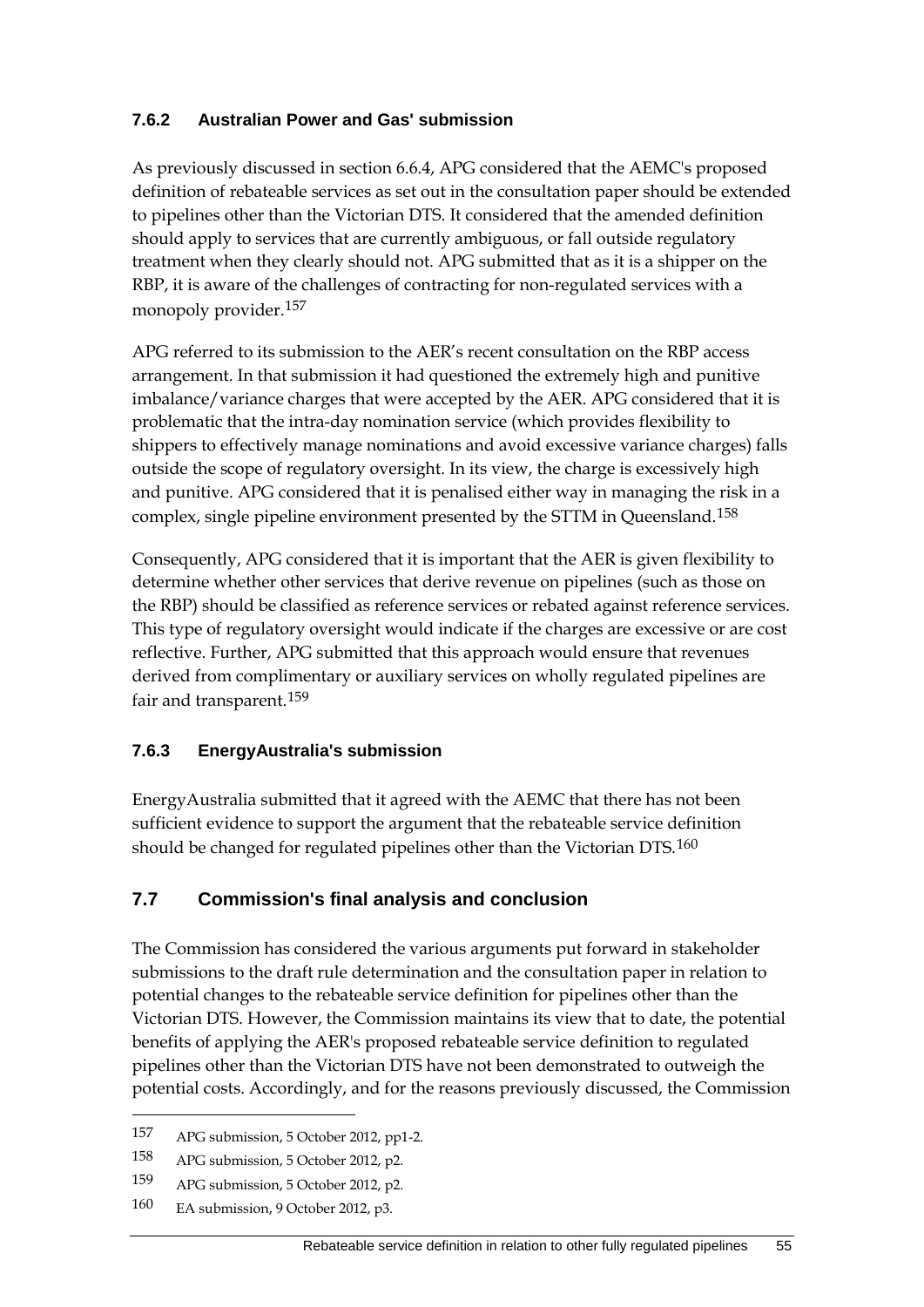#### **7.6.2 Australian Power and Gas' submission**

As previously discussed in section 6.6.4, APG considered that the AEMC's proposed definition of rebateable services as set out in the consultation paper should be extended to pipelines other than the Victorian DTS. It considered that the amended definition should apply to services that are currently ambiguous, or fall outside regulatory treatment when they clearly should not. APG submitted that as it is a shipper on the RBP, it is aware of the challenges of contracting for non-regulated services with a monopoly provider.[157](#page-62-0)

APG referred to its submission to the AER's recent consultation on the RBP access arrangement. In that submission it had questioned the extremely high and punitive imbalance/variance charges that were accepted by the AER. APG considered that it is problematic that the intra-day nomination service (which provides flexibility to shippers to effectively manage nominations and avoid excessive variance charges) falls outside the scope of regulatory oversight. In its view, the charge is excessively high and punitive. APG considered that it is penalised either way in managing the risk in a complex, single pipeline environment presented by the STTM in Queensland.<sup>[158](#page-62-1)</sup>

Consequently, APG considered that it is important that the AER is given flexibility to determine whether other services that derive revenue on pipelines (such as those on the RBP) should be classified as reference services or rebated against reference services. This type of regulatory oversight would indicate if the charges are excessive or are cost reflective. Further, APG submitted that this approach would ensure that revenues derived from complimentary or auxiliary services on wholly regulated pipelines are fair and transparent.<sup>[159](#page-62-2)</sup>

## **7.6.3 EnergyAustralia's submission**

EnergyAustralia submitted that it agreed with the AEMC that there has not been sufficient evidence to support the argument that the rebateable service definition should be changed for regulated pipelines other than the Victorian DTS.[160](#page-62-3)

## **7.7 Commission's final analysis and conclusion**

The Commission has considered the various arguments put forward in stakeholder submissions to the draft rule determination and the consultation paper in relation to potential changes to the rebateable service definition for pipelines other than the Victorian DTS. However, the Commission maintains its view that to date, the potential benefits of applying the AER's proposed rebateable service definition to regulated pipelines other than the Victorian DTS have not been demonstrated to outweigh the potential costs. Accordingly, and for the reasons previously discussed, the Commission

<span id="page-62-0"></span><sup>157</sup> APG submission, 5 October 2012, pp1-2.

<span id="page-62-1"></span><sup>158</sup> APG submission, 5 October 2012, p2.

<span id="page-62-2"></span><sup>159</sup> APG submission, 5 October 2012, p2.

<span id="page-62-3"></span><sup>160</sup> EA submission, 9 October 2012, p3.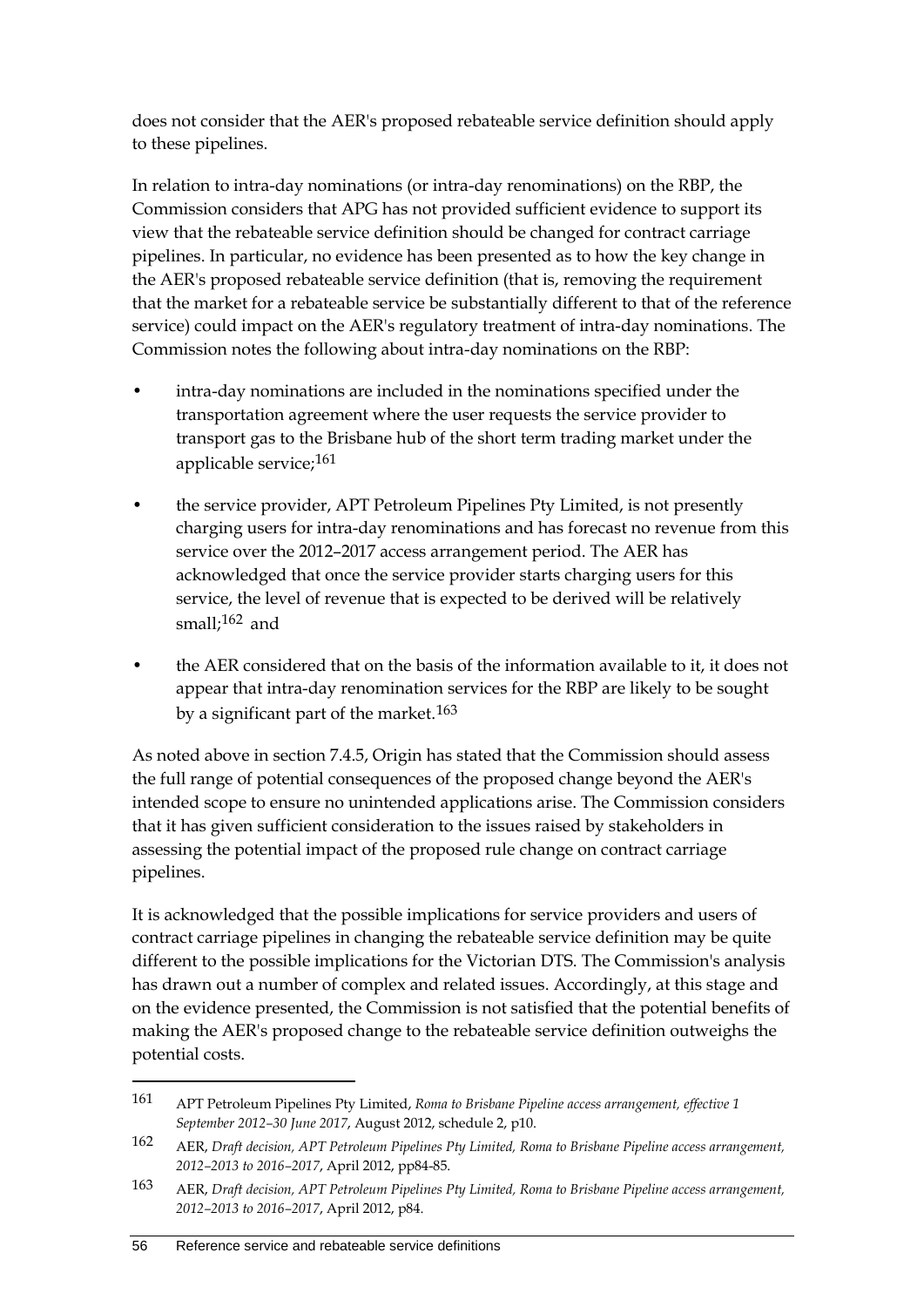does not consider that the AER's proposed rebateable service definition should apply to these pipelines.

In relation to intra-day nominations (or intra-day renominations) on the RBP, the Commission considers that APG has not provided sufficient evidence to support its view that the rebateable service definition should be changed for contract carriage pipelines. In particular, no evidence has been presented as to how the key change in the AER's proposed rebateable service definition (that is, removing the requirement that the market for a rebateable service be substantially different to that of the reference service) could impact on the AER's regulatory treatment of intra-day nominations. The Commission notes the following about intra-day nominations on the RBP:

- intra-day nominations are included in the nominations specified under the transportation agreement where the user requests the service provider to transport gas to the Brisbane hub of the short term trading market under the applicable service;[161](#page-63-0)
- the service provider, APT Petroleum Pipelines Pty Limited, is not presently charging users for intra-day renominations and has forecast no revenue from this service over the 2012–2017 access arrangement period. The AER has acknowledged that once the service provider starts charging users for this service, the level of revenue that is expected to be derived will be relatively small;[162](#page-63-1) and
- the AER considered that on the basis of the information available to it, it does not appear that intra-day renomination services for the RBP are likely to be sought by a significant part of the market.<sup>[163](#page-63-2)</sup>

As noted above in section 7.4.5, Origin has stated that the Commission should assess the full range of potential consequences of the proposed change beyond the AER's intended scope to ensure no unintended applications arise. The Commission considers that it has given sufficient consideration to the issues raised by stakeholders in assessing the potential impact of the proposed rule change on contract carriage pipelines.

It is acknowledged that the possible implications for service providers and users of contract carriage pipelines in changing the rebateable service definition may be quite different to the possible implications for the Victorian DTS. The Commission's analysis has drawn out a number of complex and related issues. Accordingly, at this stage and on the evidence presented, the Commission is not satisfied that the potential benefits of making the AER's proposed change to the rebateable service definition outweighs the potential costs.

<span id="page-63-0"></span><sup>161</sup> APT Petroleum Pipelines Pty Limited, *Roma to Brisbane Pipeline access arrangement, effective 1 September 2012–30 June 2017*, August 2012, schedule 2, p10.

<span id="page-63-1"></span><sup>162</sup> AER, *Draft decision, APT Petroleum Pipelines Pty Limited, Roma to Brisbane Pipeline access arrangement, 2012–2013 to 2016–2017*, April 2012, pp84-85.

<span id="page-63-2"></span><sup>163</sup> AER, *Draft decision, APT Petroleum Pipelines Pty Limited, Roma to Brisbane Pipeline access arrangement, 2012–2013 to 2016–2017*, April 2012, p84.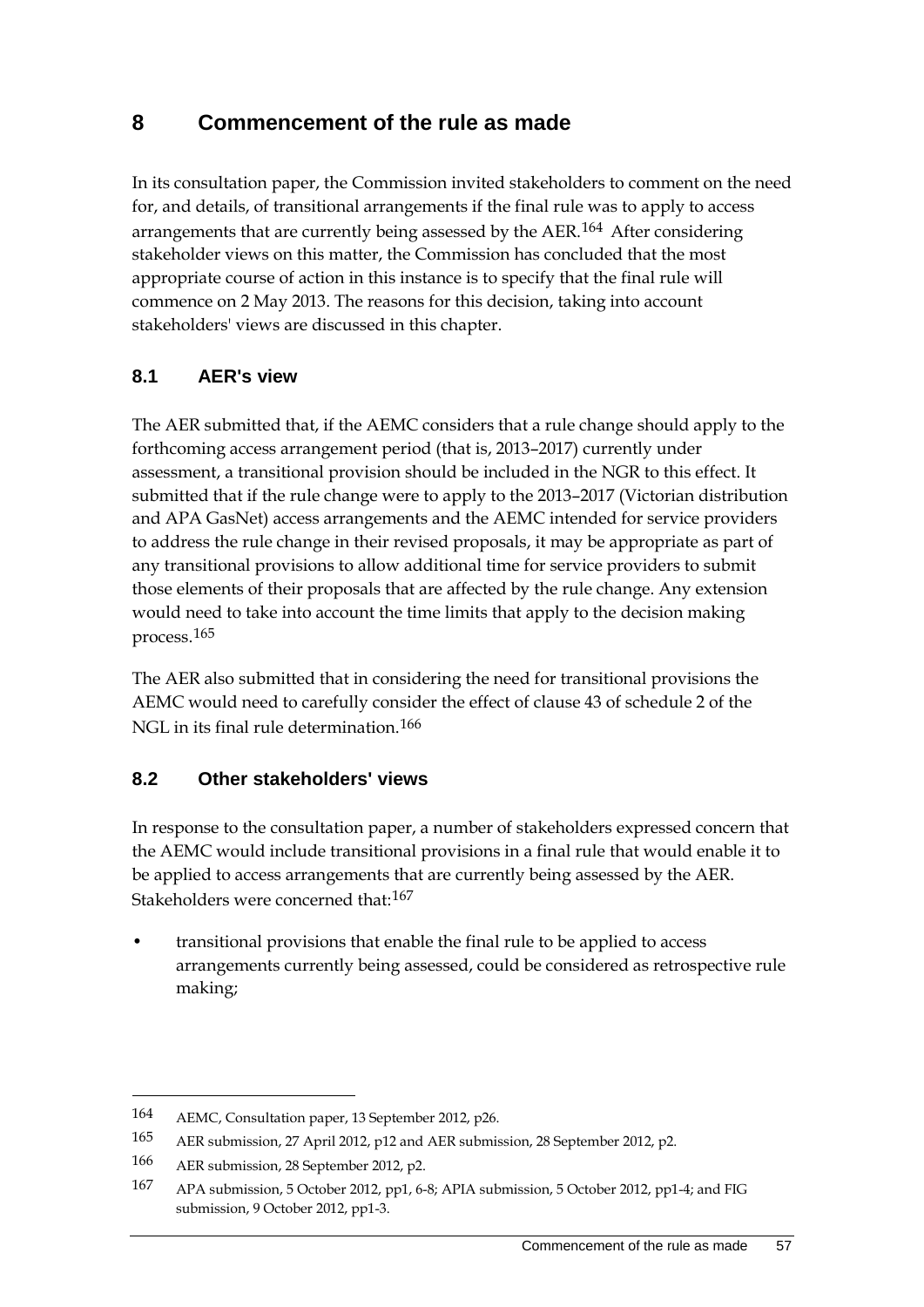## **8 Commencement of the rule as made**

In its consultation paper, the Commission invited stakeholders to comment on the need for, and details, of transitional arrangements if the final rule was to apply to access arrangements that are currently being assessed by the AER.<sup>[164](#page-64-0)</sup> After considering stakeholder views on this matter, the Commission has concluded that the most appropriate course of action in this instance is to specify that the final rule will commence on 2 May 2013. The reasons for this decision, taking into account stakeholders' views are discussed in this chapter.

## **8.1 AER's view**

The AER submitted that, if the AEMC considers that a rule change should apply to the forthcoming access arrangement period (that is, 2013–2017) currently under assessment, a transitional provision should be included in the NGR to this effect. It submitted that if the rule change were to apply to the 2013–2017 (Victorian distribution and APA GasNet) access arrangements and the AEMC intended for service providers to address the rule change in their revised proposals, it may be appropriate as part of any transitional provisions to allow additional time for service providers to submit those elements of their proposals that are affected by the rule change. Any extension would need to take into account the time limits that apply to the decision making process.[165](#page-64-1)

The AER also submitted that in considering the need for transitional provisions the AEMC would need to carefully consider the effect of clause 43 of schedule 2 of the NGL in its final rule determination.<sup>[166](#page-64-2)</sup>

#### **8.2 Other stakeholders' views**

In response to the consultation paper, a number of stakeholders expressed concern that the AEMC would include transitional provisions in a final rule that would enable it to be applied to access arrangements that are currently being assessed by the AER. Stakeholders were concerned that:[167](#page-64-3)

• transitional provisions that enable the final rule to be applied to access arrangements currently being assessed, could be considered as retrospective rule making;

<span id="page-64-0"></span><sup>164</sup> AEMC, Consultation paper, 13 September 2012, p26.

<span id="page-64-1"></span><sup>165</sup> AER submission, 27 April 2012, p12 and AER submission, 28 September 2012, p2.

<span id="page-64-2"></span><sup>166</sup> AER submission, 28 September 2012, p2.

<span id="page-64-3"></span><sup>167</sup> APA submission, 5 October 2012, pp1, 6-8; APIA submission, 5 October 2012, pp1-4; and FIG submission, 9 October 2012, pp1-3.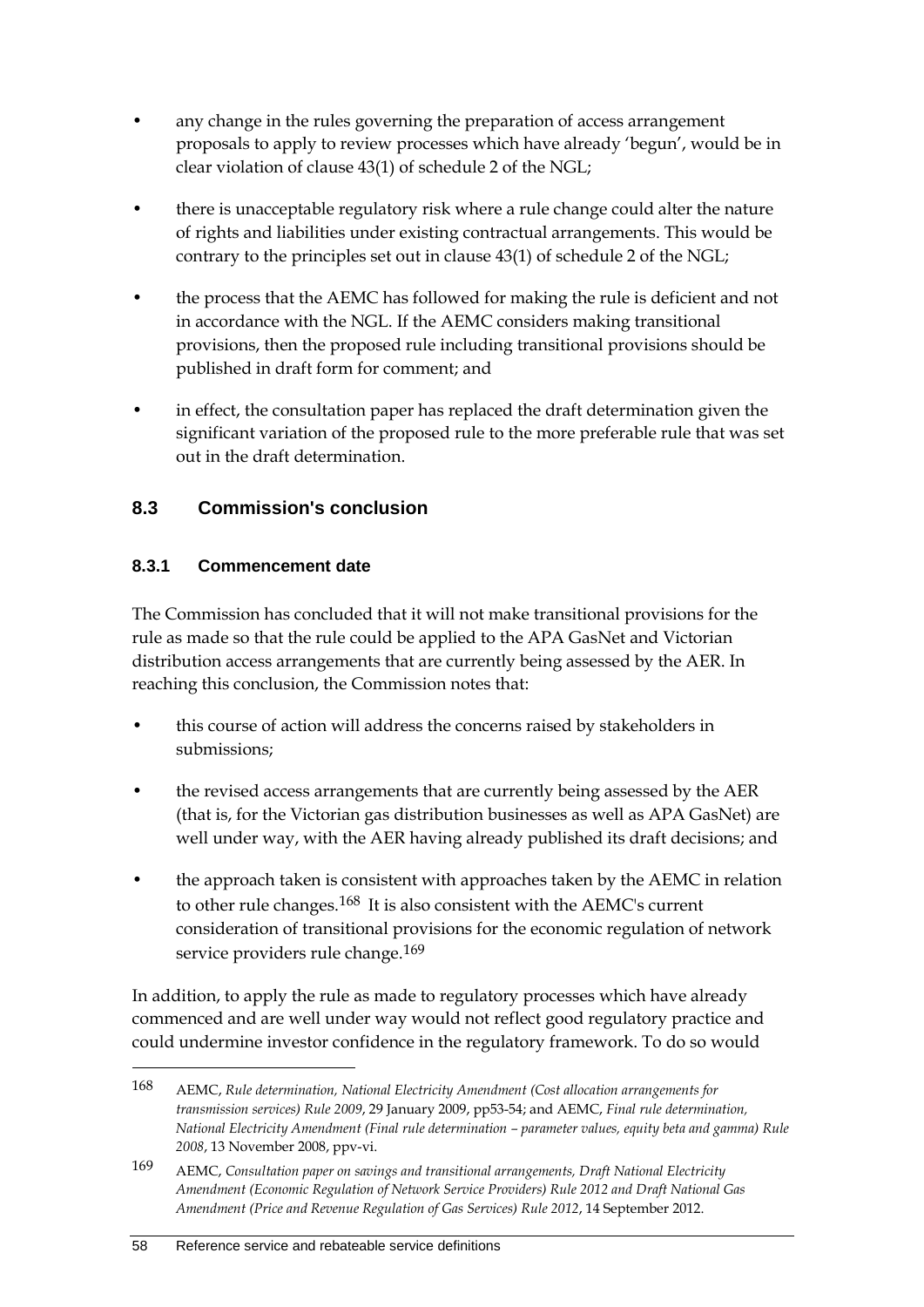- any change in the rules governing the preparation of access arrangement proposals to apply to review processes which have already 'begun', would be in clear violation of clause 43(1) of schedule 2 of the NGL;
- there is unacceptable regulatory risk where a rule change could alter the nature of rights and liabilities under existing contractual arrangements. This would be contrary to the principles set out in clause 43(1) of schedule 2 of the NGL;
- the process that the AEMC has followed for making the rule is deficient and not in accordance with the NGL. If the AEMC considers making transitional provisions, then the proposed rule including transitional provisions should be published in draft form for comment; and
- in effect, the consultation paper has replaced the draft determination given the significant variation of the proposed rule to the more preferable rule that was set out in the draft determination.

## **8.3 Commission's conclusion**

## **8.3.1 Commencement date**

The Commission has concluded that it will not make transitional provisions for the rule as made so that the rule could be applied to the APA GasNet and Victorian distribution access arrangements that are currently being assessed by the AER. In reaching this conclusion, the Commission notes that:

- this course of action will address the concerns raised by stakeholders in submissions;
- the revised access arrangements that are currently being assessed by the AER (that is, for the Victorian gas distribution businesses as well as APA GasNet) are well under way, with the AER having already published its draft decisions; and
- the approach taken is consistent with approaches taken by the AEMC in relation to other rule changes.<sup>[168](#page-65-0)</sup> It is also consistent with the AEMC's current consideration of transitional provisions for the economic regulation of network service providers rule change.<sup>[169](#page-65-1)</sup>

In addition, to apply the rule as made to regulatory processes which have already commenced and are well under way would not reflect good regulatory practice and could undermine investor confidence in the regulatory framework. To do so would

<span id="page-65-0"></span><sup>168</sup> AEMC, *Rule determination, National Electricity Amendment (Cost allocation arrangements for transmission services) Rule 2009*, 29 January 2009, pp53-54; and AEMC, *Final rule determination, National Electricity Amendment (Final rule determination – parameter values, equity beta and gamma) Rule 2008*, 13 November 2008, ppv-vi.

<span id="page-65-1"></span><sup>169</sup> AEMC, *Consultation paper on savings and transitional arrangements, Draft National Electricity Amendment (Economic Regulation of Network Service Providers) Rule 2012 and Draft National Gas Amendment (Price and Revenue Regulation of Gas Services) Rule 2012*, 14 September 2012.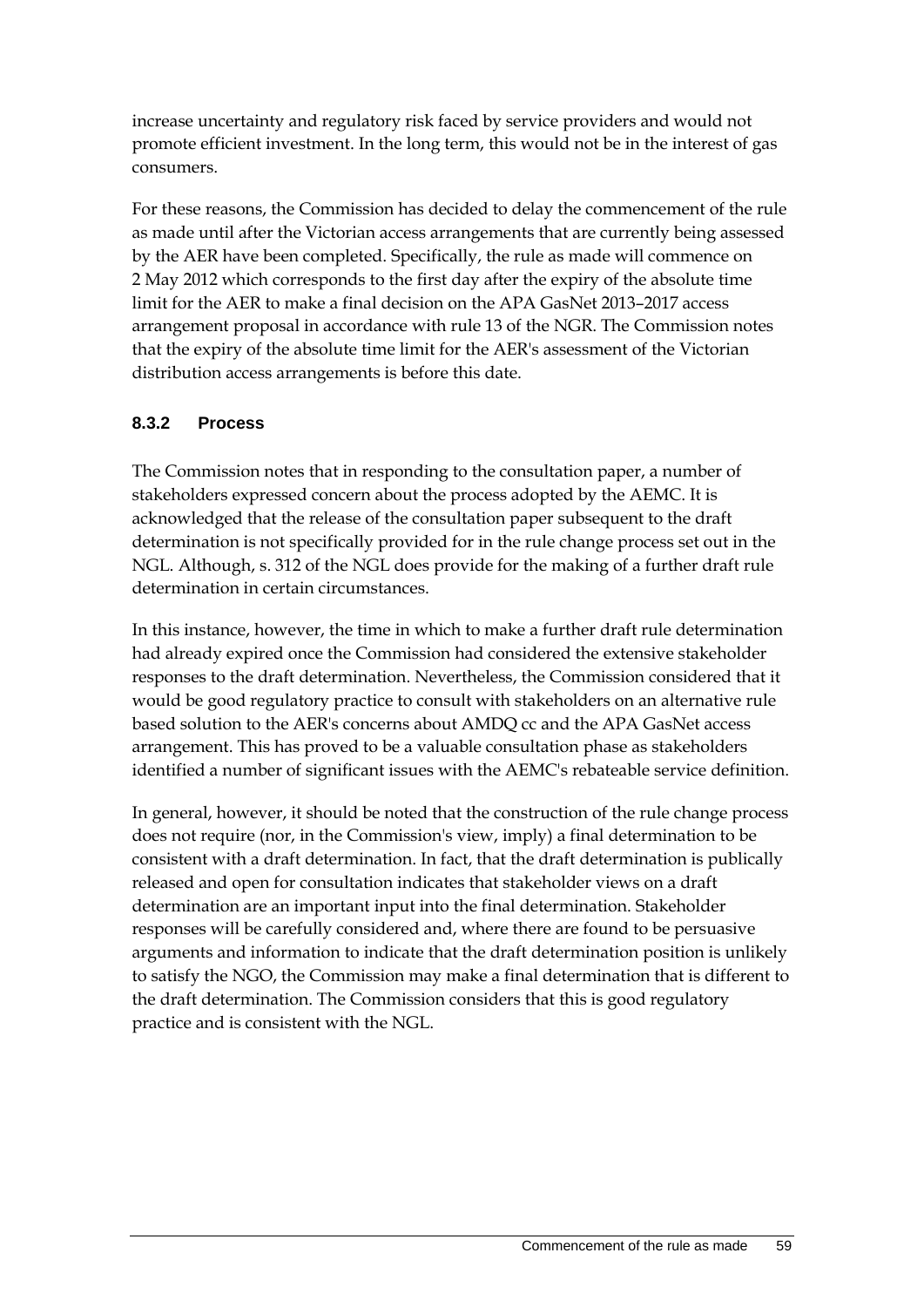increase uncertainty and regulatory risk faced by service providers and would not promote efficient investment. In the long term, this would not be in the interest of gas consumers.

For these reasons, the Commission has decided to delay the commencement of the rule as made until after the Victorian access arrangements that are currently being assessed by the AER have been completed. Specifically, the rule as made will commence on 2 May 2012 which corresponds to the first day after the expiry of the absolute time limit for the AER to make a final decision on the APA GasNet 2013–2017 access arrangement proposal in accordance with rule 13 of the NGR. The Commission notes that the expiry of the absolute time limit for the AER's assessment of the Victorian distribution access arrangements is before this date.

#### **8.3.2 Process**

The Commission notes that in responding to the consultation paper, a number of stakeholders expressed concern about the process adopted by the AEMC. It is acknowledged that the release of the consultation paper subsequent to the draft determination is not specifically provided for in the rule change process set out in the NGL. Although, s. 312 of the NGL does provide for the making of a further draft rule determination in certain circumstances.

In this instance, however, the time in which to make a further draft rule determination had already expired once the Commission had considered the extensive stakeholder responses to the draft determination. Nevertheless, the Commission considered that it would be good regulatory practice to consult with stakeholders on an alternative rule based solution to the AER's concerns about AMDQ cc and the APA GasNet access arrangement. This has proved to be a valuable consultation phase as stakeholders identified a number of significant issues with the AEMC's rebateable service definition.

In general, however, it should be noted that the construction of the rule change process does not require (nor, in the Commission's view, imply) a final determination to be consistent with a draft determination. In fact, that the draft determination is publically released and open for consultation indicates that stakeholder views on a draft determination are an important input into the final determination. Stakeholder responses will be carefully considered and, where there are found to be persuasive arguments and information to indicate that the draft determination position is unlikely to satisfy the NGO, the Commission may make a final determination that is different to the draft determination. The Commission considers that this is good regulatory practice and is consistent with the NGL.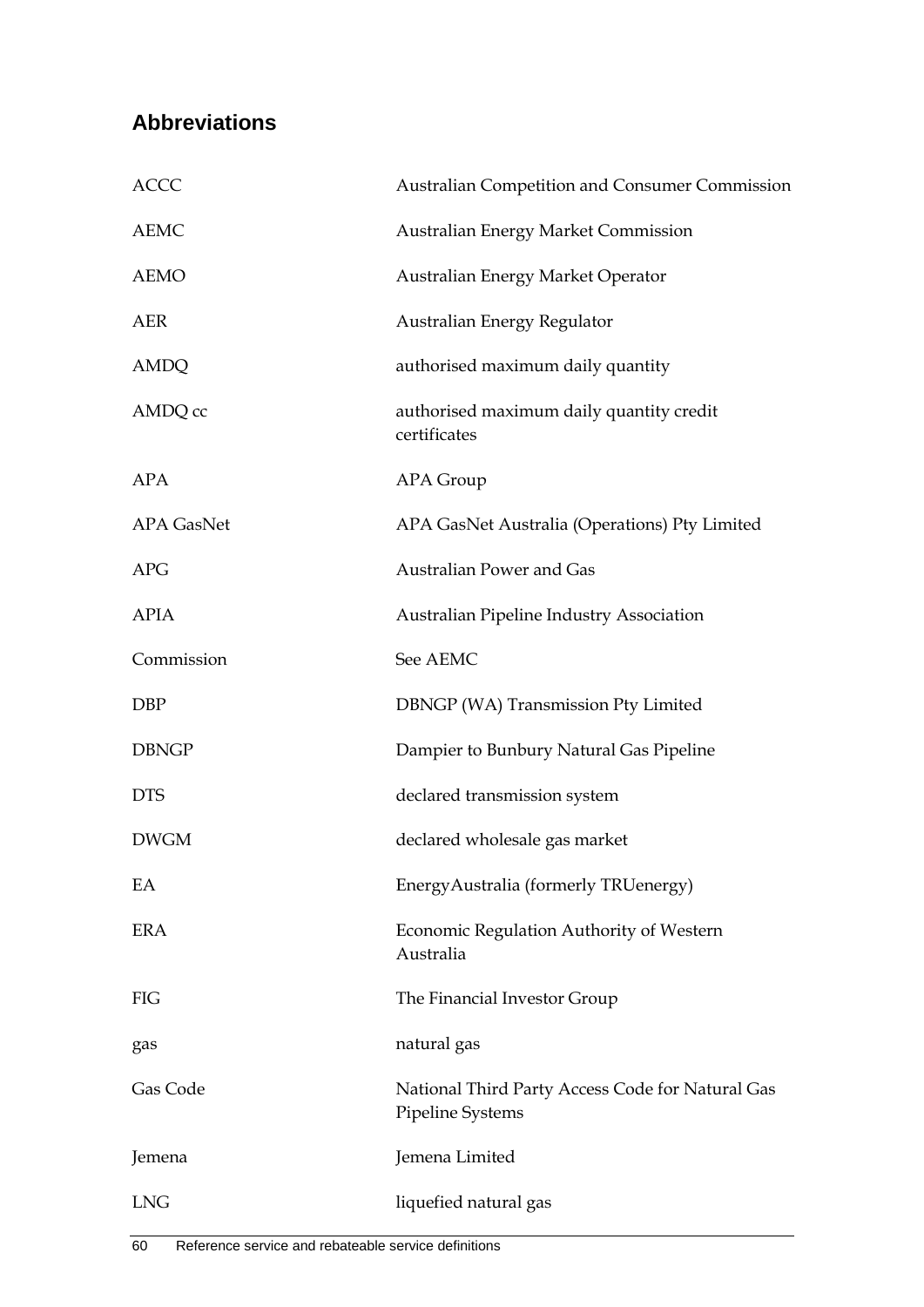## **Abbreviations**

| <b>ACCC</b>       | Australian Competition and Consumer Commission                              |
|-------------------|-----------------------------------------------------------------------------|
| <b>AEMC</b>       | <b>Australian Energy Market Commission</b>                                  |
| <b>AEMO</b>       | Australian Energy Market Operator                                           |
| <b>AER</b>        | Australian Energy Regulator                                                 |
| <b>AMDQ</b>       | authorised maximum daily quantity                                           |
| AMDQ cc           | authorised maximum daily quantity credit<br>certificates                    |
| <b>APA</b>        | APA Group                                                                   |
| <b>APA GasNet</b> | APA GasNet Australia (Operations) Pty Limited                               |
| <b>APG</b>        | Australian Power and Gas                                                    |
| <b>APIA</b>       | Australian Pipeline Industry Association                                    |
| Commission        | See AEMC                                                                    |
| <b>DBP</b>        | DBNGP (WA) Transmission Pty Limited                                         |
| <b>DBNGP</b>      | Dampier to Bunbury Natural Gas Pipeline                                     |
| <b>DTS</b>        | declared transmission system                                                |
| <b>DWGM</b>       | declared wholesale gas market                                               |
| EA                | EnergyAustralia (formerly TRUenergy)                                        |
| <b>ERA</b>        | Economic Regulation Authority of Western<br>Australia                       |
| FIG               | The Financial Investor Group                                                |
| gas               | natural gas                                                                 |
| Gas Code          | National Third Party Access Code for Natural Gas<br><b>Pipeline Systems</b> |
| Jemena            | Jemena Limited                                                              |
| <b>LNG</b>        | liquefied natural gas                                                       |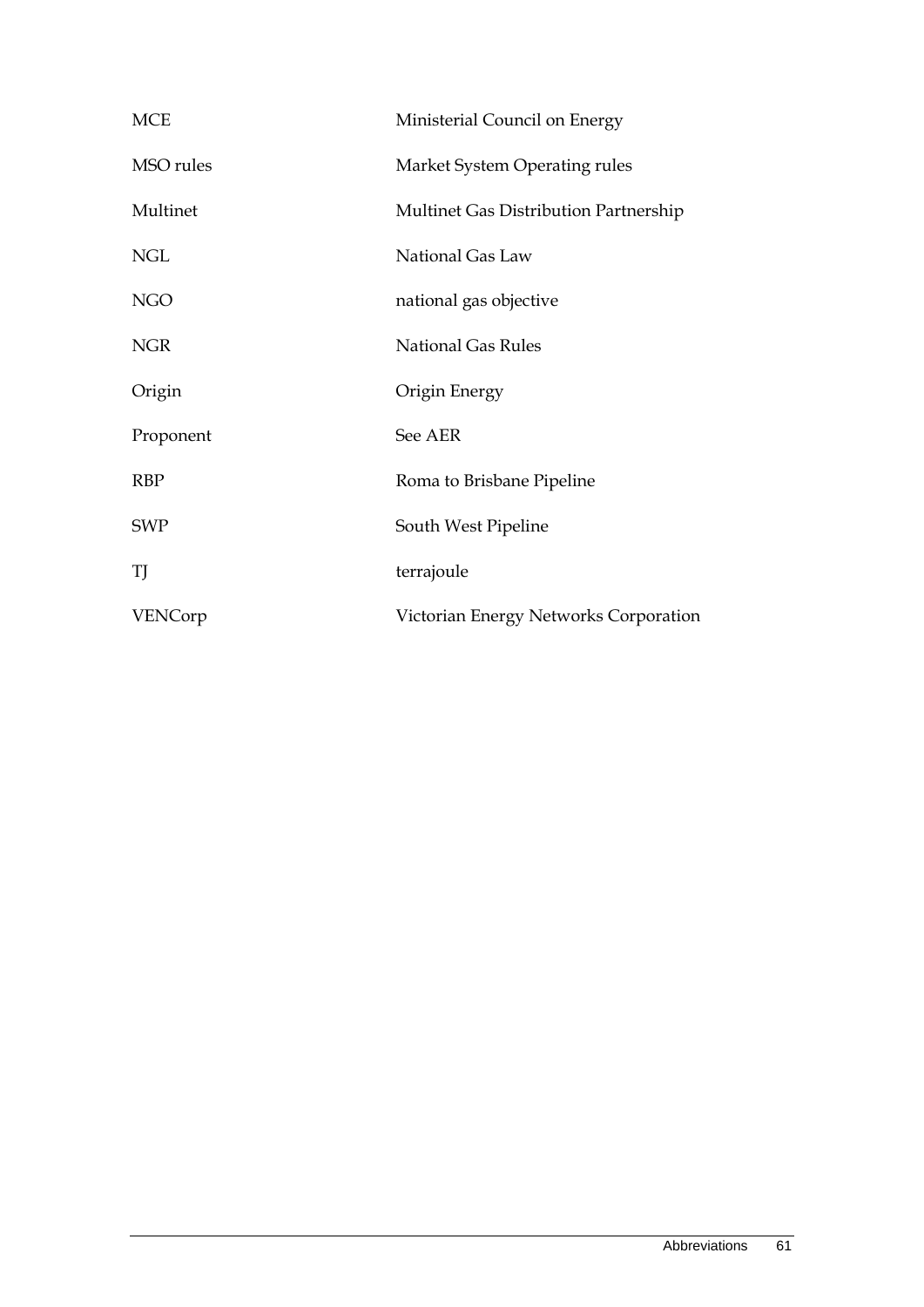| <b>MCE</b> | Ministerial Council on Energy         |
|------------|---------------------------------------|
| MSO rules  | Market System Operating rules         |
| Multinet   | Multinet Gas Distribution Partnership |
| <b>NGL</b> | National Gas Law                      |
| <b>NGO</b> | national gas objective                |
| <b>NGR</b> | <b>National Gas Rules</b>             |
| Origin     | Origin Energy                         |
| Proponent  | See AER                               |
| <b>RBP</b> | Roma to Brisbane Pipeline             |
| <b>SWP</b> | South West Pipeline                   |
| TJ         | terrajoule                            |
| VENCorp    | Victorian Energy Networks Corporation |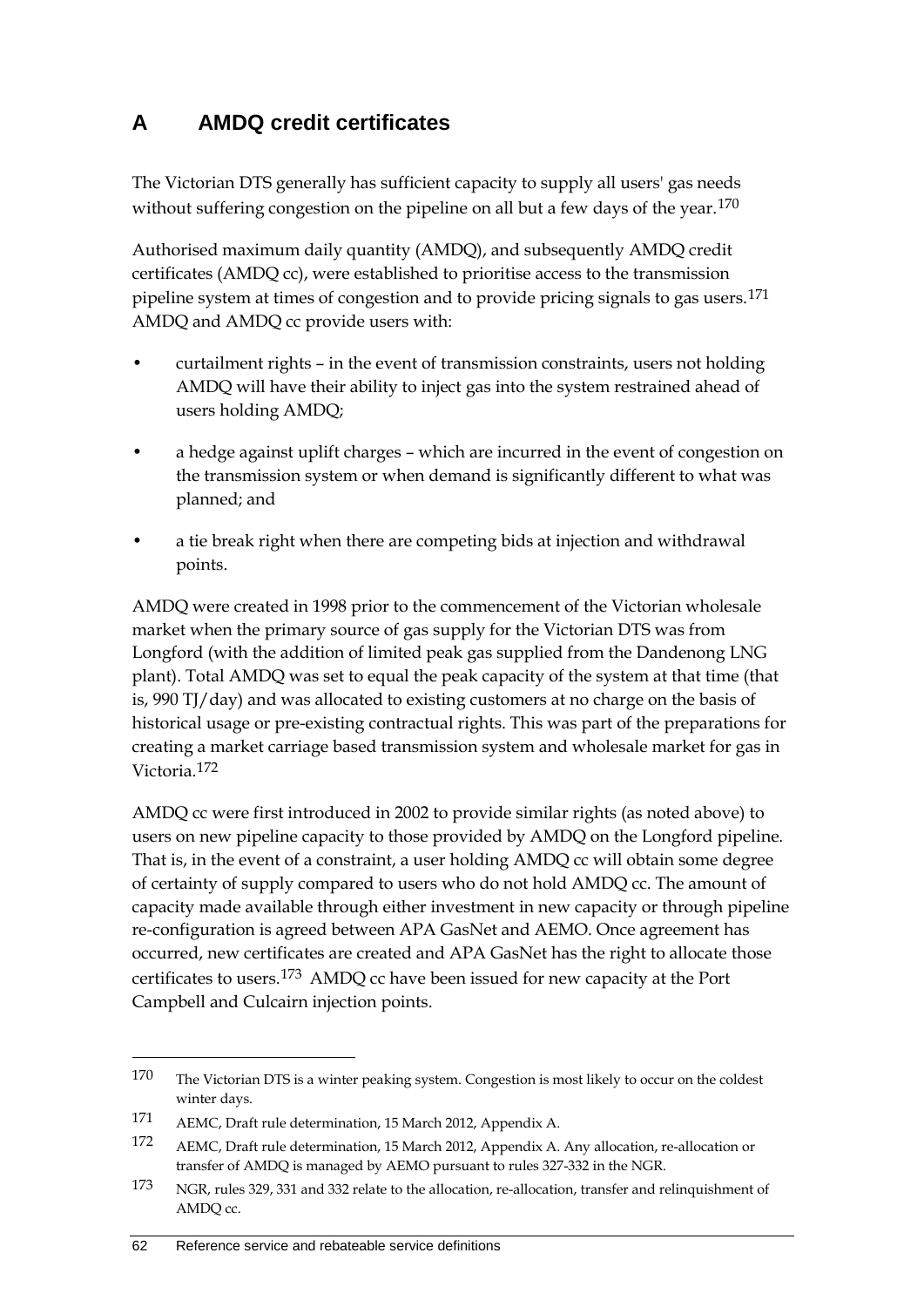## **A AMDQ credit certificates**

The Victorian DTS generally has sufficient capacity to supply all users' gas needs without suffering congestion on the pipeline on all but a few days of the year.<sup>[170](#page-69-0)</sup>

Authorised maximum daily quantity (AMDQ), and subsequently AMDQ credit certificates (AMDQ cc), were established to prioritise access to the transmission pipeline system at times of congestion and to provide pricing signals to gas users.<sup>[171](#page-69-1)</sup> AMDQ and AMDQ cc provide users with:

- curtailment rights in the event of transmission constraints, users not holding AMDQ will have their ability to inject gas into the system restrained ahead of users holding AMDQ;
- a hedge against uplift charges which are incurred in the event of congestion on the transmission system or when demand is significantly different to what was planned; and
- a tie break right when there are competing bids at injection and withdrawal points.

AMDQ were created in 1998 prior to the commencement of the Victorian wholesale market when the primary source of gas supply for the Victorian DTS was from Longford (with the addition of limited peak gas supplied from the Dandenong LNG plant). Total AMDQ was set to equal the peak capacity of the system at that time (that is, 990 TJ/day) and was allocated to existing customers at no charge on the basis of historical usage or pre-existing contractual rights. This was part of the preparations for creating a market carriage based transmission system and wholesale market for gas in Victoria.[172](#page-69-2)

AMDQ cc were first introduced in 2002 to provide similar rights (as noted above) to users on new pipeline capacity to those provided by AMDQ on the Longford pipeline. That is, in the event of a constraint, a user holding AMDQ cc will obtain some degree of certainty of supply compared to users who do not hold AMDQ cc. The amount of capacity made available through either investment in new capacity or through pipeline re-configuration is agreed between APA GasNet and AEMO. Once agreement has occurred, new certificates are created and APA GasNet has the right to allocate those certificates to users.[173](#page-69-3) AMDQ cc have been issued for new capacity at the Port Campbell and Culcairn injection points.

<span id="page-69-0"></span><sup>170</sup> The Victorian DTS is a winter peaking system. Congestion is most likely to occur on the coldest winter days.

<span id="page-69-1"></span><sup>171</sup> AEMC, Draft rule determination, 15 March 2012, Appendix A.

<span id="page-69-2"></span><sup>172</sup> AEMC, Draft rule determination, 15 March 2012, Appendix A. Any allocation, re-allocation or transfer of AMDQ is managed by AEMO pursuant to rules 327-332 in the NGR.

<span id="page-69-3"></span><sup>173</sup> NGR, rules 329, 331 and 332 relate to the allocation, re-allocation, transfer and relinquishment of AMDQ cc.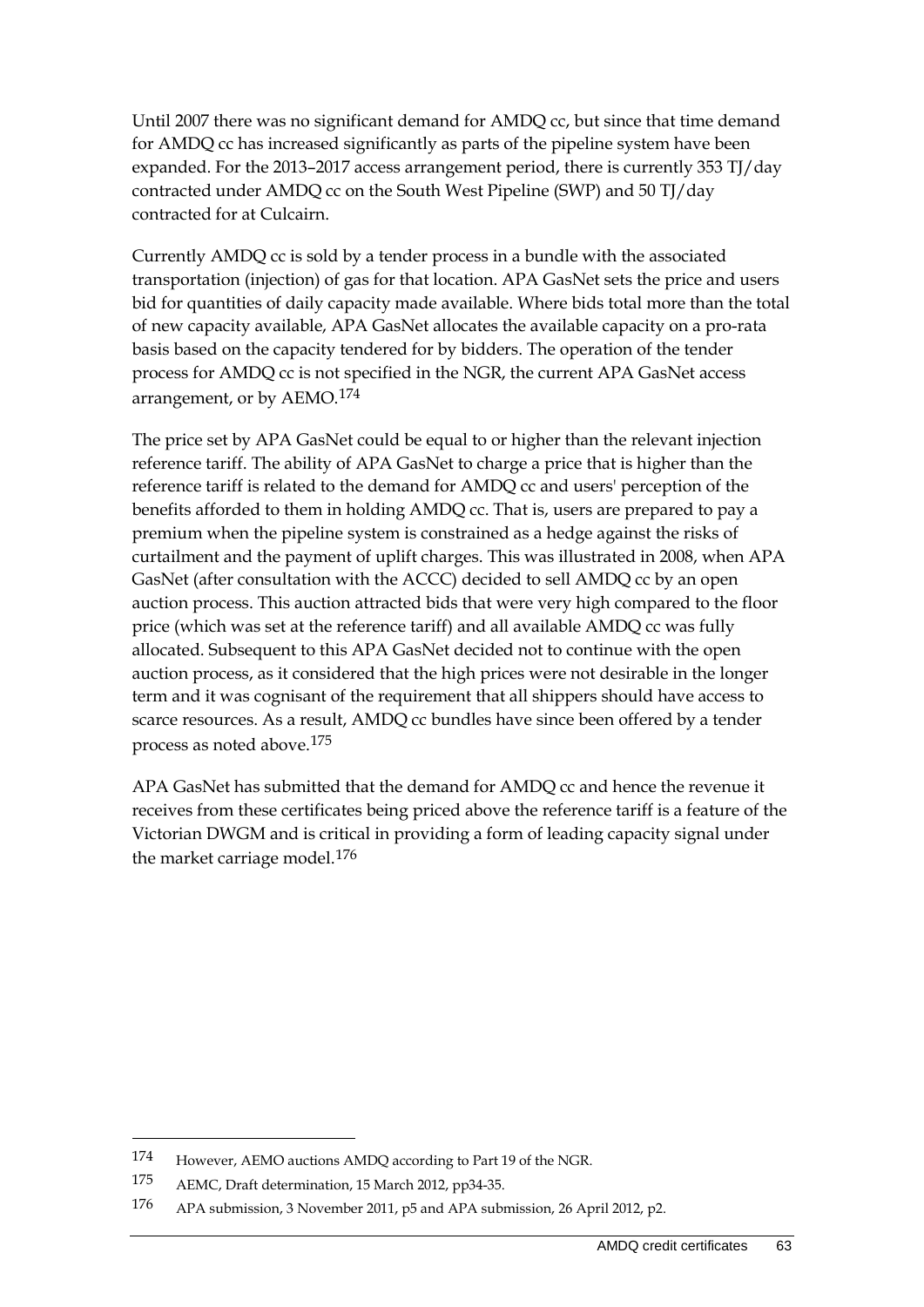Until 2007 there was no significant demand for AMDQ cc, but since that time demand for AMDQ cc has increased significantly as parts of the pipeline system have been expanded. For the 2013–2017 access arrangement period, there is currently 353 TJ/day contracted under AMDQ cc on the South West Pipeline (SWP) and 50 TJ/day contracted for at Culcairn.

Currently AMDQ cc is sold by a tender process in a bundle with the associated transportation (injection) of gas for that location. APA GasNet sets the price and users bid for quantities of daily capacity made available. Where bids total more than the total of new capacity available, APA GasNet allocates the available capacity on a pro-rata basis based on the capacity tendered for by bidders. The operation of the tender process for AMDQ cc is not specified in the NGR, the current APA GasNet access arrangement, or by AEMO.[174](#page-70-0)

The price set by APA GasNet could be equal to or higher than the relevant injection reference tariff. The ability of APA GasNet to charge a price that is higher than the reference tariff is related to the demand for AMDQ cc and users' perception of the benefits afforded to them in holding AMDQ cc. That is, users are prepared to pay a premium when the pipeline system is constrained as a hedge against the risks of curtailment and the payment of uplift charges. This was illustrated in 2008, when APA GasNet (after consultation with the ACCC) decided to sell AMDQ cc by an open auction process. This auction attracted bids that were very high compared to the floor price (which was set at the reference tariff) and all available AMDQ cc was fully allocated. Subsequent to this APA GasNet decided not to continue with the open auction process, as it considered that the high prices were not desirable in the longer term and it was cognisant of the requirement that all shippers should have access to scarce resources. As a result, AMDQ cc bundles have since been offered by a tender process as noted above.[175](#page-70-1)

APA GasNet has submitted that the demand for AMDQ cc and hence the revenue it receives from these certificates being priced above the reference tariff is a feature of the Victorian DWGM and is critical in providing a form of leading capacity signal under the market carriage model.<sup>[176](#page-70-2)</sup>

<span id="page-70-0"></span><sup>174</sup> However, AEMO auctions AMDQ according to Part 19 of the NGR.

<span id="page-70-1"></span><sup>175</sup> AEMC, Draft determination, 15 March 2012, pp34-35.

<span id="page-70-2"></span><sup>176</sup> APA submission, 3 November 2011, p5 and APA submission, 26 April 2012, p2.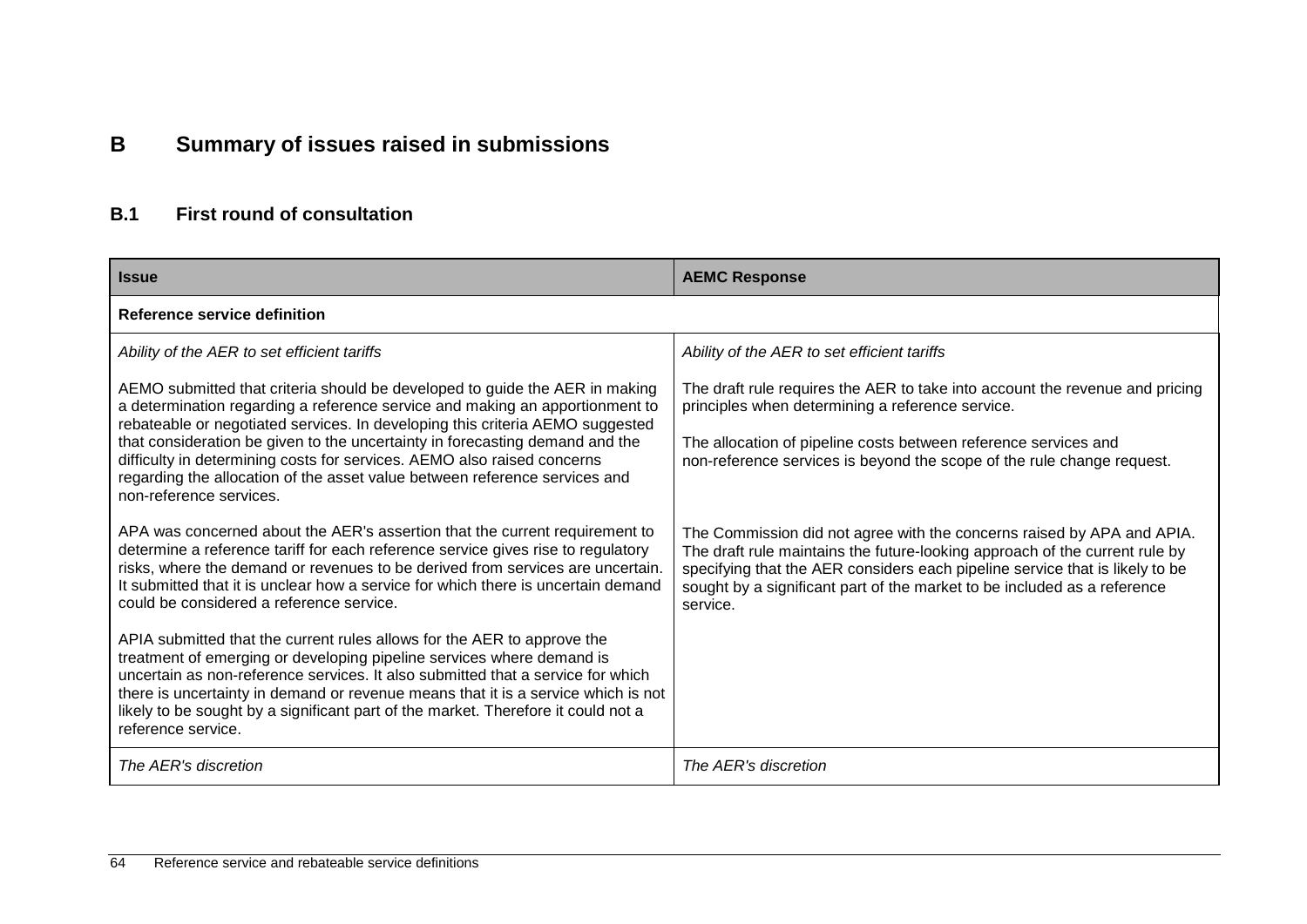# **B Summary of issues raised in submissions**

## **B.1 First round of consultation**

| <b>Issue</b>                                                                                                                                                                                                                                                                                                                                                                                                                        | <b>AEMC Response</b>                                                                                                                                                                                                                                                                                                          |  |  |
|-------------------------------------------------------------------------------------------------------------------------------------------------------------------------------------------------------------------------------------------------------------------------------------------------------------------------------------------------------------------------------------------------------------------------------------|-------------------------------------------------------------------------------------------------------------------------------------------------------------------------------------------------------------------------------------------------------------------------------------------------------------------------------|--|--|
| Reference service definition                                                                                                                                                                                                                                                                                                                                                                                                        |                                                                                                                                                                                                                                                                                                                               |  |  |
| Ability of the AER to set efficient tariffs                                                                                                                                                                                                                                                                                                                                                                                         | Ability of the AER to set efficient tariffs                                                                                                                                                                                                                                                                                   |  |  |
| AEMO submitted that criteria should be developed to guide the AER in making<br>a determination regarding a reference service and making an apportionment to<br>rebateable or negotiated services. In developing this criteria AEMO suggested                                                                                                                                                                                        | The draft rule requires the AER to take into account the revenue and pricing<br>principles when determining a reference service.                                                                                                                                                                                              |  |  |
| that consideration be given to the uncertainty in forecasting demand and the<br>difficulty in determining costs for services. AEMO also raised concerns<br>regarding the allocation of the asset value between reference services and<br>non-reference services.                                                                                                                                                                    | The allocation of pipeline costs between reference services and<br>non-reference services is beyond the scope of the rule change request.                                                                                                                                                                                     |  |  |
| APA was concerned about the AER's assertion that the current requirement to<br>determine a reference tariff for each reference service gives rise to regulatory<br>risks, where the demand or revenues to be derived from services are uncertain.<br>It submitted that it is unclear how a service for which there is uncertain demand<br>could be considered a reference service.                                                  | The Commission did not agree with the concerns raised by APA and APIA.<br>The draft rule maintains the future-looking approach of the current rule by<br>specifying that the AER considers each pipeline service that is likely to be<br>sought by a significant part of the market to be included as a reference<br>service. |  |  |
| APIA submitted that the current rules allows for the AER to approve the<br>treatment of emerging or developing pipeline services where demand is<br>uncertain as non-reference services. It also submitted that a service for which<br>there is uncertainty in demand or revenue means that it is a service which is not<br>likely to be sought by a significant part of the market. Therefore it could not a<br>reference service. |                                                                                                                                                                                                                                                                                                                               |  |  |
| The AER's discretion                                                                                                                                                                                                                                                                                                                                                                                                                | The AER's discretion                                                                                                                                                                                                                                                                                                          |  |  |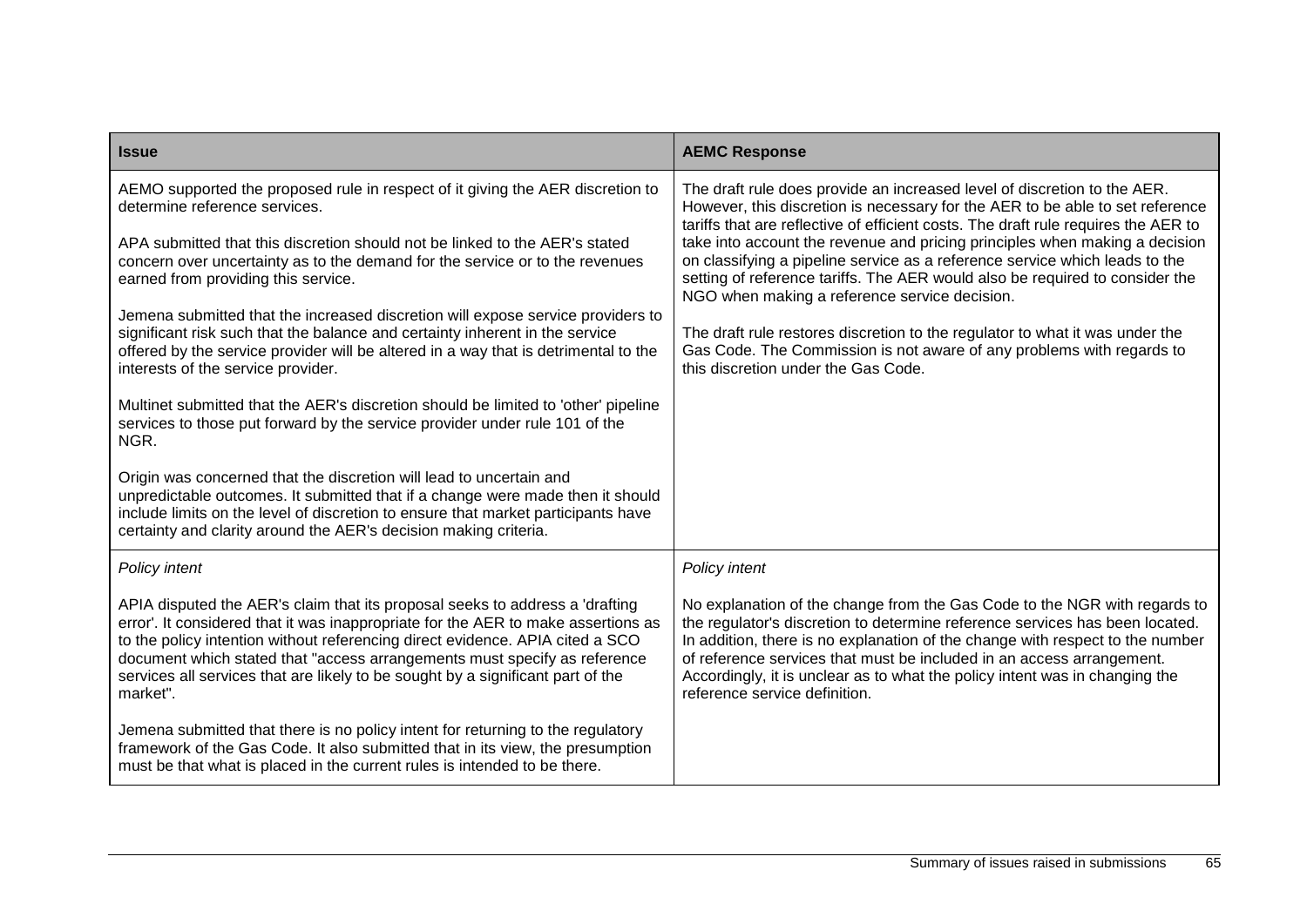| <b>Issue</b>                                                                                                                                                                                                                                                                                                                                                                                                                   | <b>AEMC Response</b>                                                                                                                                                                                                                                                                                                                                                                                                                |
|--------------------------------------------------------------------------------------------------------------------------------------------------------------------------------------------------------------------------------------------------------------------------------------------------------------------------------------------------------------------------------------------------------------------------------|-------------------------------------------------------------------------------------------------------------------------------------------------------------------------------------------------------------------------------------------------------------------------------------------------------------------------------------------------------------------------------------------------------------------------------------|
| AEMO supported the proposed rule in respect of it giving the AER discretion to<br>determine reference services.                                                                                                                                                                                                                                                                                                                | The draft rule does provide an increased level of discretion to the AER.<br>However, this discretion is necessary for the AER to be able to set reference<br>tariffs that are reflective of efficient costs. The draft rule requires the AER to                                                                                                                                                                                     |
| APA submitted that this discretion should not be linked to the AER's stated<br>concern over uncertainty as to the demand for the service or to the revenues<br>earned from providing this service.                                                                                                                                                                                                                             | take into account the revenue and pricing principles when making a decision<br>on classifying a pipeline service as a reference service which leads to the<br>setting of reference tariffs. The AER would also be required to consider the<br>NGO when making a reference service decision.                                                                                                                                         |
| Jemena submitted that the increased discretion will expose service providers to<br>significant risk such that the balance and certainty inherent in the service<br>offered by the service provider will be altered in a way that is detrimental to the<br>interests of the service provider.                                                                                                                                   | The draft rule restores discretion to the regulator to what it was under the<br>Gas Code. The Commission is not aware of any problems with regards to<br>this discretion under the Gas Code.                                                                                                                                                                                                                                        |
| Multinet submitted that the AER's discretion should be limited to 'other' pipeline<br>services to those put forward by the service provider under rule 101 of the<br>NGR.                                                                                                                                                                                                                                                      |                                                                                                                                                                                                                                                                                                                                                                                                                                     |
| Origin was concerned that the discretion will lead to uncertain and<br>unpredictable outcomes. It submitted that if a change were made then it should<br>include limits on the level of discretion to ensure that market participants have<br>certainty and clarity around the AER's decision making criteria.                                                                                                                 |                                                                                                                                                                                                                                                                                                                                                                                                                                     |
| Policy intent                                                                                                                                                                                                                                                                                                                                                                                                                  | Policy intent                                                                                                                                                                                                                                                                                                                                                                                                                       |
| APIA disputed the AER's claim that its proposal seeks to address a 'drafting<br>error'. It considered that it was inappropriate for the AER to make assertions as<br>to the policy intention without referencing direct evidence. APIA cited a SCO<br>document which stated that "access arrangements must specify as reference<br>services all services that are likely to be sought by a significant part of the<br>market". | No explanation of the change from the Gas Code to the NGR with regards to<br>the regulator's discretion to determine reference services has been located.<br>In addition, there is no explanation of the change with respect to the number<br>of reference services that must be included in an access arrangement.<br>Accordingly, it is unclear as to what the policy intent was in changing the<br>reference service definition. |
| Jemena submitted that there is no policy intent for returning to the regulatory<br>framework of the Gas Code. It also submitted that in its view, the presumption<br>must be that what is placed in the current rules is intended to be there.                                                                                                                                                                                 |                                                                                                                                                                                                                                                                                                                                                                                                                                     |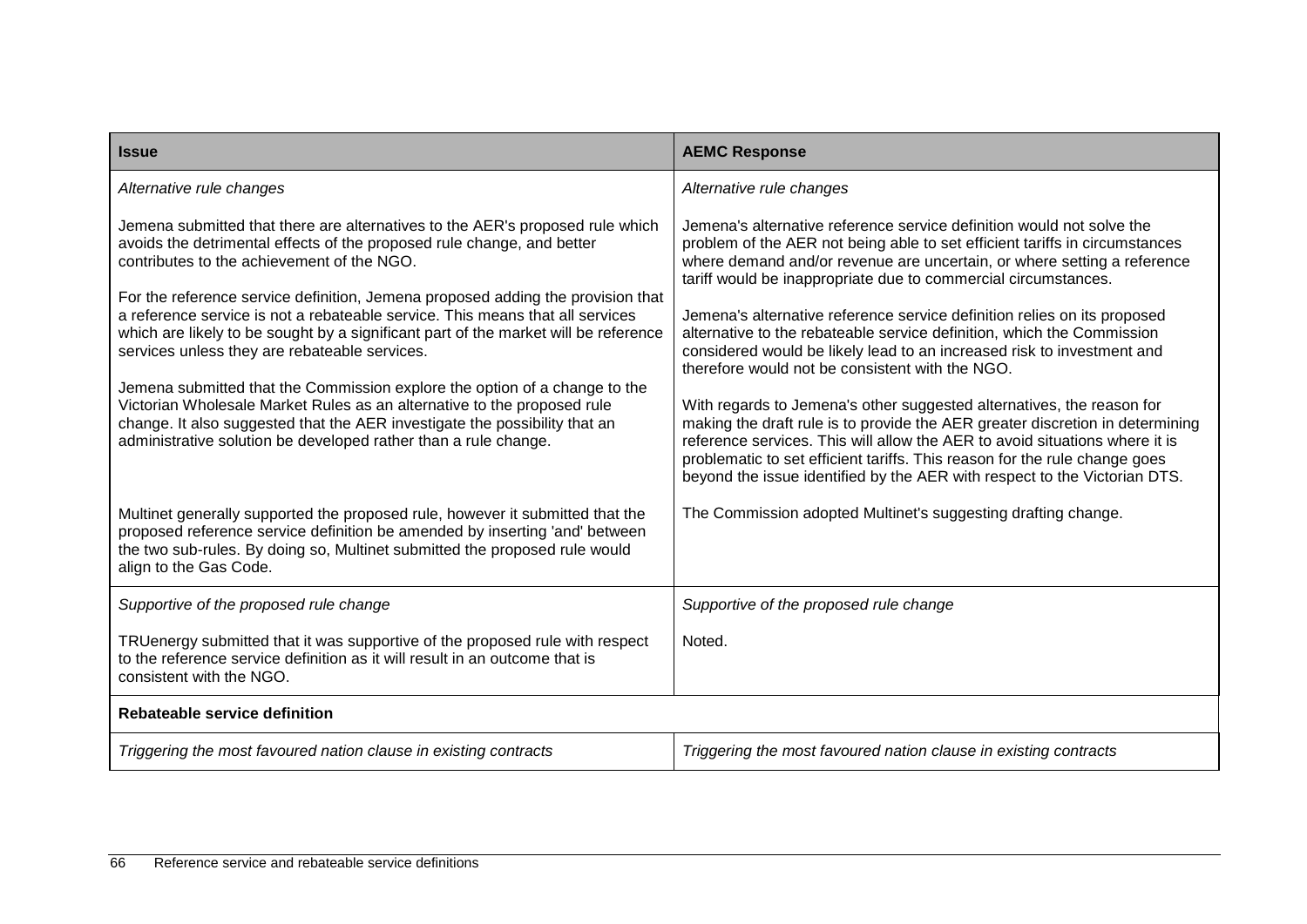| <b>Issue</b>                                                                                                                                                                                                                                                                                                                                                                                                                                                                                                                                                                                                                                                                                                                                                                                                                | <b>AEMC Response</b>                                                                                                                                                                                                                                                                                                                                                                                                                                                                                                                                                                                                                                                                                                                                                                                                                                                                                                                                                                     |
|-----------------------------------------------------------------------------------------------------------------------------------------------------------------------------------------------------------------------------------------------------------------------------------------------------------------------------------------------------------------------------------------------------------------------------------------------------------------------------------------------------------------------------------------------------------------------------------------------------------------------------------------------------------------------------------------------------------------------------------------------------------------------------------------------------------------------------|------------------------------------------------------------------------------------------------------------------------------------------------------------------------------------------------------------------------------------------------------------------------------------------------------------------------------------------------------------------------------------------------------------------------------------------------------------------------------------------------------------------------------------------------------------------------------------------------------------------------------------------------------------------------------------------------------------------------------------------------------------------------------------------------------------------------------------------------------------------------------------------------------------------------------------------------------------------------------------------|
| Alternative rule changes                                                                                                                                                                                                                                                                                                                                                                                                                                                                                                                                                                                                                                                                                                                                                                                                    | Alternative rule changes                                                                                                                                                                                                                                                                                                                                                                                                                                                                                                                                                                                                                                                                                                                                                                                                                                                                                                                                                                 |
| Jemena submitted that there are alternatives to the AER's proposed rule which<br>avoids the detrimental effects of the proposed rule change, and better<br>contributes to the achievement of the NGO.<br>For the reference service definition, Jemena proposed adding the provision that<br>a reference service is not a rebateable service. This means that all services<br>which are likely to be sought by a significant part of the market will be reference<br>services unless they are rebateable services.<br>Jemena submitted that the Commission explore the option of a change to the<br>Victorian Wholesale Market Rules as an alternative to the proposed rule<br>change. It also suggested that the AER investigate the possibility that an<br>administrative solution be developed rather than a rule change. | Jemena's alternative reference service definition would not solve the<br>problem of the AER not being able to set efficient tariffs in circumstances<br>where demand and/or revenue are uncertain, or where setting a reference<br>tariff would be inappropriate due to commercial circumstances.<br>Jemena's alternative reference service definition relies on its proposed<br>alternative to the rebateable service definition, which the Commission<br>considered would be likely lead to an increased risk to investment and<br>therefore would not be consistent with the NGO.<br>With regards to Jemena's other suggested alternatives, the reason for<br>making the draft rule is to provide the AER greater discretion in determining<br>reference services. This will allow the AER to avoid situations where it is<br>problematic to set efficient tariffs. This reason for the rule change goes<br>beyond the issue identified by the AER with respect to the Victorian DTS. |
| Multinet generally supported the proposed rule, however it submitted that the<br>proposed reference service definition be amended by inserting 'and' between<br>the two sub-rules. By doing so, Multinet submitted the proposed rule would<br>align to the Gas Code.                                                                                                                                                                                                                                                                                                                                                                                                                                                                                                                                                        | The Commission adopted Multinet's suggesting drafting change.                                                                                                                                                                                                                                                                                                                                                                                                                                                                                                                                                                                                                                                                                                                                                                                                                                                                                                                            |
| Supportive of the proposed rule change                                                                                                                                                                                                                                                                                                                                                                                                                                                                                                                                                                                                                                                                                                                                                                                      | Supportive of the proposed rule change                                                                                                                                                                                                                                                                                                                                                                                                                                                                                                                                                                                                                                                                                                                                                                                                                                                                                                                                                   |
| TRUenergy submitted that it was supportive of the proposed rule with respect<br>to the reference service definition as it will result in an outcome that is<br>consistent with the NGO.                                                                                                                                                                                                                                                                                                                                                                                                                                                                                                                                                                                                                                     | Noted.                                                                                                                                                                                                                                                                                                                                                                                                                                                                                                                                                                                                                                                                                                                                                                                                                                                                                                                                                                                   |
| Rebateable service definition                                                                                                                                                                                                                                                                                                                                                                                                                                                                                                                                                                                                                                                                                                                                                                                               |                                                                                                                                                                                                                                                                                                                                                                                                                                                                                                                                                                                                                                                                                                                                                                                                                                                                                                                                                                                          |
| Triggering the most favoured nation clause in existing contracts                                                                                                                                                                                                                                                                                                                                                                                                                                                                                                                                                                                                                                                                                                                                                            | Triggering the most favoured nation clause in existing contracts                                                                                                                                                                                                                                                                                                                                                                                                                                                                                                                                                                                                                                                                                                                                                                                                                                                                                                                         |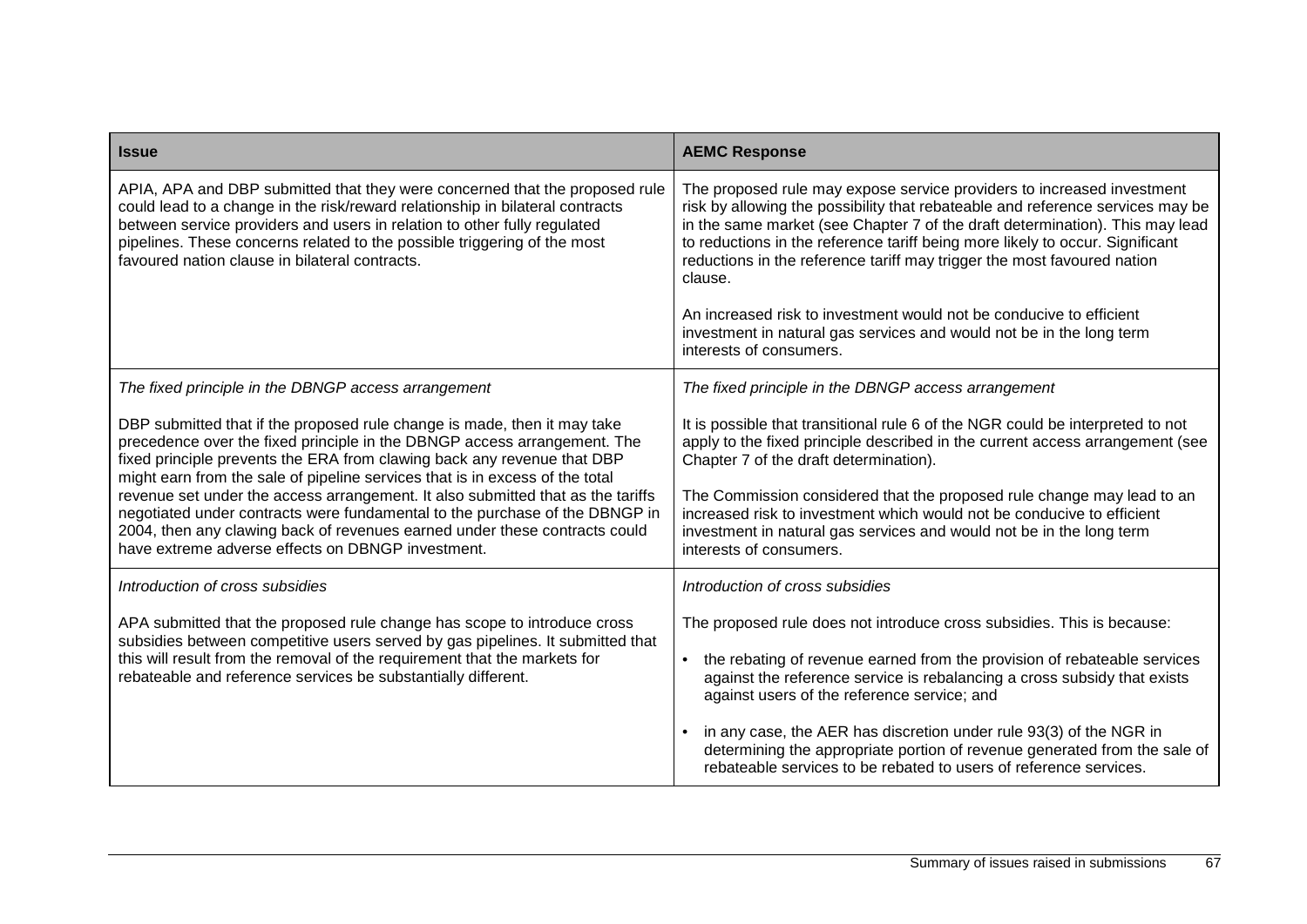| <b>Issue</b>                                                                                                                                                                                                                                                                                                                                                                                                                                                                                                                                                                                                         | <b>AEMC Response</b>                                                                                                                                                                                                                                                                                                                                                                                                                                                                                                                                                                      |
|----------------------------------------------------------------------------------------------------------------------------------------------------------------------------------------------------------------------------------------------------------------------------------------------------------------------------------------------------------------------------------------------------------------------------------------------------------------------------------------------------------------------------------------------------------------------------------------------------------------------|-------------------------------------------------------------------------------------------------------------------------------------------------------------------------------------------------------------------------------------------------------------------------------------------------------------------------------------------------------------------------------------------------------------------------------------------------------------------------------------------------------------------------------------------------------------------------------------------|
| APIA, APA and DBP submitted that they were concerned that the proposed rule<br>could lead to a change in the risk/reward relationship in bilateral contracts<br>between service providers and users in relation to other fully regulated<br>pipelines. These concerns related to the possible triggering of the most<br>favoured nation clause in bilateral contracts.                                                                                                                                                                                                                                               | The proposed rule may expose service providers to increased investment<br>risk by allowing the possibility that rebateable and reference services may be<br>in the same market (see Chapter 7 of the draft determination). This may lead<br>to reductions in the reference tariff being more likely to occur. Significant<br>reductions in the reference tariff may trigger the most favoured nation<br>clause.<br>An increased risk to investment would not be conducive to efficient<br>investment in natural gas services and would not be in the long term<br>interests of consumers. |
| The fixed principle in the DBNGP access arrangement                                                                                                                                                                                                                                                                                                                                                                                                                                                                                                                                                                  | The fixed principle in the DBNGP access arrangement                                                                                                                                                                                                                                                                                                                                                                                                                                                                                                                                       |
| DBP submitted that if the proposed rule change is made, then it may take<br>precedence over the fixed principle in the DBNGP access arrangement. The<br>fixed principle prevents the ERA from clawing back any revenue that DBP<br>might earn from the sale of pipeline services that is in excess of the total<br>revenue set under the access arrangement. It also submitted that as the tariffs<br>negotiated under contracts were fundamental to the purchase of the DBNGP in<br>2004, then any clawing back of revenues earned under these contracts could<br>have extreme adverse effects on DBNGP investment. | It is possible that transitional rule 6 of the NGR could be interpreted to not<br>apply to the fixed principle described in the current access arrangement (see<br>Chapter 7 of the draft determination).<br>The Commission considered that the proposed rule change may lead to an<br>increased risk to investment which would not be conducive to efficient<br>investment in natural gas services and would not be in the long term<br>interests of consumers.                                                                                                                          |
| Introduction of cross subsidies                                                                                                                                                                                                                                                                                                                                                                                                                                                                                                                                                                                      | Introduction of cross subsidies                                                                                                                                                                                                                                                                                                                                                                                                                                                                                                                                                           |
| APA submitted that the proposed rule change has scope to introduce cross<br>subsidies between competitive users served by gas pipelines. It submitted that<br>this will result from the removal of the requirement that the markets for<br>rebateable and reference services be substantially different.                                                                                                                                                                                                                                                                                                             | The proposed rule does not introduce cross subsidies. This is because:<br>the rebating of revenue earned from the provision of rebateable services<br>against the reference service is rebalancing a cross subsidy that exists<br>against users of the reference service; and<br>in any case, the AER has discretion under rule 93(3) of the NGR in<br>determining the appropriate portion of revenue generated from the sale of<br>rebateable services to be rebated to users of reference services.                                                                                     |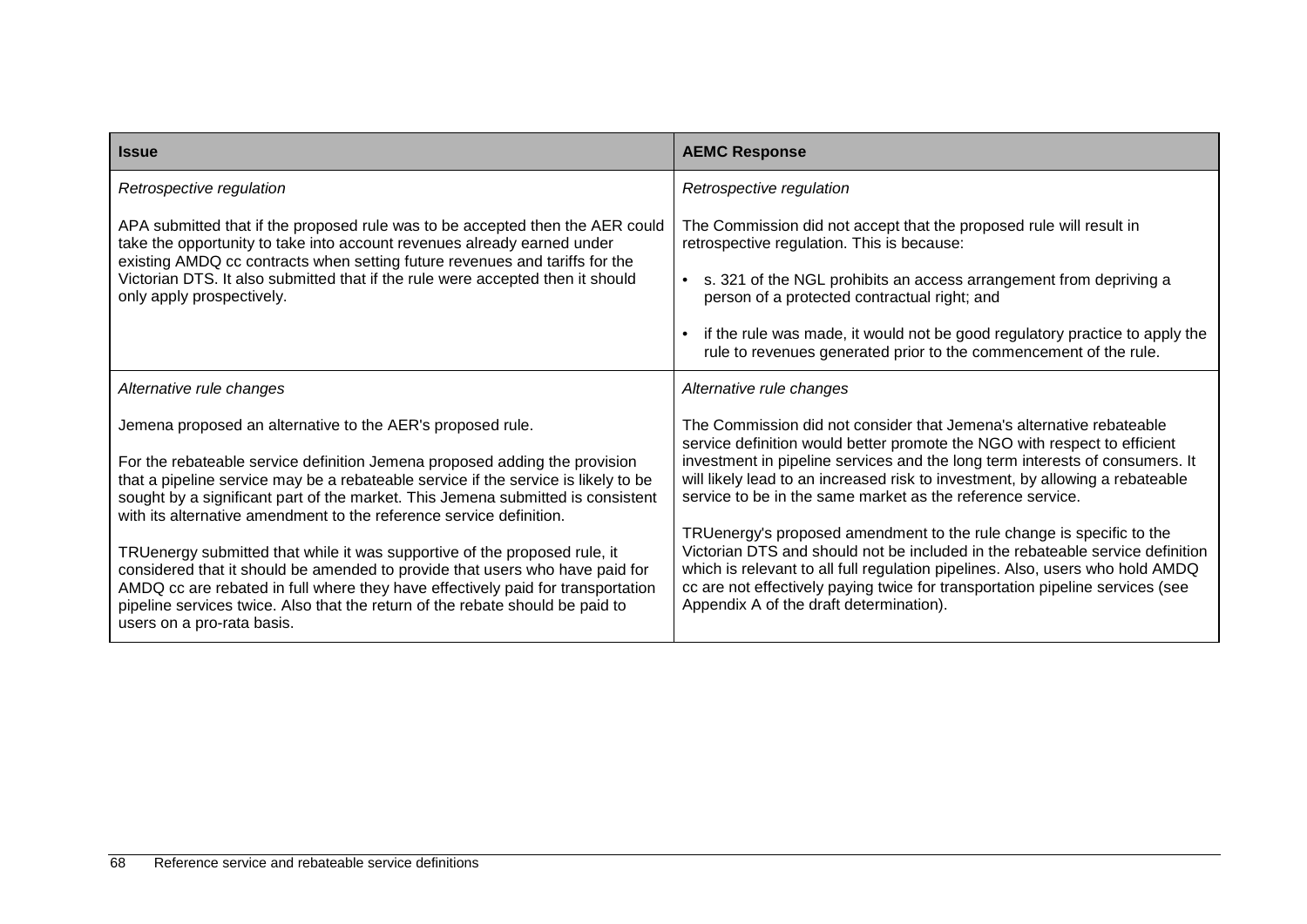| <b>Issue</b>                                                                                                                                                                                                                                                                                                                                                | <b>AEMC Response</b>                                                                                                                                                                                                                                                                                                                                               |
|-------------------------------------------------------------------------------------------------------------------------------------------------------------------------------------------------------------------------------------------------------------------------------------------------------------------------------------------------------------|--------------------------------------------------------------------------------------------------------------------------------------------------------------------------------------------------------------------------------------------------------------------------------------------------------------------------------------------------------------------|
| Retrospective regulation                                                                                                                                                                                                                                                                                                                                    | Retrospective regulation                                                                                                                                                                                                                                                                                                                                           |
| APA submitted that if the proposed rule was to be accepted then the AER could<br>take the opportunity to take into account revenues already earned under                                                                                                                                                                                                    | The Commission did not accept that the proposed rule will result in<br>retrospective regulation. This is because:                                                                                                                                                                                                                                                  |
| existing AMDQ cc contracts when setting future revenues and tariffs for the<br>Victorian DTS. It also submitted that if the rule were accepted then it should<br>only apply prospectively.                                                                                                                                                                  | s. 321 of the NGL prohibits an access arrangement from depriving a<br>person of a protected contractual right; and                                                                                                                                                                                                                                                 |
|                                                                                                                                                                                                                                                                                                                                                             | if the rule was made, it would not be good regulatory practice to apply the<br>rule to revenues generated prior to the commencement of the rule.                                                                                                                                                                                                                   |
| Alternative rule changes                                                                                                                                                                                                                                                                                                                                    | Alternative rule changes                                                                                                                                                                                                                                                                                                                                           |
| Jemena proposed an alternative to the AER's proposed rule.                                                                                                                                                                                                                                                                                                  | The Commission did not consider that Jemena's alternative rebateable<br>service definition would better promote the NGO with respect to efficient                                                                                                                                                                                                                  |
| For the rebateable service definition Jemena proposed adding the provision<br>that a pipeline service may be a rebateable service if the service is likely to be<br>sought by a significant part of the market. This Jemena submitted is consistent<br>with its alternative amendment to the reference service definition.                                  | investment in pipeline services and the long term interests of consumers. It<br>will likely lead to an increased risk to investment, by allowing a rebateable<br>service to be in the same market as the reference service.                                                                                                                                        |
| TRUenergy submitted that while it was supportive of the proposed rule, it<br>considered that it should be amended to provide that users who have paid for<br>AMDQ cc are rebated in full where they have effectively paid for transportation<br>pipeline services twice. Also that the return of the rebate should be paid to<br>users on a pro-rata basis. | TRUenergy's proposed amendment to the rule change is specific to the<br>Victorian DTS and should not be included in the rebateable service definition<br>which is relevant to all full regulation pipelines. Also, users who hold AMDQ<br>cc are not effectively paying twice for transportation pipeline services (see<br>Appendix A of the draft determination). |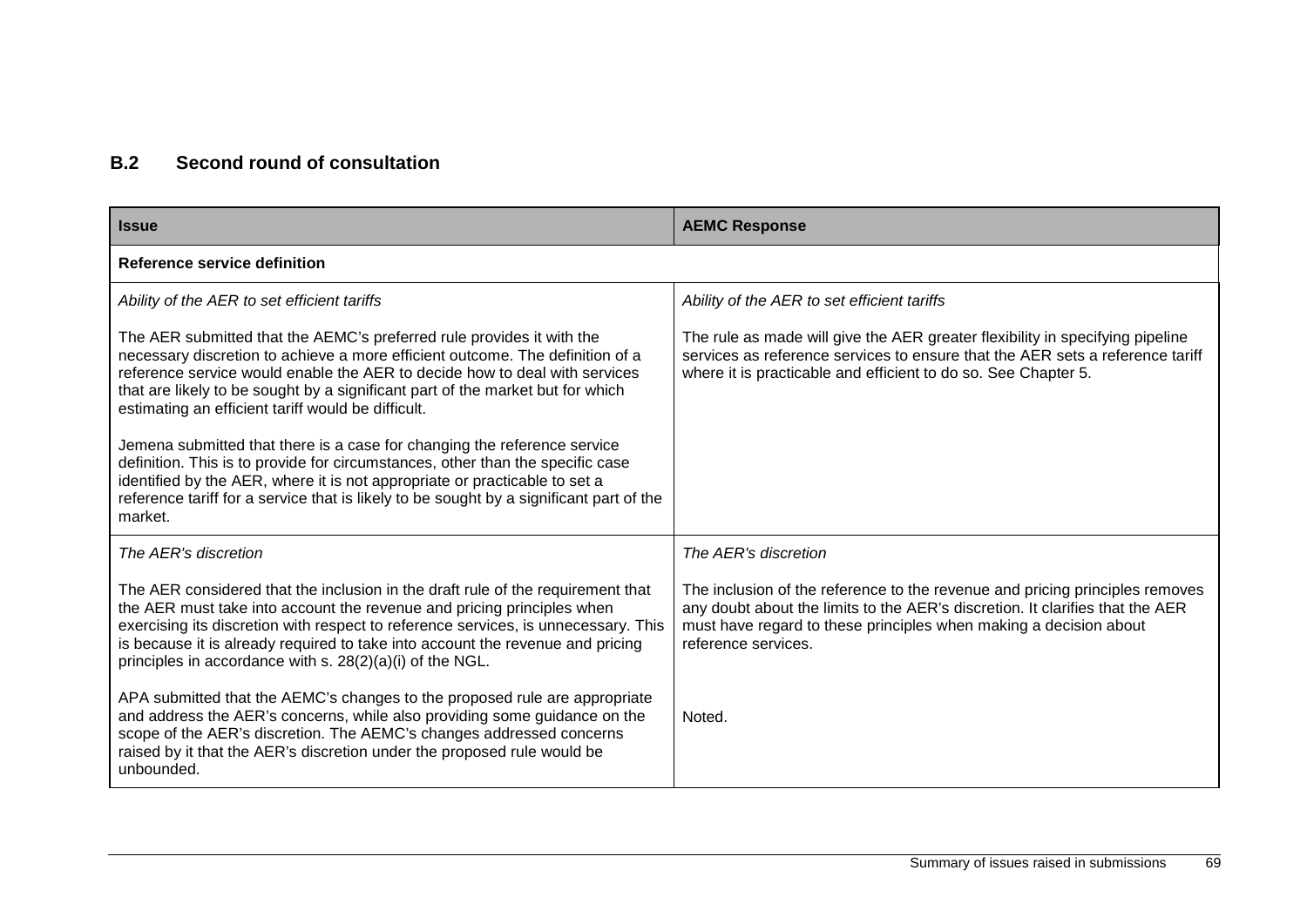### **B.2 Second round of consultation**

| <b>Issue</b>                                                                                                                                                                                                                                                                                                                                                                                                                                             | <b>AEMC Response</b>                                                                                                                                                                                                                                      |  |
|----------------------------------------------------------------------------------------------------------------------------------------------------------------------------------------------------------------------------------------------------------------------------------------------------------------------------------------------------------------------------------------------------------------------------------------------------------|-----------------------------------------------------------------------------------------------------------------------------------------------------------------------------------------------------------------------------------------------------------|--|
| Reference service definition                                                                                                                                                                                                                                                                                                                                                                                                                             |                                                                                                                                                                                                                                                           |  |
| Ability of the AER to set efficient tariffs                                                                                                                                                                                                                                                                                                                                                                                                              | Ability of the AER to set efficient tariffs                                                                                                                                                                                                               |  |
| The AER submitted that the AEMC's preferred rule provides it with the<br>necessary discretion to achieve a more efficient outcome. The definition of a<br>reference service would enable the AER to decide how to deal with services<br>that are likely to be sought by a significant part of the market but for which<br>estimating an efficient tariff would be difficult.<br>Jemena submitted that there is a case for changing the reference service | The rule as made will give the AER greater flexibility in specifying pipeline<br>services as reference services to ensure that the AER sets a reference tariff<br>where it is practicable and efficient to do so. See Chapter 5.                          |  |
| definition. This is to provide for circumstances, other than the specific case<br>identified by the AER, where it is not appropriate or practicable to set a<br>reference tariff for a service that is likely to be sought by a significant part of the<br>market.                                                                                                                                                                                       |                                                                                                                                                                                                                                                           |  |
| The AER's discretion                                                                                                                                                                                                                                                                                                                                                                                                                                     | The AER's discretion                                                                                                                                                                                                                                      |  |
| The AER considered that the inclusion in the draft rule of the requirement that<br>the AER must take into account the revenue and pricing principles when<br>exercising its discretion with respect to reference services, is unnecessary. This<br>is because it is already required to take into account the revenue and pricing<br>principles in accordance with s. 28(2)(a)(i) of the NGL.                                                            | The inclusion of the reference to the revenue and pricing principles removes<br>any doubt about the limits to the AER's discretion. It clarifies that the AER<br>must have regard to these principles when making a decision about<br>reference services. |  |
| APA submitted that the AEMC's changes to the proposed rule are appropriate<br>and address the AER's concerns, while also providing some guidance on the<br>scope of the AER's discretion. The AEMC's changes addressed concerns<br>raised by it that the AER's discretion under the proposed rule would be<br>unbounded.                                                                                                                                 | Noted.                                                                                                                                                                                                                                                    |  |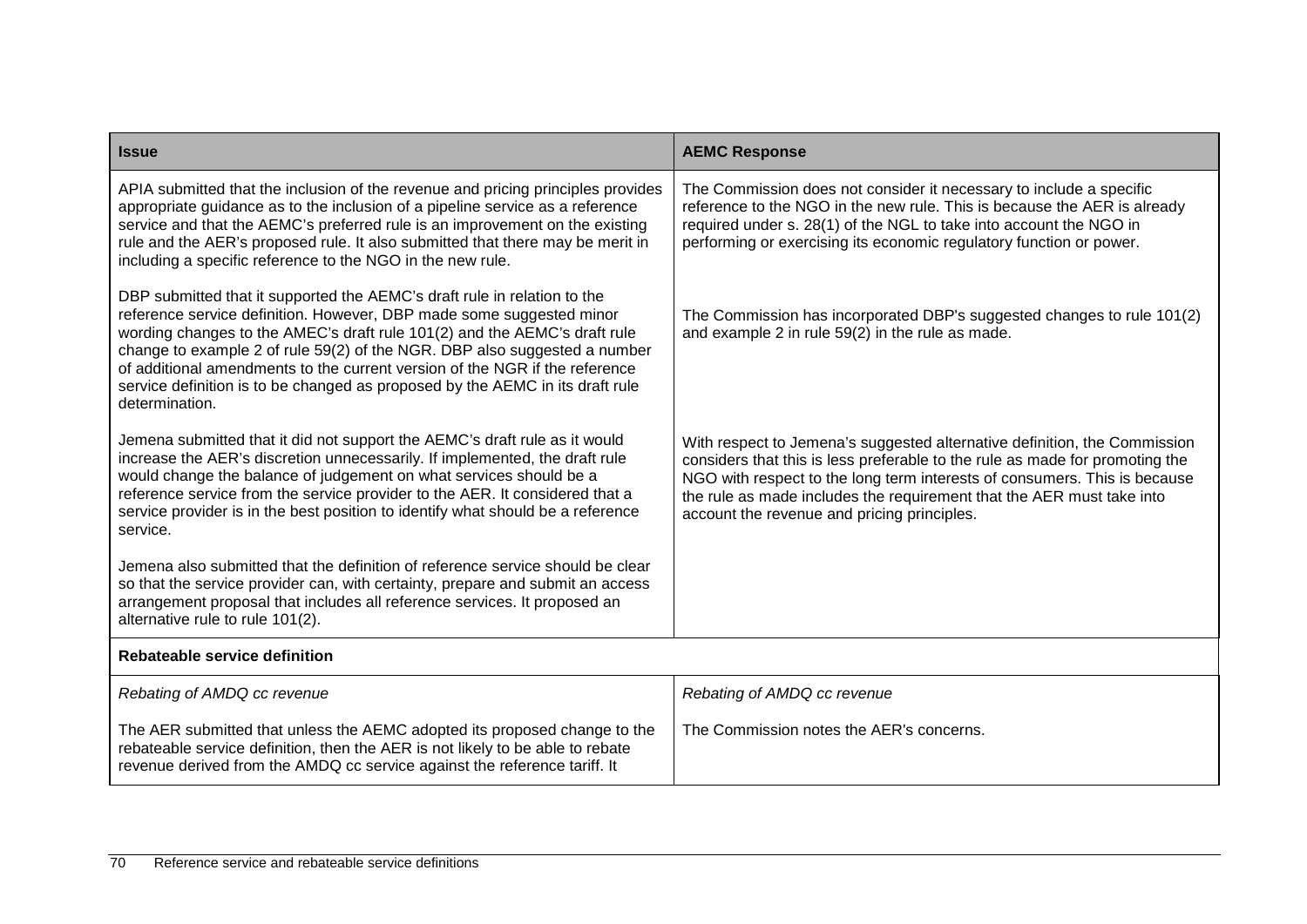| <b>Issue</b>                                                                                                                                                                                                                                                                                                                                                                                                                                                                                 | <b>AEMC Response</b>                                                                                                                                                                                                                                                                                                                                           |
|----------------------------------------------------------------------------------------------------------------------------------------------------------------------------------------------------------------------------------------------------------------------------------------------------------------------------------------------------------------------------------------------------------------------------------------------------------------------------------------------|----------------------------------------------------------------------------------------------------------------------------------------------------------------------------------------------------------------------------------------------------------------------------------------------------------------------------------------------------------------|
| APIA submitted that the inclusion of the revenue and pricing principles provides<br>appropriate guidance as to the inclusion of a pipeline service as a reference<br>service and that the AEMC's preferred rule is an improvement on the existing<br>rule and the AER's proposed rule. It also submitted that there may be merit in<br>including a specific reference to the NGO in the new rule.                                                                                            | The Commission does not consider it necessary to include a specific<br>reference to the NGO in the new rule. This is because the AER is already<br>required under s. 28(1) of the NGL to take into account the NGO in<br>performing or exercising its economic regulatory function or power.                                                                   |
| DBP submitted that it supported the AEMC's draft rule in relation to the<br>reference service definition. However, DBP made some suggested minor<br>wording changes to the AMEC's draft rule 101(2) and the AEMC's draft rule<br>change to example 2 of rule 59(2) of the NGR. DBP also suggested a number<br>of additional amendments to the current version of the NGR if the reference<br>service definition is to be changed as proposed by the AEMC in its draft rule<br>determination. | The Commission has incorporated DBP's suggested changes to rule 101(2)<br>and example 2 in rule 59(2) in the rule as made.                                                                                                                                                                                                                                     |
| Jemena submitted that it did not support the AEMC's draft rule as it would<br>increase the AER's discretion unnecessarily. If implemented, the draft rule<br>would change the balance of judgement on what services should be a<br>reference service from the service provider to the AER. It considered that a<br>service provider is in the best position to identify what should be a reference<br>service.                                                                               | With respect to Jemena's suggested alternative definition, the Commission<br>considers that this is less preferable to the rule as made for promoting the<br>NGO with respect to the long term interests of consumers. This is because<br>the rule as made includes the requirement that the AER must take into<br>account the revenue and pricing principles. |
| Jemena also submitted that the definition of reference service should be clear<br>so that the service provider can, with certainty, prepare and submit an access<br>arrangement proposal that includes all reference services. It proposed an<br>alternative rule to rule 101(2).                                                                                                                                                                                                            |                                                                                                                                                                                                                                                                                                                                                                |
| Rebateable service definition                                                                                                                                                                                                                                                                                                                                                                                                                                                                |                                                                                                                                                                                                                                                                                                                                                                |
| Rebating of AMDQ cc revenue                                                                                                                                                                                                                                                                                                                                                                                                                                                                  | Rebating of AMDQ cc revenue                                                                                                                                                                                                                                                                                                                                    |
| The AER submitted that unless the AEMC adopted its proposed change to the<br>rebateable service definition, then the AER is not likely to be able to rebate<br>revenue derived from the AMDQ cc service against the reference tariff. It                                                                                                                                                                                                                                                     | The Commission notes the AER's concerns.                                                                                                                                                                                                                                                                                                                       |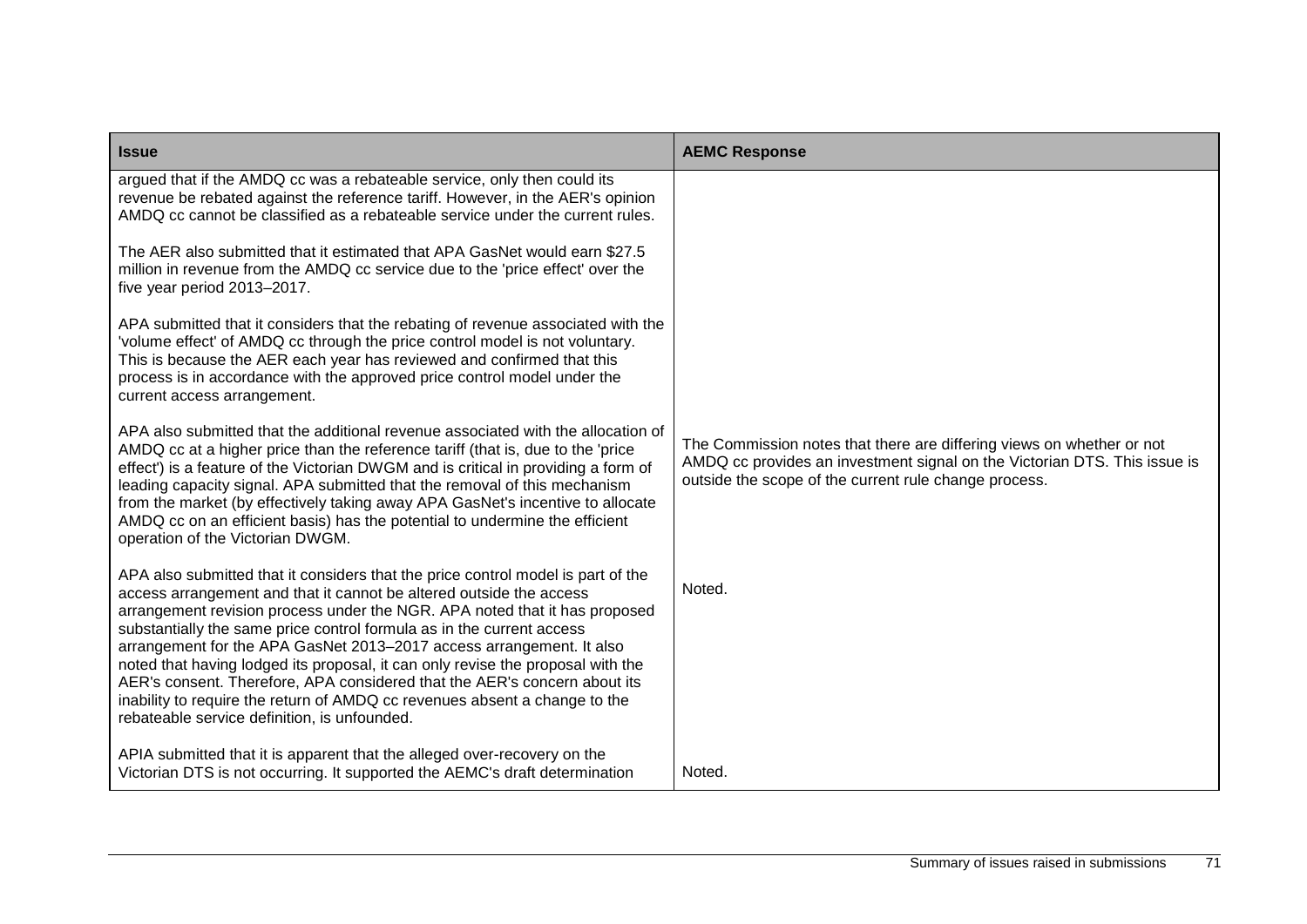| <b>Issue</b>                                                                                                                                                                                                                                                                                                                                                                                                                                                                                                                                                                                                                                                                         | <b>AEMC Response</b>                                                                                                                                                                                        |
|--------------------------------------------------------------------------------------------------------------------------------------------------------------------------------------------------------------------------------------------------------------------------------------------------------------------------------------------------------------------------------------------------------------------------------------------------------------------------------------------------------------------------------------------------------------------------------------------------------------------------------------------------------------------------------------|-------------------------------------------------------------------------------------------------------------------------------------------------------------------------------------------------------------|
| argued that if the AMDQ cc was a rebateable service, only then could its<br>revenue be rebated against the reference tariff. However, in the AER's opinion<br>AMDQ cc cannot be classified as a rebateable service under the current rules.                                                                                                                                                                                                                                                                                                                                                                                                                                          |                                                                                                                                                                                                             |
| The AER also submitted that it estimated that APA GasNet would earn \$27.5<br>million in revenue from the AMDQ cc service due to the 'price effect' over the<br>five year period 2013-2017.                                                                                                                                                                                                                                                                                                                                                                                                                                                                                          |                                                                                                                                                                                                             |
| APA submitted that it considers that the rebating of revenue associated with the<br>'volume effect' of AMDQ cc through the price control model is not voluntary.<br>This is because the AER each year has reviewed and confirmed that this<br>process is in accordance with the approved price control model under the<br>current access arrangement.                                                                                                                                                                                                                                                                                                                                |                                                                                                                                                                                                             |
| APA also submitted that the additional revenue associated with the allocation of<br>AMDQ cc at a higher price than the reference tariff (that is, due to the 'price<br>effect') is a feature of the Victorian DWGM and is critical in providing a form of<br>leading capacity signal. APA submitted that the removal of this mechanism<br>from the market (by effectively taking away APA GasNet's incentive to allocate<br>AMDQ cc on an efficient basis) has the potential to undermine the efficient<br>operation of the Victorian DWGM.                                                                                                                                          | The Commission notes that there are differing views on whether or not<br>AMDQ cc provides an investment signal on the Victorian DTS. This issue is<br>outside the scope of the current rule change process. |
| APA also submitted that it considers that the price control model is part of the<br>access arrangement and that it cannot be altered outside the access<br>arrangement revision process under the NGR. APA noted that it has proposed<br>substantially the same price control formula as in the current access<br>arrangement for the APA GasNet 2013-2017 access arrangement. It also<br>noted that having lodged its proposal, it can only revise the proposal with the<br>AER's consent. Therefore, APA considered that the AER's concern about its<br>inability to require the return of AMDQ cc revenues absent a change to the<br>rebateable service definition, is unfounded. | Noted.                                                                                                                                                                                                      |
| APIA submitted that it is apparent that the alleged over-recovery on the<br>Victorian DTS is not occurring. It supported the AEMC's draft determination                                                                                                                                                                                                                                                                                                                                                                                                                                                                                                                              | Noted.                                                                                                                                                                                                      |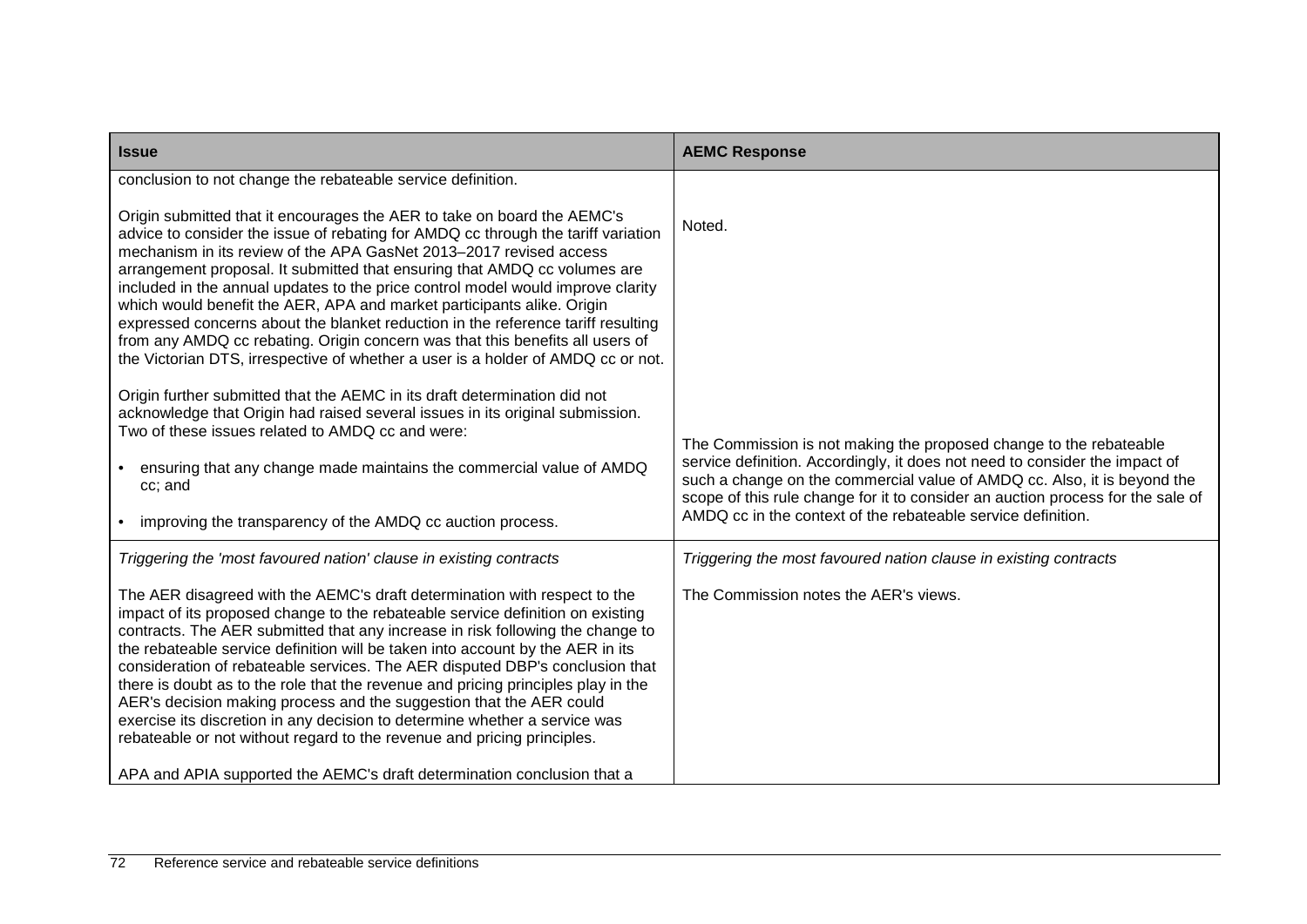| <b>Issue</b>                                                                                                                                                                                                                                                                                                                                                                                                                                                                                                                                                                                                                                                                                                                                                                                                                                                                                                                                                                                                                                                                                                                                                              | <b>AEMC Response</b>                                                                                                                                                                                                                                                                                                                                                                       |
|---------------------------------------------------------------------------------------------------------------------------------------------------------------------------------------------------------------------------------------------------------------------------------------------------------------------------------------------------------------------------------------------------------------------------------------------------------------------------------------------------------------------------------------------------------------------------------------------------------------------------------------------------------------------------------------------------------------------------------------------------------------------------------------------------------------------------------------------------------------------------------------------------------------------------------------------------------------------------------------------------------------------------------------------------------------------------------------------------------------------------------------------------------------------------|--------------------------------------------------------------------------------------------------------------------------------------------------------------------------------------------------------------------------------------------------------------------------------------------------------------------------------------------------------------------------------------------|
| conclusion to not change the rebateable service definition.<br>Origin submitted that it encourages the AER to take on board the AEMC's<br>advice to consider the issue of rebating for AMDQ cc through the tariff variation<br>mechanism in its review of the APA GasNet 2013-2017 revised access<br>arrangement proposal. It submitted that ensuring that AMDQ cc volumes are<br>included in the annual updates to the price control model would improve clarity<br>which would benefit the AER, APA and market participants alike. Origin<br>expressed concerns about the blanket reduction in the reference tariff resulting<br>from any AMDQ cc rebating. Origin concern was that this benefits all users of<br>the Victorian DTS, irrespective of whether a user is a holder of AMDQ cc or not.<br>Origin further submitted that the AEMC in its draft determination did not<br>acknowledge that Origin had raised several issues in its original submission.<br>Two of these issues related to AMDQ cc and were:<br>ensuring that any change made maintains the commercial value of AMDQ<br>cc; and<br>• improving the transparency of the AMDQ cc auction process. | Noted.<br>The Commission is not making the proposed change to the rebateable<br>service definition. Accordingly, it does not need to consider the impact of<br>such a change on the commercial value of AMDQ cc. Also, it is beyond the<br>scope of this rule change for it to consider an auction process for the sale of<br>AMDQ cc in the context of the rebateable service definition. |
| Triggering the 'most favoured nation' clause in existing contracts<br>The AER disagreed with the AEMC's draft determination with respect to the<br>impact of its proposed change to the rebateable service definition on existing<br>contracts. The AER submitted that any increase in risk following the change to<br>the rebateable service definition will be taken into account by the AER in its<br>consideration of rebateable services. The AER disputed DBP's conclusion that<br>there is doubt as to the role that the revenue and pricing principles play in the<br>AER's decision making process and the suggestion that the AER could<br>exercise its discretion in any decision to determine whether a service was<br>rebateable or not without regard to the revenue and pricing principles.<br>APA and APIA supported the AEMC's draft determination conclusion that a                                                                                                                                                                                                                                                                                     | Triggering the most favoured nation clause in existing contracts<br>The Commission notes the AER's views.                                                                                                                                                                                                                                                                                  |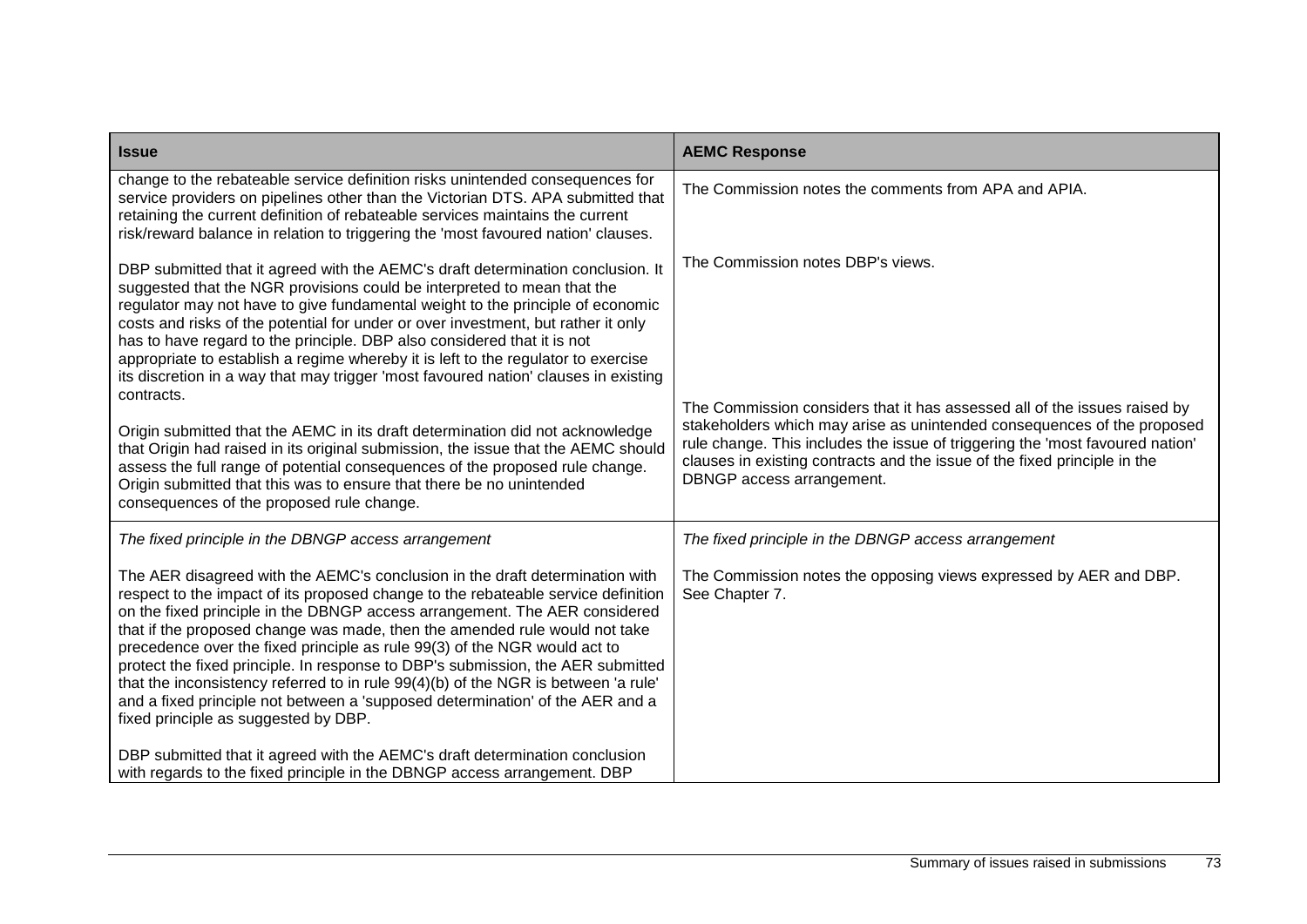| <b>Issue</b>                                                                                                                                                                                                                                                                                                                                                                                                                                                                                                                                                                                                                                                                                                 | <b>AEMC Response</b>                                                                                                                                                                                                                                                                                                                            |
|--------------------------------------------------------------------------------------------------------------------------------------------------------------------------------------------------------------------------------------------------------------------------------------------------------------------------------------------------------------------------------------------------------------------------------------------------------------------------------------------------------------------------------------------------------------------------------------------------------------------------------------------------------------------------------------------------------------|-------------------------------------------------------------------------------------------------------------------------------------------------------------------------------------------------------------------------------------------------------------------------------------------------------------------------------------------------|
| change to the rebateable service definition risks unintended consequences for<br>service providers on pipelines other than the Victorian DTS. APA submitted that<br>retaining the current definition of rebateable services maintains the current<br>risk/reward balance in relation to triggering the 'most favoured nation' clauses.                                                                                                                                                                                                                                                                                                                                                                       | The Commission notes the comments from APA and APIA.                                                                                                                                                                                                                                                                                            |
| DBP submitted that it agreed with the AEMC's draft determination conclusion. It<br>suggested that the NGR provisions could be interpreted to mean that the<br>regulator may not have to give fundamental weight to the principle of economic<br>costs and risks of the potential for under or over investment, but rather it only<br>has to have regard to the principle. DBP also considered that it is not<br>appropriate to establish a regime whereby it is left to the regulator to exercise<br>its discretion in a way that may trigger 'most favoured nation' clauses in existing<br>contracts.                                                                                                       | The Commission notes DBP's views.                                                                                                                                                                                                                                                                                                               |
| Origin submitted that the AEMC in its draft determination did not acknowledge<br>that Origin had raised in its original submission, the issue that the AEMC should<br>assess the full range of potential consequences of the proposed rule change.<br>Origin submitted that this was to ensure that there be no unintended<br>consequences of the proposed rule change.                                                                                                                                                                                                                                                                                                                                      | The Commission considers that it has assessed all of the issues raised by<br>stakeholders which may arise as unintended consequences of the proposed<br>rule change. This includes the issue of triggering the 'most favoured nation'<br>clauses in existing contracts and the issue of the fixed principle in the<br>DBNGP access arrangement. |
| The fixed principle in the DBNGP access arrangement                                                                                                                                                                                                                                                                                                                                                                                                                                                                                                                                                                                                                                                          | The fixed principle in the DBNGP access arrangement                                                                                                                                                                                                                                                                                             |
| The AER disagreed with the AEMC's conclusion in the draft determination with<br>respect to the impact of its proposed change to the rebateable service definition<br>on the fixed principle in the DBNGP access arrangement. The AER considered<br>that if the proposed change was made, then the amended rule would not take<br>precedence over the fixed principle as rule 99(3) of the NGR would act to<br>protect the fixed principle. In response to DBP's submission, the AER submitted<br>that the inconsistency referred to in rule 99(4)(b) of the NGR is between 'a rule'<br>and a fixed principle not between a 'supposed determination' of the AER and a<br>fixed principle as suggested by DBP. | The Commission notes the opposing views expressed by AER and DBP.<br>See Chapter 7.                                                                                                                                                                                                                                                             |
| DBP submitted that it agreed with the AEMC's draft determination conclusion<br>with regards to the fixed principle in the DBNGP access arrangement. DBP                                                                                                                                                                                                                                                                                                                                                                                                                                                                                                                                                      |                                                                                                                                                                                                                                                                                                                                                 |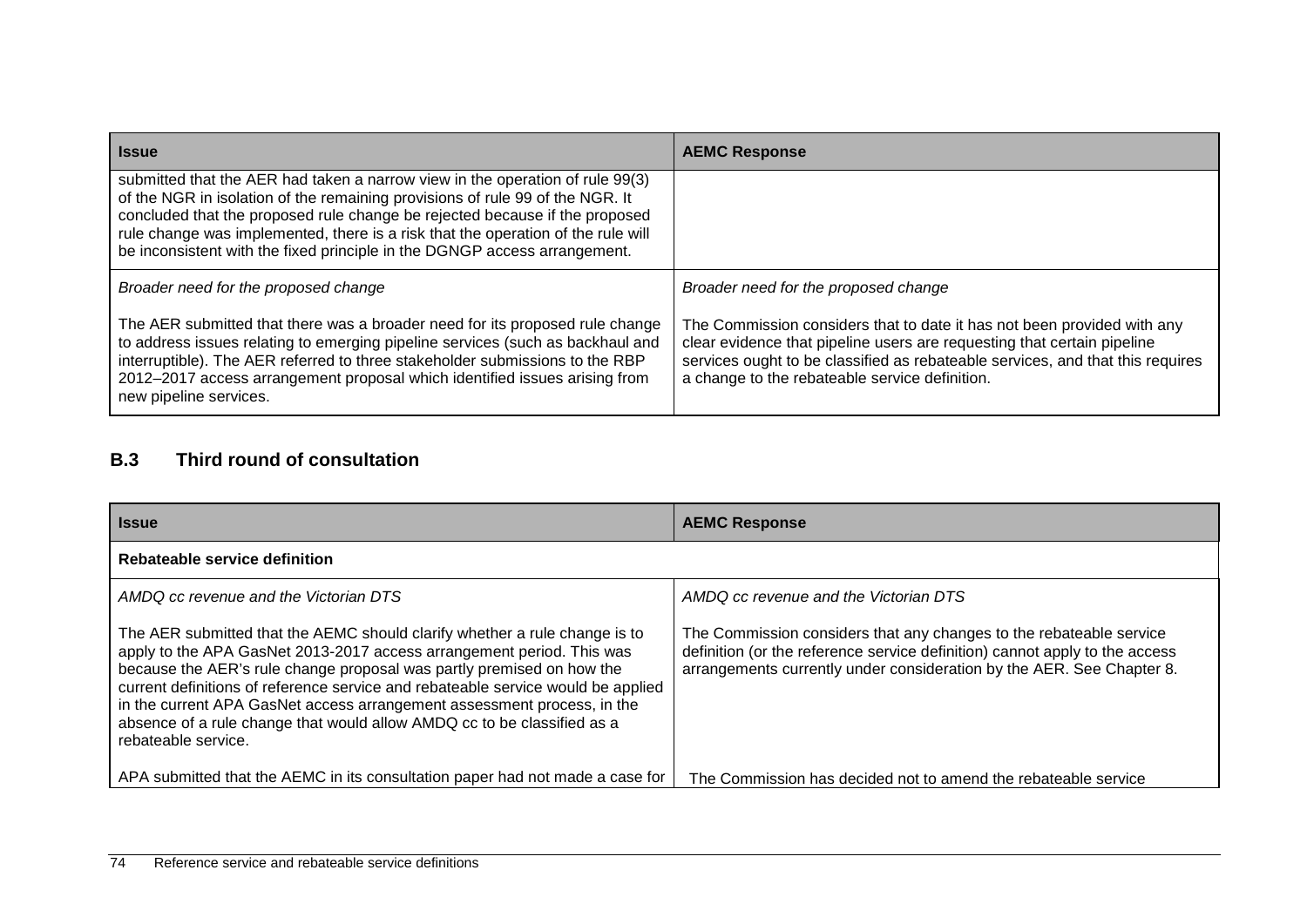| <b>Issue</b>                                                                                                                                                                                                                                                                                                                                                                                                   | <b>AEMC Response</b>                                                                                                                                                                                                                                                                   |  |
|----------------------------------------------------------------------------------------------------------------------------------------------------------------------------------------------------------------------------------------------------------------------------------------------------------------------------------------------------------------------------------------------------------------|----------------------------------------------------------------------------------------------------------------------------------------------------------------------------------------------------------------------------------------------------------------------------------------|--|
| submitted that the AER had taken a narrow view in the operation of rule 99(3)<br>of the NGR in isolation of the remaining provisions of rule 99 of the NGR. It<br>concluded that the proposed rule change be rejected because if the proposed<br>rule change was implemented, there is a risk that the operation of the rule will<br>be inconsistent with the fixed principle in the DGNGP access arrangement. |                                                                                                                                                                                                                                                                                        |  |
| Broader need for the proposed change                                                                                                                                                                                                                                                                                                                                                                           | Broader need for the proposed change                                                                                                                                                                                                                                                   |  |
| The AER submitted that there was a broader need for its proposed rule change<br>to address issues relating to emerging pipeline services (such as backhaul and<br>interruptible). The AER referred to three stakeholder submissions to the RBP<br>2012-2017 access arrangement proposal which identified issues arising from<br>new pipeline services.                                                         | The Commission considers that to date it has not been provided with any<br>clear evidence that pipeline users are requesting that certain pipeline<br>services ought to be classified as rebateable services, and that this requires<br>a change to the rebateable service definition. |  |

## **B.3 Third round of consultation**

| <b>Issue</b>                                                                                                                                                                                                                                                                                                                                                                                                                                                                                  | <b>AEMC Response</b>                                                                                                                                                                                                        |
|-----------------------------------------------------------------------------------------------------------------------------------------------------------------------------------------------------------------------------------------------------------------------------------------------------------------------------------------------------------------------------------------------------------------------------------------------------------------------------------------------|-----------------------------------------------------------------------------------------------------------------------------------------------------------------------------------------------------------------------------|
| Rebateable service definition                                                                                                                                                                                                                                                                                                                                                                                                                                                                 |                                                                                                                                                                                                                             |
| AMDQ cc revenue and the Victorian DTS                                                                                                                                                                                                                                                                                                                                                                                                                                                         | AMDQ cc revenue and the Victorian DTS                                                                                                                                                                                       |
| The AER submitted that the AEMC should clarify whether a rule change is to<br>apply to the APA GasNet 2013-2017 access arrangement period. This was<br>because the AER's rule change proposal was partly premised on how the<br>current definitions of reference service and rebateable service would be applied<br>in the current APA GasNet access arrangement assessment process, in the<br>absence of a rule change that would allow AMDQ cc to be classified as a<br>rebateable service. | The Commission considers that any changes to the rebateable service<br>definition (or the reference service definition) cannot apply to the access<br>arrangements currently under consideration by the AER. See Chapter 8. |
| APA submitted that the AEMC in its consultation paper had not made a case for                                                                                                                                                                                                                                                                                                                                                                                                                 | The Commission has decided not to amend the rebateable service                                                                                                                                                              |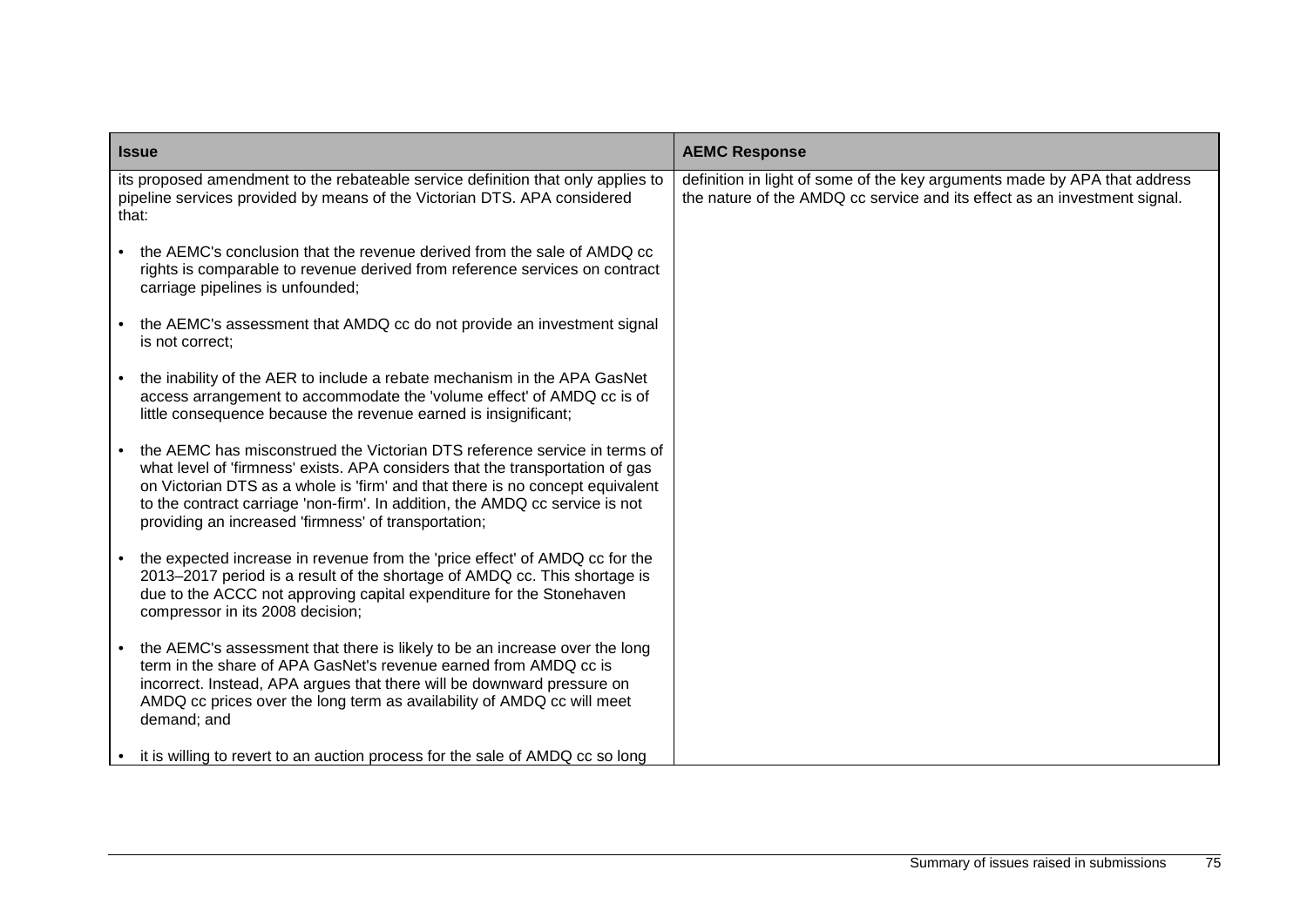| <b>Issue</b>                                                                                                                                                                                                                                                                                                                                                                        | <b>AEMC Response</b>                                                                                                                                   |  |
|-------------------------------------------------------------------------------------------------------------------------------------------------------------------------------------------------------------------------------------------------------------------------------------------------------------------------------------------------------------------------------------|--------------------------------------------------------------------------------------------------------------------------------------------------------|--|
| its proposed amendment to the rebateable service definition that only applies to<br>pipeline services provided by means of the Victorian DTS. APA considered<br>that:                                                                                                                                                                                                               | definition in light of some of the key arguments made by APA that address<br>the nature of the AMDQ cc service and its effect as an investment signal. |  |
| the AEMC's conclusion that the revenue derived from the sale of AMDQ cc<br>rights is comparable to revenue derived from reference services on contract<br>carriage pipelines is unfounded;                                                                                                                                                                                          |                                                                                                                                                        |  |
| the AEMC's assessment that AMDQ cc do not provide an investment signal<br>is not correct;                                                                                                                                                                                                                                                                                           |                                                                                                                                                        |  |
| the inability of the AER to include a rebate mechanism in the APA GasNet<br>access arrangement to accommodate the 'volume effect' of AMDQ cc is of<br>little consequence because the revenue earned is insignificant;                                                                                                                                                               |                                                                                                                                                        |  |
| the AEMC has misconstrued the Victorian DTS reference service in terms of<br>what level of 'firmness' exists. APA considers that the transportation of gas<br>on Victorian DTS as a whole is 'firm' and that there is no concept equivalent<br>to the contract carriage 'non-firm'. In addition, the AMDQ cc service is not<br>providing an increased 'firmness' of transportation; |                                                                                                                                                        |  |
| the expected increase in revenue from the 'price effect' of AMDQ cc for the<br>2013-2017 period is a result of the shortage of AMDQ cc. This shortage is<br>due to the ACCC not approving capital expenditure for the Stonehaven<br>compressor in its 2008 decision;                                                                                                                |                                                                                                                                                        |  |
| the AEMC's assessment that there is likely to be an increase over the long<br>term in the share of APA GasNet's revenue earned from AMDQ cc is<br>incorrect. Instead, APA argues that there will be downward pressure on<br>AMDQ cc prices over the long term as availability of AMDQ cc will meet<br>demand; and                                                                   |                                                                                                                                                        |  |
| it is willing to revert to an auction process for the sale of AMDQ cc so long                                                                                                                                                                                                                                                                                                       |                                                                                                                                                        |  |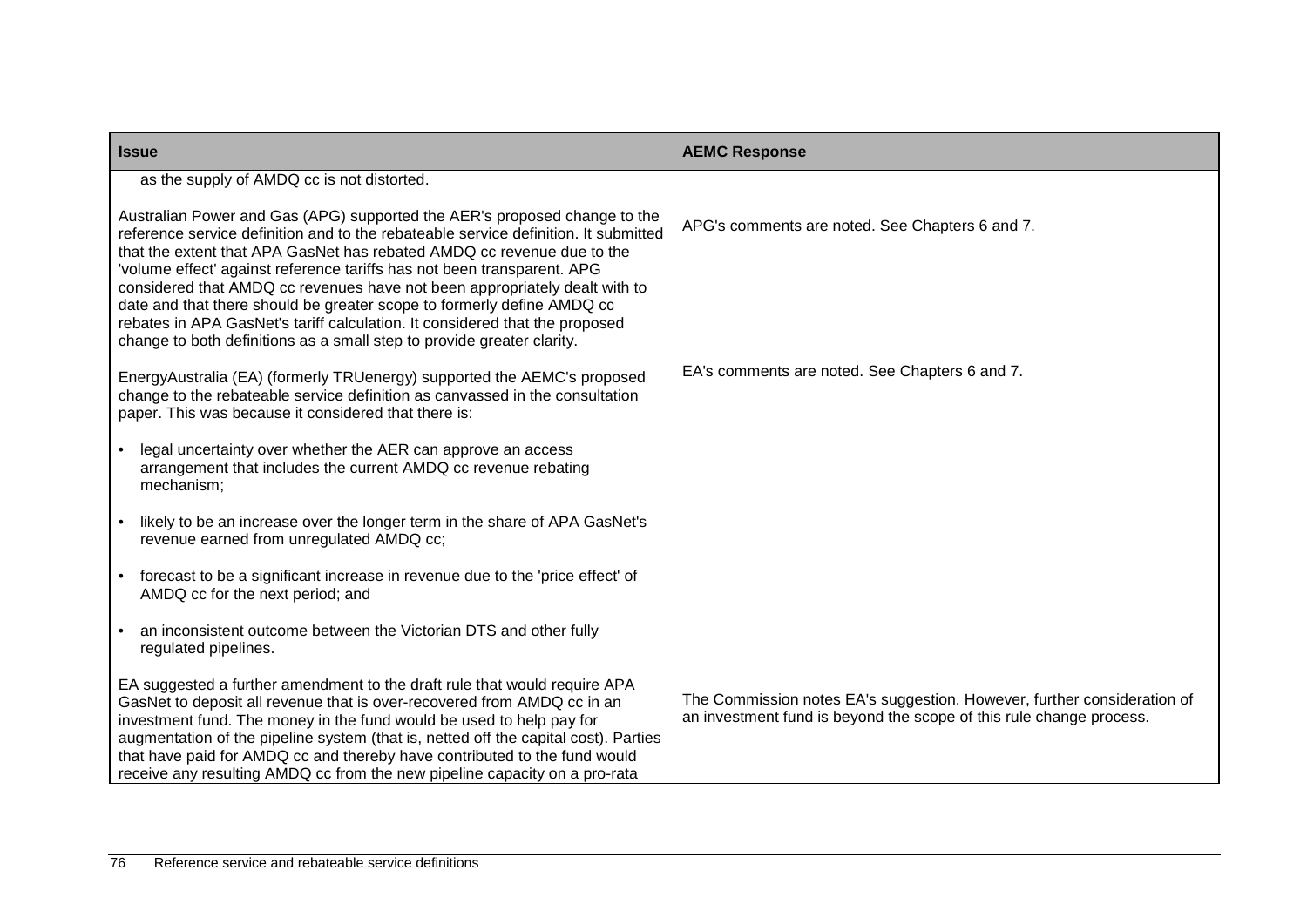| <b>Issue</b>                                                                                                                                                                                                                                                                                                                                                                                                                                                                                                                                                                                                                           | <b>AEMC Response</b>                                                                                                                           |
|----------------------------------------------------------------------------------------------------------------------------------------------------------------------------------------------------------------------------------------------------------------------------------------------------------------------------------------------------------------------------------------------------------------------------------------------------------------------------------------------------------------------------------------------------------------------------------------------------------------------------------------|------------------------------------------------------------------------------------------------------------------------------------------------|
| as the supply of AMDQ cc is not distorted.                                                                                                                                                                                                                                                                                                                                                                                                                                                                                                                                                                                             |                                                                                                                                                |
| Australian Power and Gas (APG) supported the AER's proposed change to the<br>reference service definition and to the rebateable service definition. It submitted<br>that the extent that APA GasNet has rebated AMDQ cc revenue due to the<br>'volume effect' against reference tariffs has not been transparent. APG<br>considered that AMDQ cc revenues have not been appropriately dealt with to<br>date and that there should be greater scope to formerly define AMDQ cc<br>rebates in APA GasNet's tariff calculation. It considered that the proposed<br>change to both definitions as a small step to provide greater clarity. | APG's comments are noted. See Chapters 6 and 7.                                                                                                |
| EnergyAustralia (EA) (formerly TRUenergy) supported the AEMC's proposed<br>change to the rebateable service definition as canvassed in the consultation<br>paper. This was because it considered that there is:                                                                                                                                                                                                                                                                                                                                                                                                                        | EA's comments are noted. See Chapters 6 and 7.                                                                                                 |
| legal uncertainty over whether the AER can approve an access<br>arrangement that includes the current AMDQ cc revenue rebating<br>mechanism;                                                                                                                                                                                                                                                                                                                                                                                                                                                                                           |                                                                                                                                                |
| likely to be an increase over the longer term in the share of APA GasNet's<br>revenue earned from unregulated AMDQ cc;                                                                                                                                                                                                                                                                                                                                                                                                                                                                                                                 |                                                                                                                                                |
| forecast to be a significant increase in revenue due to the 'price effect' of<br>AMDQ cc for the next period; and                                                                                                                                                                                                                                                                                                                                                                                                                                                                                                                      |                                                                                                                                                |
| an inconsistent outcome between the Victorian DTS and other fully<br>regulated pipelines.                                                                                                                                                                                                                                                                                                                                                                                                                                                                                                                                              |                                                                                                                                                |
| EA suggested a further amendment to the draft rule that would require APA<br>GasNet to deposit all revenue that is over-recovered from AMDQ cc in an<br>investment fund. The money in the fund would be used to help pay for<br>augmentation of the pipeline system (that is, netted off the capital cost). Parties<br>that have paid for AMDQ cc and thereby have contributed to the fund would<br>receive any resulting AMDQ cc from the new pipeline capacity on a pro-rata                                                                                                                                                         | The Commission notes EA's suggestion. However, further consideration of<br>an investment fund is beyond the scope of this rule change process. |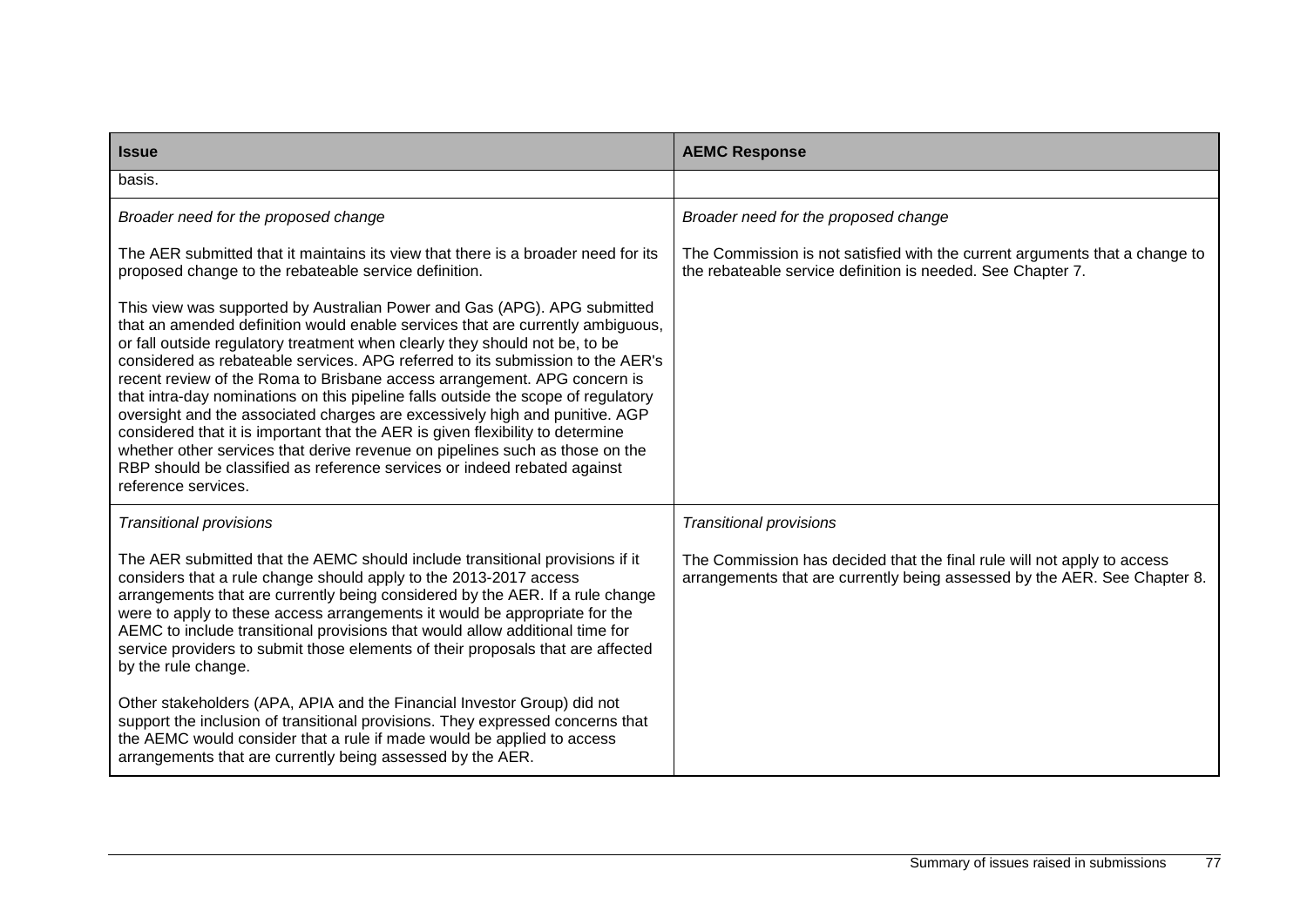| <b>Issue</b>                                                                                                                                                                                                                                                                                                                                                                                                                                                                                                                                                                                                                                                                                                                                                                                                                                     | <b>AEMC Response</b>                                                                                                                                 |
|--------------------------------------------------------------------------------------------------------------------------------------------------------------------------------------------------------------------------------------------------------------------------------------------------------------------------------------------------------------------------------------------------------------------------------------------------------------------------------------------------------------------------------------------------------------------------------------------------------------------------------------------------------------------------------------------------------------------------------------------------------------------------------------------------------------------------------------------------|------------------------------------------------------------------------------------------------------------------------------------------------------|
| basis.                                                                                                                                                                                                                                                                                                                                                                                                                                                                                                                                                                                                                                                                                                                                                                                                                                           |                                                                                                                                                      |
| Broader need for the proposed change                                                                                                                                                                                                                                                                                                                                                                                                                                                                                                                                                                                                                                                                                                                                                                                                             | Broader need for the proposed change                                                                                                                 |
| The AER submitted that it maintains its view that there is a broader need for its<br>proposed change to the rebateable service definition.                                                                                                                                                                                                                                                                                                                                                                                                                                                                                                                                                                                                                                                                                                       | The Commission is not satisfied with the current arguments that a change to<br>the rebateable service definition is needed. See Chapter 7.           |
| This view was supported by Australian Power and Gas (APG). APG submitted<br>that an amended definition would enable services that are currently ambiguous,<br>or fall outside regulatory treatment when clearly they should not be, to be<br>considered as rebateable services. APG referred to its submission to the AER's<br>recent review of the Roma to Brisbane access arrangement. APG concern is<br>that intra-day nominations on this pipeline falls outside the scope of regulatory<br>oversight and the associated charges are excessively high and punitive. AGP<br>considered that it is important that the AER is given flexibility to determine<br>whether other services that derive revenue on pipelines such as those on the<br>RBP should be classified as reference services or indeed rebated against<br>reference services. |                                                                                                                                                      |
| <b>Transitional provisions</b>                                                                                                                                                                                                                                                                                                                                                                                                                                                                                                                                                                                                                                                                                                                                                                                                                   | <b>Transitional provisions</b>                                                                                                                       |
| The AER submitted that the AEMC should include transitional provisions if it<br>considers that a rule change should apply to the 2013-2017 access<br>arrangements that are currently being considered by the AER. If a rule change<br>were to apply to these access arrangements it would be appropriate for the<br>AEMC to include transitional provisions that would allow additional time for<br>service providers to submit those elements of their proposals that are affected<br>by the rule change.                                                                                                                                                                                                                                                                                                                                       | The Commission has decided that the final rule will not apply to access<br>arrangements that are currently being assessed by the AER. See Chapter 8. |
| Other stakeholders (APA, APIA and the Financial Investor Group) did not<br>support the inclusion of transitional provisions. They expressed concerns that<br>the AEMC would consider that a rule if made would be applied to access<br>arrangements that are currently being assessed by the AER.                                                                                                                                                                                                                                                                                                                                                                                                                                                                                                                                                |                                                                                                                                                      |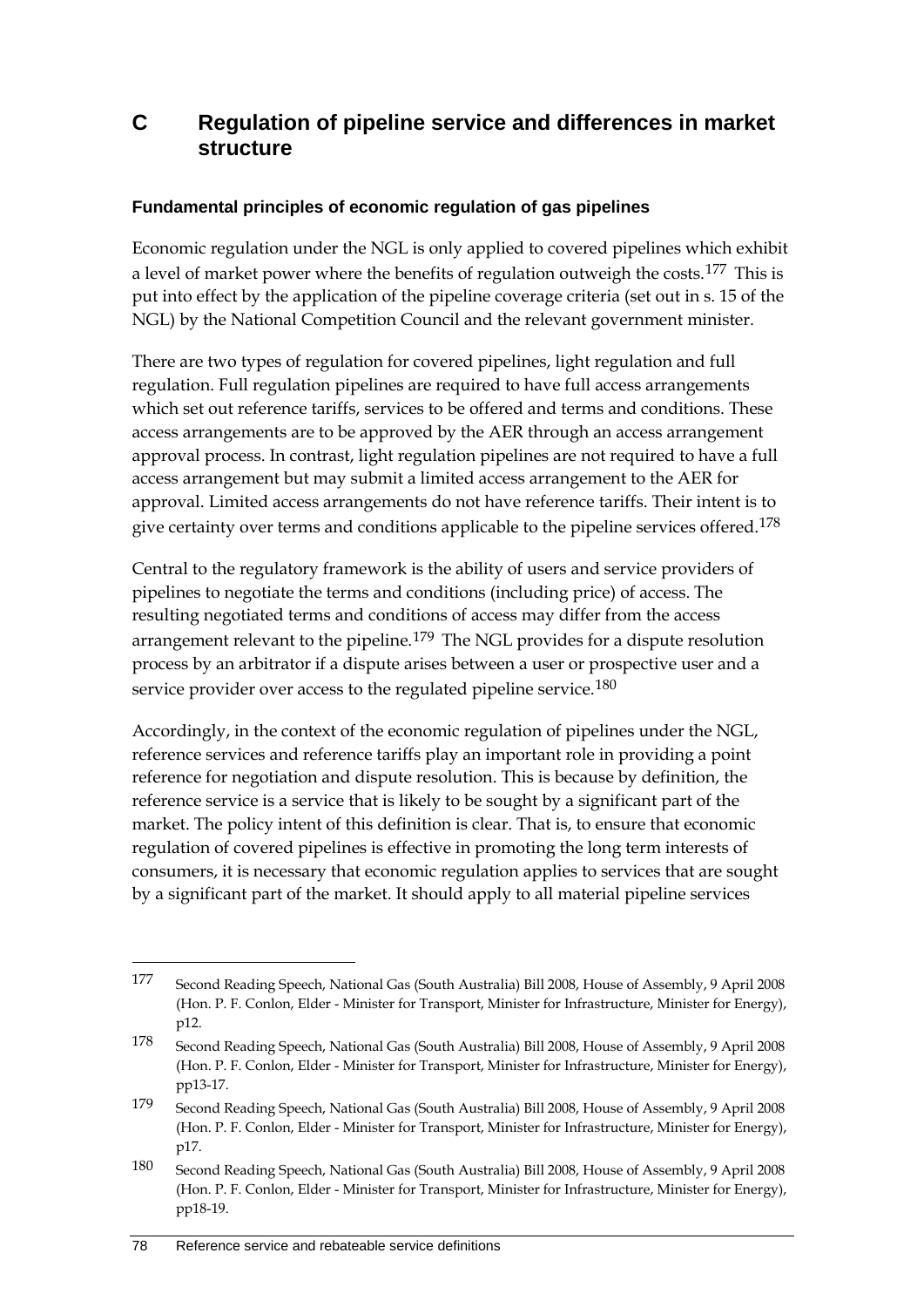# **C Regulation of pipeline service and differences in market structure**

#### **Fundamental principles of economic regulation of gas pipelines**

Economic regulation under the NGL is only applied to covered pipelines which exhibit a level of market power where the benefits of regulation outweigh the costs.<sup>[177](#page-85-0)</sup> This is put into effect by the application of the pipeline coverage criteria (set out in s. 15 of the NGL) by the National Competition Council and the relevant government minister.

There are two types of regulation for covered pipelines, light regulation and full regulation. Full regulation pipelines are required to have full access arrangements which set out reference tariffs, services to be offered and terms and conditions. These access arrangements are to be approved by the AER through an access arrangement approval process. In contrast, light regulation pipelines are not required to have a full access arrangement but may submit a limited access arrangement to the AER for approval. Limited access arrangements do not have reference tariffs. Their intent is to give certainty over terms and conditions applicable to the pipeline services offered.<sup>[178](#page-85-1)</sup>

Central to the regulatory framework is the ability of users and service providers of pipelines to negotiate the terms and conditions (including price) of access. The resulting negotiated terms and conditions of access may differ from the access arrangement relevant to the pipeline.<sup>[179](#page-85-2)</sup> The NGL provides for a dispute resolution process by an arbitrator if a dispute arises between a user or prospective user and a service provider over access to the regulated pipeline service.<sup>[180](#page-85-3)</sup>

Accordingly, in the context of the economic regulation of pipelines under the NGL, reference services and reference tariffs play an important role in providing a point reference for negotiation and dispute resolution. This is because by definition, the reference service is a service that is likely to be sought by a significant part of the market. The policy intent of this definition is clear. That is, to ensure that economic regulation of covered pipelines is effective in promoting the long term interests of consumers, it is necessary that economic regulation applies to services that are sought by a significant part of the market. It should apply to all material pipeline services

-

<span id="page-85-0"></span><sup>177</sup> Second Reading Speech, National Gas (South Australia) Bill 2008, House of Assembly, 9 April 2008 (Hon. P. F. Conlon, Elder - Minister for Transport, Minister for Infrastructure, Minister for Energy), p12.

<span id="page-85-1"></span><sup>178</sup> Second Reading Speech, National Gas (South Australia) Bill 2008, House of Assembly, 9 April 2008 (Hon. P. F. Conlon, Elder - Minister for Transport, Minister for Infrastructure, Minister for Energy), pp13-17.

<span id="page-85-2"></span><sup>179</sup> Second Reading Speech, National Gas (South Australia) Bill 2008, House of Assembly, 9 April 2008 (Hon. P. F. Conlon, Elder - Minister for Transport, Minister for Infrastructure, Minister for Energy), p17.

<span id="page-85-3"></span><sup>180</sup> Second Reading Speech, National Gas (South Australia) Bill 2008, House of Assembly, 9 April 2008 (Hon. P. F. Conlon, Elder - Minister for Transport, Minister for Infrastructure, Minister for Energy), pp18-19.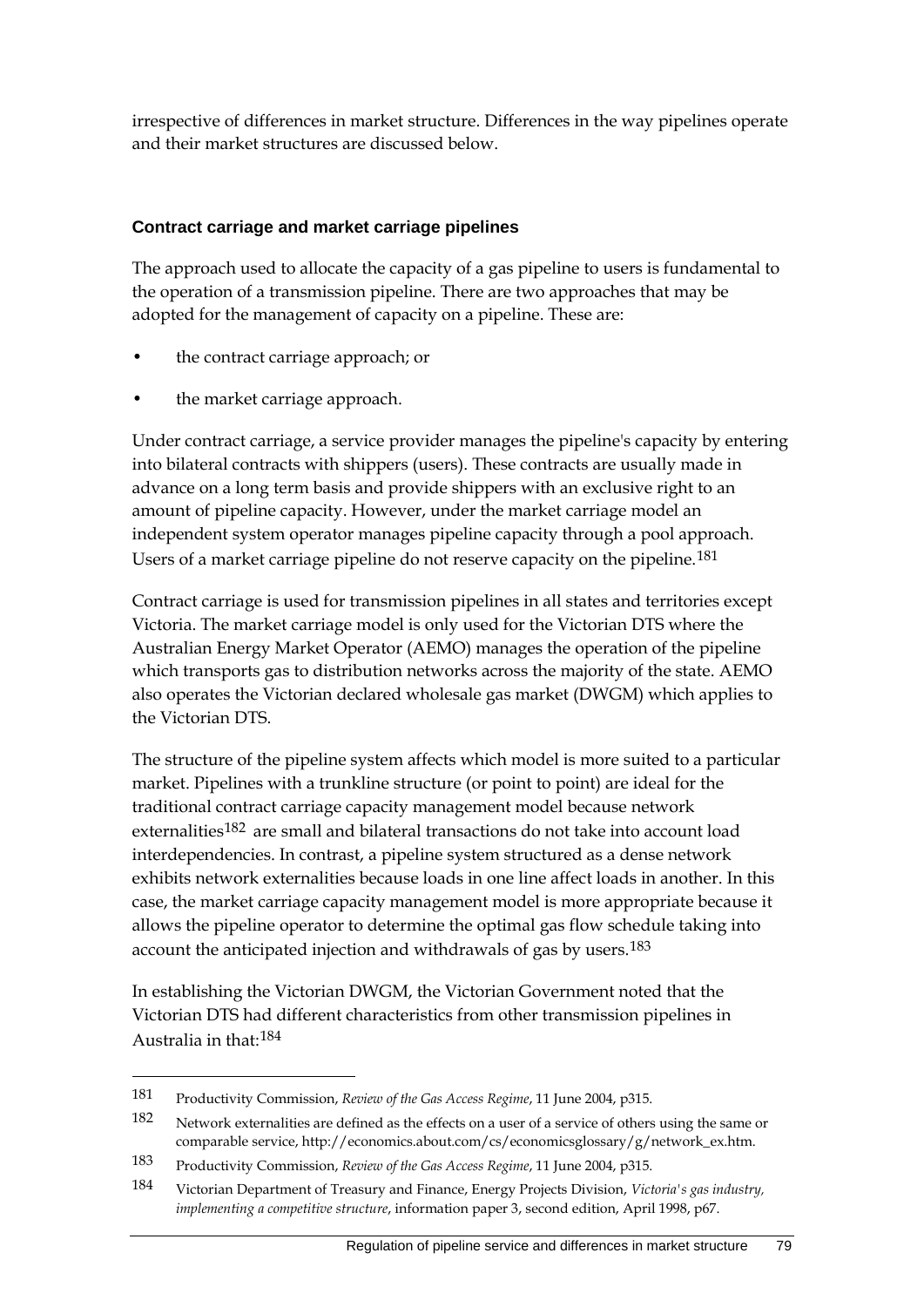irrespective of differences in market structure. Differences in the way pipelines operate and their market structures are discussed below.

### **Contract carriage and market carriage pipelines**

The approach used to allocate the capacity of a gas pipeline to users is fundamental to the operation of a transmission pipeline. There are two approaches that may be adopted for the management of capacity on a pipeline. These are:

- the contract carriage approach; or
- the market carriage approach.

Under contract carriage, a service provider manages the pipeline's capacity by entering into bilateral contracts with shippers (users). These contracts are usually made in advance on a long term basis and provide shippers with an exclusive right to an amount of pipeline capacity. However, under the market carriage model an independent system operator manages pipeline capacity through a pool approach. Users of a market carriage pipeline do not reserve capacity on the pipeline.<sup>[181](#page-86-0)</sup>

Contract carriage is used for transmission pipelines in all states and territories except Victoria. The market carriage model is only used for the Victorian DTS where the Australian Energy Market Operator (AEMO) manages the operation of the pipeline which transports gas to distribution networks across the majority of the state. AEMO also operates the Victorian declared wholesale gas market (DWGM) which applies to the Victorian DTS.

The structure of the pipeline system affects which model is more suited to a particular market. Pipelines with a trunkline structure (or point to point) are ideal for the traditional contract carriage capacity management model because network externalities<sup>[182](#page-86-1)</sup> are small and bilateral transactions do not take into account load interdependencies. In contrast, a pipeline system structured as a dense network exhibits network externalities because loads in one line affect loads in another. In this case, the market carriage capacity management model is more appropriate because it allows the pipeline operator to determine the optimal gas flow schedule taking into account the anticipated injection and withdrawals of gas by users.<sup>[183](#page-86-2)</sup>

In establishing the Victorian DWGM, the Victorian Government noted that the Victorian DTS had different characteristics from other transmission pipelines in Australia in that:[184](#page-86-3)

-

<span id="page-86-0"></span><sup>181</sup> Productivity Commission, *Review of the Gas Access Regime*, 11 June 2004, p315.

<span id="page-86-1"></span><sup>182</sup> Network externalities are defined as the effects on a user of a service of others using the same or comparable service, http://economics.about.com/cs/economicsglossary/g/network\_ex.htm.

<span id="page-86-2"></span><sup>183</sup> Productivity Commission, *Review of the Gas Access Regime*, 11 June 2004, p315.

<span id="page-86-3"></span><sup>184</sup> Victorian Department of Treasury and Finance, Energy Projects Division, *Victoria's gas industry, implementing a competitive structure*, information paper 3, second edition, April 1998, p67.